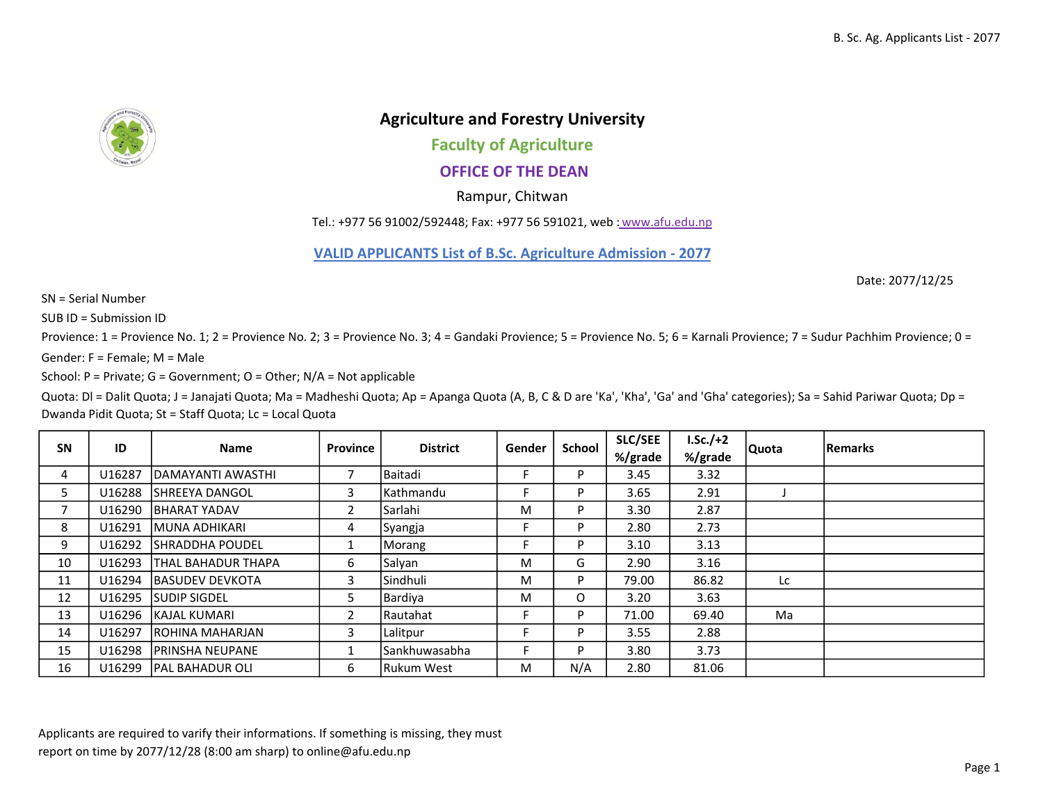

## Agriculture and Forestry University

Faculty of Agriculture

OFFICE OF THE DEAN

Rampur, Chitwan

Tel.: +977 56 91002/592448; Fax: +977 56 591021, web : www.afu.edu.np

VALID APPLICANTS List of B.Sc. Agriculture Admission - 2077

Date: 2077/12/25

SN = Serial Number

SUB ID = Submission ID

Provience: 1 = Provience No. 1; 2 = Provience No. 2; 3 = Provience No. 3; 4 = Gandaki Provience; 5 = Provience No. 5; 6 = Karnali Provience; 7 = Sudur Pachhim Provience; 0 =

Gender:  $F =$  Female; M = Male

School: P = Private; G = Government; O = Other; N/A = Not applicable

Quota: Dl = Dalit Quota; J = Janajati Quota; Ma = Madheshi Quota; Ap = Apanga Quota (A, B, C & D are 'Ka', 'Kha', 'Ga' and 'Gha' categories); Sa = Sahid Pariwar Quota; Dp = Dwanda Pidit Quota; St = Staff Quota; Lc = Local Quota

| <b>SN</b> | ID     | <b>Name</b>                | Province       | <b>District</b>      | Gender | School   | <b>SLC/SEE</b><br>%/grade | $LSc./+2$<br>%/grade | Quota | <b>Remarks</b> |
|-----------|--------|----------------------------|----------------|----------------------|--------|----------|---------------------------|----------------------|-------|----------------|
| 4         | U16287 | <b>IDAMAYANTI AWASTHI</b>  | 7              | <b>Baitadi</b>       |        | P        | 3.45                      | 3.32                 |       |                |
| כ         | U16288 | <b>ISHREEYA DANGOL</b>     | 3              | <b>Kathmandu</b>     |        | D        | 3.65                      | 2.91                 |       |                |
| 7         | U16290 | <b>BHARAT YADAV</b>        | $\overline{2}$ | <b>Sarlahi</b>       | M      | D        | 3.30                      | 2.87                 |       |                |
| 8         | U16291 | <b>IMUNA ADHIKARI</b>      | 4              | Syangja              |        | P        | 2.80                      | 2.73                 |       |                |
| 9         | U16292 | <b>ISHRADDHA POUDEL</b>    |                | Morang               |        | P        | 3.10                      | 3.13                 |       |                |
| 10        | U16293 | <b>ITHAL BAHADUR THAPA</b> | 6              | Salyan               | M      | G.       | 2.90                      | 3.16                 |       |                |
| 11        | U16294 | <b>BASUDEV DEVKOTA</b>     | 3              | lSindhuli            | M      | P        | 79.00                     | 86.82                | Lc.   |                |
| 12        | U16295 | <b>SUDIP SIGDEL</b>        | 5              | Bardiya              | м      | $\Omega$ | 3.20                      | 3.63                 |       |                |
| 13        | U16296 | <b>IKAJAL KUMARI</b>       | $\overline{2}$ | <b>Rautahat</b>      |        | D        | 71.00                     | 69.40                | Ma    |                |
| 14        | U16297 | <b>IROHINA MAHARJAN</b>    | 3              | Lalitpur             |        | D        | 3.55                      | 2.88                 |       |                |
| 15        | U16298 | <b>IPRINSHA NEUPANE</b>    |                | <b>Sankhuwasabha</b> |        | D        | 3.80                      | 3.73                 |       |                |
| 16        | U16299 | <b>IPAL BAHADUR OLI</b>    | 6              | Rukum West           | M      | N/A      | 2.80                      | 81.06                |       |                |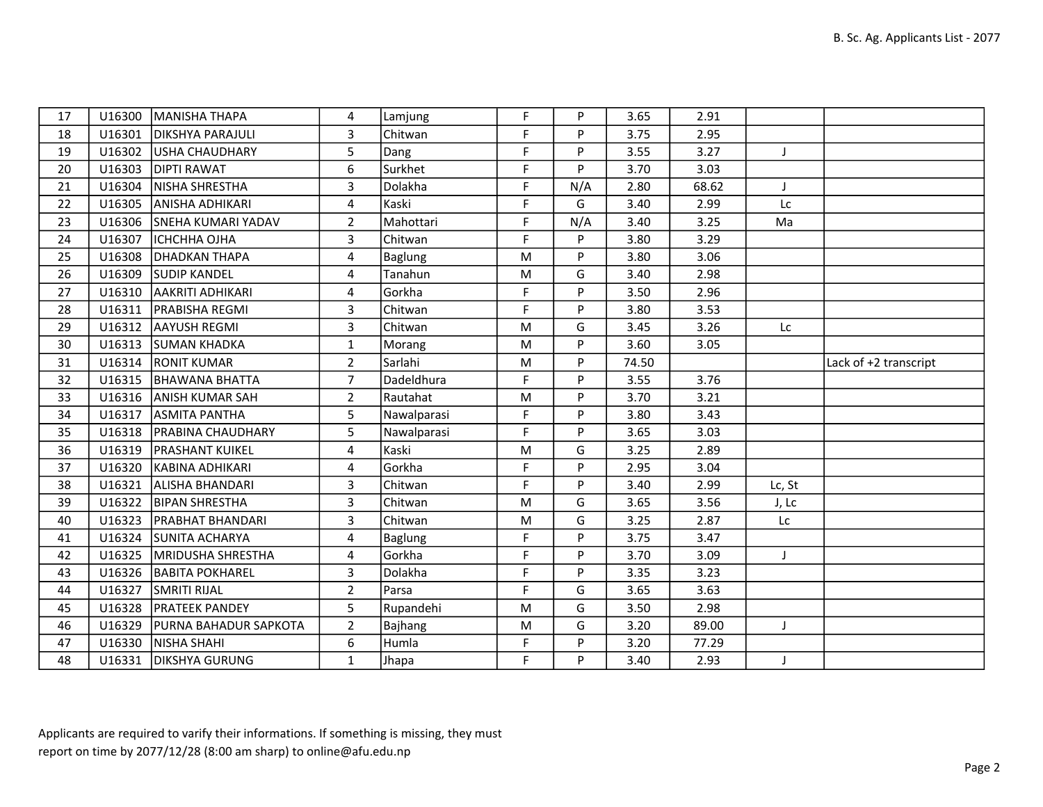| 17 | U16300 | MANISHA THAPA                | 4                       | Lamjung        | F           | P   | 3.65  | 2.91  |           |                       |
|----|--------|------------------------------|-------------------------|----------------|-------------|-----|-------|-------|-----------|-----------------------|
| 18 | U16301 | <b>DIKSHYA PARAJULI</b>      | 3                       | Chitwan        | F           | P   | 3.75  | 2.95  |           |                       |
| 19 | U16302 | USHA CHAUDHARY               | 5                       | Dang           | F           | P   | 3.55  | 3.27  | J         |                       |
| 20 | U16303 | <b>DIPTI RAWAT</b>           | 6                       | Surkhet        | F           | P   | 3.70  | 3.03  |           |                       |
| 21 | U16304 | NISHA SHRESTHA               | 3                       | Dolakha        | $\mathsf F$ | N/A | 2.80  | 68.62 | T         |                       |
| 22 | U16305 | <b>ANISHA ADHIKARI</b>       | $\overline{4}$          | Kaski          | F           | G   | 3.40  | 2.99  | <b>Lc</b> |                       |
| 23 |        | U16306 SNEHA KUMARI YADAV    | $\overline{2}$          | Mahottari      | F           | N/A | 3.40  | 3.25  | Ma        |                       |
| 24 | U16307 | <b>ICHCHHA OJHA</b>          | 3                       | Chitwan        | F           | P   | 3.80  | 3.29  |           |                       |
| 25 | U16308 | <b>DHADKAN THAPA</b>         | 4                       | <b>Baglung</b> | M           | P   | 3.80  | 3.06  |           |                       |
| 26 | U16309 | <b>SUDIP KANDEL</b>          | 4                       | Tanahun        | ${\sf M}$   | G   | 3.40  | 2.98  |           |                       |
| 27 | U16310 | laakriti adhikari            | 4                       | Gorkha         | F           | P   | 3.50  | 2.96  |           |                       |
| 28 | U16311 | <b>PRABISHA REGMI</b>        | $\overline{\mathbf{3}}$ | Chitwan        | F           | P   | 3.80  | 3.53  |           |                       |
| 29 | U16312 | <b>AAYUSH REGMI</b>          | 3                       | Chitwan        | M           | G   | 3.45  | 3.26  | Lc        |                       |
| 30 | U16313 | <b>SUMAN KHADKA</b>          | $\mathbf{1}$            | Morang         | M           | P   | 3.60  | 3.05  |           |                       |
| 31 | U16314 | <b>RONIT KUMAR</b>           | $\overline{2}$          | Sarlahi        | M           | P   | 74.50 |       |           | Lack of +2 transcript |
| 32 | U16315 | <b>BHAWANA BHATTA</b>        | $\overline{7}$          | Dadeldhura     | F           | P   | 3.55  | 3.76  |           |                       |
| 33 | U16316 | <b>JANISH KUMAR SAH</b>      | $\overline{2}$          | Rautahat       | ${\sf M}$   | P   | 3.70  | 3.21  |           |                       |
| 34 | U16317 | <b>ASMITA PANTHA</b>         | 5                       | Nawalparasi    | F           | P   | 3.80  | 3.43  |           |                       |
| 35 | U16318 | <b>PRABINA CHAUDHARY</b>     | 5                       | Nawalparasi    | F           | P   | 3.65  | 3.03  |           |                       |
| 36 | U16319 | <b>PRASHANT KUIKEL</b>       | 4                       | Kaski          | ${\sf M}$   | G   | 3.25  | 2.89  |           |                       |
| 37 | U16320 | KABINA ADHIKARI              | 4                       | Gorkha         | $\mathsf F$ | P   | 2.95  | 3.04  |           |                       |
| 38 | U16321 | ALISHA BHANDARI              | $\mathbf{3}$            | Chitwan        | F           | P   | 3.40  | 2.99  | Lc, St    |                       |
| 39 | U16322 | <b>BIPAN SHRESTHA</b>        | 3                       | Chitwan        | M           | G   | 3.65  | 3.56  | J, Lc     |                       |
| 40 | U16323 | <b>PRABHAT BHANDARI</b>      | $\overline{3}$          | Chitwan        | M           | G   | 3.25  | 2.87  | Lc        |                       |
| 41 | U16324 | <b>SUNITA ACHARYA</b>        | $\overline{4}$          | Baglung        | F           | P   | 3.75  | 3.47  |           |                       |
| 42 | U16325 | <b>MRIDUSHA SHRESTHA</b>     | 4                       | Gorkha         | F           | P   | 3.70  | 3.09  | J         |                       |
| 43 | U16326 | <b>BABITA POKHAREL</b>       | $\overline{3}$          | Dolakha        | $\mathsf F$ | P   | 3.35  | 3.23  |           |                       |
| 44 | U16327 | <b>SMRITI RIJAL</b>          | $\overline{2}$          | Parsa          | F           | G   | 3.65  | 3.63  |           |                       |
| 45 | U16328 | <b>PRATEEK PANDEY</b>        | 5                       | Rupandehi      | M           | G   | 3.50  | 2.98  |           |                       |
| 46 | U16329 | <b>PURNA BAHADUR SAPKOTA</b> | $2^{\circ}$             | Bajhang        | M           | G   | 3.20  | 89.00 | J         |                       |
| 47 | U16330 | <b>NISHA SHAHI</b>           | 6                       | Humla          | F           | P   | 3.20  | 77.29 |           |                       |
| 48 | U16331 | <b>DIKSHYA GURUNG</b>        | $\mathbf{1}$            | Jhapa          | F           | P   | 3.40  | 2.93  |           |                       |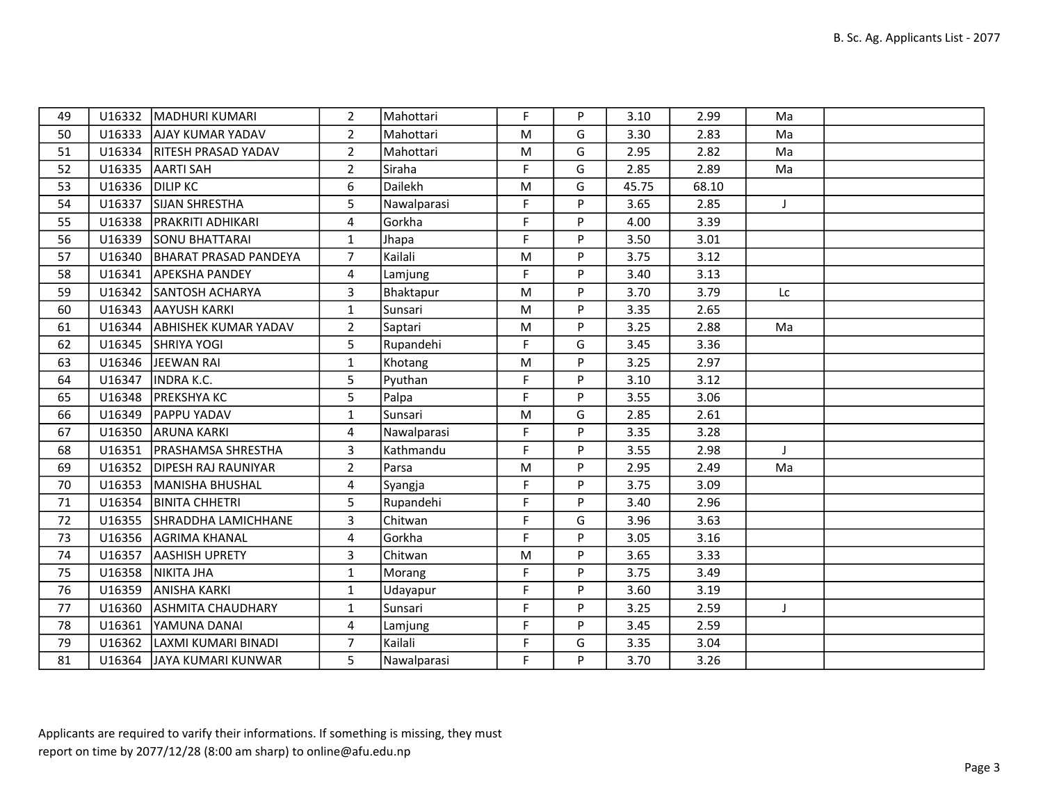| 49 |                 | U16332   MADHURI KUMARI      | $\overline{2}$ | Mahottari   | F  | P | 3.10  | 2.99  | Ma |  |
|----|-----------------|------------------------------|----------------|-------------|----|---|-------|-------|----|--|
| 50 |                 | U16333 AJAY KUMAR YADAV      | $\overline{2}$ | Mahottari   | M  | G | 3.30  | 2.83  | Ma |  |
| 51 |                 | U16334   RITESH PRASAD YADAV | $\overline{2}$ | Mahottari   | M  | G | 2.95  | 2.82  | Ma |  |
| 52 | U16335          | AARTI SAH                    | $\overline{2}$ | Siraha      | F. | G | 2.85  | 2.89  | Ma |  |
| 53 | U16336 DILIP KC |                              | 6              | Dailekh     | M  | G | 45.75 | 68.10 |    |  |
| 54 | U16337          | <b>SIJAN SHRESTHA</b>        | 5              | Nawalparasi | F  | P | 3.65  | 2.85  | J. |  |
| 55 |                 | U16338   PRAKRITI ADHIKARI   | 4              | Gorkha      | F. | P | 4.00  | 3.39  |    |  |
| 56 | U16339          | <b>SONU BHATTARAI</b>        | $\mathbf{1}$   | Jhapa       | F  | P | 3.50  | 3.01  |    |  |
| 57 | U16340          | BHARAT PRASAD PANDEYA        | $\overline{7}$ | Kailali     | M  | P | 3.75  | 3.12  |    |  |
| 58 | U16341          | <b>APEKSHA PANDEY</b>        | 4              | Lamjung     | F. | P | 3.40  | 3.13  |    |  |
| 59 | U16342          | <b>SANTOSH ACHARYA</b>       | 3              | Bhaktapur   | M  | P | 3.70  | 3.79  | Lc |  |
| 60 | U16343          | <b>AAYUSH KARKI</b>          | $\mathbf{1}$   | Sunsari     | M  | P | 3.35  | 2.65  |    |  |
| 61 | U16344          | <b>ABHISHEK KUMAR YADAV</b>  | $\overline{2}$ | Saptari     | M  | P | 3.25  | 2.88  | Ma |  |
| 62 | U16345          | SHRIYA YOGI                  | 5              | Rupandehi   | F  | G | 3.45  | 3.36  |    |  |
| 63 |                 | U16346 JEEWAN RAI            | $\mathbf{1}$   | Khotang     | M  | P | 3.25  | 2.97  |    |  |
| 64 | U16347          | <b>INDRA K.C.</b>            | 5              | Pyuthan     | F. | P | 3.10  | 3.12  |    |  |
| 65 | U16348          | <b>PREKSHYA KC</b>           | 5              | Palpa       | F  | P | 3.55  | 3.06  |    |  |
| 66 | U16349          | <b>PAPPU YADAV</b>           | $\mathbf{1}$   | Sunsari     | M  | G | 2.85  | 2.61  |    |  |
| 67 |                 | U16350 ARUNA KARKI           | 4              | Nawalparasi | F  | P | 3.35  | 3.28  |    |  |
| 68 | U16351          | <b>PRASHAMSA SHRESTHA</b>    | 3              | Kathmandu   | F  | P | 3.55  | 2.98  |    |  |
| 69 |                 | U16352 DIPESH RAJ RAUNIYAR   | $\overline{2}$ | Parsa       | M  | P | 2.95  | 2.49  | Ma |  |
| 70 | U16353          | MANISHA BHUSHAL              | 4              | Syangja     | F  | P | 3.75  | 3.09  |    |  |
| 71 | U16354          | <b>BINITA CHHETRI</b>        | 5              | Rupandehi   | F  | P | 3.40  | 2.96  |    |  |
| 72 | U16355          | SHRADDHA LAMICHHANE          | 3              | Chitwan     | F  | G | 3.96  | 3.63  |    |  |
| 73 |                 | U16356 AGRIMA KHANAL         | 4              | Gorkha      | F. | P | 3.05  | 3.16  |    |  |
| 74 | U16357          | <b>AASHISH UPRETY</b>        | $\overline{3}$ | Chitwan     | M  | P | 3.65  | 3.33  |    |  |
| 75 | U16358          | NIKITA JHA                   | $\mathbf{1}$   | Morang      | F  | P | 3.75  | 3.49  |    |  |
| 76 | U16359          | <b>ANISHA KARKI</b>          | $\mathbf{1}$   | Udayapur    | F. | P | 3.60  | 3.19  |    |  |
| 77 | U16360          | <b>ASHMITA CHAUDHARY</b>     | $\mathbf{1}$   | Sunsari     | F  | P | 3.25  | 2.59  | J  |  |
| 78 | U16361          | YAMUNA DANAI                 | 4              | Lamjung     | F  | P | 3.45  | 2.59  |    |  |
| 79 |                 | U16362 LAXMI KUMARI BINADI   | $\overline{7}$ | Kailali     | F  | G | 3.35  | 3.04  |    |  |
| 81 |                 | U16364 JAYA KUMARI KUNWAR    | 5              | Nawalparasi | F  | P | 3.70  | 3.26  |    |  |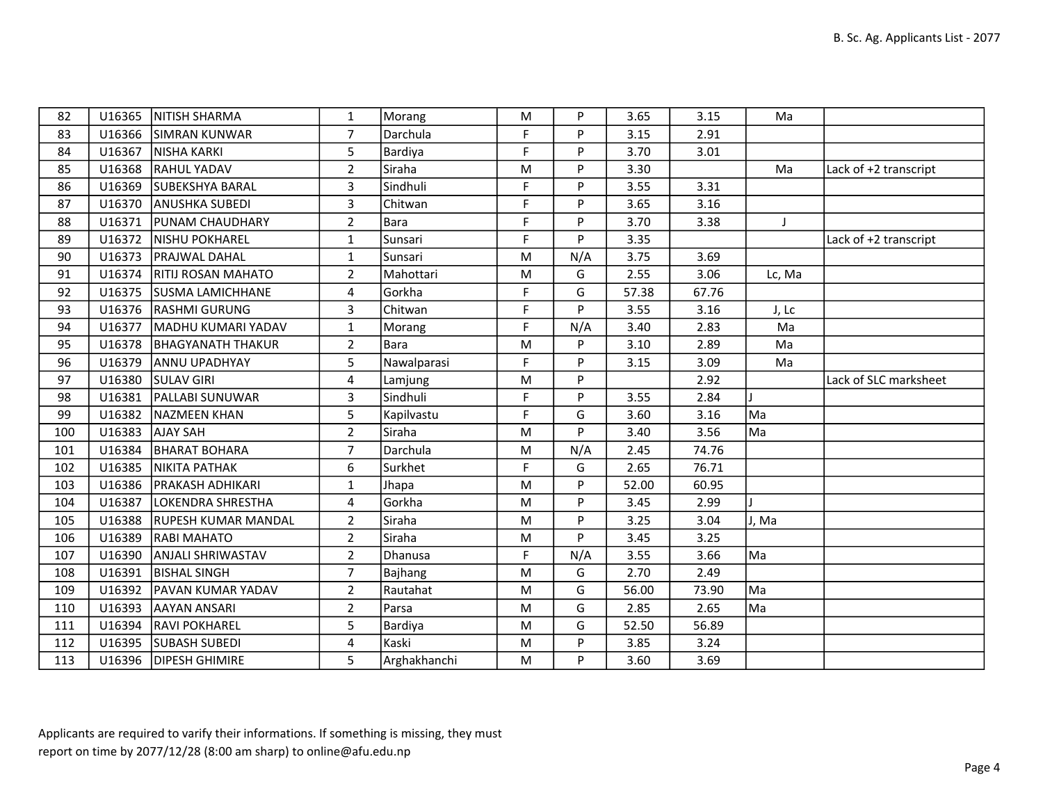| 82  | U16365 | <b>NITISH SHARMA</b>       | 1              | Morang       | M         | P   | 3.65  | 3.15  | Ma     |                       |
|-----|--------|----------------------------|----------------|--------------|-----------|-----|-------|-------|--------|-----------------------|
| 83  | U16366 | <b>SIMRAN KUNWAR</b>       | $\overline{7}$ | Darchula     | F         | P   | 3.15  | 2.91  |        |                       |
| 84  | U16367 | NISHA KARKI                | 5              | Bardiya      | F         | P   | 3.70  | 3.01  |        |                       |
| 85  | U16368 | <b>RAHUL YADAV</b>         | $\overline{2}$ | Siraha       | M         | P   | 3.30  |       | Ma     | Lack of +2 transcript |
| 86  | U16369 | <b>SUBEKSHYA BARAL</b>     | $\overline{3}$ | Sindhuli     | F         | P   | 3.55  | 3.31  |        |                       |
| 87  | U16370 | <b>ANUSHKA SUBEDI</b>      | $\overline{3}$ | Chitwan      | F         | P   | 3.65  | 3.16  |        |                       |
| 88  | U16371 | <b>PUNAM CHAUDHARY</b>     | $\overline{2}$ | Bara         | F         | P   | 3.70  | 3.38  | J      |                       |
| 89  | U16372 | <b>NISHU POKHAREL</b>      | $\mathbf{1}$   | Sunsari      | F         | P   | 3.35  |       |        | Lack of +2 transcript |
| 90  | U16373 | <b>PRAJWAL DAHAL</b>       | 1              | Sunsari      | M         | N/A | 3.75  | 3.69  |        |                       |
| 91  | U16374 | <b>RITIJ ROSAN MAHATO</b>  | $\overline{2}$ | Mahottari    | M         | G   | 2.55  | 3.06  | Lc, Ma |                       |
| 92  | U16375 | <b>SUSMA LAMICHHANE</b>    | 4              | Gorkha       | F         | G   | 57.38 | 67.76 |        |                       |
| 93  | U16376 | <b>RASHMI GURUNG</b>       | 3              | Chitwan      | F         | P   | 3.55  | 3.16  | J, Lc  |                       |
| 94  | U16377 | MADHU KUMARI YADAV         | $\mathbf{1}$   | Morang       | F         | N/A | 3.40  | 2.83  | Ma     |                       |
| 95  | U16378 | <b>BHAGYANATH THAKUR</b>   | $\overline{2}$ | Bara         | M         | P   | 3.10  | 2.89  | Ma     |                       |
| 96  | U16379 | <b>ANNU UPADHYAY</b>       | 5              | Nawalparasi  | F         | P   | 3.15  | 3.09  | Ma     |                       |
| 97  | U16380 | <b>SULAV GIRI</b>          | $\overline{4}$ | Lamjung      | M         | P   |       | 2.92  |        | Lack of SLC marksheet |
| 98  | U16381 | <b>PALLABI SUNUWAR</b>     | 3              | Sindhuli     | F         | P   | 3.55  | 2.84  |        |                       |
| 99  | U16382 | NAZMEEN KHAN               | 5              | Kapilvastu   | F         | G   | 3.60  | 3.16  | Ma     |                       |
| 100 | U16383 | <b>AJAY SAH</b>            | $\overline{2}$ | Siraha       | M         | P   | 3.40  | 3.56  | Ma     |                       |
| 101 | U16384 | <b>BHARAT BOHARA</b>       | $\overline{7}$ | Darchula     | M         | N/A | 2.45  | 74.76 |        |                       |
| 102 | U16385 | NIKITA PATHAK              | 6              | Surkhet      | F         | G   | 2.65  | 76.71 |        |                       |
| 103 | U16386 | <b>PRAKASH ADHIKARI</b>    | 1              | Jhapa        | M         | P   | 52.00 | 60.95 |        |                       |
| 104 | U16387 | LOKENDRA SHRESTHA          | 4              | Gorkha       | M         | P   | 3.45  | 2.99  |        |                       |
| 105 | U16388 | <b>RUPESH KUMAR MANDAL</b> | $2^{\circ}$    | Siraha       | M         | P   | 3.25  | 3.04  | J, Ma  |                       |
| 106 | U16389 | <b>RABI MAHATO</b>         | $\overline{2}$ | Siraha       | ${\sf M}$ | P   | 3.45  | 3.25  |        |                       |
| 107 | U16390 | <b>ANJALI SHRIWASTAV</b>   | $\overline{2}$ | Dhanusa      | F         | N/A | 3.55  | 3.66  | Ma     |                       |
| 108 | U16391 | <b>BISHAL SINGH</b>        | $\overline{7}$ | Bajhang      | M         | G   | 2.70  | 2.49  |        |                       |
| 109 | U16392 | <b>PAVAN KUMAR YADAV</b>   | $\overline{2}$ | Rautahat     | M         | G   | 56.00 | 73.90 | Ma     |                       |
| 110 | U16393 | laayan ansari              | $2^{\circ}$    | Parsa        | M         | G   | 2.85  | 2.65  | Ma     |                       |
| 111 | U16394 | <b>RAVI POKHAREL</b>       | 5              | Bardiya      | M         | G   | 52.50 | 56.89 |        |                       |
| 112 | U16395 | <b>SUBASH SUBEDI</b>       | 4              | Kaski        | M         | P   | 3.85  | 3.24  |        |                       |
| 113 |        | U16396   DIPESH GHIMIRE    | 5              | Arghakhanchi | ${\sf M}$ | P   | 3.60  | 3.69  |        |                       |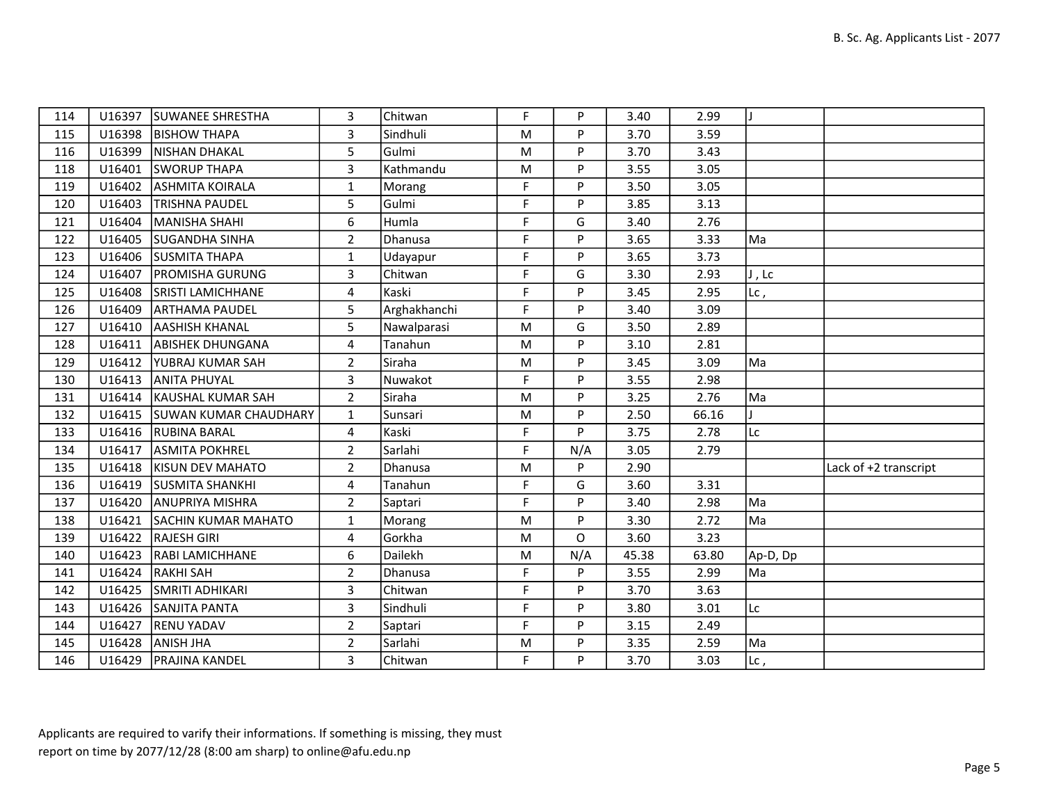| 114 |        | U16397   SUWANEE SHRESTHA     | 3                       | Chitwan      | F           | P   | 3.40  | 2.99  |          |                       |
|-----|--------|-------------------------------|-------------------------|--------------|-------------|-----|-------|-------|----------|-----------------------|
| 115 | U16398 | <b>BISHOW THAPA</b>           | 3                       | Sindhuli     | ${\sf M}$   | P   | 3.70  | 3.59  |          |                       |
| 116 | U16399 | NISHAN DHAKAL                 | 5                       | Gulmi        | M           | P   | 3.70  | 3.43  |          |                       |
| 118 | U16401 | <b>SWORUP THAPA</b>           | $\mathbf{3}$            | Kathmandu    | ${\sf M}$   | P   | 3.55  | 3.05  |          |                       |
| 119 | U16402 | <b>ASHMITA KOIRALA</b>        | 1                       | Morang       | F           | P   | 3.50  | 3.05  |          |                       |
| 120 | U16403 | <b>TRISHNA PAUDEL</b>         | 5                       | Gulmi        | F           | P   | 3.85  | 3.13  |          |                       |
| 121 | U16404 | MANISHA SHAHI                 | 6                       | Humla        | F           | G   | 3.40  | 2.76  |          |                       |
| 122 | U16405 | <b>SUGANDHA SINHA</b>         | $\overline{2}$          | Dhanusa      | F           | P   | 3.65  | 3.33  | Ma       |                       |
| 123 | U16406 | <b>SUSMITA THAPA</b>          | $\mathbf{1}$            | Udayapur     | F           | P   | 3.65  | 3.73  |          |                       |
| 124 | U16407 | <b>PROMISHA GURUNG</b>        | $\overline{\mathbf{3}}$ | Chitwan      | F           | G   | 3.30  | 2.93  | J, Lc    |                       |
| 125 | U16408 | <b>SRISTI LAMICHHANE</b>      | 4                       | Kaski        | F           | P   | 3.45  | 2.95  | $Lc$ ,   |                       |
| 126 | U16409 | <b>ARTHAMA PAUDEL</b>         | 5                       | Arghakhanchi | F           | P   | 3.40  | 3.09  |          |                       |
| 127 | U16410 | <b>AASHISH KHANAL</b>         | 5                       | Nawalparasi  | M           | G   | 3.50  | 2.89  |          |                       |
| 128 | U16411 | <b>ABISHEK DHUNGANA</b>       | 4                       | Tanahun      | ${\sf M}$   | P   | 3.10  | 2.81  |          |                       |
| 129 | U16412 | <b>YUBRAJ KUMAR SAH</b>       | $\overline{2}$          | Siraha       | M           | P   | 3.45  | 3.09  | Ma       |                       |
| 130 | U16413 | <b>ANITA PHUYAL</b>           | 3                       | Nuwakot      | F           | P   | 3.55  | 2.98  |          |                       |
| 131 | U16414 | KAUSHAL KUMAR SAH             | $\overline{2}$          | Siraha       | M           | P   | 3.25  | 2.76  | Ma       |                       |
| 132 | U16415 | <b>ISUWAN KUMAR CHAUDHARY</b> | $\mathbf{1}$            | Sunsari      | M           | P   | 2.50  | 66.16 |          |                       |
| 133 |        | U16416 RUBINA BARAL           | 4                       | Kaski        | F           | P   | 3.75  | 2.78  | Lc       |                       |
| 134 | U16417 | <b>ASMITA POKHREL</b>         | $\overline{2}$          | Sarlahi      | $\mathsf F$ | N/A | 3.05  | 2.79  |          |                       |
| 135 | U16418 | KISUN DEV MAHATO              | $\overline{2}$          | Dhanusa      | M           | P   | 2.90  |       |          | Lack of +2 transcript |
| 136 | U16419 | <b>SUSMITA SHANKHI</b>        | $\overline{4}$          | Tanahun      | F           | G   | 3.60  | 3.31  |          |                       |
| 137 | U16420 | <b>ANUPRIYA MISHRA</b>        | $\overline{2}$          | Saptari      | F           | P   | 3.40  | 2.98  | Ma       |                       |
| 138 | U16421 | <b>SACHIN KUMAR MAHATO</b>    | $\mathbf{1}$            | Morang       | M           | P   | 3.30  | 2.72  | Ma       |                       |
| 139 | U16422 | <b>RAJESH GIRI</b>            | 4                       | Gorkha       | M           | O   | 3.60  | 3.23  |          |                       |
| 140 | U16423 | <b>RABI LAMICHHANE</b>        | 6                       | Dailekh      | M           | N/A | 45.38 | 63.80 | Ap-D, Dp |                       |
| 141 | U16424 | <b>RAKHI SAH</b>              | $\overline{2}$          | Dhanusa      | F           | P   | 3.55  | 2.99  | Ma       |                       |
| 142 | U16425 | <b>SMRITI ADHIKARI</b>        | $\overline{3}$          | Chitwan      | F           | P   | 3.70  | 3.63  |          |                       |
| 143 | U16426 | <b>SANJITA PANTA</b>          | 3                       | Sindhuli     | $\mathsf F$ | P   | 3.80  | 3.01  | Lc       |                       |
| 144 | U16427 | <b>RENU YADAV</b>             | $\overline{2}$          | Saptari      | F           | P   | 3.15  | 2.49  |          |                       |
| 145 | U16428 | ANISH JHA                     | $\overline{2}$          | Sarlahi      | M           | P   | 3.35  | 2.59  | Ma       |                       |
| 146 |        | U16429   PRAJINA KANDEL       | 3                       | Chitwan      | F           | P   | 3.70  | 3.03  | $Lc$ ,   |                       |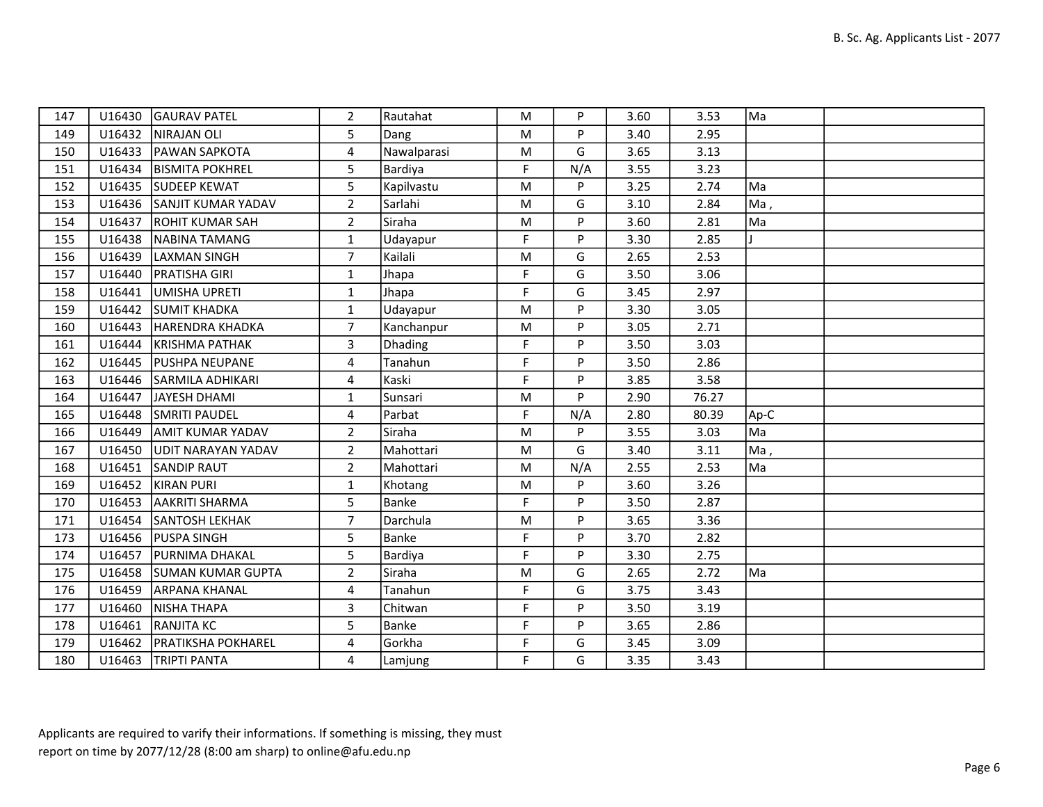| 147 | U16430 | GAURAV PATEL               | $\overline{2}$ | Rautahat    | M           | P   | 3.60 | 3.53  | Ma   |  |
|-----|--------|----------------------------|----------------|-------------|-------------|-----|------|-------|------|--|
| 149 | U16432 | NIRAJAN OLI                | 5              | Dang        | M           | P   | 3.40 | 2.95  |      |  |
| 150 | U16433 | <b>PAWAN SAPKOTA</b>       | 4              | Nawalparasi | M           | G   | 3.65 | 3.13  |      |  |
| 151 | U16434 | <b>BISMITA POKHREL</b>     | 5              | Bardiya     | F           | N/A | 3.55 | 3.23  |      |  |
| 152 | U16435 | <b>SUDEEP KEWAT</b>        | 5              | Kapilvastu  | M           | P   | 3.25 | 2.74  | Ma   |  |
| 153 | U16436 | <b>ISANJIT KUMAR YADAV</b> | $\overline{2}$ | Sarlahi     | M           | G   | 3.10 | 2.84  | Ma,  |  |
| 154 | U16437 | <b>ROHIT KUMAR SAH</b>     | $\overline{2}$ | Siraha      | M           | P   | 3.60 | 2.81  | Ma   |  |
| 155 | U16438 | NABINA TAMANG              | $\mathbf{1}$   | Udayapur    | $\mathsf F$ | P   | 3.30 | 2.85  |      |  |
| 156 | U16439 | LAXMAN SINGH               | $\overline{7}$ | Kailali     | M           | G   | 2.65 | 2.53  |      |  |
| 157 | U16440 | <b>PRATISHA GIRI</b>       | $\mathbf{1}$   | Jhapa       | $\mathsf F$ | G   | 3.50 | 3.06  |      |  |
| 158 | U16441 | UMISHA UPRETI              | $\mathbf{1}$   | Jhapa       | F           | G   | 3.45 | 2.97  |      |  |
| 159 | U16442 | <b>SUMIT KHADKA</b>        | $\mathbf{1}$   | Udayapur    | M           | P   | 3.30 | 3.05  |      |  |
| 160 | U16443 | <b>HARENDRA KHADKA</b>     | $\overline{7}$ | Kanchanpur  | ${\sf M}$   | P   | 3.05 | 2.71  |      |  |
| 161 | U16444 | KRISHMA PATHAK             | 3              | Dhading     | F           | P   | 3.50 | 3.03  |      |  |
| 162 | U16445 | <b>PUSHPA NEUPANE</b>      | 4              | Tanahun     | $\mathsf F$ | P   | 3.50 | 2.86  |      |  |
| 163 | U16446 | <b>SARMILA ADHIKARI</b>    | $\overline{4}$ | Kaski       | F           | P   | 3.85 | 3.58  |      |  |
| 164 | U16447 | JAYESH DHAMI               | $\mathbf{1}$   | Sunsari     | M           | P   | 2.90 | 76.27 |      |  |
| 165 | U16448 | <b>SMRITI PAUDEL</b>       | $\overline{4}$ | Parbat      | $\mathsf F$ | N/A | 2.80 | 80.39 | Ap-C |  |
| 166 | U16449 | <b>AMIT KUMAR YADAV</b>    | $\overline{2}$ | Siraha      | M           | P   | 3.55 | 3.03  | Ma   |  |
| 167 | U16450 | UDIT NARAYAN YADAV         | $\overline{2}$ | Mahottari   | M           | G   | 3.40 | 3.11  | Ma,  |  |
| 168 | U16451 | <b>SANDIP RAUT</b>         | $\overline{2}$ | Mahottari   | ${\sf M}$   | N/A | 2.55 | 2.53  | Ma   |  |
| 169 | U16452 | <b>KIRAN PURI</b>          | $\mathbf{1}$   | Khotang     | M           | P   | 3.60 | 3.26  |      |  |
| 170 | U16453 | AAKRITI SHARMA             | 5              | Banke       | F           | P   | 3.50 | 2.87  |      |  |
| 171 | U16454 | <b>SANTOSH LEKHAK</b>      | $\overline{7}$ | Darchula    | M           | P   | 3.65 | 3.36  |      |  |
| 173 |        | U16456   PUSPA SINGH       | 5              | Banke       | F           | P   | 3.70 | 2.82  |      |  |
| 174 | U16457 | <b>PURNIMA DHAKAL</b>      | 5              | Bardiya     | F           | P   | 3.30 | 2.75  |      |  |
| 175 |        | U16458 SUMAN KUMAR GUPTA   | $\overline{2}$ | Siraha      | ${\sf M}$   | G   | 2.65 | 2.72  | Ma   |  |
| 176 | U16459 | <b>ARPANA KHANAL</b>       | 4              | Tanahun     | F           | G   | 3.75 | 3.43  |      |  |
| 177 | U16460 | NISHA THAPA                | $\overline{3}$ | Chitwan     | F           | P   | 3.50 | 3.19  |      |  |
| 178 | U16461 | <b>RANJITA KC</b>          | 5              | Banke       | F           | P   | 3.65 | 2.86  |      |  |
| 179 | U16462 | <b>PRATIKSHA POKHAREL</b>  | 4              | Gorkha      | F           | G   | 3.45 | 3.09  |      |  |
| 180 | U16463 | <b>TRIPTI PANTA</b>        | 4              | Lamjung     | F           | G   | 3.35 | 3.43  |      |  |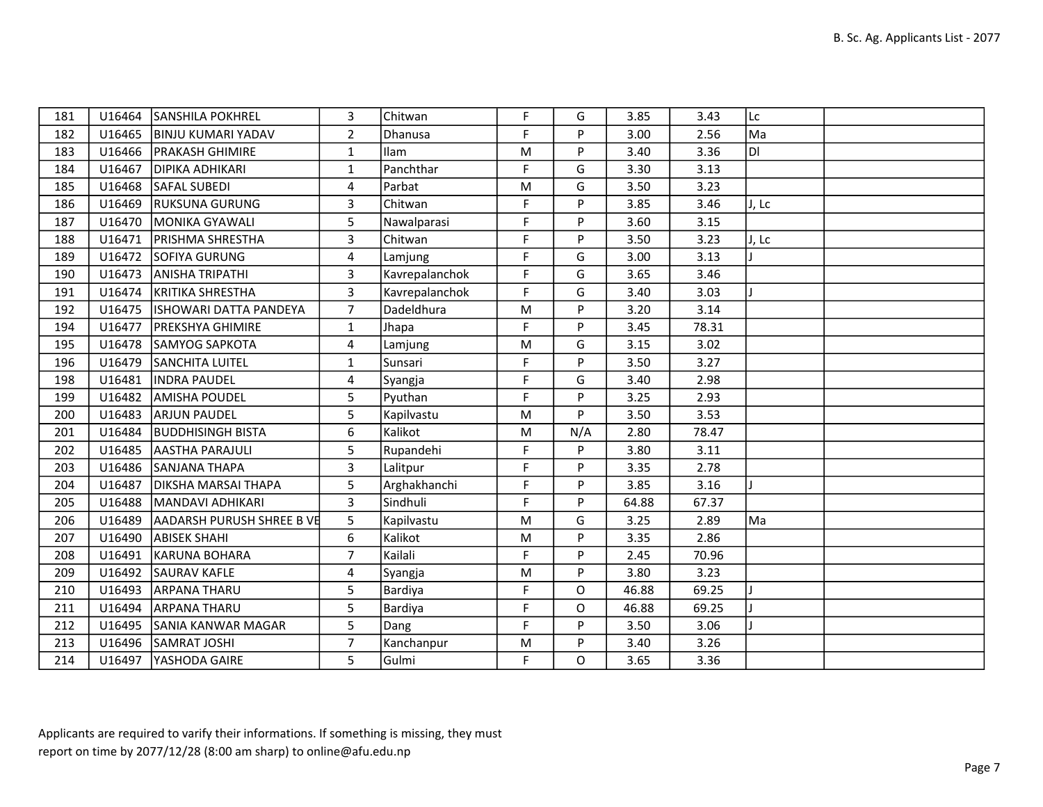| 181 |        | U16464 SANSHILA POKHREL       | 3              | Chitwan        | F.        | G        | 3.85  | 3.43  | Lc     |  |
|-----|--------|-------------------------------|----------------|----------------|-----------|----------|-------|-------|--------|--|
| 182 | U16465 | <b>BINJU KUMARI YADAV</b>     | $\overline{2}$ | Dhanusa        | F.        | P        | 3.00  | 2.56  | Ma     |  |
| 183 | U16466 | <b>PRAKASH GHIMIRE</b>        | $\mathbf{1}$   | Ilam           | M         | P        | 3.40  | 3.36  | IDI    |  |
| 184 | U16467 | <b>DIPIKA ADHIKARI</b>        | $\mathbf{1}$   | Panchthar      | F         | G        | 3.30  | 3.13  |        |  |
| 185 | U16468 | <b>SAFAL SUBEDI</b>           | 4              | Parbat         | ${\sf M}$ | G        | 3.50  | 3.23  |        |  |
| 186 | U16469 | <b>RUKSUNA GURUNG</b>         | 3              | Chitwan        | F         | P        | 3.85  | 3.46  | IJ, Lc |  |
| 187 | U16470 | MONIKA GYAWALI                | 5              | Nawalparasi    | F         | P        | 3.60  | 3.15  |        |  |
| 188 | U16471 | <b>PRISHMA SHRESTHA</b>       | 3              | Chitwan        | F.        | P        | 3.50  | 3.23  | IJ, Lc |  |
| 189 | U16472 | SOFIYA GURUNG                 | 4              | Lamjung        | F         | G        | 3.00  | 3.13  |        |  |
| 190 | U16473 | <b>ANISHA TRIPATHI</b>        | 3              | Kavrepalanchok | F         | G        | 3.65  | 3.46  |        |  |
| 191 | U16474 | <b>IKRITIKA SHRESTHA</b>      | 3              | Kavrepalanchok | F         | G        | 3.40  | 3.03  |        |  |
| 192 | U16475 | <b>ISHOWARI DATTA PANDEYA</b> | $\overline{7}$ | Dadeldhura     | ${\sf M}$ | P        | 3.20  | 3.14  |        |  |
| 194 | U16477 | <b>PREKSHYA GHIMIRE</b>       | $\mathbf{1}$   | Jhapa          | F.        | P        | 3.45  | 78.31 |        |  |
| 195 | U16478 | <b>SAMYOG SAPKOTA</b>         | 4              | Lamjung        | ${\sf M}$ | G        | 3.15  | 3.02  |        |  |
| 196 | U16479 | <b>SANCHITA LUITEL</b>        | $\mathbf{1}$   | Sunsari        | F         | P        | 3.50  | 3.27  |        |  |
| 198 | U16481 | <b>INDRA PAUDEL</b>           | 4              | Syangja        | F         | G        | 3.40  | 2.98  |        |  |
| 199 | U16482 | <b>AMISHA POUDEL</b>          | 5              | Pyuthan        | F         | P        | 3.25  | 2.93  |        |  |
| 200 | U16483 | <b>ARJUN PAUDEL</b>           | 5              | Kapilvastu     | ${\sf M}$ | P        | 3.50  | 3.53  |        |  |
| 201 | U16484 | <b>BUDDHISINGH BISTA</b>      | 6              | Kalikot        | ${\sf M}$ | N/A      | 2.80  | 78.47 |        |  |
| 202 | U16485 | <b>AASTHA PARAJULI</b>        | 5              | Rupandehi      | F         | P        | 3.80  | 3.11  |        |  |
| 203 | U16486 | SANJANA THAPA                 | $\overline{3}$ | Lalitpur       | F.        | P        | 3.35  | 2.78  |        |  |
| 204 | U16487 | DIKSHA MARSAI THAPA           | 5              | Arghakhanchi   | F         | P        | 3.85  | 3.16  |        |  |
| 205 | U16488 | MANDAVI ADHIKARI              | 3              | Sindhuli       | F         | P        | 64.88 | 67.37 |        |  |
| 206 | U16489 | AADARSH PURUSH SHREE B VE     | 5              | Kapilvastu     | M         | G        | 3.25  | 2.89  | Ma     |  |
| 207 | U16490 | <b>ABISEK SHAHI</b>           | 6              | Kalikot        | M         | P        | 3.35  | 2.86  |        |  |
| 208 | U16491 | KARUNA BOHARA                 | $\overline{7}$ | Kailali        | F         | P        | 2.45  | 70.96 |        |  |
| 209 | U16492 | <b>SAURAV KAFLE</b>           | 4              | Syangja        | ${\sf M}$ | P        | 3.80  | 3.23  |        |  |
| 210 | U16493 | <b>ARPANA THARU</b>           | 5              | Bardiya        | F         | O        | 46.88 | 69.25 |        |  |
| 211 | U16494 | IARPANA THARU                 | 5              | Bardiya        | F         | O        | 46.88 | 69.25 |        |  |
| 212 | U16495 | <b>SANIA KANWAR MAGAR</b>     | 5              | Dang           | F         | P        | 3.50  | 3.06  |        |  |
| 213 |        | U16496 SAMRAT JOSHI           | $\overline{7}$ | Kanchanpur     | ${\sf M}$ | P        | 3.40  | 3.26  |        |  |
| 214 | U16497 | <b>YASHODA GAIRE</b>          | 5              | Gulmi          | F         | $\Omega$ | 3.65  | 3.36  |        |  |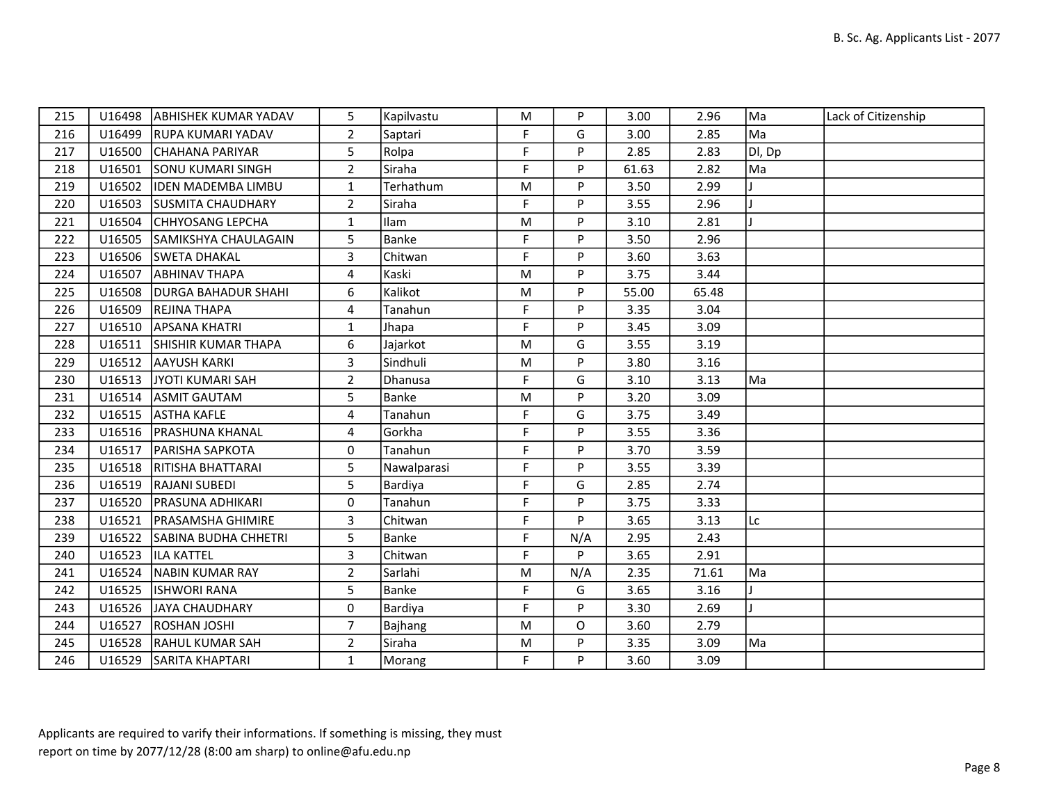| 215 | U16498 | <b>ABHISHEK KUMAR YADAV</b> | 5              | Kapilvastu     | M         | P   | 3.00  | 2.96  | Ma     | Lack of Citizenship |
|-----|--------|-----------------------------|----------------|----------------|-----------|-----|-------|-------|--------|---------------------|
| 216 | U16499 | <b>RUPA KUMARI YADAV</b>    | $\overline{2}$ | Saptari        | F         | G   | 3.00  | 2.85  | Ma     |                     |
| 217 | U16500 | <b>CHAHANA PARIYAR</b>      | 5              | Rolpa          | F         | P   | 2.85  | 2.83  | DI, Dp |                     |
| 218 | U16501 | <b>ISONU KUMARI SINGH</b>   | $\overline{2}$ | Siraha         | F         | P   | 61.63 | 2.82  | Ma     |                     |
| 219 | U16502 | <b>IDEN MADEMBA LIMBU</b>   | $\mathbf{1}$   | Terhathum      | M         | P   | 3.50  | 2.99  |        |                     |
| 220 | U16503 | <b>ISUSMITA CHAUDHARY</b>   | $\overline{2}$ | Siraha         | F         | P   | 3.55  | 2.96  |        |                     |
| 221 | U16504 | <b>CHHYOSANG LEPCHA</b>     | $\mathbf{1}$   | Ilam           | M         | Þ   | 3.10  | 2.81  |        |                     |
| 222 | U16505 | SAMIKSHYA CHAULAGAIN        | 5              | Banke          | F         | P   | 3.50  | 2.96  |        |                     |
| 223 | U16506 | <b>SWETA DHAKAL</b>         | 3              | Chitwan        | F         | P   | 3.60  | 3.63  |        |                     |
| 224 | U16507 | <b>JABHINAV THAPA</b>       | 4              | Kaski          | M         | P   | 3.75  | 3.44  |        |                     |
| 225 | U16508 | <b>IDURGA BAHADUR SHAHI</b> | 6              | Kalikot        | M         | P   | 55.00 | 65.48 |        |                     |
| 226 | U16509 | <b>REJINA THAPA</b>         | 4              | Tanahun        | F         | P   | 3.35  | 3.04  |        |                     |
| 227 | U16510 | <b>APSANA KHATRI</b>        | $\mathbf{1}$   | Jhapa          | F         | P   | 3.45  | 3.09  |        |                     |
| 228 | U16511 | SHISHIR KUMAR THAPA         | 6              | Jajarkot       | M         | G   | 3.55  | 3.19  |        |                     |
| 229 | U16512 | <b>AAYUSH KARKI</b>         | 3              | Sindhuli       | M         | P   | 3.80  | 3.16  |        |                     |
| 230 | U16513 | JYOTI KUMARI SAH            | $\overline{2}$ | <b>Dhanusa</b> | F         | G   | 3.10  | 3.13  | Ma     |                     |
| 231 | U16514 | <b>ASMIT GAUTAM</b>         | 5              | Banke          | M         | P   | 3.20  | 3.09  |        |                     |
| 232 | U16515 | <b>ASTHA KAFLE</b>          | 4              | Tanahun        | F         | G   | 3.75  | 3.49  |        |                     |
| 233 | U16516 | <b>PRASHUNA KHANAL</b>      | 4              | Gorkha         | F         | P   | 3.55  | 3.36  |        |                     |
| 234 | U16517 | <b>PARISHA SAPKOTA</b>      | $\mathbf{0}$   | Tanahun        | F         | P   | 3.70  | 3.59  |        |                     |
| 235 | U16518 | <b>RITISHA BHATTARAI</b>    | 5              | Nawalparasi    | F         | P   | 3.55  | 3.39  |        |                     |
| 236 | U16519 | <b>RAJANI SUBEDI</b>        | 5              | Bardiya        | F         | G   | 2.85  | 2.74  |        |                     |
| 237 | U16520 | <b>IPRASUNA ADHIKARI</b>    | $\mathbf{0}$   | Tanahun        | F         | P   | 3.75  | 3.33  |        |                     |
| 238 | U16521 | <b>PRASAMSHA GHIMIRE</b>    | $\mathbf{3}$   | Chitwan        | F         | P   | 3.65  | 3.13  | Lc     |                     |
| 239 | U16522 | <b>SABINA BUDHA CHHETRI</b> | 5              | Banke          | F         | N/A | 2.95  | 2.43  |        |                     |
| 240 | U16523 | <b>ILA KATTEL</b>           | 3              | Chitwan        | F         | P   | 3.65  | 2.91  |        |                     |
| 241 | U16524 | NABIN KUMAR RAY             | $\overline{2}$ | Sarlahi        | ${\sf M}$ | N/A | 2.35  | 71.61 | Ma     |                     |
| 242 | U16525 | <b>ISHWORI RANA</b>         | 5              | Banke          | F         | G   | 3.65  | 3.16  |        |                     |
| 243 | U16526 | IJAYA CHAUDHARY             | $\mathbf{0}$   | Bardiya        | F         | Þ   | 3.30  | 2.69  |        |                     |
| 244 | U16527 | <b>ROSHAN JOSHI</b>         | $\overline{7}$ | Bajhang        | ${\sf M}$ | O   | 3.60  | 2.79  |        |                     |
| 245 | U16528 | <b>RAHUL KUMAR SAH</b>      | $\overline{2}$ | Siraha         | M         | P   | 3.35  | 3.09  | Ma     |                     |
| 246 | U16529 | <b>SARITA KHAPTARI</b>      | $\mathbf{1}$   | Morang         | F         | P   | 3.60  | 3.09  |        |                     |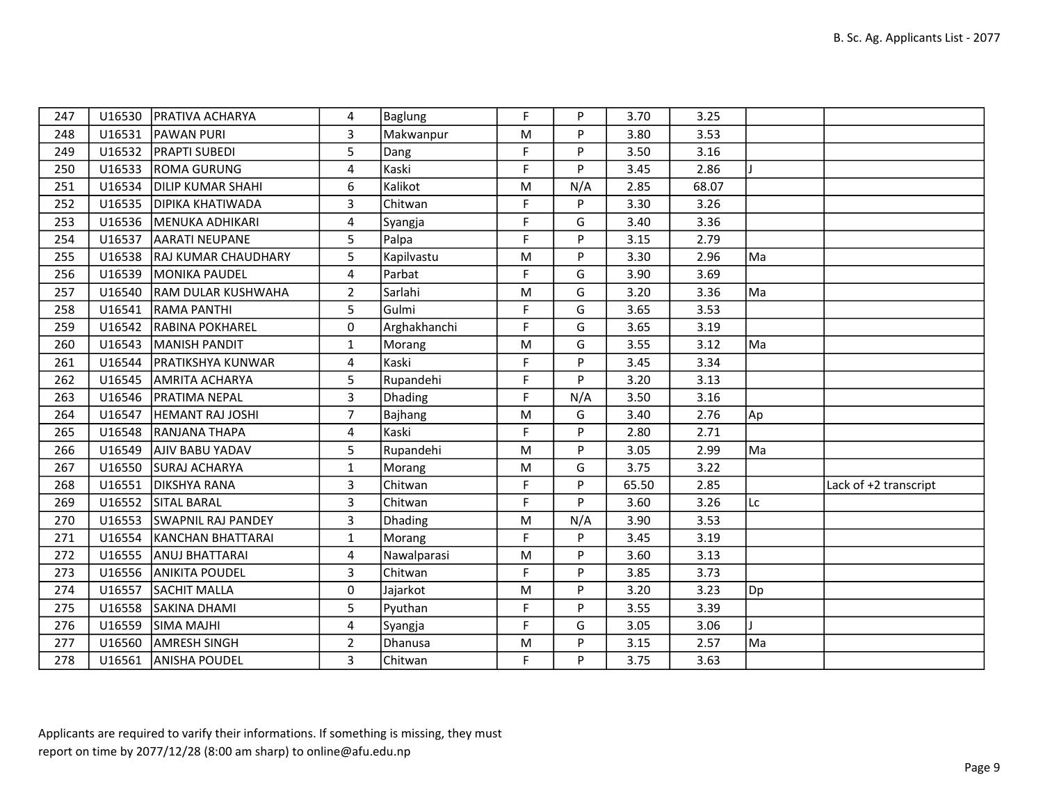| 247 |        | U16530   PRATIVA ACHARYA   | 4              | Baglung      | E           | P   | 3.70  | 3.25  |    |                       |
|-----|--------|----------------------------|----------------|--------------|-------------|-----|-------|-------|----|-----------------------|
| 248 |        | U16531 PAWAN PURI          | $\overline{3}$ | Makwanpur    | M           | P   | 3.80  | 3.53  |    |                       |
| 249 |        | U16532   PRAPTI SUBEDI     | 5              | Dang         | F           | P   | 3.50  | 3.16  |    |                       |
| 250 | U16533 | <b>ROMA GURUNG</b>         | 4              | Kaski        | F           | P   | 3.45  | 2.86  |    |                       |
| 251 | U16534 | <b>DILIP KUMAR SHAHI</b>   | 6              | Kalikot      | M           | N/A | 2.85  | 68.07 |    |                       |
| 252 |        | U16535   DIPIKA KHATIWADA  | 3              | Chitwan      | F           | P   | 3.30  | 3.26  |    |                       |
| 253 |        | U16536   MENUKA ADHIKARI   | 4              | Syangja      | F           | G   | 3.40  | 3.36  |    |                       |
| 254 | U16537 | <b>AARATI NEUPANE</b>      | 5              | Palpa        | F           | P   | 3.15  | 2.79  |    |                       |
| 255 |        | U16538 RAJ KUMAR CHAUDHARY | 5              | Kapilvastu   | M           | P   | 3.30  | 2.96  | Ma |                       |
| 256 | U16539 | MONIKA PAUDEL              | 4              | Parbat       | F           | G   | 3.90  | 3.69  |    |                       |
| 257 | U16540 | <b>RAM DULAR KUSHWAHA</b>  | $\overline{2}$ | Sarlahi      | M           | G   | 3.20  | 3.36  | Ma |                       |
| 258 | U16541 | <b>RAMA PANTHI</b>         | 5              | Gulmi        | F           | G   | 3.65  | 3.53  |    |                       |
| 259 |        | U16542 RABINA POKHAREL     | 0              | Arghakhanchi | F.          | G   | 3.65  | 3.19  |    |                       |
| 260 | U16543 | MANISH PANDIT              | $\mathbf{1}$   | Morang       | M           | G   | 3.55  | 3.12  | Ma |                       |
| 261 | U16544 | <b>PRATIKSHYA KUNWAR</b>   | 4              | Kaski        | F           | P   | 3.45  | 3.34  |    |                       |
| 262 | U16545 | <b>AMRITA ACHARYA</b>      | 5              | Rupandehi    | F           | P   | 3.20  | 3.13  |    |                       |
| 263 | U16546 | <b>PRATIMA NEPAL</b>       | 3              | Dhading      | F           | N/A | 3.50  | 3.16  |    |                       |
| 264 | U16547 | <b>HEMANT RAJ JOSHI</b>    | 7              | Bajhang      | M           | G   | 3.40  | 2.76  | Ap |                       |
| 265 |        | U16548 RANJANA THAPA       | 4              | Kaski        | F           | P   | 2.80  | 2.71  |    |                       |
| 266 |        | U16549   AJIV BABU YADAV   | 5              | Rupandehi    | ${\sf M}$   | P   | 3.05  | 2.99  | Ma |                       |
| 267 |        | U16550 SURAJ ACHARYA       | $\mathbf{1}$   | Morang       | M           | G   | 3.75  | 3.22  |    |                       |
| 268 | U16551 | <b>DIKSHYA RANA</b>        | 3              | Chitwan      | F           | P   | 65.50 | 2.85  |    | Lack of +2 transcript |
| 269 |        | U16552 SITAL BARAL         | 3              | Chitwan      | F           | P   | 3.60  | 3.26  | Lc |                       |
| 270 |        | U16553 SWAPNIL RAJ PANDEY  | 3              | Dhading      | M           | N/A | 3.90  | 3.53  |    |                       |
| 271 | U16554 | KANCHAN BHATTARAI          | $\mathbf{1}$   | Morang       | F           | P   | 3.45  | 3.19  |    |                       |
| 272 | U16555 | <b>ANUJ BHATTARAI</b>      | 4              | Nawalparasi  | M           | P   | 3.60  | 3.13  |    |                       |
| 273 |        | U16556 ANIKITA POUDEL      | 3              | Chitwan      | $\mathsf F$ | P   | 3.85  | 3.73  |    |                       |
| 274 | U16557 | <b>SACHIT MALLA</b>        | 0              | Jajarkot     | M           | P   | 3.20  | 3.23  | Dp |                       |
| 275 | U16558 | SAKINA DHAMI               | 5              | Pyuthan      | F           | P   | 3.55  | 3.39  |    |                       |
| 276 |        | U16559 SIMA MAJHI          | 4              | Syangja      | F           | G   | 3.05  | 3.06  |    |                       |
| 277 |        | U16560 AMRESH SINGH        | $\overline{2}$ | Dhanusa      | M           | P   | 3.15  | 2.57  | Ma |                       |
| 278 |        | U16561 ANISHA POUDEL       | 3              | Chitwan      | F           | P   | 3.75  | 3.63  |    |                       |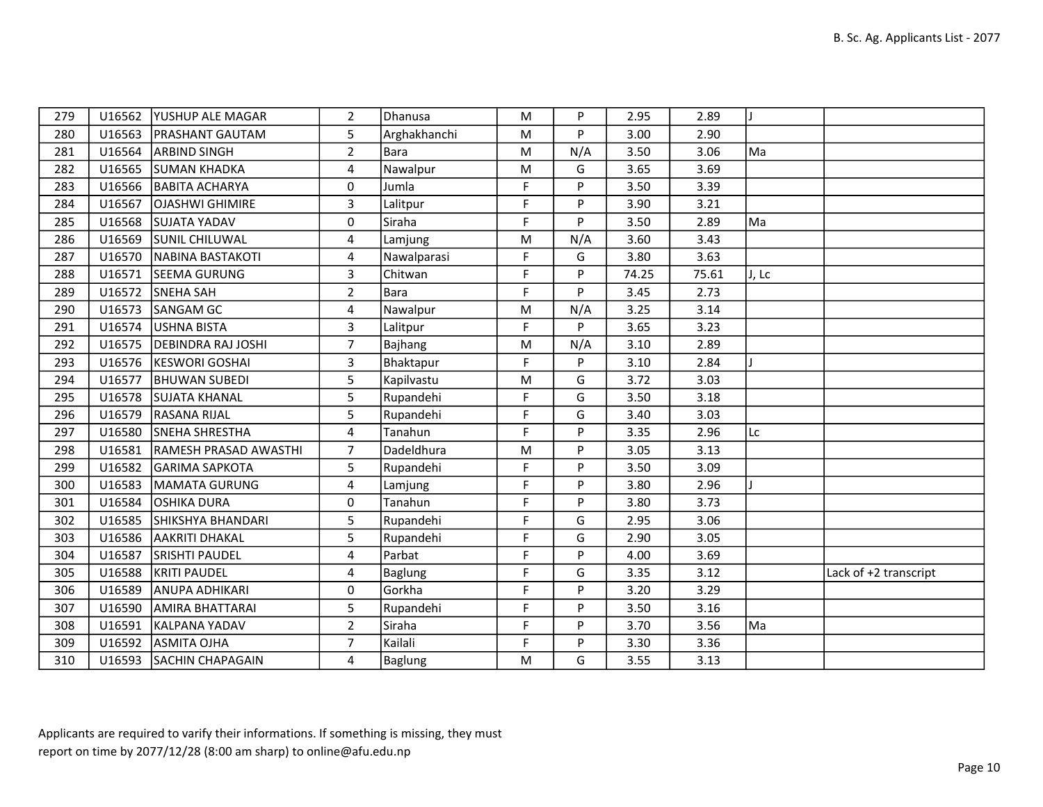| 279 |        | U16562 YUSHUP ALE MAGAR      | $\overline{2}$ | Dhanusa        | M         | P   | 2.95  | 2.89  | J     |                       |
|-----|--------|------------------------------|----------------|----------------|-----------|-----|-------|-------|-------|-----------------------|
| 280 |        | U16563 PRASHANT GAUTAM       | 5              | Arghakhanchi   | M         | P   | 3.00  | 2.90  |       |                       |
| 281 | U16564 | <b>ARBIND SINGH</b>          | $\overline{2}$ | Bara           | M         | N/A | 3.50  | 3.06  | Ma    |                       |
| 282 |        | U16565 SUMAN KHADKA          | 4              | Nawalpur       | M         | G   | 3.65  | 3.69  |       |                       |
| 283 |        | U16566 BABITA ACHARYA        | 0              | Jumla          | F         | P   | 3.50  | 3.39  |       |                       |
| 284 | U16567 | <b>OJASHWI GHIMIRE</b>       | 3              | Lalitpur       | F         | P   | 3.90  | 3.21  |       |                       |
| 285 |        | U16568 SUJATA YADAV          | 0              | Siraha         | F         | P   | 3.50  | 2.89  | Ma    |                       |
| 286 |        | U16569 SUNIL CHILUWAL        | 4              | Lamjung        | M         | N/A | 3.60  | 3.43  |       |                       |
| 287 |        | U16570 NABINA BASTAKOTI      | 4              | Nawalparasi    | F         | G   | 3.80  | 3.63  |       |                       |
| 288 | U16571 | <b>SEEMA GURUNG</b>          | 3              | Chitwan        | F         | P   | 74.25 | 75.61 | J, Lc |                       |
| 289 | U16572 | <b>SNEHA SAH</b>             | $\overline{2}$ | Bara           | F         | P   | 3.45  | 2.73  |       |                       |
| 290 |        | U16573 SANGAM GC             | 4              | Nawalpur       | M         | N/A | 3.25  | 3.14  |       |                       |
| 291 | U16574 | USHNA BISTA                  | 3              | Lalitpur       | F         | P   | 3.65  | 3.23  |       |                       |
| 292 |        | U16575   DEBINDRA RAJ JOSHI  | $\overline{7}$ | Bajhang        | ${\sf M}$ | N/A | 3.10  | 2.89  |       |                       |
| 293 |        | U16576  KESWORI GOSHAI       | $\overline{3}$ | Bhaktapur      | F.        | P   | 3.10  | 2.84  |       |                       |
| 294 | U16577 | <b>BHUWAN SUBEDI</b>         | 5              | Kapilvastu     | M         | G   | 3.72  | 3.03  |       |                       |
| 295 |        | U16578 SUJATA KHANAL         | 5              | Rupandehi      | F         | G   | 3.50  | 3.18  |       |                       |
| 296 |        | U16579 RASANA RIJAL          | 5              | Rupandehi      | F.        | G   | 3.40  | 3.03  |       |                       |
| 297 |        | U16580 SNEHA SHRESTHA        | 4              | Tanahun        | F         | P   | 3.35  | 2.96  | Lc    |                       |
| 298 | U16581 | <b>RAMESH PRASAD AWASTHI</b> | $\overline{7}$ | Dadeldhura     | M         | P   | 3.05  | 3.13  |       |                       |
| 299 |        | U16582 GARIMA SAPKOTA        | 5              | Rupandehi      | F.        | P   | 3.50  | 3.09  |       |                       |
| 300 | U16583 | MAMATA GURUNG                | 4              | Lamjung        | F.        | P   | 3.80  | 2.96  |       |                       |
| 301 | U16584 | <b>OSHIKA DURA</b>           | 0              | Tanahun        | F         | P   | 3.80  | 3.73  |       |                       |
| 302 | U16585 | SHIKSHYA BHANDARI            | 5              | Rupandehi      | F.        | G   | 2.95  | 3.06  |       |                       |
| 303 |        | U16586 AAKRITI DHAKAL        | 5              | Rupandehi      | F         | G   | 2.90  | 3.05  |       |                       |
| 304 | U16587 | <b>SRISHTI PAUDEL</b>        | 4              | Parbat         | F         | P   | 4.00  | 3.69  |       |                       |
| 305 | U16588 | KRITI PAUDEL                 | 4              | Baglung        | F         | G   | 3.35  | 3.12  |       | Lack of +2 transcript |
| 306 | U16589 | <b>ANUPA ADHIKARI</b>        | 0              | Gorkha         | F         | P   | 3.20  | 3.29  |       |                       |
| 307 | U16590 | <b>AMIRA BHATTARAI</b>       | 5              | Rupandehi      | F         | P   | 3.50  | 3.16  |       |                       |
| 308 | U16591 | KALPANA YADAV                | $\overline{2}$ | Siraha         | F.        | P   | 3.70  | 3.56  | Ma    |                       |
| 309 |        | U16592 ASMITA OJHA           | $\overline{7}$ | Kailali        | F         | P   | 3.30  | 3.36  |       |                       |
| 310 |        | U16593 SACHIN CHAPAGAIN      | 4              | <b>Baglung</b> | M         | G   | 3.55  | 3.13  |       |                       |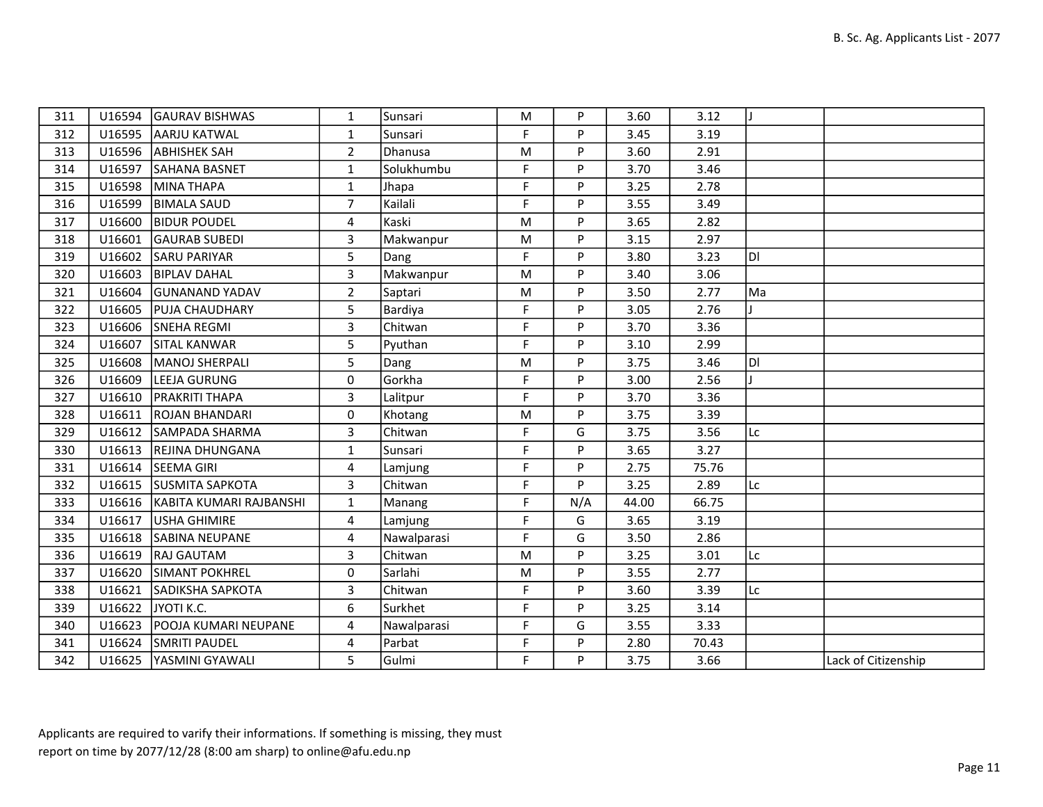| 311 |        | U16594 GAURAV BISHWAS   | 1              | Sunsari     | M  | P   | 3.60  | 3.12  |     |                     |
|-----|--------|-------------------------|----------------|-------------|----|-----|-------|-------|-----|---------------------|
| 312 | U16595 | AARJU KATWAL            | $\mathbf{1}$   | Sunsari     | F. | P   | 3.45  | 3.19  |     |                     |
| 313 |        | U16596 ABHISHEK SAH     | $\overline{2}$ | Dhanusa     | M  | P   | 3.60  | 2.91  |     |                     |
| 314 | U16597 | <b>SAHANA BASNET</b>    | $\mathbf{1}$   | Solukhumbu  | F  | P   | 3.70  | 3.46  |     |                     |
| 315 | U16598 | MINA THAPA              | $\mathbf{1}$   | Jhapa       | F  | P   | 3.25  | 2.78  |     |                     |
| 316 | U16599 | <b>BIMALA SAUD</b>      | $\overline{7}$ | Kailali     | F  | P   | 3.55  | 3.49  |     |                     |
| 317 | U16600 | <b>BIDUR POUDEL</b>     | 4              | Kaski       | M  | P   | 3.65  | 2.82  |     |                     |
| 318 | U16601 | <b>GAURAB SUBEDI</b>    | 3              | Makwanpur   | M  | P   | 3.15  | 2.97  |     |                     |
| 319 | U16602 | <b>SARU PARIYAR</b>     | 5              | Dang        | F  | P   | 3.80  | 3.23  | ldı |                     |
| 320 | U16603 | <b>BIPLAV DAHAL</b>     | $\overline{3}$ | Makwanpur   | M  | P   | 3.40  | 3.06  |     |                     |
| 321 | U16604 | <b>GUNANAND YADAV</b>   | $\overline{2}$ | Saptari     | M  | P   | 3.50  | 2.77  | Ma  |                     |
| 322 | U16605 | <b>PUJA CHAUDHARY</b>   | 5              | Bardiya     | F  | P   | 3.05  | 2.76  |     |                     |
| 323 | U16606 | SNEHA REGMI             | 3              | Chitwan     | F. | P   | 3.70  | 3.36  |     |                     |
| 324 | U16607 | <b>SITAL KANWAR</b>     | 5              | Pyuthan     | F  | P   | 3.10  | 2.99  |     |                     |
| 325 | U16608 | MANOJ SHERPALI          | 5              | Dang        | M  | P   | 3.75  | 3.46  | ldı |                     |
| 326 | U16609 | LEEJA GURUNG            | $\mathbf 0$    | Gorkha      | F. | P   | 3.00  | 2.56  |     |                     |
| 327 | U16610 | <b>PRAKRITI THAPA</b>   | 3              | Lalitpur    | F  | P   | 3.70  | 3.36  |     |                     |
| 328 | U16611 | <b>ROJAN BHANDARI</b>   | 0              | Khotang     | M  | P   | 3.75  | 3.39  |     |                     |
| 329 | U16612 | SAMPADA SHARMA          | 3              | Chitwan     | F  | G   | 3.75  | 3.56  | Lc  |                     |
| 330 | U16613 | <b>REJINA DHUNGANA</b>  | $\mathbf{1}$   | Sunsari     | F  | P   | 3.65  | 3.27  |     |                     |
| 331 | U16614 | <b>SEEMA GIRI</b>       | 4              | Lamjung     | F  | P   | 2.75  | 75.76 |     |                     |
| 332 | U16615 | <b>SUSMITA SAPKOTA</b>  | 3              | Chitwan     | F. | P   | 3.25  | 2.89  | Lc  |                     |
| 333 | U16616 | KABITA KUMARI RAJBANSHI | $\mathbf{1}$   | Manang      | F  | N/A | 44.00 | 66.75 |     |                     |
| 334 | U16617 | USHA GHIMIRE            | 4              | Lamjung     | F  | G   | 3.65  | 3.19  |     |                     |
| 335 | U16618 | <b>SABINA NEUPANE</b>   | 4              | Nawalparasi | F  | G   | 3.50  | 2.86  |     |                     |
| 336 | U16619 | <b>RAJ GAUTAM</b>       | 3              | Chitwan     | M  | P   | 3.25  | 3.01  | Lc  |                     |
| 337 | U16620 | <b>SIMANT POKHREL</b>   | 0              | Sarlahi     | M  | P   | 3.55  | 2.77  |     |                     |
| 338 | U16621 | SADIKSHA SAPKOTA        | 3              | Chitwan     | F. | P   | 3.60  | 3.39  | Lc  |                     |
| 339 | U16622 | JYOTI K.C.              | 6              | Surkhet     | F  | P   | 3.25  | 3.14  |     |                     |
| 340 | U16623 | POOJA KUMARI NEUPANE    | 4              | Nawalparasi | F  | G   | 3.55  | 3.33  |     |                     |
| 341 | U16624 | <b>SMRITI PAUDEL</b>    | 4              | Parbat      | F. | P   | 2.80  | 70.43 |     |                     |
| 342 |        | U16625 YASMINI GYAWALI  | 5              | Gulmi       | F. | P   | 3.75  | 3.66  |     | Lack of Citizenship |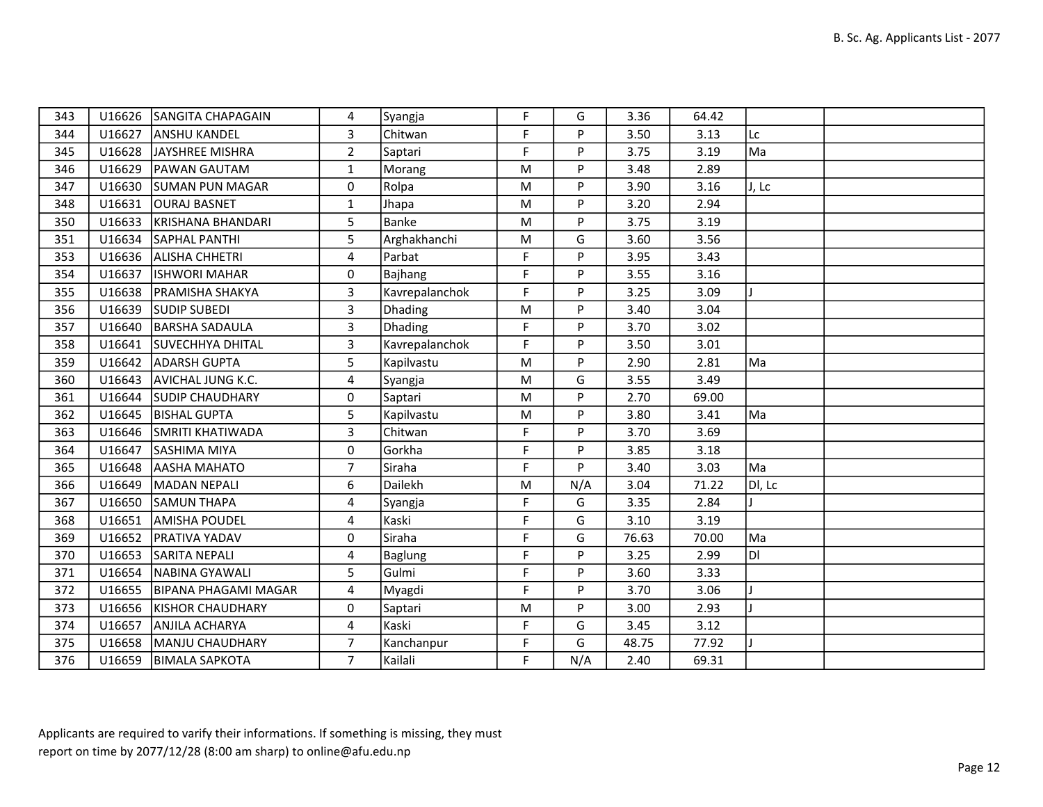| 343 |        | U16626 SANGITA CHAPAGAIN | 4              | Syangja        | F  | G   | 3.36  | 64.42 |        |  |
|-----|--------|--------------------------|----------------|----------------|----|-----|-------|-------|--------|--|
| 344 | U16627 | <b>ANSHU KANDEL</b>      | 3              | Chitwan        | F. | P   | 3.50  | 3.13  | Lc     |  |
| 345 | U16628 | JAYSHREE MISHRA          | $\overline{2}$ | Saptari        | F  | P   | 3.75  | 3.19  | Ma     |  |
| 346 | U16629 | <b>PAWAN GAUTAM</b>      | $\mathbf{1}$   | Morang         | M  | P   | 3.48  | 2.89  |        |  |
| 347 | U16630 | <b>SUMAN PUN MAGAR</b>   | 0              | Rolpa          | M  | P   | 3.90  | 3.16  | J, Lc  |  |
| 348 | U16631 | <b>OURAJ BASNET</b>      | $\mathbf{1}$   | Jhapa          | M  | P   | 3.20  | 2.94  |        |  |
| 350 | U16633 | KRISHANA BHANDARI        | 5              | Banke          | M  | P   | 3.75  | 3.19  |        |  |
| 351 | U16634 | <b>SAPHAL PANTHI</b>     | 5              | Arghakhanchi   | M  | G   | 3.60  | 3.56  |        |  |
| 353 | U16636 | <b>ALISHA CHHETRI</b>    | 4              | Parbat         | F  | P   | 3.95  | 3.43  |        |  |
| 354 | U16637 | <b>ISHWORI MAHAR</b>     | 0              | Bajhang        | F. | P   | 3.55  | 3.16  |        |  |
| 355 | U16638 | <b>PRAMISHA SHAKYA</b>   | 3              | Kavrepalanchok | F  | P   | 3.25  | 3.09  |        |  |
| 356 | U16639 | <b>SUDIP SUBEDI</b>      | $\overline{3}$ | Dhading        | M  | P   | 3.40  | 3.04  |        |  |
| 357 | U16640 | <b>BARSHA SADAULA</b>    | 3              | <b>Dhading</b> | F. | P   | 3.70  | 3.02  |        |  |
| 358 | U16641 | SUVECHHYA DHITAL         | 3              | Kavrepalanchok | F  | P   | 3.50  | 3.01  |        |  |
| 359 | U16642 | <b>ADARSH GUPTA</b>      | 5              | Kapilvastu     | M  | P   | 2.90  | 2.81  | Ma     |  |
| 360 | U16643 | AVICHAL JUNG K.C.        | 4              | Syangja        | M  | G   | 3.55  | 3.49  |        |  |
| 361 | U16644 | <b>SUDIP CHAUDHARY</b>   | 0              | Saptari        | M  | P   | 2.70  | 69.00 |        |  |
| 362 | U16645 | <b>BISHAL GUPTA</b>      | 5              | Kapilvastu     | M  | P   | 3.80  | 3.41  | Ma     |  |
| 363 | U16646 | SMRITI KHATIWADA         | $\overline{3}$ | Chitwan        | F  | P   | 3.70  | 3.69  |        |  |
| 364 | U16647 | <b>SASHIMA MIYA</b>      | 0              | Gorkha         | F  | P   | 3.85  | 3.18  |        |  |
| 365 | U16648 | AASHA MAHATO             | $\overline{7}$ | Siraha         | F. | P   | 3.40  | 3.03  | Ma     |  |
| 366 | U16649 | İMADAN NEPALI            | 6              | Dailekh        | M  | N/A | 3.04  | 71.22 | DI, Lc |  |
| 367 | U16650 | <b>SAMUN THAPA</b>       | 4              | Syangja        | F  | G   | 3.35  | 2.84  |        |  |
| 368 | U16651 | <b>AMISHA POUDEL</b>     | 4              | Kaski          | F. | G   | 3.10  | 3.19  |        |  |
| 369 | U16652 | <b>PRATIVA YADAV</b>     | 0              | Siraha         | F  | G   | 76.63 | 70.00 | Ma     |  |
| 370 | U16653 | <b>SARITA NEPALI</b>     | 4              | Baglung        | F  | P   | 3.25  | 2.99  | DI     |  |
| 371 | U16654 | NABINA GYAWALI           | 5              | Gulmi          | F  | P   | 3.60  | 3.33  |        |  |
| 372 | U16655 | BIPANA PHAGAMI MAGAR     | 4              | Myagdi         | F  | P   | 3.70  | 3.06  |        |  |
| 373 | U16656 | <b>KISHOR CHAUDHARY</b>  | $\mathbf 0$    | Saptari        | M  | P   | 3.00  | 2.93  |        |  |
| 374 | U16657 | <b>ANJILA ACHARYA</b>    | $\overline{4}$ | Kaski          | F. | G   | 3.45  | 3.12  |        |  |
| 375 | U16658 | MANJU CHAUDHARY          | $\overline{7}$ | Kanchanpur     | F. | G   | 48.75 | 77.92 |        |  |
| 376 | U16659 | <b>BIMALA SAPKOTA</b>    | $\overline{7}$ | Kailali        | F  | N/A | 2.40  | 69.31 |        |  |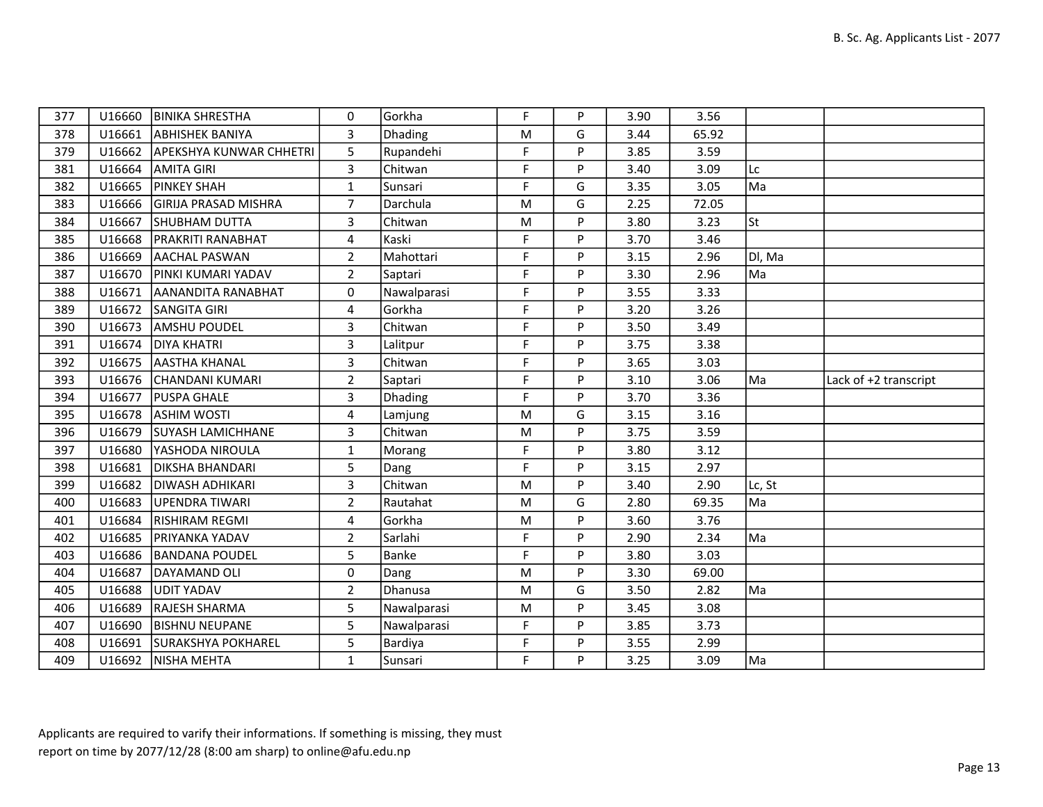| 377 |        | U16660   BINIKA SHRESTHA       | $\mathbf{0}$   | Gorkha         | F           | P        | 3.90 | 3.56  |           |                       |
|-----|--------|--------------------------------|----------------|----------------|-------------|----------|------|-------|-----------|-----------------------|
| 378 | U16661 | <b>ABHISHEK BANIYA</b>         | 3              | Dhading        | M           | G        | 3.44 | 65.92 |           |                       |
| 379 | U16662 | <b>APEKSHYA KUNWAR CHHETRI</b> | 5              | Rupandehi      | F           | <b>P</b> | 3.85 | 3.59  |           |                       |
| 381 | U16664 | <b>AMITA GIRI</b>              | $\overline{3}$ | Chitwan        | F           | P        | 3.40 | 3.09  | Lc        |                       |
| 382 | U16665 | <b>PINKEY SHAH</b>             | $\mathbf{1}$   | Sunsari        | F           | G        | 3.35 | 3.05  | Ma        |                       |
| 383 | U16666 | <b>GIRIJA PRASAD MISHRA</b>    | $\overline{7}$ | Darchula       | M           | G        | 2.25 | 72.05 |           |                       |
| 384 | U16667 | <b>SHUBHAM DUTTA</b>           | 3              | Chitwan        | M           | P        | 3.80 | 3.23  | <b>St</b> |                       |
| 385 | U16668 | <b>PRAKRITI RANABHAT</b>       | $\overline{4}$ | Kaski          | F           | P        | 3.70 | 3.46  |           |                       |
| 386 | U16669 | <b>AACHAL PASWAN</b>           | $\overline{2}$ | Mahottari      | F           | P        | 3.15 | 2.96  | DI, Ma    |                       |
| 387 | U16670 | <b>PINKI KUMARI YADAV</b>      | $\overline{2}$ | Saptari        | $\mathsf F$ | P        | 3.30 | 2.96  | Ma        |                       |
| 388 | U16671 | AANANDITA RANABHAT             | 0              | Nawalparasi    | F           | P        | 3.55 | 3.33  |           |                       |
| 389 | U16672 | <b>SANGITA GIRI</b>            | 4              | Gorkha         | F           | D        | 3.20 | 3.26  |           |                       |
| 390 | U16673 | <b>AMSHU POUDEL</b>            | $\overline{3}$ | Chitwan        | F           | P        | 3.50 | 3.49  |           |                       |
| 391 | U16674 | <b>DIYA KHATRI</b>             | $\mathbf{3}$   | Lalitpur       | F           | P        | 3.75 | 3.38  |           |                       |
| 392 | U16675 | <b>AASTHA KHANAL</b>           | 3              | Chitwan        | F           | P        | 3.65 | 3.03  |           |                       |
| 393 | U16676 | İCHANDANI KUMARI               | $\overline{2}$ | Saptari        | F           | P        | 3.10 | 3.06  | Ma        | Lack of +2 transcript |
| 394 | U16677 | <b>PUSPA GHALE</b>             | 3              | <b>Dhading</b> | F           | P        | 3.70 | 3.36  |           |                       |
| 395 | U16678 | <b>ASHIM WOSTI</b>             | 4              | Lamjung        | M           | G        | 3.15 | 3.16  |           |                       |
| 396 | U16679 | <b>SUYASH LAMICHHANE</b>       | $\mathbf{3}$   | Chitwan        | M           | P        | 3.75 | 3.59  |           |                       |
| 397 | U16680 | YASHODA NIROULA                | $\mathbf{1}$   | Morang         | F           | P        | 3.80 | 3.12  |           |                       |
| 398 | U16681 | <b>DIKSHA BHANDARI</b>         | 5              | Dang           | F           | P        | 3.15 | 2.97  |           |                       |
| 399 | U16682 | DIWASH ADHIKARI                | $\overline{3}$ | Chitwan        | M           | P        | 3.40 | 2.90  | Lc, St    |                       |
| 400 | U16683 | UPENDRA TIWARI                 | $\overline{2}$ | Rautahat       | M           | G        | 2.80 | 69.35 | Ma        |                       |
| 401 | U16684 | <b>RISHIRAM REGMI</b>          | 4              | Gorkha         | M           | P        | 3.60 | 3.76  |           |                       |
| 402 | U16685 | <b>PRIYANKA YADAV</b>          | $\overline{2}$ | Sarlahi        | F           | P        | 2.90 | 2.34  | Ma        |                       |
| 403 | U16686 | <b>BANDANA POUDEL</b>          | 5              | Banke          | F           | P        | 3.80 | 3.03  |           |                       |
| 404 | U16687 | DAYAMAND OLI                   | $\Omega$       | Dang           | M           | P        | 3.30 | 69.00 |           |                       |
| 405 | U16688 | UDIT YADAV                     | $\overline{2}$ | Dhanusa        | M           | G        | 3.50 | 2.82  | Ma        |                       |
| 406 | U16689 | <b>RAJESH SHARMA</b>           | 5              | Nawalparasi    | M           | P        | 3.45 | 3.08  |           |                       |
| 407 | U16690 | <b>BISHNU NEUPANE</b>          | 5              | Nawalparasi    | F           | P        | 3.85 | 3.73  |           |                       |
| 408 | U16691 | <b>SURAKSHYA POKHAREL</b>      | 5              | Bardiya        | F           | P        | 3.55 | 2.99  |           |                       |
| 409 |        | U16692   NISHA MEHTA           | $\mathbf{1}$   | Sunsari        | F           | P        | 3.25 | 3.09  | Ma        |                       |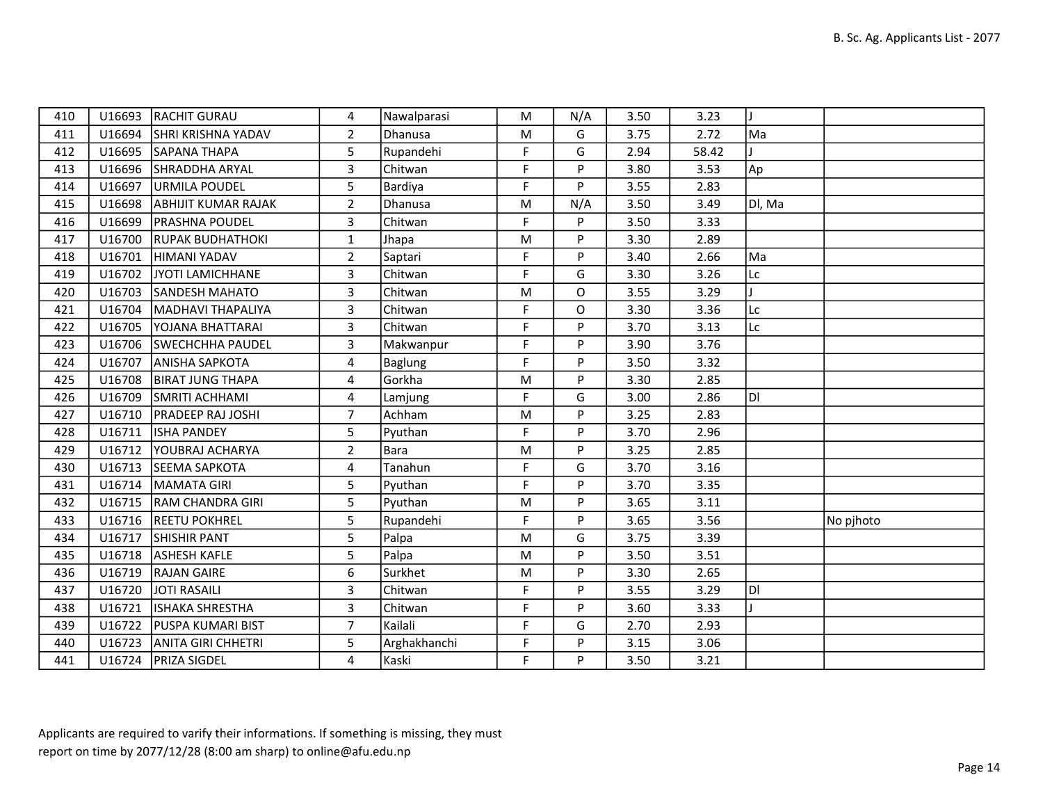| 410 | U16693 | <b>RACHIT GURAU</b>        | 4              | Nawalparasi  | M         | N/A | 3.50 | 3.23  |              |           |
|-----|--------|----------------------------|----------------|--------------|-----------|-----|------|-------|--------------|-----------|
| 411 | U16694 | <b>SHRI KRISHNA YADAV</b>  | $\overline{2}$ | Dhanusa      | M         | G   | 3.75 | 2.72  | Ma           |           |
| 412 | U16695 | SAPANA THAPA               | 5              | Rupandehi    | F         | G   | 2.94 | 58.42 |              |           |
| 413 | U16696 | SHRADDHA ARYAL             | $\overline{3}$ | Chitwan      | F         | P   | 3.80 | 3.53  | Ap           |           |
| 414 | U16697 | URMILA POUDEL              | 5              | Bardiya      | F         | P   | 3.55 | 2.83  |              |           |
| 415 | U16698 | <b>ABHIJIT KUMAR RAJAK</b> | $\overline{2}$ | Dhanusa      | M         | N/A | 3.50 | 3.49  | Dl, Ma       |           |
| 416 |        | U16699   PRASHNA POUDEL    | $\overline{3}$ | Chitwan      | F         | P   | 3.50 | 3.33  |              |           |
| 417 |        | U16700 RUPAK BUDHATHOKI    | $\mathbf{1}$   | Jhapa        | ${\sf M}$ | P   | 3.30 | 2.89  |              |           |
| 418 | U16701 | HIMANI YADAV               | $\overline{2}$ | Saptari      | F         | P   | 3.40 | 2.66  | Ma           |           |
| 419 |        | U16702 JYOTI LAMICHHANE    | 3              | Chitwan      | F         | G   | 3.30 | 3.26  | Lc           |           |
| 420 | U16703 | <b>SANDESH MAHATO</b>      | 3              | Chitwan      | ${\sf M}$ | O   | 3.55 | 3.29  | $\mathbf{I}$ |           |
| 421 |        | U16704   MADHAVI THAPALIYA | $\overline{3}$ | Chitwan      | F         | O   | 3.30 | 3.36  | Lc           |           |
| 422 |        | U16705   YOJANA BHATTARAI  | $\overline{3}$ | Chitwan      | F         | P   | 3.70 | 3.13  | Lc           |           |
| 423 |        | U16706 SWECHCHHA PAUDEL    | 3              | Makwanpur    | F         | P   | 3.90 | 3.76  |              |           |
| 424 |        | U16707 ANISHA SAPKOTA      | 4              | Baglung      | F         | P   | 3.50 | 3.32  |              |           |
| 425 | U16708 | <b>IBIRAT JUNG THAPA</b>   | 4              | Gorkha       | M         | P   | 3.30 | 2.85  |              |           |
| 426 | U16709 | <b>SMRITI ACHHAMI</b>      | 4              | Lamjung      | F         | G   | 3.00 | 2.86  | ldi          |           |
| 427 |        | U16710   PRADEEP RAJ JOSHI | $\overline{7}$ | Achham       | ${\sf M}$ | P   | 3.25 | 2.83  |              |           |
| 428 |        | U16711  ISHA PANDEY        | 5              | Pyuthan      | F         | P   | 3.70 | 2.96  |              |           |
| 429 | U16712 | <b>YOUBRAJ ACHARYA</b>     | $\overline{2}$ | <b>Bara</b>  | ${\sf M}$ | P   | 3.25 | 2.85  |              |           |
| 430 |        | U16713 SEEMA SAPKOTA       | 4              | Tanahun      | F         | G   | 3.70 | 3.16  |              |           |
| 431 | U16714 | MAMATA GIRI                | 5              | Pyuthan      | F         | P   | 3.70 | 3.35  |              |           |
| 432 | U16715 | <b>RAM CHANDRA GIRI</b>    | 5              | Pyuthan      | M         | P   | 3.65 | 3.11  |              |           |
| 433 |        | U16716 REETU POKHREL       | 5              | Rupandehi    | F         | P   | 3.65 | 3.56  |              | No pjhoto |
| 434 |        | U16717 SHISHIR PANT        | 5              | Palpa        | M         | G   | 3.75 | 3.39  |              |           |
| 435 |        | U16718   ASHESH KAFLE      | 5              | Palpa        | M         | P   | 3.50 | 3.51  |              |           |
| 436 | U16719 | <b>RAJAN GAIRE</b>         | 6              | Surkhet      | M         | P   | 3.30 | 2.65  |              |           |
| 437 |        | U16720 JJOTI RASAILI       | 3              | Chitwan      | F         | P   | 3.55 | 3.29  | ldi          |           |
| 438 | U16721 | ISHAKA SHRESTHA            | $\overline{3}$ | Chitwan      | F         | P   | 3.60 | 3.33  |              |           |
| 439 | U16722 | <b>PUSPA KUMARI BIST</b>   | $\overline{7}$ | Kailali      | F.        | G   | 2.70 | 2.93  |              |           |
| 440 |        | U16723 ANITA GIRI CHHETRI  | 5              | Arghakhanchi | F         | P   | 3.15 | 3.06  |              |           |
| 441 |        | U16724   PRIZA SIGDEL      | 4              | Kaski        | F.        | P   | 3.50 | 3.21  |              |           |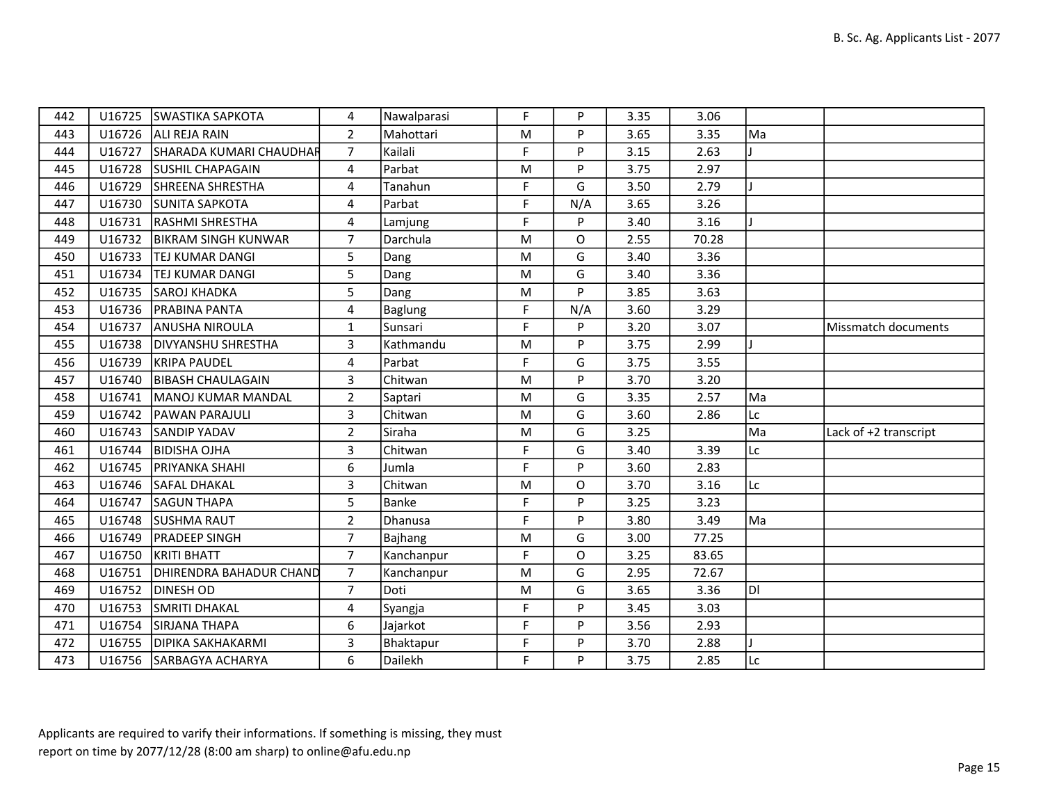| 442 |        | U16725 SWASTIKA SAPKOTA        | 4              | Nawalparasi | F  | P   | 3.35 | 3.06  |     |                       |
|-----|--------|--------------------------------|----------------|-------------|----|-----|------|-------|-----|-----------------------|
| 443 |        | U16726 ALI REJA RAIN           | $\overline{2}$ | Mahottari   | M  | P   | 3.65 | 3.35  | Ma  |                       |
| 444 | U16727 | SHARADA KUMARI CHAUDHAR        | $\overline{7}$ | Kailali     | F  | P   | 3.15 | 2.63  |     |                       |
| 445 |        | U16728 SUSHIL CHAPAGAIN        | 4              | Parbat      | M  | P   | 3.75 | 2.97  |     |                       |
| 446 |        | U16729 SHREENA SHRESTHA        | 4              | Tanahun     | F  | G   | 3.50 | 2.79  |     |                       |
| 447 |        | U16730 SUNITA SAPKOTA          | 4              | Parbat      | F  | N/A | 3.65 | 3.26  |     |                       |
| 448 |        | U16731   RASHMI SHRESTHA       | 4              | Lamjung     | F. | P   | 3.40 | 3.16  |     |                       |
| 449 |        | U16732   BIKRAM SINGH KUNWAR   | $\overline{7}$ | Darchula    | M  | O   | 2.55 | 70.28 |     |                       |
| 450 | U16733 | <b>TEJ KUMAR DANGI</b>         | 5              | Dang        | M  | G   | 3.40 | 3.36  |     |                       |
| 451 | U16734 | <b>TEJ KUMAR DANGI</b>         | 5              | Dang        | M  | G   | 3.40 | 3.36  |     |                       |
| 452 |        | U16735 SAROJ KHADKA            | 5              | Dang        | M  | P   | 3.85 | 3.63  |     |                       |
| 453 |        | U16736   PRABINA PANTA         | 4              | Baglung     | F  | N/A | 3.60 | 3.29  |     |                       |
| 454 |        | U16737 ANUSHA NIROULA          | $\mathbf{1}$   | Sunsari     | F. | P   | 3.20 | 3.07  |     | Missmatch documents   |
| 455 |        | U16738   DIVYANSHU SHRESTHA    | 3              | Kathmandu   | M  | P   | 3.75 | 2.99  |     |                       |
| 456 | U16739 | <b>KRIPA PAUDEL</b>            | 4              | Parbat      | F  | G   | 3.75 | 3.55  |     |                       |
| 457 | U16740 | <b>BIBASH CHAULAGAIN</b>       | 3              | Chitwan     | M  | P   | 3.70 | 3.20  |     |                       |
| 458 | U16741 | <b>IMANOJ KUMAR MANDAL</b>     | $\overline{2}$ | Saptari     | M  | G   | 3.35 | 2.57  | Ma  |                       |
| 459 |        | U16742   PAWAN PARAJULI        | 3              | Chitwan     | M  | G   | 3.60 | 2.86  | Lc  |                       |
| 460 |        | U16743 SANDIP YADAV            | $\overline{2}$ | Siraha      | M  | G   | 3.25 |       | Ma  | Lack of +2 transcript |
| 461 | U16744 | <b>BIDISHA OJHA</b>            | 3              | Chitwan     | F  | G   | 3.40 | 3.39  | Lc  |                       |
| 462 |        | U16745   PRIYANKA SHAHI        | 6              | Jumla       | F. | P   | 3.60 | 2.83  |     |                       |
| 463 |        | U16746 SAFAL DHAKAL            | 3              | Chitwan     | M  | 0   | 3.70 | 3.16  | Lc  |                       |
| 464 | U16747 | <b>SAGUN THAPA</b>             | 5              | Banke       | F  | P   | 3.25 | 3.23  |     |                       |
| 465 |        | U16748 SUSHMA RAUT             | $\overline{2}$ | Dhanusa     | F  | P   | 3.80 | 3.49  | Ma  |                       |
| 466 |        | U16749   PRADEEP SINGH         | $\overline{7}$ | Bajhang     | M  | G   | 3.00 | 77.25 |     |                       |
| 467 |        | U16750 KRITI BHATT             | $\overline{7}$ | Kanchanpur  | F  | 0   | 3.25 | 83.65 |     |                       |
| 468 | U16751 | <b>DHIRENDRA BAHADUR CHAND</b> | 7 <sup>7</sup> | Kanchanpur  | M  | G   | 2.95 | 72.67 |     |                       |
| 469 | U16752 | <b>DINESH OD</b>               | $\overline{7}$ | Doti        | M  | G   | 3.65 | 3.36  | ldi |                       |
| 470 | U16753 | <b>ISMRITI DHAKAL</b>          | 4              | Syangja     | F  | P   | 3.45 | 3.03  |     |                       |
| 471 |        | U16754 SIRJANA THAPA           | 6              | Jajarkot    | F  | P   | 3.56 | 2.93  |     |                       |
| 472 |        | U16755   DIPIKA SAKHAKARMI     | 3              | Bhaktapur   | F  | P   | 3.70 | 2.88  |     |                       |
| 473 |        | U16756   SARBAGYA ACHARYA      | 6              | Dailekh     | F  | P   | 3.75 | 2.85  | Lc  |                       |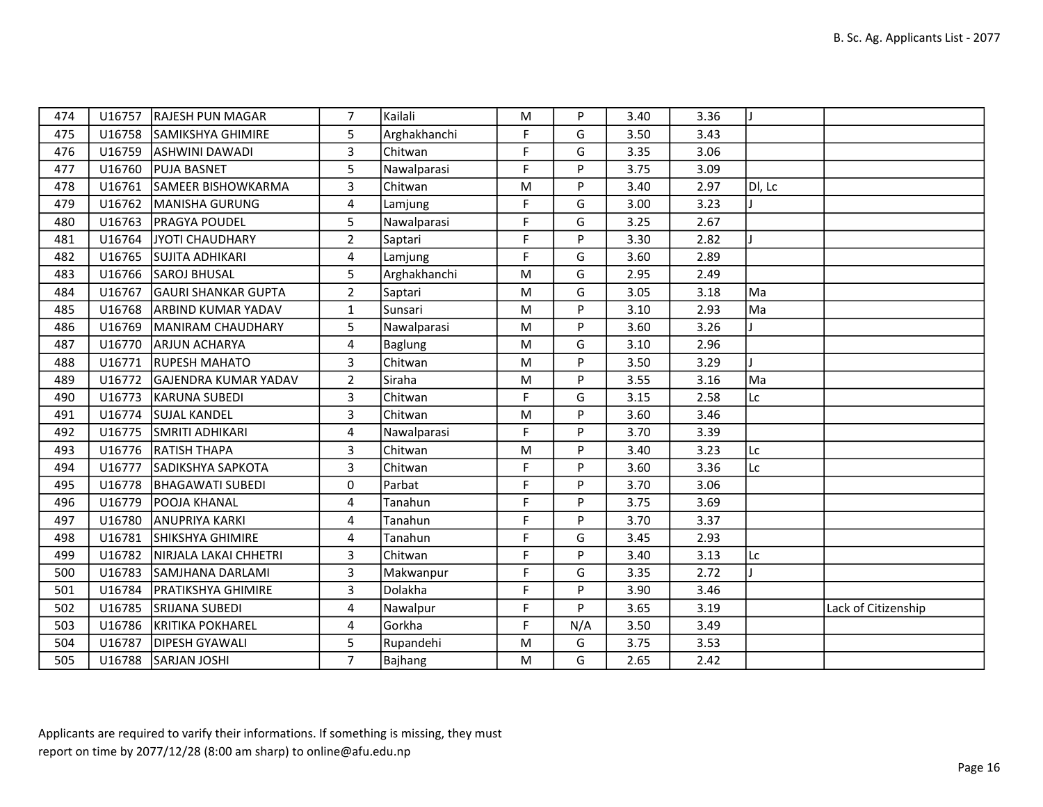| 474 |        | U16757 RAJESH PUN MAGAR     | $\overline{7}$ | Kailali        | M  | P   | 3.40 | 3.36 |        |                     |
|-----|--------|-----------------------------|----------------|----------------|----|-----|------|------|--------|---------------------|
| 475 |        | U16758 SAMIKSHYA GHIMIRE    | 5              | Arghakhanchi   | F. | G   | 3.50 | 3.43 |        |                     |
| 476 | U16759 | <b>ASHWINI DAWADI</b>       | 3              | Chitwan        | F  | G   | 3.35 | 3.06 |        |                     |
| 477 |        | U16760 PUJA BASNET          | 5              | Nawalparasi    | F  | P   | 3.75 | 3.09 |        |                     |
| 478 | U16761 | <b>SAMEER BISHOWKARMA</b>   | 3              | Chitwan        | M  | P   | 3.40 | 2.97 | DI, LC |                     |
| 479 |        | U16762 MANISHA GURUNG       | 4              | Lamjung        | F. | G   | 3.00 | 3.23 |        |                     |
| 480 | U16763 | <b>PRAGYA POUDEL</b>        | 5              | Nawalparasi    | F. | G   | 3.25 | 2.67 |        |                     |
| 481 | U16764 | JYOTI CHAUDHARY             | $\overline{2}$ | Saptari        | F  | P   | 3.30 | 2.82 |        |                     |
| 482 | U16765 | <b>SUJITA ADHIKARI</b>      | 4              | Lamjung        | F. | G   | 3.60 | 2.89 |        |                     |
| 483 |        | U16766 SAROJ BHUSAL         | 5              | Arghakhanchi   | M  | G   | 2.95 | 2.49 |        |                     |
| 484 | U16767 | <b>GAURI SHANKAR GUPTA</b>  | $\overline{2}$ | Saptari        | M  | G   | 3.05 | 3.18 | Ma     |                     |
| 485 |        | U16768 ARBIND KUMAR YADAV   | $\mathbf{1}$   | Sunsari        | M  | P   | 3.10 | 2.93 | Ma     |                     |
| 486 | U16769 | MANIRAM CHAUDHARY           | 5              | Nawalparasi    | M  | P   | 3.60 | 3.26 |        |                     |
| 487 | U16770 | <b>ARJUN ACHARYA</b>        | 4              | <b>Baglung</b> | M  | G   | 3.10 | 2.96 |        |                     |
| 488 | U16771 | <b>RUPESH MAHATO</b>        | 3              | Chitwan        | M  | P   | 3.50 | 3.29 |        |                     |
| 489 | U16772 | <b>GAJENDRA KUMAR YADAV</b> | $\overline{2}$ | Siraha         | M  | P   | 3.55 | 3.16 | Ma     |                     |
| 490 | U16773 | <b>KARUNA SUBEDI</b>        | 3              | Chitwan        | E  | G   | 3.15 | 2.58 | lLc    |                     |
| 491 | U16774 | <b>SUJAL KANDEL</b>         | 3              | Chitwan        | M  | P   | 3.60 | 3.46 |        |                     |
| 492 |        | U16775 SMRITI ADHIKARI      | 4              | Nawalparasi    | F. | P   | 3.70 | 3.39 |        |                     |
| 493 |        | U16776 RATISH THAPA         | 3              | Chitwan        | M  | P   | 3.40 | 3.23 | lLc    |                     |
| 494 | U16777 | SADIKSHYA SAPKOTA           | 3              | Chitwan        | F. | P   | 3.60 | 3.36 | Lc     |                     |
| 495 | U16778 | <b>BHAGAWATI SUBEDI</b>     | 0              | Parbat         | E  | P   | 3.70 | 3.06 |        |                     |
| 496 | U16779 | <b>POOJA KHANAL</b>         | 4              | Tanahun        | E  | P   | 3.75 | 3.69 |        |                     |
| 497 | U16780 | <b>ANUPRIYA KARKI</b>       | 4              | Tanahun        | F  | P   | 3.70 | 3.37 |        |                     |
| 498 | U16781 | SHIKSHYA GHIMIRE            | 4              | Tanahun        | F. | G   | 3.45 | 2.93 |        |                     |
| 499 | U16782 | NIRJALA LAKAI CHHETRI       | 3              | Chitwan        | F. | P   | 3.40 | 3.13 | lLc    |                     |
| 500 | U16783 | SAMJHANA DARLAMI            | 3              | Makwanpur      | F. | G   | 3.35 | 2.72 |        |                     |
| 501 | U16784 | <b>PRATIKSHYA GHIMIRE</b>   | 3              | Dolakha        | E  | P   | 3.90 | 3.46 |        |                     |
| 502 | U16785 | <b>SRIJANA SUBEDI</b>       | 4              | Nawalpur       | F. | P   | 3.65 | 3.19 |        | Lack of Citizenship |
| 503 | U16786 | <b>KRITIKA POKHAREL</b>     | 4              | Gorkha         | F  | N/A | 3.50 | 3.49 |        |                     |
| 504 | U16787 | <b>DIPESH GYAWALI</b>       | 5              | Rupandehi      | M  | G   | 3.75 | 3.53 |        |                     |
| 505 |        | U16788 SARJAN JOSHI         | $7^{\circ}$    | Bajhang        | M  | G   | 2.65 | 2.42 |        |                     |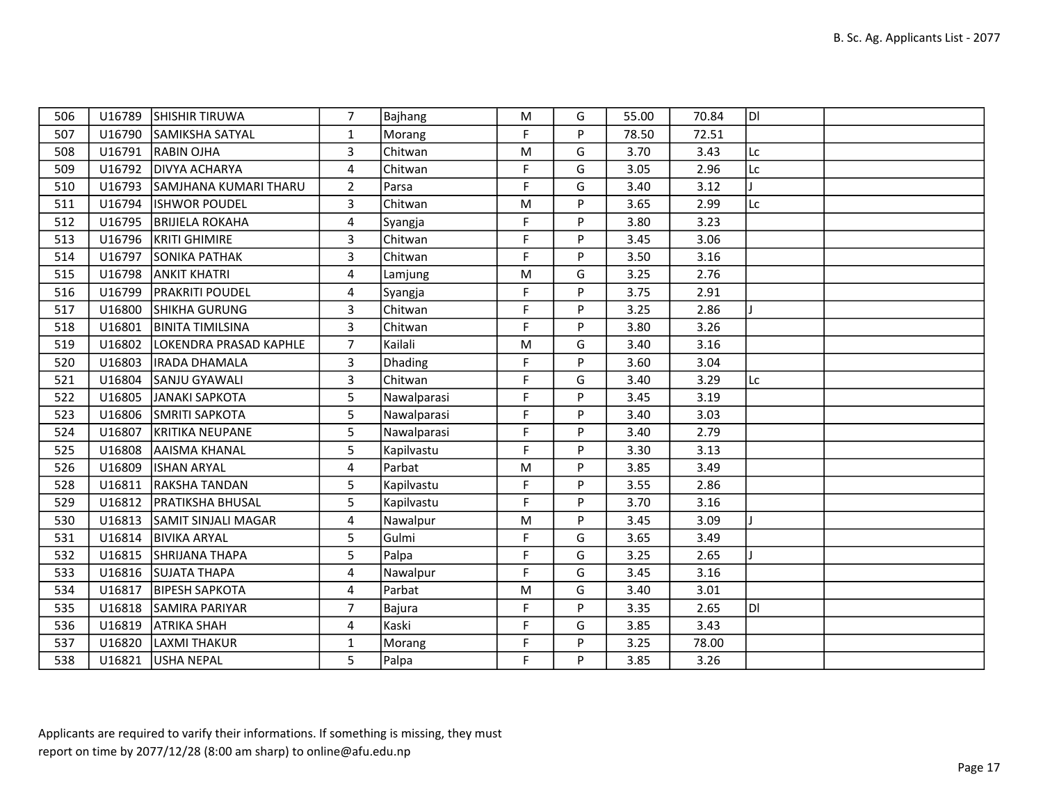| 506 |        | U16789 SHISHIR TIRUWA      | 7              | Bajhang     | M           | G | 55.00 | 70.84 | IDI |  |
|-----|--------|----------------------------|----------------|-------------|-------------|---|-------|-------|-----|--|
| 507 |        | U16790 SAMIKSHA SATYAL     | $\mathbf{1}$   | Morang      | F           | P | 78.50 | 72.51 |     |  |
| 508 |        | U16791 RABIN OJHA          | 3              | Chitwan     | M           | G | 3.70  | 3.43  | Lc  |  |
| 509 |        | U16792   DIVYA ACHARYA     | 4              | Chitwan     | F           | G | 3.05  | 2.96  | Lc  |  |
| 510 | U16793 | SAMJHANA KUMARI THARU      | $\overline{2}$ | Parsa       | F           | G | 3.40  | 3.12  |     |  |
| 511 | U16794 | <b>ISHWOR POUDEL</b>       | $\overline{3}$ | Chitwan     | M           | Þ | 3.65  | 2.99  | Lc  |  |
| 512 |        | U16795   BRIJIELA ROKAHA   | 4              | Syangja     | F.          | P | 3.80  | 3.23  |     |  |
| 513 |        | U16796   KRITI GHIMIRE     | 3              | Chitwan     | F           | P | 3.45  | 3.06  |     |  |
| 514 | U16797 | <b>SONIKA PATHAK</b>       | $\overline{3}$ | Chitwan     | F           | P | 3.50  | 3.16  |     |  |
| 515 | U16798 | <b>ANKIT KHATRI</b>        | 4              | Lamjung     | M           | G | 3.25  | 2.76  |     |  |
| 516 | U16799 | <b>PRAKRITI POUDEL</b>     | 4              | Syangja     | F           | P | 3.75  | 2.91  |     |  |
| 517 | U16800 | SHIKHA GURUNG              | 3              | Chitwan     | F           | P | 3.25  | 2.86  |     |  |
| 518 |        | U16801   BINITA TIMILSINA  | 3              | Chitwan     | F           | P | 3.80  | 3.26  |     |  |
| 519 | U16802 | LOKENDRA PRASAD KAPHLE     | $\overline{7}$ | Kailali     | M           | G | 3.40  | 3.16  |     |  |
| 520 | U16803 | <b>IRADA DHAMALA</b>       | 3              | Dhading     | F           | P | 3.60  | 3.04  |     |  |
| 521 | U16804 | <b>SANJU GYAWALI</b>       | 3              | Chitwan     | F           | G | 3.40  | 3.29  | Lc  |  |
| 522 | U16805 | JANAKI SAPKOTA             | 5              | Nawalparasi | F           | P | 3.45  | 3.19  |     |  |
| 523 |        | U16806 SMRITI SAPKOTA      | 5              | Nawalparasi | F           | P | 3.40  | 3.03  |     |  |
| 524 |        | U16807 KRITIKA NEUPANE     | 5              | Nawalparasi | F.          | P | 3.40  | 2.79  |     |  |
| 525 | U16808 | <b>AAISMA KHANAL</b>       | 5              | Kapilvastu  | $\mathsf F$ | P | 3.30  | 3.13  |     |  |
| 526 | U16809 | <b>ISHAN ARYAL</b>         | $\overline{4}$ | Parbat      | M           | P | 3.85  | 3.49  |     |  |
| 528 | U16811 | <b>RAKSHA TANDAN</b>       | 5              | Kapilvastu  | F           | Þ | 3.55  | 2.86  |     |  |
| 529 | U16812 | <b>PRATIKSHA BHUSAL</b>    | 5              | Kapilvastu  | F           | P | 3.70  | 3.16  |     |  |
| 530 |        | U16813 SAMIT SINJALI MAGAR | 4              | Nawalpur    | M           | P | 3.45  | 3.09  |     |  |
| 531 |        | U16814 BIVIKA ARYAL        | 5              | Gulmi       | F           | G | 3.65  | 3.49  |     |  |
| 532 |        | U16815 SHRIJANA THAPA      | 5              | Palpa       | F           | G | 3.25  | 2.65  |     |  |
| 533 |        | U16816 SUJATA THAPA        | 4              | Nawalpur    | F           | G | 3.45  | 3.16  |     |  |
| 534 | U16817 | <b>BIPESH SAPKOTA</b>      | $\overline{4}$ | Parbat      | M           | G | 3.40  | 3.01  |     |  |
| 535 |        | U16818 SAMIRA PARIYAR      | $\overline{7}$ | Bajura      | F           | P | 3.35  | 2.65  | ldi |  |
| 536 |        | U16819 ATRIKA SHAH         | 4              | Kaski       | F.          | G | 3.85  | 3.43  |     |  |
| 537 |        | U16820 LAXMI THAKUR        | $\mathbf{1}$   | Morang      | F           | P | 3.25  | 78.00 |     |  |
| 538 |        | U16821 USHA NEPAL          | 5              | Palpa       | F           | P | 3.85  | 3.26  |     |  |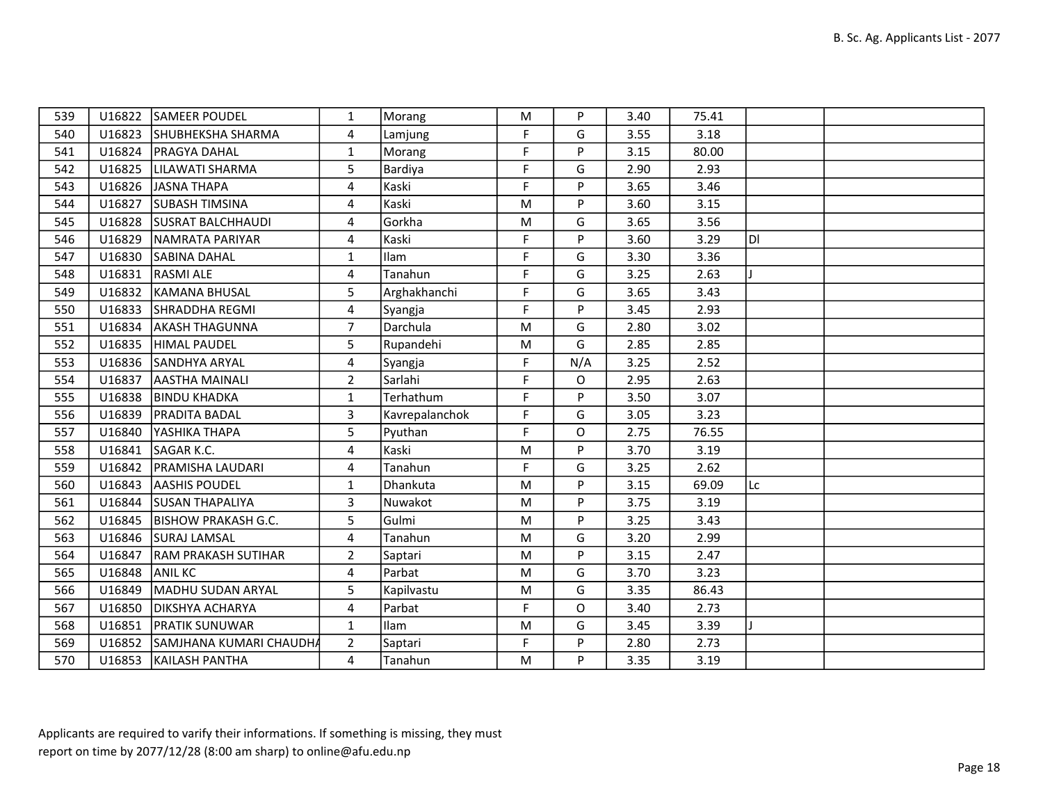| 539 |        | U16822 SAMEER POUDEL           | 1              | Morang         | M         | P   | 3.40 | 75.41 |     |  |
|-----|--------|--------------------------------|----------------|----------------|-----------|-----|------|-------|-----|--|
| 540 |        | U16823 SHUBHEKSHA SHARMA       | 4              | Lamjung        | F.        | G   | 3.55 | 3.18  |     |  |
| 541 | U16824 | <b>PRAGYA DAHAL</b>            | $\mathbf{1}$   | Morang         | F         | P   | 3.15 | 80.00 |     |  |
| 542 | U16825 | LILAWATI SHARMA                | 5              | Bardiya        | F         | G   | 2.90 | 2.93  |     |  |
| 543 | U16826 | JASNA THAPA                    | 4              | Kaski          | F         | P   | 3.65 | 3.46  |     |  |
| 544 | U16827 | <b>SUBASH TIMSINA</b>          | 4              | Kaski          | M         | P   | 3.60 | 3.15  |     |  |
| 545 | U16828 | <b>SUSRAT BALCHHAUDI</b>       | 4              | Gorkha         | ${\sf M}$ | G   | 3.65 | 3.56  |     |  |
| 546 | U16829 | NAMRATA PARIYAR                | 4              | Kaski          | F.        | P   | 3.60 | 3.29  | ldl |  |
| 547 | U16830 | SABINA DAHAL                   | $\mathbf{1}$   | Ilam           | F         | G   | 3.30 | 3.36  |     |  |
| 548 | U16831 | <b>RASMI ALE</b>               | $\overline{4}$ | Tanahun        | F         | G   | 3.25 | 2.63  |     |  |
| 549 | U16832 | KAMANA BHUSAL                  | 5              | Arghakhanchi   | F         | G   | 3.65 | 3.43  |     |  |
| 550 | U16833 | <b>SHRADDHA REGMI</b>          | 4              | Syangja        | F         | P   | 3.45 | 2.93  |     |  |
| 551 | U16834 | <b>AKASH THAGUNNA</b>          | $\overline{7}$ | Darchula       | ${\sf M}$ | G   | 2.80 | 3.02  |     |  |
| 552 | U16835 | HIMAL PAUDEL                   | 5              | Rupandehi      | ${\sf M}$ | G   | 2.85 | 2.85  |     |  |
| 553 | U16836 | SANDHYA ARYAL                  | 4              | Syangja        | F         | N/A | 3.25 | 2.52  |     |  |
| 554 | U16837 | AASTHA MAINALI                 | $\overline{2}$ | Sarlahi        | F         | 0   | 2.95 | 2.63  |     |  |
| 555 | U16838 | <b>BINDU KHADKA</b>            | $\mathbf{1}$   | Terhathum      | F         | P   | 3.50 | 3.07  |     |  |
| 556 | U16839 | <b>PRADITA BADAL</b>           | 3              | Kavrepalanchok | F         | G   | 3.05 | 3.23  |     |  |
| 557 | U16840 | YASHIKA THAPA                  | 5              | Pyuthan        | F.        | 0   | 2.75 | 76.55 |     |  |
| 558 | U16841 | SAGAR K.C.                     | 4              | Kaski          | ${\sf M}$ | P   | 3.70 | 3.19  |     |  |
| 559 | U16842 | <b>PRAMISHA LAUDARI</b>        | 4              | Tanahun        | F.        | G   | 3.25 | 2.62  |     |  |
| 560 | U16843 | <b>AASHIS POUDEL</b>           | $\mathbf{1}$   | Dhankuta       | M         | P   | 3.15 | 69.09 | Lc  |  |
| 561 | U16844 | <b>SUSAN THAPALIYA</b>         | 3              | Nuwakot        | M         | P   | 3.75 | 3.19  |     |  |
| 562 | U16845 | <b>BISHOW PRAKASH G.C.</b>     | 5              | Gulmi          | M         | P   | 3.25 | 3.43  |     |  |
| 563 |        | U16846 SURAJ LAMSAL            | $\overline{4}$ | Tanahun        | M         | G   | 3.20 | 2.99  |     |  |
| 564 | U16847 | <b>RAM PRAKASH SUTIHAR</b>     | $\overline{2}$ | Saptari        | M         | P   | 3.15 | 2.47  |     |  |
| 565 | U16848 | <b>ANIL KC</b>                 | 4              | Parbat         | ${\sf M}$ | G   | 3.70 | 3.23  |     |  |
| 566 | U16849 | MADHU SUDAN ARYAL              | 5              | Kapilvastu     | ${\sf M}$ | G   | 3.35 | 86.43 |     |  |
| 567 | U16850 | <b>DIKSHYA ACHARYA</b>         | $\overline{4}$ | Parbat         | F         | O   | 3.40 | 2.73  |     |  |
| 568 | U16851 | <b>PRATIK SUNUWAR</b>          | $\mathbf{1}$   | Ilam           | ${\sf M}$ | G   | 3.45 | 3.39  |     |  |
| 569 |        | U16852 SAMJHANA KUMARI CHAUDHA | $\overline{2}$ | Saptari        | F         | P   | 2.80 | 2.73  |     |  |
| 570 |        | U16853   KAILASH PANTHA        | 4              | Tanahun        | M         | P   | 3.35 | 3.19  |     |  |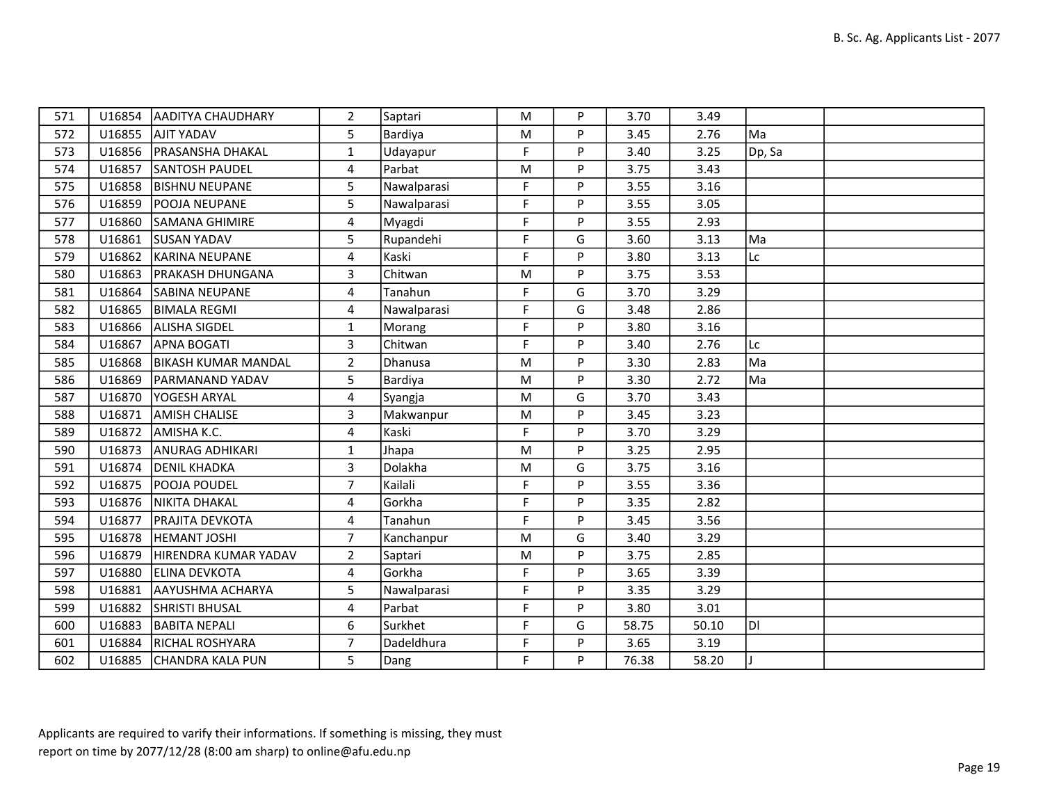| 571 |        | U16854   AADITYA CHAUDHARY | $\overline{2}$ | Saptari     | M  | P | 3.70  | 3.49  |        |  |
|-----|--------|----------------------------|----------------|-------------|----|---|-------|-------|--------|--|
| 572 | U16855 | <b>AJIT YADAV</b>          | 5              | Bardiya     | M  | P | 3.45  | 2.76  | Ma     |  |
| 573 | U16856 | <b>PRASANSHA DHAKAL</b>    | $\mathbf{1}$   | Udayapur    | F  | P | 3.40  | 3.25  | Dp, Sa |  |
| 574 | U16857 | <b>SANTOSH PAUDEL</b>      | $\overline{4}$ | Parbat      | M  | P | 3.75  | 3.43  |        |  |
| 575 | U16858 | <b>BISHNU NEUPANE</b>      | 5              | Nawalparasi | F  | P | 3.55  | 3.16  |        |  |
| 576 | U16859 | <b>POOJA NEUPANE</b>       | 5              | Nawalparasi | F  | P | 3.55  | 3.05  |        |  |
| 577 | U16860 | <b>SAMANA GHIMIRE</b>      | 4              | Myagdi      | F. | P | 3.55  | 2.93  |        |  |
| 578 | U16861 | <b>SUSAN YADAV</b>         | 5              | Rupandehi   | F  | G | 3.60  | 3.13  | Ma     |  |
| 579 | U16862 | KARINA NEUPANE             | 4              | Kaski       | F  | P | 3.80  | 3.13  | Lc     |  |
| 580 | U16863 | <b>PRAKASH DHUNGANA</b>    | 3              | Chitwan     | M  | P | 3.75  | 3.53  |        |  |
| 581 | U16864 | ISABINA NEUPANE            | 4              | Tanahun     | F. | G | 3.70  | 3.29  |        |  |
| 582 | U16865 | <b>BIMALA REGMI</b>        | 4              | Nawalparasi | F. | G | 3.48  | 2.86  |        |  |
| 583 | U16866 | <b>ALISHA SIGDEL</b>       | 1              | Morang      | F. | P | 3.80  | 3.16  |        |  |
| 584 | U16867 | <b>APNA BOGATI</b>         | 3              | Chitwan     | F  | P | 3.40  | 2.76  | Lc     |  |
| 585 | U16868 | <b>BIKASH KUMAR MANDAL</b> | $\overline{2}$ | Dhanusa     | M  | P | 3.30  | 2.83  | Ma     |  |
| 586 | U16869 | <b>PARMANAND YADAV</b>     | 5              | Bardiya     | M  | Þ | 3.30  | 2.72  | Ma     |  |
| 587 | U16870 | <b>YOGESH ARYAL</b>        | 4              | Syangja     | M  | G | 3.70  | 3.43  |        |  |
| 588 | U16871 | <b>AMISH CHALISE</b>       | 3              | Makwanpur   | M  | P | 3.45  | 3.23  |        |  |
| 589 | U16872 | AMISHA K.C.                | 4              | Kaski       | F  | P | 3.70  | 3.29  |        |  |
| 590 | U16873 | <b>ANURAG ADHIKARI</b>     | $\mathbf{1}$   | Jhapa       | M  | P | 3.25  | 2.95  |        |  |
| 591 | U16874 | <b>DENIL KHADKA</b>        | $\overline{3}$ | Dolakha     | M  | G | 3.75  | 3.16  |        |  |
| 592 | U16875 | <b>POOJA POUDEL</b>        | $\overline{7}$ | Kailali     | F  | P | 3.55  | 3.36  |        |  |
| 593 | U16876 | <b>NIKITA DHAKAL</b>       | 4              | Gorkha      | F  | P | 3.35  | 2.82  |        |  |
| 594 | U16877 | <b>PRAJITA DEVKOTA</b>     | 4              | Tanahun     | F  | P | 3.45  | 3.56  |        |  |
| 595 | U16878 | <b>HEMANT JOSHI</b>        | $\overline{7}$ | Kanchanpur  | M  | G | 3.40  | 3.29  |        |  |
| 596 | U16879 | HIRENDRA KUMAR YADAV       | $\overline{2}$ | Saptari     | M  | P | 3.75  | 2.85  |        |  |
| 597 | U16880 | <b>ELINA DEVKOTA</b>       | $\overline{4}$ | Gorkha      | F  | P | 3.65  | 3.39  |        |  |
| 598 | U16881 | AAYUSHMA ACHARYA           | 5              | Nawalparasi | F  | P | 3.35  | 3.29  |        |  |
| 599 | U16882 | <b>SHRISTI BHUSAL</b>      | $\overline{4}$ | Parbat      | F  | P | 3.80  | 3.01  |        |  |
| 600 | U16883 | <b>BABITA NEPALI</b>       | 6              | Surkhet     | F  | G | 58.75 | 50.10 | ldi    |  |
| 601 | U16884 | <b>RICHAL ROSHYARA</b>     | $\overline{7}$ | Dadeldhura  | F  | P | 3.65  | 3.19  |        |  |
| 602 | U16885 | <b>CHANDRA KALA PUN</b>    | 5              | Dang        | F  | P | 76.38 | 58.20 |        |  |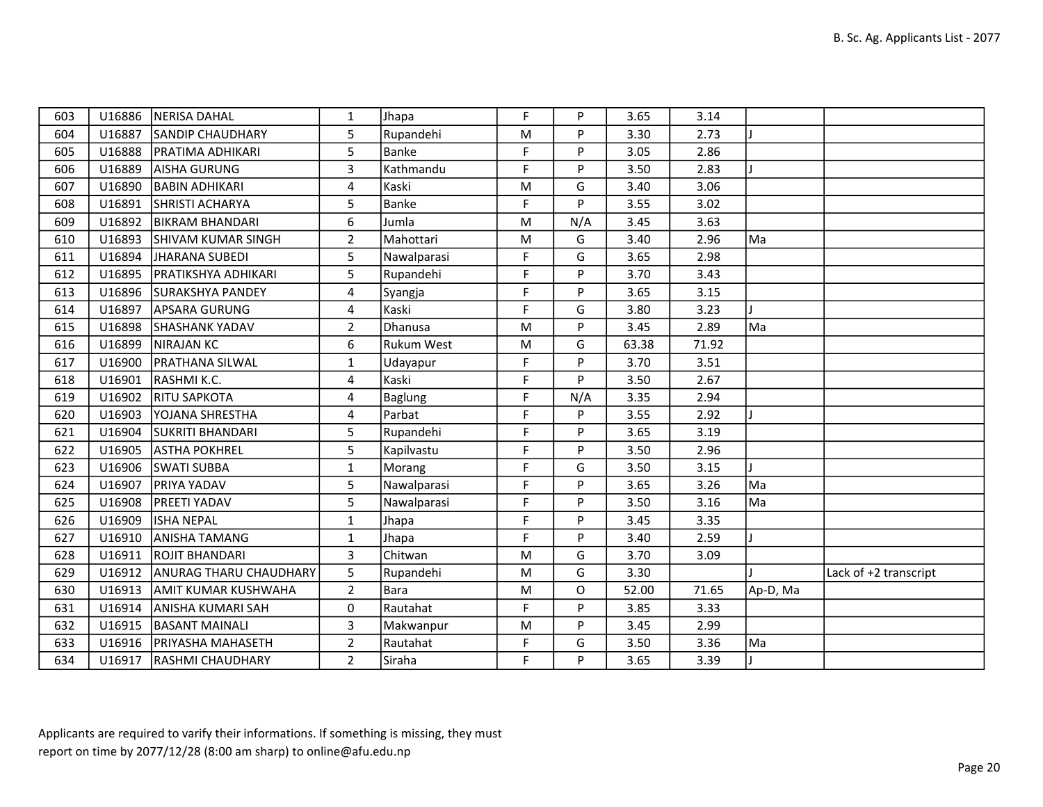| 603 | U16886 | NERISA DAHAL               | $\mathbf{1}$   | Jhapa             | F         | P   | 3.65  | 3.14  |          |                       |
|-----|--------|----------------------------|----------------|-------------------|-----------|-----|-------|-------|----------|-----------------------|
| 604 | U16887 | <b>SANDIP CHAUDHARY</b>    | 5              | Rupandehi         | M         | P   | 3.30  | 2.73  |          |                       |
| 605 | U16888 | <b>PRATIMA ADHIKARI</b>    | 5              | Banke             | F         | P   | 3.05  | 2.86  |          |                       |
| 606 | U16889 | AISHA GURUNG               | $\overline{3}$ | Kathmandu         | F         | P   | 3.50  | 2.83  |          |                       |
| 607 | U16890 | <b>BABIN ADHIKARI</b>      | 4              | Kaski             | ${\sf M}$ | G   | 3.40  | 3.06  |          |                       |
| 608 | U16891 | <b>SHRISTI ACHARYA</b>     | 5              | Banke             | F         | P   | 3.55  | 3.02  |          |                       |
| 609 | U16892 | <b>BIKRAM BHANDARI</b>     | 6              | Jumla             | ${\sf M}$ | N/A | 3.45  | 3.63  |          |                       |
| 610 | U16893 | <b>SHIVAM KUMAR SINGH</b>  | $\overline{2}$ | Mahottari         | ${\sf M}$ | G   | 3.40  | 2.96  | Ma       |                       |
| 611 | U16894 | JHARANA SUBEDI             | 5              | Nawalparasi       | F         | G   | 3.65  | 2.98  |          |                       |
| 612 | U16895 | <b>PRATIKSHYA ADHIKARI</b> | 5              | Rupandehi         | F         | P   | 3.70  | 3.43  |          |                       |
| 613 | U16896 | <b>SURAKSHYA PANDEY</b>    | 4              | Syangja           | F.        | P   | 3.65  | 3.15  |          |                       |
| 614 | U16897 | APSARA GURUNG              | 4              | Kaski             | F         | G   | 3.80  | 3.23  |          |                       |
| 615 | U16898 | <b>SHASHANK YADAV</b>      | $\overline{2}$ | Dhanusa           | M         | P   | 3.45  | 2.89  | Ma       |                       |
| 616 | U16899 | NIRAJAN KC                 | 6              | <b>Rukum West</b> | ${\sf M}$ | G   | 63.38 | 71.92 |          |                       |
| 617 | U16900 | <b>PRATHANA SILWAL</b>     | 1              | Udayapur          | F         | P   | 3.70  | 3.51  |          |                       |
| 618 | U16901 | RASHMI K.C.                | $\overline{4}$ | Kaski             | F         | P   | 3.50  | 2.67  |          |                       |
| 619 | U16902 | <b>RITU SAPKOTA</b>        | 4              | <b>Baglung</b>    | F         | N/A | 3.35  | 2.94  |          |                       |
| 620 | U16903 | <b>YOJANA SHRESTHA</b>     | 4              | Parbat            | F         | P   | 3.55  | 2.92  |          |                       |
| 621 | U16904 | <b>SUKRITI BHANDARI</b>    | 5              | Rupandehi         | F         | P   | 3.65  | 3.19  |          |                       |
| 622 | U16905 | ASTHA POKHREL              | 5              | Kapilvastu        | F         | P   | 3.50  | 2.96  |          |                       |
| 623 | U16906 | <b>SWATI SUBBA</b>         | $\mathbf{1}$   | Morang            | F         | G   | 3.50  | 3.15  |          |                       |
| 624 | U16907 | <b>PRIYA YADAV</b>         | 5              | Nawalparasi       | F         | P   | 3.65  | 3.26  | Ma       |                       |
| 625 | U16908 | <b>PREETI YADAV</b>        | 5              | Nawalparasi       | F         | P   | 3.50  | 3.16  | Ma       |                       |
| 626 | U16909 | <b>ISHA NEPAL</b>          | $\mathbf{1}$   | Jhapa             | F         | P   | 3.45  | 3.35  |          |                       |
| 627 | U16910 | <b>ANISHA TAMANG</b>       | $\mathbf{1}$   | Jhapa             | F         | P   | 3.40  | 2.59  |          |                       |
| 628 | U16911 | ROJIT BHANDARI             | 3              | Chitwan           | M         | G   | 3.70  | 3.09  |          |                       |
| 629 | U16912 | ANURAG THARU CHAUDHARY     | 5              | Rupandehi         | M         | G   | 3.30  |       |          | Lack of +2 transcript |
| 630 | U16913 | AMIT KUMAR KUSHWAHA        | $\overline{2}$ | Bara              | ${\sf M}$ | O   | 52.00 | 71.65 | Ap-D, Ma |                       |
| 631 | U16914 | ANISHA KUMARI SAH          | 0              | Rautahat          | F         | P   | 3.85  | 3.33  |          |                       |
| 632 | U16915 | <b>BASANT MAINALI</b>      | 3              | Makwanpur         | ${\sf M}$ | P   | 3.45  | 2.99  |          |                       |
| 633 | U16916 | <b>PRIYASHA MAHASETH</b>   | $\overline{2}$ | Rautahat          | F         | G   | 3.50  | 3.36  | Ma       |                       |
| 634 | U16917 | <b>RASHMI CHAUDHARY</b>    | $2^{\circ}$    | Siraha            | F         | P   | 3.65  | 3.39  |          |                       |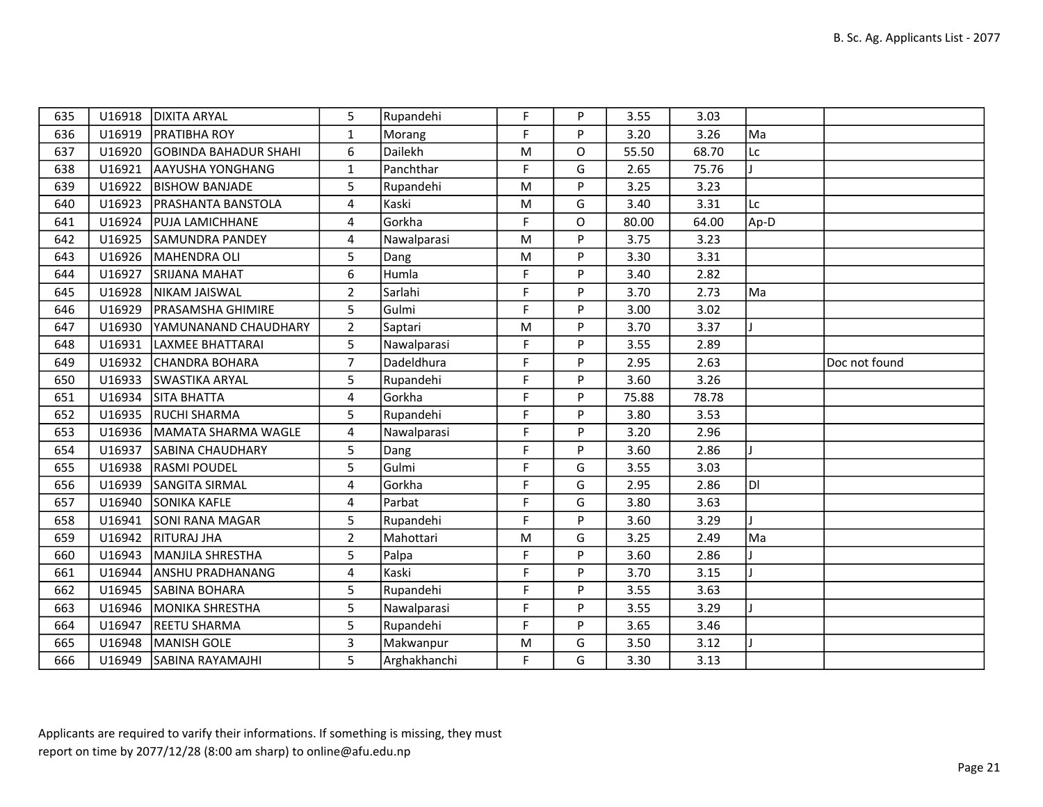| 635 | U16918 | <b>DIXITA ARYAL</b>          | 5              | Rupandehi    | F           | P | 3.55  | 3.03  |      |               |
|-----|--------|------------------------------|----------------|--------------|-------------|---|-------|-------|------|---------------|
| 636 | U16919 | <b>PRATIBHA ROY</b>          | $\mathbf{1}$   | Morang       | F           | P | 3.20  | 3.26  | Ma   |               |
| 637 | U16920 | <b>GOBINDA BAHADUR SHAHI</b> | 6              | Dailekh      | M           | 0 | 55.50 | 68.70 | Lc   |               |
| 638 | U16921 | AAYUSHA YONGHANG             | $\mathbf{1}$   | Panchthar    | F           | G | 2.65  | 75.76 |      |               |
| 639 | U16922 | <b>BISHOW BANJADE</b>        | 5              | Rupandehi    | ${\sf M}$   | P | 3.25  | 3.23  |      |               |
| 640 | U16923 | <b>PRASHANTA BANSTOLA</b>    | 4              | Kaski        | M           | G | 3.40  | 3.31  | Lc   |               |
| 641 | U16924 | <b>PUJA LAMICHHANE</b>       | 4              | Gorkha       | F           | O | 80.00 | 64.00 | Ap-D |               |
| 642 | U16925 | <b>SAMUNDRA PANDEY</b>       | 4              | Nawalparasi  | ${\sf M}$   | P | 3.75  | 3.23  |      |               |
| 643 | U16926 | MAHENDRA OLI                 | 5              | Dang         | M           | P | 3.30  | 3.31  |      |               |
| 644 | U16927 | <b>SRIJANA MAHAT</b>         | 6              | Humla        | F           | P | 3.40  | 2.82  |      |               |
| 645 | U16928 | NIKAM JAISWAL                | $\overline{2}$ | Sarlahi      | $\mathsf F$ | P | 3.70  | 2.73  | Ma   |               |
| 646 | U16929 | <b>PRASAMSHA GHIMIRE</b>     | 5              | Gulmi        | F           | P | 3.00  | 3.02  |      |               |
| 647 | U16930 | YAMUNANAND CHAUDHARY         | $\overline{2}$ | Saptari      | M           | P | 3.70  | 3.37  |      |               |
| 648 | U16931 | LAXMEE BHATTARAI             | 5              | Nawalparasi  | F           | P | 3.55  | 2.89  |      |               |
| 649 | U16932 | <b>CHANDRA BOHARA</b>        | $\overline{7}$ | Dadeldhura   | F           | P | 2.95  | 2.63  |      | Doc not found |
| 650 | U16933 | <b>SWASTIKA ARYAL</b>        | 5              | Rupandehi    | F           | P | 3.60  | 3.26  |      |               |
| 651 | U16934 | <b>SITA BHATTA</b>           | 4              | Gorkha       | F           | P | 75.88 | 78.78 |      |               |
| 652 | U16935 | <b>RUCHI SHARMA</b>          | 5              | Rupandehi    | F           | P | 3.80  | 3.53  |      |               |
| 653 | U16936 | MAMATA SHARMA WAGLE          | 4              | Nawalparasi  | F           | P | 3.20  | 2.96  |      |               |
| 654 | U16937 | <b>SABINA CHAUDHARY</b>      | 5              | Dang         | F           | P | 3.60  | 2.86  |      |               |
| 655 | U16938 | <b>RASMI POUDEL</b>          | 5              | Gulmi        | $\mathsf F$ | G | 3.55  | 3.03  |      |               |
| 656 | U16939 | <b>SANGITA SIRMAL</b>        | 4              | Gorkha       | F           | G | 2.95  | 2.86  | DI.  |               |
| 657 | U16940 | <b>SONIKA KAFLE</b>          | 4              | Parbat       | $\mathsf F$ | G | 3.80  | 3.63  |      |               |
| 658 | U16941 | <b>SONI RANA MAGAR</b>       | 5              | Rupandehi    | $\mathsf F$ | P | 3.60  | 3.29  |      |               |
| 659 | U16942 | <b>RITURAJ JHA</b>           | $\overline{2}$ | Mahottari    | M           | G | 3.25  | 2.49  | Ma   |               |
| 660 | U16943 | MANJILA SHRESTHA             | 5              | Palpa        | F           | P | 3.60  | 2.86  |      |               |
| 661 | U16944 | <b>ANSHU PRADHANANG</b>      | 4              | Kaski        | F           | P | 3.70  | 3.15  |      |               |
| 662 | U16945 | <b>SABINA BOHARA</b>         | 5              | Rupandehi    | F           | P | 3.55  | 3.63  |      |               |
| 663 | U16946 | MONIKA SHRESTHA              | 5              | Nawalparasi  | F           | P | 3.55  | 3.29  |      |               |
| 664 | U16947 | <b>REETU SHARMA</b>          | 5              | Rupandehi    | $\mathsf F$ | P | 3.65  | 3.46  |      |               |
| 665 | U16948 | MANISH GOLE                  | $\overline{3}$ | Makwanpur    | M           | G | 3.50  | 3.12  |      |               |
| 666 | U16949 | <b>SABINA RAYAMAJHI</b>      | 5              | Arghakhanchi | F           | G | 3.30  | 3.13  |      |               |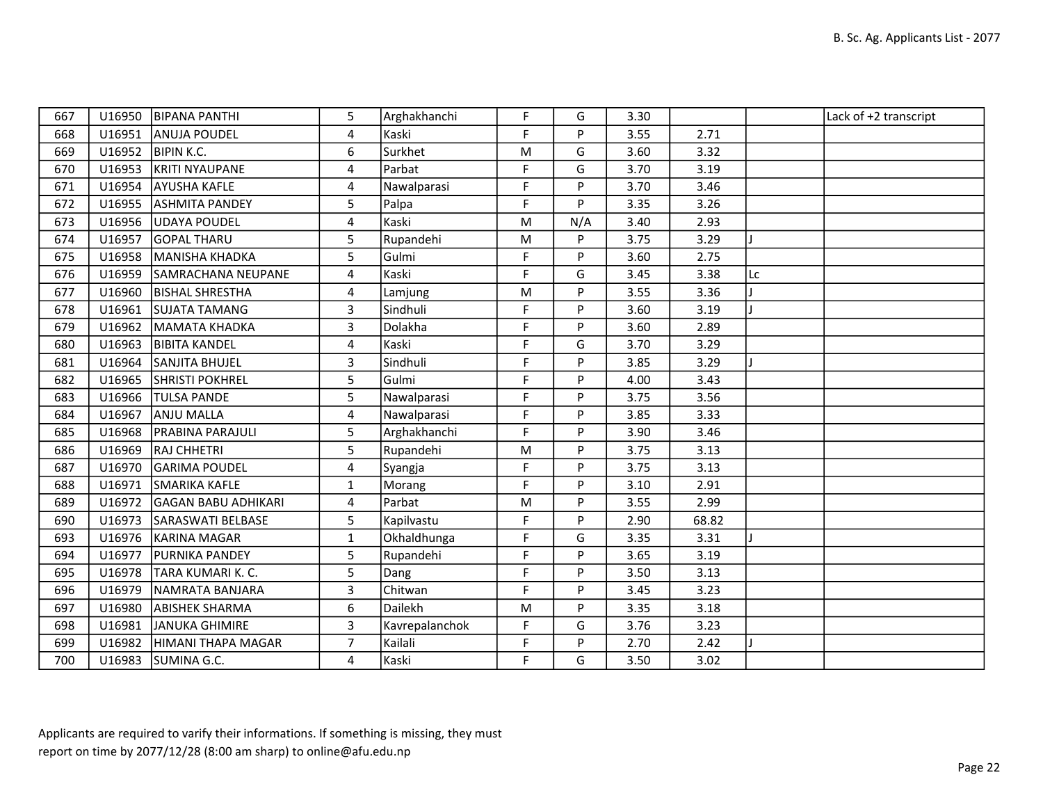| 667 | U16950 | <b>BIPANA PANTHI</b>       | 5              | Arghakhanchi   | F.        | G   | 3.30 |       |    | Lack of +2 transcript |
|-----|--------|----------------------------|----------------|----------------|-----------|-----|------|-------|----|-----------------------|
| 668 | U16951 | ANUJA POUDEL               | 4              | Kaski          | F.        | P   | 3.55 | 2.71  |    |                       |
| 669 |        | U16952  BIPIN K.C.         | 6              | Surkhet        | M         | G   | 3.60 | 3.32  |    |                       |
| 670 | U16953 | KRITI NYAUPANE             | $\overline{4}$ | Parbat         | F         | G   | 3.70 | 3.19  |    |                       |
| 671 | U16954 | <b>AYUSHA KAFLE</b>        | 4              | Nawalparasi    | F         | P   | 3.70 | 3.46  |    |                       |
| 672 | U16955 | <b>ASHMITA PANDEY</b>      | 5              | Palpa          | F         | P   | 3.35 | 3.26  |    |                       |
| 673 |        | U16956 UDAYA POUDEL        | 4              | Kaski          | ${\sf M}$ | N/A | 3.40 | 2.93  |    |                       |
| 674 | U16957 | <b>GOPAL THARU</b>         | 5              | Rupandehi      | ${\sf M}$ | P   | 3.75 | 3.29  |    |                       |
| 675 | U16958 | MANISHA KHADKA             | 5              | Gulmi          | F         | P   | 3.60 | 2.75  |    |                       |
| 676 | U16959 | SAMRACHANA NEUPANE         | $\overline{4}$ | Kaski          | F         | G   | 3.45 | 3.38  | Lc |                       |
| 677 | U16960 | <b>BISHAL SHRESTHA</b>     | 4              | Lamjung        | ${\sf M}$ | P   | 3.55 | 3.36  |    |                       |
| 678 | U16961 | SUJATA TAMANG              | 3              | Sindhuli       | F         | P   | 3.60 | 3.19  |    |                       |
| 679 | U16962 | MAMATA KHADKA              | $\overline{3}$ | Dolakha        | F         | P   | 3.60 | 2.89  |    |                       |
| 680 | U16963 | <b>BIBITA KANDEL</b>       | 4              | Kaski          | F         | G   | 3.70 | 3.29  |    |                       |
| 681 | U16964 | SANJITA BHUJEL             | 3              | Sindhuli       | F         | P   | 3.85 | 3.29  |    |                       |
| 682 | U16965 | <b>SHRISTI POKHREL</b>     | 5              | Gulmi          | F         | P   | 4.00 | 3.43  |    |                       |
| 683 | U16966 | <b>TULSA PANDE</b>         | 5              | Nawalparasi    | F.        | P   | 3.75 | 3.56  |    |                       |
| 684 | U16967 | <b>ANJU MALLA</b>          | 4              | Nawalparasi    | F         | P   | 3.85 | 3.33  |    |                       |
| 685 | U16968 | <b>PRABINA PARAJULI</b>    | 5              | Arghakhanchi   | F         | P   | 3.90 | 3.46  |    |                       |
| 686 | U16969 | RAJ CHHETRI                | 5              | Rupandehi      | ${\sf M}$ | P   | 3.75 | 3.13  |    |                       |
| 687 | U16970 | <b>GARIMA POUDEL</b>       | 4              | Syangja        | F         | P   | 3.75 | 3.13  |    |                       |
| 688 | U16971 | <b>SMARIKA KAFLE</b>       | $\mathbf{1}$   | Morang         | F         | P   | 3.10 | 2.91  |    |                       |
| 689 | U16972 | <b>GAGAN BABU ADHIKARI</b> | 4              | Parbat         | ${\sf M}$ | P   | 3.55 | 2.99  |    |                       |
| 690 | U16973 | SARASWATI BELBASE          | 5              | Kapilvastu     | F         | P   | 2.90 | 68.82 |    |                       |
| 693 |        | U16976 KARINA MAGAR        | $\mathbf{1}$   | Okhaldhunga    | F         | G   | 3.35 | 3.31  |    |                       |
| 694 | U16977 | <b>PURNIKA PANDEY</b>      | 5              | Rupandehi      | F         | P   | 3.65 | 3.19  |    |                       |
| 695 | U16978 | TARA KUMARI K. C.          | 5              | Dang           | F         | P   | 3.50 | 3.13  |    |                       |
| 696 | U16979 | NAMRATA BANJARA            | $\overline{3}$ | Chitwan        | F         | P   | 3.45 | 3.23  |    |                       |
| 697 | U16980 | <b>ABISHEK SHARMA</b>      | 6              | Dailekh        | ${\sf M}$ | P   | 3.35 | 3.18  |    |                       |
| 698 | U16981 | JANUKA GHIMIRE             | 3              | Kavrepalanchok | F         | G   | 3.76 | 3.23  |    |                       |
| 699 | U16982 | HIMANI THAPA MAGAR         | $\overline{7}$ | Kailali        | F         | P   | 2.70 | 2.42  |    |                       |
| 700 |        | U16983 SUMINA G.C.         | 4              | Kaski          | F.        | G   | 3.50 | 3.02  |    |                       |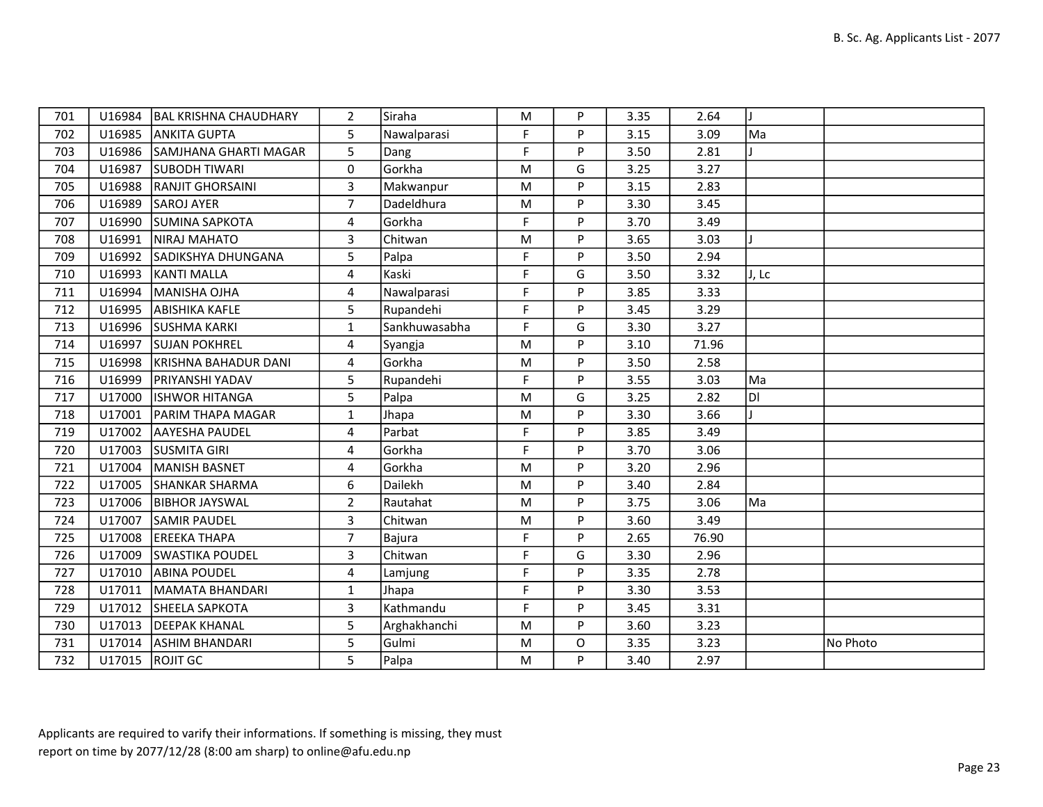| 701 |        | U16984   BAL KRISHNA CHAUDHARY | $\overline{2}$ | Siraha        | M  | P | 3.35 | 2.64  | J     |          |
|-----|--------|--------------------------------|----------------|---------------|----|---|------|-------|-------|----------|
| 702 | U16985 | <b>JANKITA GUPTA</b>           | 5              | Nawalparasi   | F. | P | 3.15 | 3.09  | Ma    |          |
| 703 | U16986 | SAMJHANA GHARTI MAGAR          | 5              | Dang          | F  | P | 3.50 | 2.81  |       |          |
| 704 | U16987 | <b>SUBODH TIWARI</b>           | 0              | Gorkha        | M  | G | 3.25 | 3.27  |       |          |
| 705 | U16988 | <b>RANJIT GHORSAINI</b>        | 3              | Makwanpur     | M  | P | 3.15 | 2.83  |       |          |
| 706 | U16989 | <b>SAROJ AYER</b>              | $\overline{7}$ | Dadeldhura    | M  | P | 3.30 | 3.45  |       |          |
| 707 | U16990 | <b>SUMINA SAPKOTA</b>          | 4              | Gorkha        | F. | P | 3.70 | 3.49  |       |          |
| 708 | U16991 | <b>INIRAJ MAHATO</b>           | 3              | Chitwan       | M  | P | 3.65 | 3.03  |       |          |
| 709 | U16992 | SADIKSHYA DHUNGANA             | 5              | Palpa         | F  | P | 3.50 | 2.94  |       |          |
| 710 | U16993 | KANTI MALLA                    | 4              | Kaski         | F. | G | 3.50 | 3.32  | J, Lc |          |
| 711 | U16994 | MANISHA OJHA                   | 4              | Nawalparasi   | F  | P | 3.85 | 3.33  |       |          |
| 712 | U16995 | <b>ABISHIKA KAFLE</b>          | 5              | Rupandehi     | F  | P | 3.45 | 3.29  |       |          |
| 713 | U16996 | SUSHMA KARKI                   | $\mathbf{1}$   | Sankhuwasabha | F  | G | 3.30 | 3.27  |       |          |
| 714 | U16997 | <b>SUJAN POKHREL</b>           | 4              | Syangja       | M  | P | 3.10 | 71.96 |       |          |
| 715 | U16998 | KRISHNA BAHADUR DANI           | 4              | Gorkha        | M  | P | 3.50 | 2.58  |       |          |
| 716 | U16999 | <b>PRIYANSHI YADAV</b>         | 5              | Rupandehi     | F. | P | 3.55 | 3.03  | Ma    |          |
| 717 | U17000 | <b>IISHWOR HITANGA</b>         | 5              | Palpa         | M  | G | 3.25 | 2.82  | ÌЫ    |          |
| 718 | U17001 | <b>PARIM THAPA MAGAR</b>       | $\mathbf{1}$   | Jhapa         | M  | P | 3.30 | 3.66  |       |          |
| 719 | U17002 | <b>AAYESHA PAUDEL</b>          | 4              | Parbat        | F. | P | 3.85 | 3.49  |       |          |
| 720 | U17003 | <b>SUSMITA GIRI</b>            | 4              | Gorkha        | F  | P | 3.70 | 3.06  |       |          |
| 721 | U17004 | MANISH BASNET                  | 4              | Gorkha        | M  | P | 3.20 | 2.96  |       |          |
| 722 | U17005 | <b>SHANKAR SHARMA</b>          | 6              | Dailekh       | M  | P | 3.40 | 2.84  |       |          |
| 723 | U17006 | <b>BIBHOR JAYSWAL</b>          | $2^{\circ}$    | Rautahat      | M  | P | 3.75 | 3.06  | Ma    |          |
| 724 | U17007 | <b>SAMIR PAUDEL</b>            | $\overline{3}$ | Chitwan       | M  | P | 3.60 | 3.49  |       |          |
| 725 | U17008 | <b>EREEKA THAPA</b>            | $\overline{7}$ | Bajura        | F  | P | 2.65 | 76.90 |       |          |
| 726 | U17009 | <b>ISWASTIKA POUDEL</b>        | 3              | Chitwan       | F  | G | 3.30 | 2.96  |       |          |
| 727 | U17010 | <b>ABINA POUDEL</b>            | 4              | Lamjung       | F  | P | 3.35 | 2.78  |       |          |
| 728 | U17011 | İMAMATA BHANDARI               | $\mathbf{1}$   | Jhapa         | F  | P | 3.30 | 3.53  |       |          |
| 729 | U17012 | <b>SHEELA SAPKOTA</b>          | 3              | Kathmandu     | F  | P | 3.45 | 3.31  |       |          |
| 730 | U17013 | <b>DEEPAK KHANAL</b>           | 5              | Arghakhanchi  | M  | P | 3.60 | 3.23  |       |          |
| 731 | U17014 | <b>ASHIM BHANDARI</b>          | 5              | Gulmi         | M  | O | 3.35 | 3.23  |       | No Photo |
| 732 |        | U17015 ROJIT GC                | 5              | Palpa         | M  | P | 3.40 | 2.97  |       |          |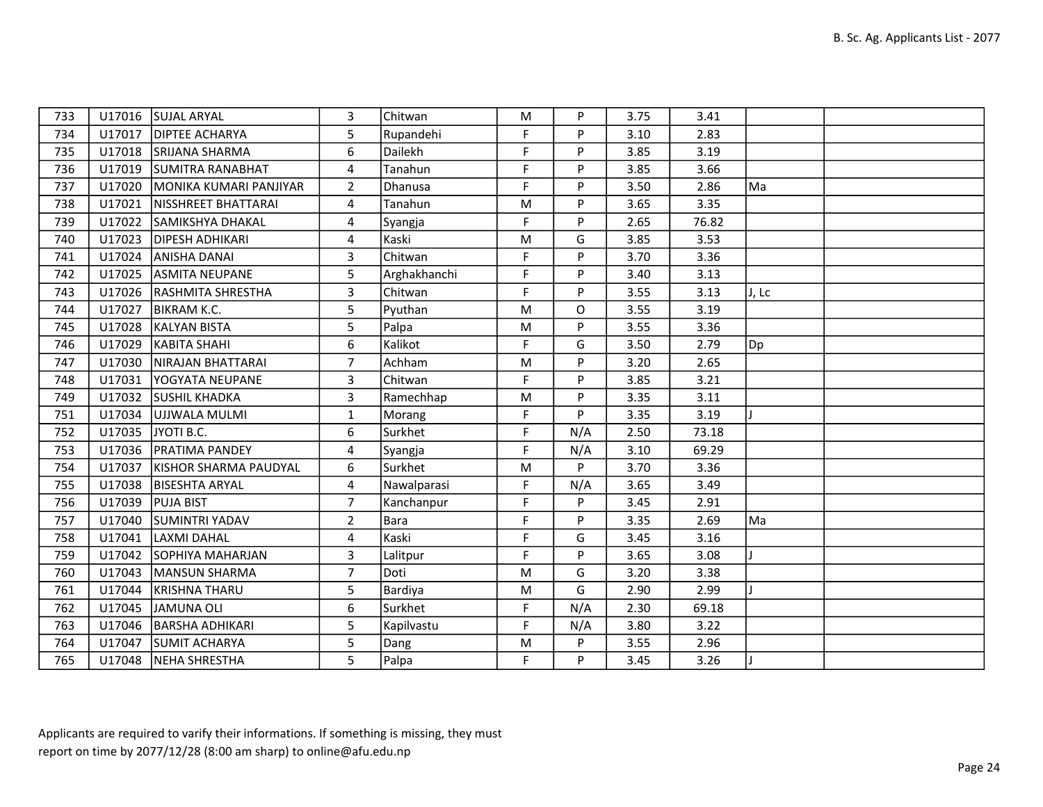| 733 |        | U17016 SUJAL ARYAL      | 3              | Chitwan      | M  | P   | 3.75 | 3.41  |       |  |
|-----|--------|-------------------------|----------------|--------------|----|-----|------|-------|-------|--|
| 734 | U17017 | <b>DIPTEE ACHARYA</b>   | 5              | Rupandehi    | F. | P   | 3.10 | 2.83  |       |  |
| 735 |        | U17018 SRIJANA SHARMA   | 6              | Dailekh      | F  | P   | 3.85 | 3.19  |       |  |
| 736 | U17019 | SUMITRA RANABHAT        | 4              | Tanahun      | F  | P   | 3.85 | 3.66  |       |  |
| 737 | U17020 | MONIKA KUMARI PANJIYAR  | $\overline{2}$ | Dhanusa      | F  | P   | 3.50 | 2.86  | Ma    |  |
| 738 | U17021 | NISSHREET BHATTARAI     | 4              | Tanahun      | M  | P   | 3.65 | 3.35  |       |  |
| 739 | U17022 | SAMIKSHYA DHAKAL        | 4              | Syangja      | F  | P   | 2.65 | 76.82 |       |  |
| 740 | U17023 | <b>DIPESH ADHIKARI</b>  | 4              | Kaski        | M  | G   | 3.85 | 3.53  |       |  |
| 741 | U17024 | <b>ANISHA DANAI</b>     | 3              | Chitwan      | F  | P   | 3.70 | 3.36  |       |  |
| 742 | U17025 | <b>ASMITA NEUPANE</b>   | 5              | Arghakhanchi | F  | P   | 3.40 | 3.13  |       |  |
| 743 | U17026 | RASHMITA SHRESTHA       | 3              | Chitwan      | F  | P   | 3.55 | 3.13  | J, Lc |  |
| 744 | U17027 | BIKRAM K.C.             | 5              | Pyuthan      | M  | O   | 3.55 | 3.19  |       |  |
| 745 | U17028 | KALYAN BISTA            | 5              | Palpa        | M  | P   | 3.55 | 3.36  |       |  |
| 746 | U17029 | KABITA SHAHI            | 6              | Kalikot      | F  | G   | 3.50 | 2.79  | Dp    |  |
| 747 | U17030 | NIRAJAN BHATTARAI       | $\overline{7}$ | Achham       | M  | P   | 3.20 | 2.65  |       |  |
| 748 | U17031 | <b>YOGYATA NEUPANE</b>  | $\overline{3}$ | Chitwan      | F. | P   | 3.85 | 3.21  |       |  |
| 749 | U17032 | <b>SUSHIL KHADKA</b>    | 3              | Ramechhap    | M  | P   | 3.35 | 3.11  |       |  |
| 751 | U17034 | UJJWALA MULMI           | $\mathbf{1}$   | Morang       | F  | P   | 3.35 | 3.19  |       |  |
| 752 |        | U17035 JYOTI B.C.       | 6              | Surkhet      | F  | N/A | 2.50 | 73.18 |       |  |
| 753 |        | U17036   PRATIMA PANDEY | 4              | Syangja      | F  | N/A | 3.10 | 69.29 |       |  |
| 754 | U17037 | KISHOR SHARMA PAUDYAL   | 6              | Surkhet      | M  | P   | 3.70 | 3.36  |       |  |
| 755 | U17038 | <b>BISESHTA ARYAL</b>   | 4              | Nawalparasi  | F  | N/A | 3.65 | 3.49  |       |  |
| 756 | U17039 | <b>PUJA BIST</b>        | $\overline{7}$ | Kanchanpur   | F  | P   | 3.45 | 2.91  |       |  |
| 757 | U17040 | <b>SUMINTRI YADAV</b>   | $\overline{2}$ | Bara         | F  | P   | 3.35 | 2.69  | Ma    |  |
| 758 | U17041 | LAXMI DAHAL             | 4              | Kaski        | F  | G   | 3.45 | 3.16  |       |  |
| 759 | U17042 | SOPHIYA MAHARJAN        | 3              | Lalitpur     | F  | P   | 3.65 | 3.08  |       |  |
| 760 | U17043 | MANSUN SHARMA           | $\overline{7}$ | Doti         | M  | G   | 3.20 | 3.38  |       |  |
| 761 | U17044 | KRISHNA THARU           | 5              | Bardiya      | M  | G   | 2.90 | 2.99  |       |  |
| 762 | U17045 | JAMUNA OLI              | 6              | Surkhet      | F  | N/A | 2.30 | 69.18 |       |  |
| 763 | U17046 | <b>BARSHA ADHIKARI</b>  | 5              | Kapilvastu   | F  | N/A | 3.80 | 3.22  |       |  |
| 764 | U17047 | SUMIT ACHARYA           | 5              | Dang         | M  | P   | 3.55 | 2.96  |       |  |
| 765 |        | U17048 NEHA SHRESTHA    | 5              | Palpa        | F. | P   | 3.45 | 3.26  |       |  |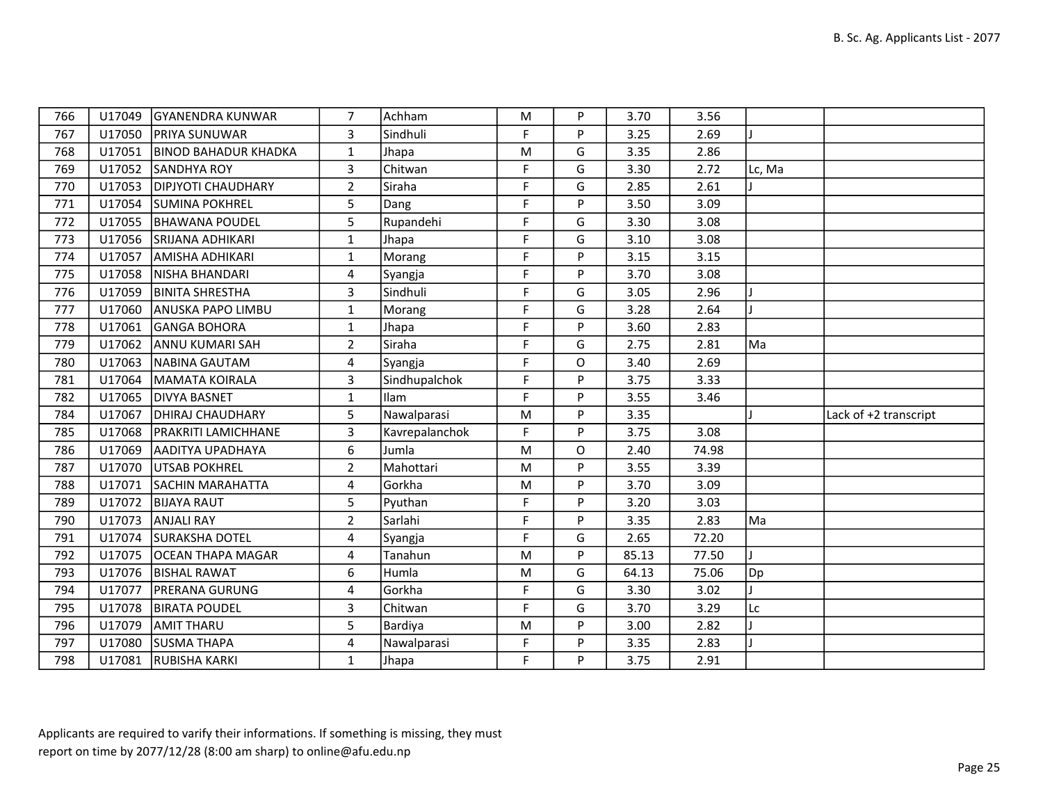| 766 | U17049 | <b>GYANENDRA KUNWAR</b>     | 7                       | Achham         | M         | P        | 3.70  | 3.56  |        |                       |
|-----|--------|-----------------------------|-------------------------|----------------|-----------|----------|-------|-------|--------|-----------------------|
| 767 | U17050 | <b>PRIYA SUNUWAR</b>        | $\overline{3}$          | Sindhuli       | F.        | P        | 3.25  | 2.69  |        |                       |
| 768 | U17051 | <b>BINOD BAHADUR KHADKA</b> | $\mathbf{1}$            | Jhapa          | M         | G        | 3.35  | 2.86  |        |                       |
| 769 | U17052 | <b>SANDHYA ROY</b>          | 3                       | Chitwan        | F         | G        | 3.30  | 2.72  | Lc, Ma |                       |
| 770 | U17053 | <b>DIPJYOTI CHAUDHARY</b>   | $\overline{2}$          | Siraha         | F         | G        | 2.85  | 2.61  |        |                       |
| 771 | U17054 | <b>SUMINA POKHREL</b>       | 5                       | Dang           | F         | P        | 3.50  | 3.09  |        |                       |
| 772 | U17055 | BHAWANA POUDEL              | 5 <sub>1</sub>          | Rupandehi      | F         | G        | 3.30  | 3.08  |        |                       |
| 773 |        | U17056 SRIJANA ADHIKARI     | $\mathbf{1}$            | Jhapa          | F         | G        | 3.10  | 3.08  |        |                       |
| 774 | U17057 | <b>AMISHA ADHIKARI</b>      | $\mathbf{1}$            | Morang         | F         | P        | 3.15  | 3.15  |        |                       |
| 775 | U17058 | NISHA BHANDARI              | $\overline{4}$          | Syangja        | F         | P        | 3.70  | 3.08  |        |                       |
| 776 | U17059 | <b>BINITA SHRESTHA</b>      | 3                       | Sindhuli       | F         | G        | 3.05  | 2.96  |        |                       |
| 777 | U17060 | <b>ANUSKA PAPO LIMBU</b>    | $\mathbf{1}$            | Morang         | F         | G        | 3.28  | 2.64  |        |                       |
| 778 | U17061 | GANGA BOHORA                | $\mathbf{1}$            | Jhapa          | F.        | P        | 3.60  | 2.83  |        |                       |
| 779 | U17062 | <b>ANNU KUMARI SAH</b>      | $2^{\circ}$             | Siraha         | F         | G        | 2.75  | 2.81  | Ma     |                       |
| 780 | U17063 | NABINA GAUTAM               | 4                       | Syangja        | F         | O        | 3.40  | 2.69  |        |                       |
| 781 | U17064 | MAMATA KOIRALA              | 3                       | Sindhupalchok  | F         | P        | 3.75  | 3.33  |        |                       |
| 782 | U17065 | <b>DIVYA BASNET</b>         | $\mathbf{1}$            | Ilam           | F         | P        | 3.55  | 3.46  |        |                       |
| 784 | U17067 | <b>DHIRAJ CHAUDHARY</b>     | 5                       | Nawalparasi    | ${\sf M}$ | P        | 3.35  |       |        | Lack of +2 transcript |
| 785 | U17068 | <b>PRAKRITI LAMICHHANE</b>  | $\overline{\mathbf{3}}$ | Kavrepalanchok | F.        | P        | 3.75  | 3.08  |        |                       |
| 786 | U17069 | <b>AADITYA UPADHAYA</b>     | 6                       | Jumla          | ${\sf M}$ | $\Omega$ | 2.40  | 74.98 |        |                       |
| 787 | U17070 | <b>UTSAB POKHREL</b>        | $\overline{2}$          | Mahottari      | M         | P        | 3.55  | 3.39  |        |                       |
| 788 | U17071 | <b>SACHIN MARAHATTA</b>     | 4                       | Gorkha         | M         | P        | 3.70  | 3.09  |        |                       |
| 789 | U17072 | <b>BIJAYA RAUT</b>          | 5                       | Pyuthan        | F         | P        | 3.20  | 3.03  |        |                       |
| 790 | U17073 | <b>ANJALI RAY</b>           | $2^{\circ}$             | Sarlahi        | F.        | P        | 3.35  | 2.83  | Ma     |                       |
| 791 | U17074 | <b>SURAKSHA DOTEL</b>       | $\overline{4}$          | Syangja        | F         | G        | 2.65  | 72.20 |        |                       |
| 792 | U17075 | <b>OCEAN THAPA MAGAR</b>    | 4                       | Tanahun        | ${\sf M}$ | P        | 85.13 | 77.50 |        |                       |
| 793 | U17076 | <b>BISHAL RAWAT</b>         | 6                       | Humla          | ${\sf M}$ | G        | 64.13 | 75.06 | Dp]    |                       |
| 794 | U17077 | <b>PRERANA GURUNG</b>       | 4                       | Gorkha         | F         | G        | 3.30  | 3.02  |        |                       |
| 795 | U17078 | <b>IBIRATA POUDEL</b>       | 3                       | Chitwan        | F         | G        | 3.70  | 3.29  | Lc     |                       |
| 796 | U17079 | <b>AMIT THARU</b>           | 5                       | Bardiya        | ${\sf M}$ | P        | 3.00  | 2.82  |        |                       |
| 797 | U17080 | <b>SUSMA THAPA</b>          | $\overline{4}$          | Nawalparasi    | F         | P        | 3.35  | 2.83  |        |                       |
| 798 | U17081 | <b>RUBISHA KARKI</b>        | $\mathbf{1}$            | Jhapa          | F         | P        | 3.75  | 2.91  |        |                       |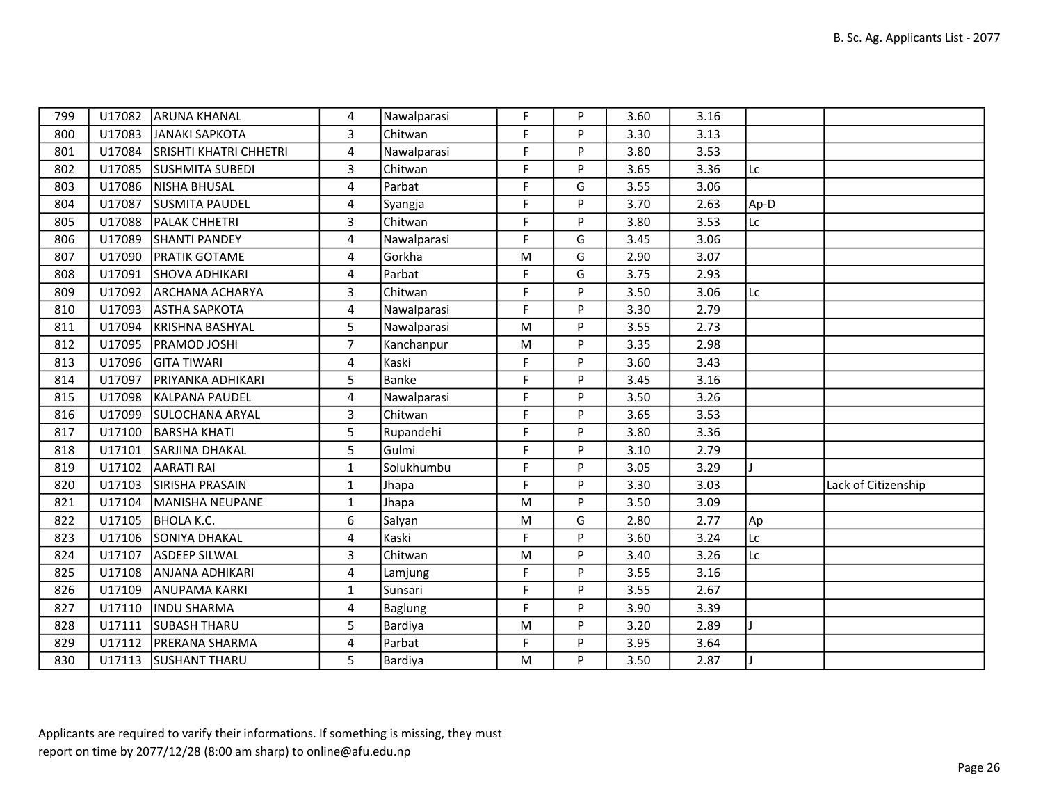| 799 | U17082 | <b>JARUNA KHANAL</b>          | 4              | Nawalparasi    | F  | P | 3.60 | 3.16 |      |                     |
|-----|--------|-------------------------------|----------------|----------------|----|---|------|------|------|---------------------|
| 800 | U17083 | JANAKI SAPKOTA                | 3              | Chitwan        | F  | P | 3.30 | 3.13 |      |                     |
| 801 | U17084 | <b>SRISHTI KHATRI CHHETRI</b> | 4              | Nawalparasi    | F  | P | 3.80 | 3.53 |      |                     |
| 802 | U17085 | <b>SUSHMITA SUBEDI</b>        | $\overline{3}$ | Chitwan        | F  | P | 3.65 | 3.36 | Lc   |                     |
| 803 | U17086 | NISHA BHUSAL                  | 4              | Parbat         | F  | G | 3.55 | 3.06 |      |                     |
| 804 | U17087 | <b>SUSMITA PAUDEL</b>         | 4              | Syangja        | F  | P | 3.70 | 2.63 | Ap-D |                     |
| 805 | U17088 | <b>PALAK CHHETRI</b>          | $\overline{3}$ | Chitwan        | F. | P | 3.80 | 3.53 | Lc   |                     |
| 806 | U17089 | SHANTI PANDEY                 | 4              | Nawalparasi    | F  | G | 3.45 | 3.06 |      |                     |
| 807 | U17090 | <b>PRATIK GOTAME</b>          | 4              | Gorkha         | M  | G | 2.90 | 3.07 |      |                     |
| 808 | U17091 | SHOVA ADHIKARI                | 4              | Parbat         | F. | G | 3.75 | 2.93 |      |                     |
| 809 | U17092 | <b>ARCHANA ACHARYA</b>        | 3              | Chitwan        | F  | P | 3.50 | 3.06 | Lc   |                     |
| 810 | U17093 | <b>ASTHA SAPKOTA</b>          | 4              | Nawalparasi    | F  | P | 3.30 | 2.79 |      |                     |
| 811 | U17094 | KRISHNA BASHYAL               | 5              | Nawalparasi    | M  | P | 3.55 | 2.73 |      |                     |
| 812 | U17095 | <b>PRAMOD JOSHI</b>           | $\overline{7}$ | Kanchanpur     | M  | P | 3.35 | 2.98 |      |                     |
| 813 |        | U17096 GITA TIWARI            | 4              | Kaski          | F  | P | 3.60 | 3.43 |      |                     |
| 814 | U17097 | <b>PRIYANKA ADHIKARI</b>      | 5              | Banke          | F  | Þ | 3.45 | 3.16 |      |                     |
| 815 | U17098 | KALPANA PAUDEL                | 4              | Nawalparasi    | F  | P | 3.50 | 3.26 |      |                     |
| 816 | U17099 | <b>SULOCHANA ARYAL</b>        | $\overline{3}$ | Chitwan        | F  | P | 3.65 | 3.53 |      |                     |
| 817 | U17100 | <b>BARSHA KHATI</b>           | 5              | Rupandehi      | F  | P | 3.80 | 3.36 |      |                     |
| 818 | U17101 | <b>SARJINA DHAKAL</b>         | 5              | Gulmi          | F  | P | 3.10 | 2.79 |      |                     |
| 819 | U17102 | <b>AARATI RAI</b>             | $\mathbf{1}$   | Solukhumbu     | F  | P | 3.05 | 3.29 |      |                     |
| 820 | U17103 | SIRISHA PRASAIN               | $\mathbf{1}$   | Jhapa          | F  | P | 3.30 | 3.03 |      | Lack of Citizenship |
| 821 | U17104 | MANISHA NEUPANE               | $\mathbf{1}$   | Jhapa          | M  | P | 3.50 | 3.09 |      |                     |
| 822 | U17105 | BHOLA K.C.                    | 6              | Salyan         | M  | G | 2.80 | 2.77 | Ap   |                     |
| 823 |        | U17106 SONIYA DHAKAL          | 4              | Kaski          | F. | P | 3.60 | 3.24 | Lc   |                     |
| 824 | U17107 | <b>ASDEEP SILWAL</b>          | 3              | Chitwan        | M  | P | 3.40 | 3.26 | Lc   |                     |
| 825 | U17108 | <b>ANJANA ADHIKARI</b>        | 4              | Lamjung        | F  | P | 3.55 | 3.16 |      |                     |
| 826 | U17109 | <b>ANUPAMA KARKI</b>          | $\mathbf{1}$   | Sunsari        | F. | P | 3.55 | 2.67 |      |                     |
| 827 | U17110 | <b>INDU SHARMA</b>            | 4              | <b>Baglung</b> | F  | P | 3.90 | 3.39 |      |                     |
| 828 | U17111 | <b>SUBASH THARU</b>           | 5              | Bardiya        | M  | P | 3.20 | 2.89 |      |                     |
| 829 | U17112 | <b>PRERANA SHARMA</b>         | 4              | Parbat         | F. | P | 3.95 | 3.64 |      |                     |
| 830 |        | U17113 SUSHANT THARU          | 5              | Bardiya        | M  | P | 3.50 | 2.87 |      |                     |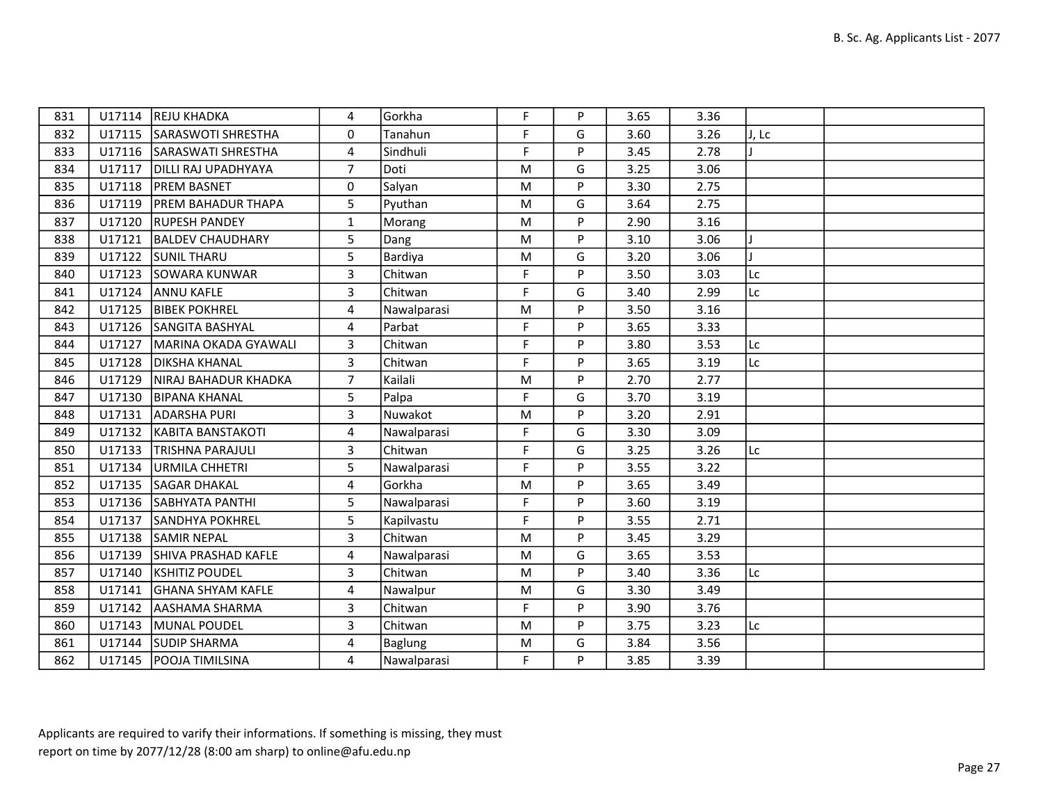| 831 |        | U17114 REJU KHADKA         | 4                       | Gorkha      | F           | P | 3.65 | 3.36 |       |  |
|-----|--------|----------------------------|-------------------------|-------------|-------------|---|------|------|-------|--|
| 832 |        | U17115 SARASWOTI SHRESTHA  | 0                       | Tanahun     | F           | G | 3.60 | 3.26 | J, Lc |  |
| 833 | U17116 | SARASWATI SHRESTHA         | 4                       | Sindhuli    | F           | P | 3.45 | 2.78 |       |  |
| 834 | U17117 | <b>DILLI RAJ UPADHYAYA</b> | $\overline{7}$          | Doti        | M           | G | 3.25 | 3.06 |       |  |
| 835 | U17118 | <b>PREM BASNET</b>         | 0                       | Salyan      | M           | P | 3.30 | 2.75 |       |  |
| 836 | U17119 | <b>PREM BAHADUR THAPA</b>  | 5                       | Pyuthan     | M           | G | 3.64 | 2.75 |       |  |
| 837 |        | U17120 RUPESH PANDEY       | $\mathbf{1}$            | Morang      | M           | P | 2.90 | 3.16 |       |  |
| 838 | U17121 | <b>BALDEV CHAUDHARY</b>    | 5                       | Dang        | M           | P | 3.10 | 3.06 |       |  |
| 839 | U17122 | <b>SUNIL THARU</b>         | 5                       | Bardiya     | M           | G | 3.20 | 3.06 |       |  |
| 840 | U17123 | SOWARA KUNWAR              | $\overline{\mathbf{3}}$ | Chitwan     | F           | P | 3.50 | 3.03 | Lc    |  |
| 841 | U17124 | <b>ANNU KAFLE</b>          | $\overline{3}$          | Chitwan     | $\mathsf F$ | G | 3.40 | 2.99 | Lc    |  |
| 842 | U17125 | <b>BIBEK POKHREL</b>       | 4                       | Nawalparasi | M           | P | 3.50 | 3.16 |       |  |
| 843 |        | U17126 SANGITA BASHYAL     | $\overline{4}$          | Parbat      | $\mathsf F$ | P | 3.65 | 3.33 |       |  |
| 844 | U17127 | MARINA OKADA GYAWALI       | 3                       | Chitwan     | F           | P | 3.80 | 3.53 | Lc    |  |
| 845 | U17128 | <b>DIKSHA KHANAL</b>       | 3                       | Chitwan     | F           | P | 3.65 | 3.19 | Lc    |  |
| 846 | U17129 | NIRAJ BAHADUR KHADKA       | $\overline{7}$          | Kailali     | M           | P | 2.70 | 2.77 |       |  |
| 847 | U17130 | <b>BIPANA KHANAL</b>       | 5                       | Palpa       | $\mathsf F$ | G | 3.70 | 3.19 |       |  |
| 848 | U17131 | <b>ADARSHA PURI</b>        | $\overline{3}$          | Nuwakot     | M           | P | 3.20 | 2.91 |       |  |
| 849 |        | U17132 KABITA BANSTAKOTI   | $\overline{4}$          | Nawalparasi | $\mathsf F$ | G | 3.30 | 3.09 |       |  |
| 850 | U17133 | <b>TRISHNA PARAJULI</b>    | 3                       | Chitwan     | F           | G | 3.25 | 3.26 | Lc    |  |
| 851 | U17134 | URMILA CHHETRI             | 5                       | Nawalparasi | F           | P | 3.55 | 3.22 |       |  |
| 852 | U17135 | <b>SAGAR DHAKAL</b>        | $\overline{4}$          | Gorkha      | M           | P | 3.65 | 3.49 |       |  |
| 853 |        | U17136 SABHYATA PANTHI     | 5                       | Nawalparasi | F           | P | 3.60 | 3.19 |       |  |
| 854 | U17137 | <b>SANDHYA POKHREL</b>     | 5                       | Kapilvastu  | F           | P | 3.55 | 2.71 |       |  |
| 855 | U17138 | <b>SAMIR NEPAL</b>         | $\overline{3}$          | Chitwan     | M           | P | 3.45 | 3.29 |       |  |
| 856 | U17139 | SHIVA PRASHAD KAFLE        | 4                       | Nawalparasi | M           | G | 3.65 | 3.53 |       |  |
| 857 | U17140 | <b>KSHITIZ POUDEL</b>      | $\overline{3}$          | Chitwan     | M           | P | 3.40 | 3.36 | Lc    |  |
| 858 | U17141 | <b>GHANA SHYAM KAFLE</b>   | 4                       | Nawalpur    | M           | G | 3.30 | 3.49 |       |  |
| 859 | U17142 | AASHAMA SHARMA             | 3                       | Chitwan     | F           | P | 3.90 | 3.76 |       |  |
| 860 | U17143 | MUNAL POUDEL               | $\overline{3}$          | Chitwan     | M           | P | 3.75 | 3.23 | Lc    |  |
| 861 | U17144 | <b>SUDIP SHARMA</b>        | 4                       | Baglung     | M           | G | 3.84 | 3.56 |       |  |
| 862 | U17145 | <b>POOJA TIMILSINA</b>     | 4                       | Nawalparasi | F           | P | 3.85 | 3.39 |       |  |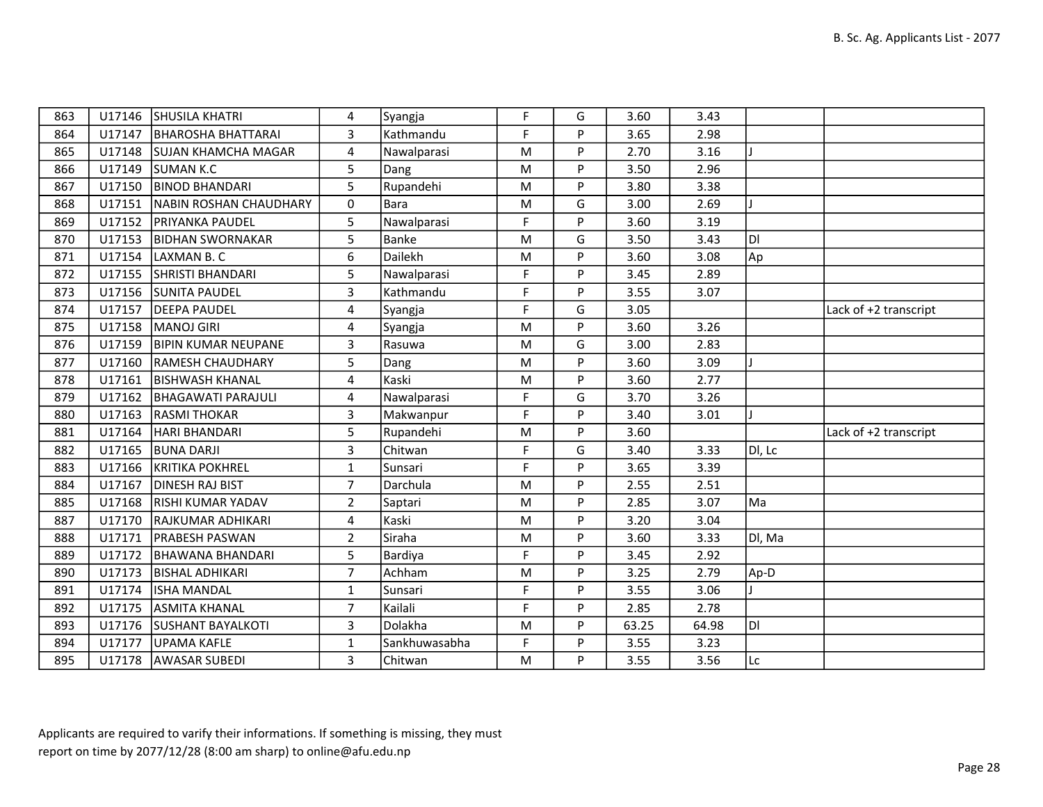| 863 |        | U17146 SHUSILA KHATRI      | 4              | Syangja       | F  | G  | 3.60  | 3.43  |        |                       |
|-----|--------|----------------------------|----------------|---------------|----|----|-------|-------|--------|-----------------------|
| 864 | U17147 | BHAROSHA BHATTARAI         | $\overline{3}$ | Kathmandu     | F  | P  | 3.65  | 2.98  |        |                       |
| 865 | U17148 | <b>SUJAN KHAMCHA MAGAR</b> | 4              | Nawalparasi   | M  | P  | 2.70  | 3.16  |        |                       |
| 866 | U17149 | SUMAN K.C                  | 5              | Dang          | M  | P  | 3.50  | 2.96  |        |                       |
| 867 | U17150 | <b>BINOD BHANDARI</b>      | 5              | Rupandehi     | M  | P  | 3.80  | 3.38  |        |                       |
| 868 | U17151 | NABIN ROSHAN CHAUDHARY     | $\Omega$       | Bara          | M  | G  | 3.00  | 2.69  |        |                       |
| 869 |        | U17152   PRIYANKA PAUDEL   | 5              | Nawalparasi   | F  | P  | 3.60  | 3.19  |        |                       |
| 870 | U17153 | <b>BIDHAN SWORNAKAR</b>    | 5              | <b>Banke</b>  | M  | G  | 3.50  | 3.43  | IDI    |                       |
| 871 | U17154 | LAXMAN B.C                 | 6              | Dailekh       | M  | P  | 3.60  | 3.08  | Ap     |                       |
| 872 | U17155 | <b>SHRISTI BHANDARI</b>    | 5              | Nawalparasi   | F  | P  | 3.45  | 2.89  |        |                       |
| 873 | U17156 | <b>SUNITA PAUDEL</b>       | 3              | Kathmandu     | F  | P  | 3.55  | 3.07  |        |                       |
| 874 | U17157 | <b>DEEPA PAUDEL</b>        | 4              | Syangja       | F  | G  | 3.05  |       |        | Lack of +2 transcript |
| 875 | U17158 | MANOJ GIRI                 | $\overline{4}$ | Syangja       | M  | P  | 3.60  | 3.26  |        |                       |
| 876 | U17159 | <b>BIPIN KUMAR NEUPANE</b> | 3              | Rasuwa        | M  | G  | 3.00  | 2.83  |        |                       |
| 877 | U17160 | <b>RAMESH CHAUDHARY</b>    | 5              | Dang          | M  | P  | 3.60  | 3.09  |        |                       |
| 878 | U17161 | <b>BISHWASH KHANAL</b>     | 4              | Kaski         | M  | P  | 3.60  | 2.77  |        |                       |
| 879 | U17162 | BHAGAWATI PARAJULI         | 4              | Nawalparasi   | F  | G  | 3.70  | 3.26  |        |                       |
| 880 | U17163 | <b>RASMITHOKAR</b>         | 3              | Makwanpur     | F  | P  | 3.40  | 3.01  |        |                       |
| 881 | U17164 | HARI BHANDARI              | 5              | Rupandehi     | M  | P  | 3.60  |       |        | Lack of +2 transcript |
| 882 | U17165 | <b>BUNA DARJI</b>          | 3              | Chitwan       | F  | G  | 3.40  | 3.33  | DI, Lc |                       |
| 883 | U17166 | KRITIKA POKHREL            | $\mathbf{1}$   | Sunsari       | F  | P. | 3.65  | 3.39  |        |                       |
| 884 | U17167 | <b>DINESH RAJ BIST</b>     | $\overline{7}$ | Darchula      | M  | P  | 2.55  | 2.51  |        |                       |
| 885 | U17168 | <b>RISHI KUMAR YADAV</b>   | $\overline{2}$ | Saptari       | M  | P  | 2.85  | 3.07  | Ma     |                       |
| 887 | U17170 | RAJKUMAR ADHIKARI          | 4              | Kaski         | M  | P  | 3.20  | 3.04  |        |                       |
| 888 | U17171 | <b>PRABESH PASWAN</b>      | $\overline{2}$ | Siraha        | M  | P  | 3.60  | 3.33  | Dl, Ma |                       |
| 889 | U17172 | BHAWANA BHANDARI           | 5              | Bardiya       | F  | P  | 3.45  | 2.92  |        |                       |
| 890 | U17173 | <b>BISHAL ADHIKARI</b>     | $\overline{7}$ | Achham        | M  | P  | 3.25  | 2.79  | Ap-D   |                       |
| 891 | U17174 | <b>ISHA MANDAL</b>         | $\mathbf{1}$   | Sunsari       | F  | P  | 3.55  | 3.06  |        |                       |
| 892 | U17175 | <b>ASMITA KHANAL</b>       | $\overline{7}$ | Kailali       | F  | P  | 2.85  | 2.78  |        |                       |
| 893 |        | U17176 SUSHANT BAYALKOTI   | $\overline{3}$ | Dolakha       | M  | P  | 63.25 | 64.98 | ldi    |                       |
| 894 | U17177 | UPAMA KAFLE                | $\mathbf{1}$   | Sankhuwasabha | F. | P  | 3.55  | 3.23  |        |                       |
| 895 |        | U17178   AWASAR SUBEDI     | 3              | Chitwan       | M  | P  | 3.55  | 3.56  | Lc     |                       |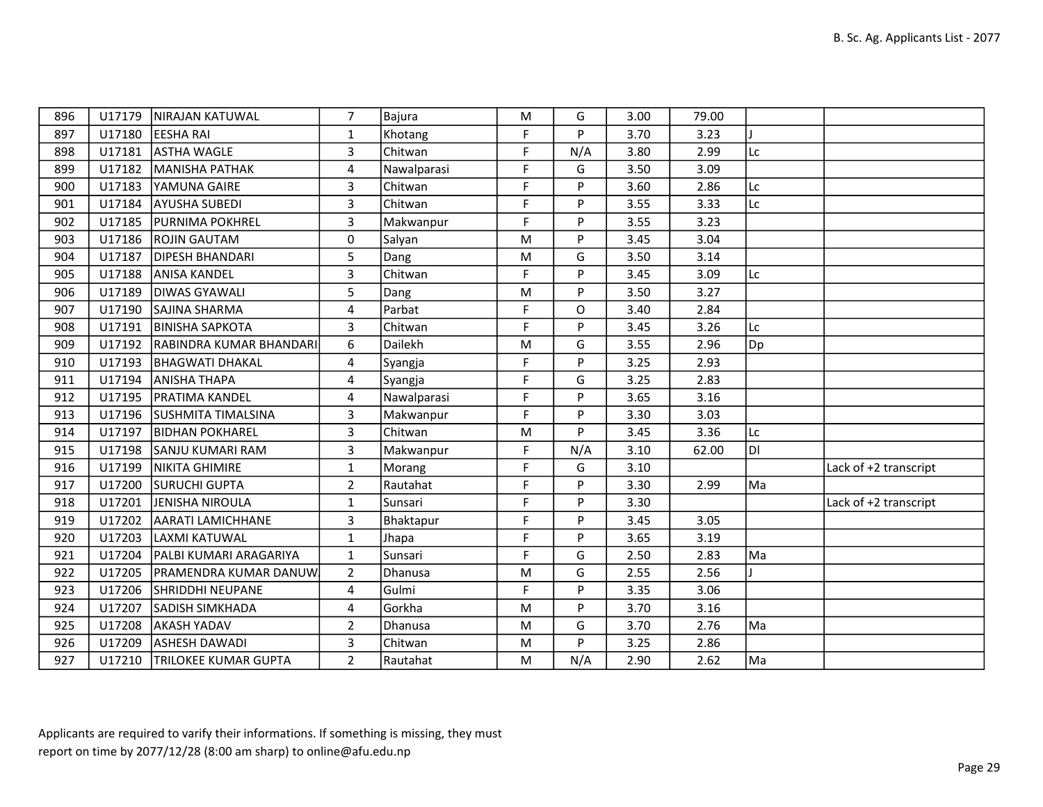| 896 | U17179 | <b>NIRAJAN KATUWAL</b>       | 7              | Bajura           | M           | G   | 3.00 | 79.00 |    |                       |
|-----|--------|------------------------------|----------------|------------------|-------------|-----|------|-------|----|-----------------------|
| 897 | U17180 | <b>EESHA RAI</b>             | $\mathbf{1}$   | Khotang          | F           | P   | 3.70 | 3.23  |    |                       |
| 898 | U17181 | <b>ASTHA WAGLE</b>           | $\overline{3}$ | Chitwan          | F           | N/A | 3.80 | 2.99  | Lc |                       |
| 899 | U17182 | MANISHA PATHAK               | 4              | Nawalparasi      | F           | G   | 3.50 | 3.09  |    |                       |
| 900 | U17183 | YAMUNA GAIRE                 | $\overline{3}$ | Chitwan          | F           | P   | 3.60 | 2.86  | Lc |                       |
| 901 | U17184 | <b>AYUSHA SUBEDI</b>         | $\overline{3}$ | Chitwan          | F           | P   | 3.55 | 3.33  | Lc |                       |
| 902 | U17185 | <b>PURNIMA POKHREL</b>       | $\overline{3}$ | Makwanpur        | $\mathsf F$ | P   | 3.55 | 3.23  |    |                       |
| 903 | U17186 | <b>ROJIN GAUTAM</b>          | 0              | Salyan           | M           | P   | 3.45 | 3.04  |    |                       |
| 904 | U17187 | <b>DIPESH BHANDARI</b>       | 5              | Dang             | M           | G   | 3.50 | 3.14  |    |                       |
| 905 | U17188 | ANISA KANDEL                 | $\overline{3}$ | Chitwan          | $\mathsf F$ | P   | 3.45 | 3.09  | Lc |                       |
| 906 | U17189 | <b>DIWAS GYAWALI</b>         | 5              | Dang             | M           | P   | 3.50 | 3.27  |    |                       |
| 907 | U17190 | <b>SAJINA SHARMA</b>         | 4              | Parbat           | F           | O   | 3.40 | 2.84  |    |                       |
| 908 | U17191 | <b>BINISHA SAPKOTA</b>       | $\overline{3}$ | Chitwan          | F           | P   | 3.45 | 3.26  | Lc |                       |
| 909 | U17192 | RABINDRA KUMAR BHANDARI      | 6              | Dailekh          | M           | G   | 3.55 | 2.96  | Dp |                       |
| 910 | U17193 | <b>BHAGWATI DHAKAL</b>       | 4              | Syangja          | F           | P   | 3.25 | 2.93  |    |                       |
| 911 | U17194 | <b>ANISHA THAPA</b>          | 4              | Syangja          | F           | G   | 3.25 | 2.83  |    |                       |
| 912 | U17195 | <b>PRATIMA KANDEL</b>        | 4              | Nawalparasi      | F           | P   | 3.65 | 3.16  |    |                       |
| 913 | U17196 | <b>SUSHMITA TIMALSINA</b>    | 3              | Makwanpur        | F           | P   | 3.30 | 3.03  |    |                       |
| 914 | U17197 | <b>BIDHAN POKHAREL</b>       | $\overline{3}$ | Chitwan          | ${\sf M}$   | P   | 3.45 | 3.36  | Lc |                       |
| 915 | U17198 | <b>SANJU KUMARI RAM</b>      | 3              | Makwanpur        | F           | N/A | 3.10 | 62.00 | DI |                       |
| 916 | U17199 | NIKITA GHIMIRE               | $\mathbf{1}$   | Morang           | F           | G   | 3.10 |       |    | Lack of +2 transcript |
| 917 | U17200 | <b>SURUCHI GUPTA</b>         | $\overline{2}$ | Rautahat         | F           | P   | 3.30 | 2.99  | Ma |                       |
| 918 | U17201 | <b>JENISHA NIROULA</b>       | $\mathbf{1}$   | Sunsari          | F           | P   | 3.30 |       |    | Lack of +2 transcript |
| 919 | U17202 | <b>AARATI LAMICHHANE</b>     | 3              | <b>Bhaktapur</b> | F           | P   | 3.45 | 3.05  |    |                       |
| 920 | U17203 | LAXMI KATUWAL                | $\mathbf{1}$   | Jhapa            | F           | P   | 3.65 | 3.19  |    |                       |
| 921 | U17204 | PALBI KUMARI ARAGARIYA       | $\mathbf{1}$   | Sunsari          | F           | G   | 2.50 | 2.83  | Ma |                       |
| 922 | U17205 | <b>PRAMENDRA KUMAR DANUW</b> | $\overline{2}$ | Dhanusa          | M           | G   | 2.55 | 2.56  |    |                       |
| 923 | U17206 | <b>SHRIDDHI NEUPANE</b>      | 4              | Gulmi            | F           | P   | 3.35 | 3.06  |    |                       |
| 924 | U17207 | <b>SADISH SIMKHADA</b>       | 4              | Gorkha           | M           | P   | 3.70 | 3.16  |    |                       |
| 925 | U17208 | <b>AKASH YADAV</b>           | $\overline{2}$ | Dhanusa          | M           | G   | 3.70 | 2.76  | Ma |                       |
| 926 | U17209 | <b>ASHESH DAWADI</b>         | $\overline{3}$ | Chitwan          | M           | P   | 3.25 | 2.86  |    |                       |
| 927 | U17210 | TRILOKEE KUMAR GUPTA         | $2^{\circ}$    | Rautahat         | ${\sf M}$   | N/A | 2.90 | 2.62  | Ma |                       |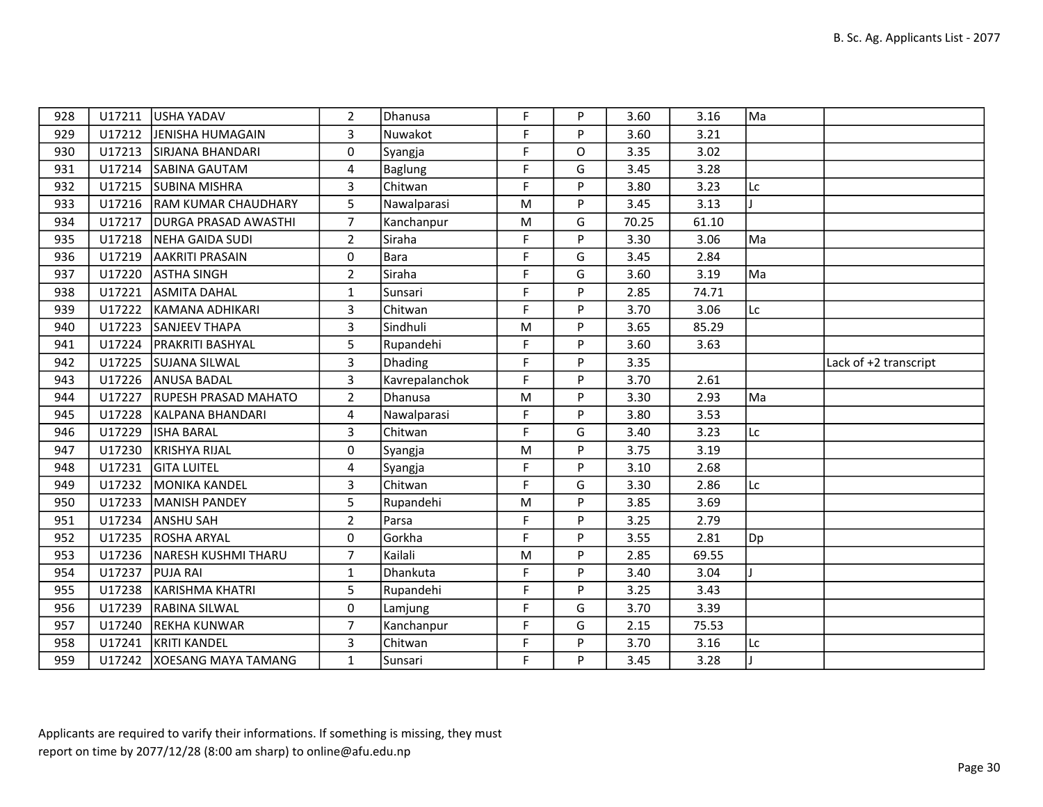| 928 | U17211 | USHA YADAV                   | $\overline{2}$ | Dhanusa        | F           | P | 3.60  | 3.16  | Ma |                       |
|-----|--------|------------------------------|----------------|----------------|-------------|---|-------|-------|----|-----------------------|
| 929 | U17212 | JENISHA HUMAGAIN             | 3              | Nuwakot        | F           | P | 3.60  | 3.21  |    |                       |
| 930 | U17213 | SIRJANA BHANDARI             | 0              | Syangja        | F           | O | 3.35  | 3.02  |    |                       |
| 931 | U17214 | SABINA GAUTAM                | 4              | Baglung        | F           | G | 3.45  | 3.28  |    |                       |
| 932 | U17215 | <b>SUBINA MISHRA</b>         | 3              | Chitwan        | F           | P | 3.80  | 3.23  | Lc |                       |
| 933 |        | U17216  RAM KUMAR CHAUDHARY  | 5              | Nawalparasi    | M           | P | 3.45  | 3.13  |    |                       |
| 934 | U17217 | <b>DURGA PRASAD AWASTHI</b>  | $\overline{7}$ | Kanchanpur     | ${\sf M}$   | G | 70.25 | 61.10 |    |                       |
| 935 | U17218 | NEHA GAIDA SUDI              | $\overline{2}$ | Siraha         | F           | P | 3.30  | 3.06  | Ma |                       |
| 936 | U17219 | <b>AAKRITI PRASAIN</b>       | 0              | Bara           | $\mathsf F$ | G | 3.45  | 2.84  |    |                       |
| 937 | U17220 | <b>ASTHA SINGH</b>           | $\overline{2}$ | Siraha         | F           | G | 3.60  | 3.19  | Ma |                       |
| 938 | U17221 | <b>ASMITA DAHAL</b>          | $\mathbf{1}$   | Sunsari        | F           | P | 2.85  | 74.71 |    |                       |
| 939 | U17222 | KAMANA ADHIKARI              | $\overline{3}$ | Chitwan        | F           | P | 3.70  | 3.06  | Lc |                       |
| 940 | U17223 | <b>SANJEEV THAPA</b>         | $\overline{3}$ | Sindhuli       | M           | P | 3.65  | 85.29 |    |                       |
| 941 | U17224 | <b>PRAKRITI BASHYAL</b>      | 5              | Rupandehi      | F           | P | 3.60  | 3.63  |    |                       |
| 942 | U17225 | <b>SUJANA SILWAL</b>         | 3              | Dhading        | F           | P | 3.35  |       |    | Lack of +2 transcript |
| 943 | U17226 | <b>ANUSA BADAL</b>           | $\overline{3}$ | Kavrepalanchok | F           | P | 3.70  | 2.61  |    |                       |
| 944 | U17227 | <b>RUPESH PRASAD MAHATO</b>  | $\overline{2}$ | Dhanusa        | M           | P | 3.30  | 2.93  | Ma |                       |
| 945 | U17228 | KALPANA BHANDARI             | 4              | Nawalparasi    | F.          | P | 3.80  | 3.53  |    |                       |
| 946 | U17229 | <b>ISHA BARAL</b>            | $\overline{3}$ | Chitwan        | F           | G | 3.40  | 3.23  | Lc |                       |
| 947 | U17230 | KRISHYA RIJAL                | $\Omega$       | Syangja        | ${\sf M}$   | P | 3.75  | 3.19  |    |                       |
| 948 | U17231 | <b>GITA LUITEL</b>           | 4              | Syangja        | F           | P | 3.10  | 2.68  |    |                       |
| 949 | U17232 | <b>MONIKA KANDEL</b>         | 3              | Chitwan        | F           | G | 3.30  | 2.86  | Lc |                       |
| 950 | U17233 | MANISH PANDEY                | 5              | Rupandehi      | M           | P | 3.85  | 3.69  |    |                       |
| 951 | U17234 | <b>ANSHU SAH</b>             | $\overline{2}$ | Parsa          | F           | P | 3.25  | 2.79  |    |                       |
| 952 |        | U17235 ROSHA ARYAL           | $\Omega$       | Gorkha         | F           | P | 3.55  | 2.81  | Dp |                       |
| 953 | U17236 | NARESH KUSHMI THARU          | $\overline{7}$ | Kailali        | ${\sf M}$   | P | 2.85  | 69.55 |    |                       |
| 954 | U17237 | <b>PUJA RAI</b>              | $\mathbf{1}$   | Dhankuta       | F           | P | 3.40  | 3.04  |    |                       |
| 955 | U17238 | KARISHMA KHATRI              | 5              | Rupandehi      | F           | P | 3.25  | 3.43  |    |                       |
| 956 | U17239 | <b>RABINA SILWAL</b>         | 0              | Lamjung        | $\mathsf F$ | G | 3.70  | 3.39  |    |                       |
| 957 | U17240 | REKHA KUNWAR                 | $\overline{7}$ | Kanchanpur     | F           | G | 2.15  | 75.53 |    |                       |
| 958 | U17241 | <b>KRITI KANDEL</b>          | $\overline{3}$ | Chitwan        | F           | P | 3.70  | 3.16  | Lc |                       |
| 959 |        | U17242   XOESANG MAYA TAMANG | $\mathbf{1}$   | Sunsari        | F           | P | 3.45  | 3.28  |    |                       |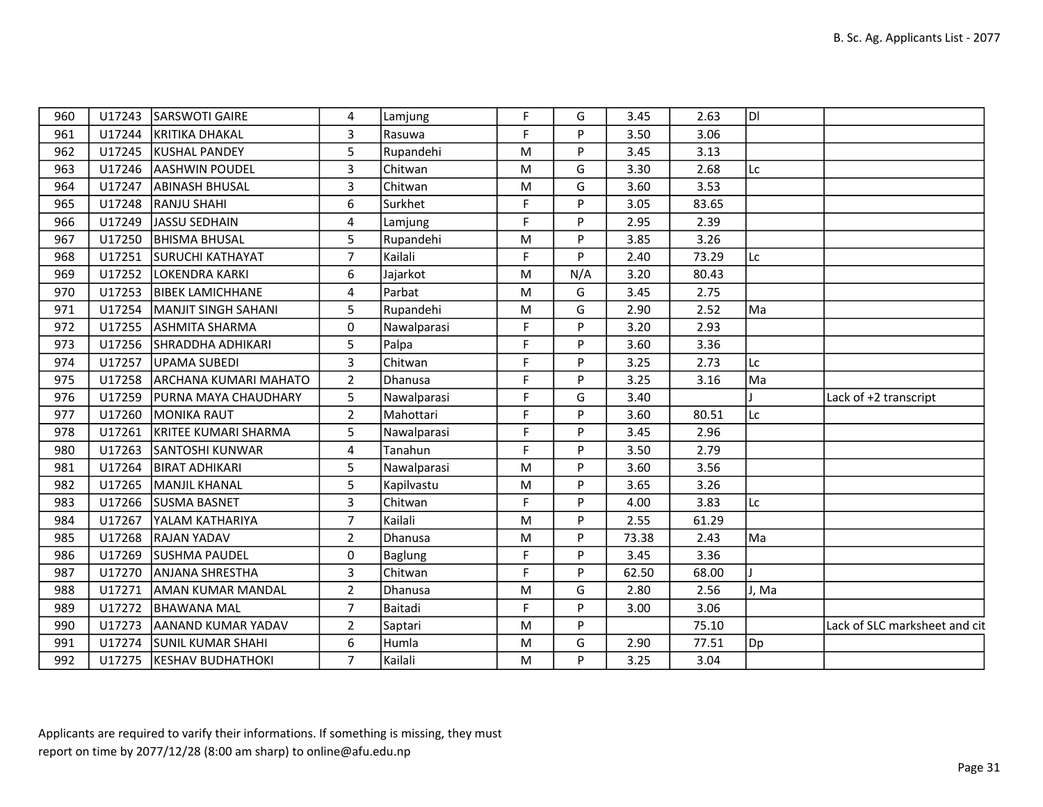| 960 | U17243 | <b>SARSWOTI GAIRE</b>    | 4              | Lamjung        | F  | G        | 3.45  | 2.63  | ldl   |                               |
|-----|--------|--------------------------|----------------|----------------|----|----------|-------|-------|-------|-------------------------------|
| 961 | U17244 | KRITIKA DHAKAL           | 3              | Rasuwa         | F  | P        | 3.50  | 3.06  |       |                               |
| 962 | U17245 | KUSHAL PANDEY            | 5              | Rupandehi      | М  | Þ        | 3.45  | 3.13  |       |                               |
| 963 | U17246 | <b>AASHWIN POUDEL</b>    | 3              | Chitwan        | M  | G        | 3.30  | 2.68  | Lc    |                               |
| 964 | U17247 | ABINASH BHUSAL           | 3              | Chitwan        | M  | G        | 3.60  | 3.53  |       |                               |
| 965 | U17248 | RANJU SHAHI              | 6              | Surkhet        | F. | <b>D</b> | 3.05  | 83.65 |       |                               |
| 966 | U17249 | JASSU SEDHAIN            | 4              | Lamjung        | F  | D        | 2.95  | 2.39  |       |                               |
| 967 | U17250 | <b>BHISMA BHUSAL</b>     | 5              | Rupandehi      | M  | P        | 3.85  | 3.26  |       |                               |
| 968 | U17251 | <b>SURUCHI KATHAYAT</b>  | $\overline{7}$ | Kailali        | F. | D        | 2.40  | 73.29 | Lc    |                               |
| 969 | U17252 | LOKENDRA KARKI           | 6              | Jajarkot       | M  | N/A      | 3.20  | 80.43 |       |                               |
| 970 | U17253 | <b>BIBEK LAMICHHANE</b>  | 4              | Parbat         | М  | G        | 3.45  | 2.75  |       |                               |
| 971 | U17254 | MANJIT SINGH SAHANI      | 5              | Rupandehi      | М  | G        | 2.90  | 2.52  | Ma    |                               |
| 972 | U17255 | <b>ASHMITA SHARMA</b>    | 0              | Nawalparasi    | F  | P        | 3.20  | 2.93  |       |                               |
| 973 | U17256 | <b>SHRADDHA ADHIKARI</b> | 5              | Palpa          | F  | P        | 3.60  | 3.36  |       |                               |
| 974 | U17257 | UPAMA SUBEDI             | 3              | Chitwan        | F. | Þ        | 3.25  | 2.73  | Lc    |                               |
| 975 | U17258 | ARCHANA KUMARI MAHATO    | $\overline{2}$ | <b>Dhanusa</b> | F  | P        | 3.25  | 3.16  | Ma    |                               |
| 976 | U17259 | PURNA MAYA CHAUDHARY     | 5              | Nawalparasi    | F  | G        | 3.40  |       |       | Lack of +2 transcript         |
| 977 | U17260 | <b>MONIKA RAUT</b>       | $\overline{2}$ | Mahottari      | F  | Þ        | 3.60  | 80.51 | lLc   |                               |
| 978 | U17261 | KRITEE KUMARI SHARMA     | 5              | Nawalparasi    | F  | P        | 3.45  | 2.96  |       |                               |
| 980 | U17263 | <b>SANTOSHI KUNWAR</b>   | 4              | Tanahun        | F  | P        | 3.50  | 2.79  |       |                               |
| 981 | U17264 | <b>BIRAT ADHIKARI</b>    | 5              | Nawalparasi    | M  | D        | 3.60  | 3.56  |       |                               |
| 982 | U17265 | MANJIL KHANAL            | 5              | Kapilvastu     | M  | Þ        | 3.65  | 3.26  |       |                               |
| 983 | U17266 | <b>SUSMA BASNET</b>      | 3              | Chitwan        | F  | P        | 4.00  | 3.83  | Lc    |                               |
| 984 | U17267 | YALAM KATHARIYA          | $\overline{7}$ | Kailali        | M  | D        | 2.55  | 61.29 |       |                               |
| 985 | U17268 | <b>RAJAN YADAV</b>       | $\overline{2}$ | Dhanusa        | M  | D        | 73.38 | 2.43  | Ma    |                               |
| 986 | U17269 | <b>SUSHMA PAUDEL</b>     | 0              | <b>Baglung</b> | F  | P        | 3.45  | 3.36  |       |                               |
| 987 | U17270 | <b>ANJANA SHRESTHA</b>   | 3              | Chitwan        | F  | D        | 62.50 | 68.00 |       |                               |
| 988 | U17271 | AMAN KUMAR MANDAL        | $\overline{2}$ | <b>Dhanusa</b> | M  | G        | 2.80  | 2.56  | J, Ma |                               |
| 989 | U17272 | <b>BHAWANA MAL</b>       | $\overline{7}$ | Baitadi        | F  | P        | 3.00  | 3.06  |       |                               |
| 990 | U17273 | AANAND KUMAR YADAV       | $\overline{2}$ | Saptari        | M  | Þ        |       | 75.10 |       | Lack of SLC marksheet and cit |
| 991 | U17274 | <b>SUNIL KUMAR SHAHI</b> | 6              | Humla          | M  | G        | 2.90  | 77.51 | Dp]   |                               |
|     |        |                          |                |                |    |          |       |       |       |                               |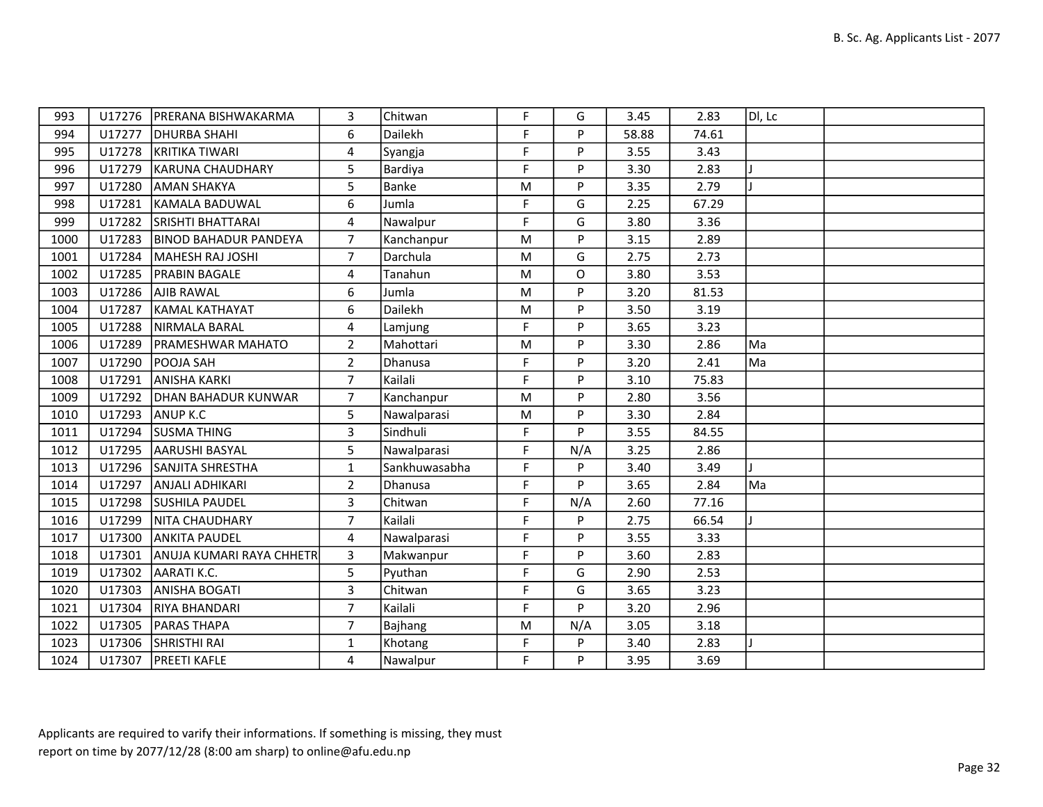| 993  |        | U17276   PRERANA BISHWAKARMA | 3              | Chitwan       | F  | G   | 3.45  | 2.83  | $ D $ , Lc |  |
|------|--------|------------------------------|----------------|---------------|----|-----|-------|-------|------------|--|
| 994  | U17277 | <b>DHURBA SHAHI</b>          | 6              | Dailekh       | F  | P   | 58.88 | 74.61 |            |  |
| 995  | U17278 | KRITIKA TIWARI               | 4              | Syangja       | F  | P   | 3.55  | 3.43  |            |  |
| 996  | U17279 | KARUNA CHAUDHARY             | 5              | Bardiya       | F  | P   | 3.30  | 2.83  |            |  |
| 997  | U17280 | <b>AMAN SHAKYA</b>           | 5              | <b>Banke</b>  | M  | P   | 3.35  | 2.79  |            |  |
| 998  | U17281 | KAMALA BADUWAL               | 6              | Jumla         | F  | G   | 2.25  | 67.29 |            |  |
| 999  | U17282 | <b>SRISHTI BHATTARAI</b>     | 4              | Nawalpur      | F  | G   | 3.80  | 3.36  |            |  |
| 1000 | U17283 | <b>BINOD BAHADUR PANDEYA</b> | $\overline{7}$ | Kanchanpur    | M  | P   | 3.15  | 2.89  |            |  |
| 1001 | U17284 | MAHESH RAJ JOSHI             | $\overline{7}$ | Darchula      | M  | G   | 2.75  | 2.73  |            |  |
| 1002 | U17285 | <b>PRABIN BAGALE</b>         | 4              | Tanahun       | M  | O   | 3.80  | 3.53  |            |  |
| 1003 | U17286 | <b>AJIB RAWAL</b>            | 6              | Jumla         | M  | P   | 3.20  | 81.53 |            |  |
| 1004 | U17287 | KAMAL KATHAYAT               | 6              | Dailekh       | M  | P   | 3.50  | 3.19  |            |  |
| 1005 | U17288 | NIRMALA BARAL                | 4              | Lamjung       | F  | Þ   | 3.65  | 3.23  |            |  |
| 1006 | U17289 | <b>PRAMESHWAR MAHATO</b>     | $\overline{2}$ | Mahottari     | M  | P   | 3.30  | 2.86  | Ma         |  |
| 1007 | U17290 | <b>POOJA SAH</b>             | $\overline{2}$ | Dhanusa       | F  | P   | 3.20  | 2.41  | Ma         |  |
| 1008 | U17291 | <b>ANISHA KARKI</b>          | $\overline{7}$ | Kailali       | F. | P   | 3.10  | 75.83 |            |  |
| 1009 | U17292 | <b>DHAN BAHADUR KUNWAR</b>   | $\overline{7}$ | Kanchanpur    | M  | P   | 2.80  | 3.56  |            |  |
| 1010 | U17293 | ANUP K.C                     | 5              | Nawalparasi   | M  | P   | 3.30  | 2.84  |            |  |
| 1011 | U17294 | <b>SUSMA THING</b>           | 3              | Sindhuli      | F  | P   | 3.55  | 84.55 |            |  |
| 1012 | U17295 | <b>AARUSHI BASYAL</b>        | 5              | Nawalparasi   | F  | N/A | 3.25  | 2.86  |            |  |
| 1013 | U17296 | SANJITA SHRESTHA             | $\mathbf{1}$   | Sankhuwasabha | F  | P   | 3.40  | 3.49  |            |  |
| 1014 | U17297 | <b>ANJALI ADHIKARI</b>       | $\overline{2}$ | Dhanusa       | F  | P   | 3.65  | 2.84  | Ma         |  |
| 1015 | U17298 | <b>SUSHILA PAUDEL</b>        | 3              | Chitwan       | F  | N/A | 2.60  | 77.16 |            |  |
| 1016 | U17299 | NITA CHAUDHARY               | $\overline{7}$ | Kailali       | F. | P   | 2.75  | 66.54 |            |  |
| 1017 | U17300 | <b>ANKITA PAUDEL</b>         | 4              | Nawalparasi   | F  | P   | 3.55  | 3.33  |            |  |
| 1018 | U17301 | ANUJA KUMARI RAYA CHHETR     | 3              | Makwanpur     | F  | P   | 3.60  | 2.83  |            |  |
| 1019 | U17302 | AARATI K.C.                  | 5              | Pyuthan       | F  | G   | 2.90  | 2.53  |            |  |
| 1020 | U17303 | <b>ANISHA BOGATI</b>         | 3              | Chitwan       | F  | G   | 3.65  | 3.23  |            |  |
| 1021 | U17304 | RIYA BHANDARI                | $\overline{7}$ | Kailali       | F  | P   | 3.20  | 2.96  |            |  |
| 1022 | U17305 | <b>PARAS THAPA</b>           | $\overline{7}$ | Bajhang       | M  | N/A | 3.05  | 3.18  |            |  |
| 1023 | U17306 | SHRISTHI RAI                 | $\mathbf{1}$   | Khotang       | F  | P   | 3.40  | 2.83  |            |  |
| 1024 | U17307 | <b>PREETI KAFLE</b>          | 4              | Nawalpur      | F  | P   | 3.95  | 3.69  |            |  |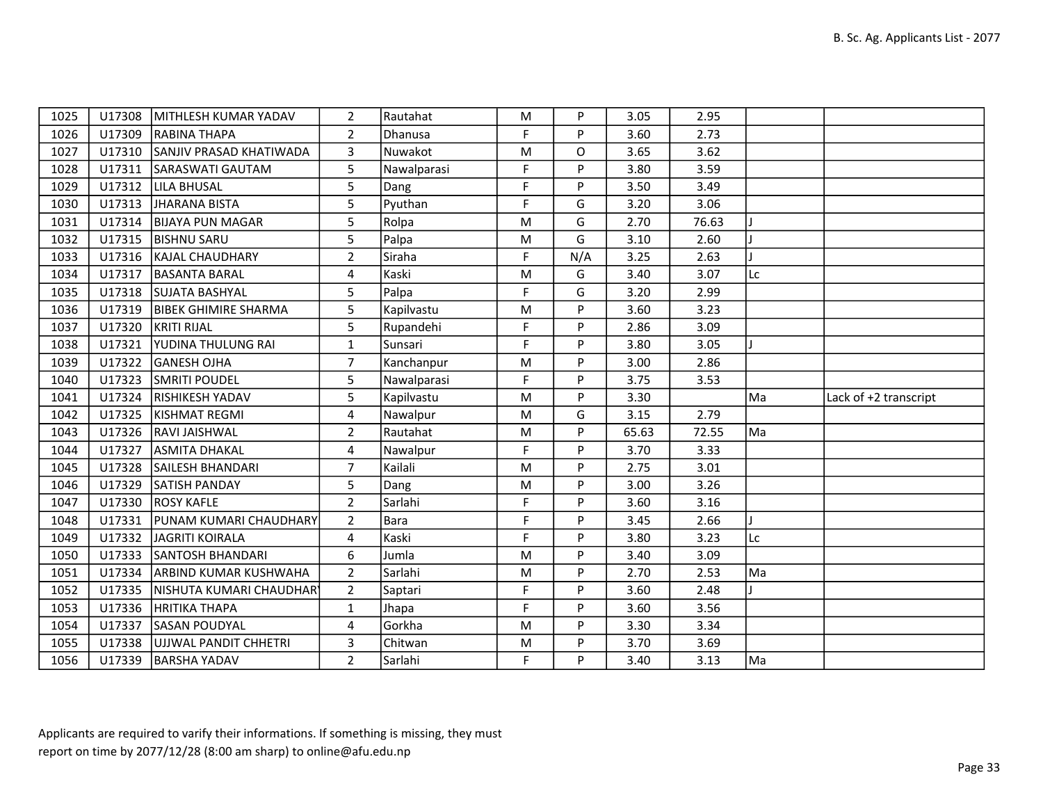| 1025 |        | U17308   MITHLESH KUMAR YADAV   | $\overline{2}$ | Rautahat    | M  | P   | 3.05  | 2.95  |    |                       |
|------|--------|---------------------------------|----------------|-------------|----|-----|-------|-------|----|-----------------------|
| 1026 |        | U17309 RABINA THAPA             | $\overline{2}$ | Dhanusa     | F. | P   | 3.60  | 2.73  |    |                       |
| 1027 |        | U17310 SANJIV PRASAD KHATIWADA  | 3              | Nuwakot     | M  | O   | 3.65  | 3.62  |    |                       |
| 1028 |        | U17311 SARASWATI GAUTAM         | 5              | Nawalparasi | F  | P   | 3.80  | 3.59  |    |                       |
| 1029 |        | U17312 LILA BHUSAL              | 5              | Dang        | F  | P   | 3.50  | 3.49  |    |                       |
| 1030 |        | U17313 JHARANA BISTA            | 5              | Pyuthan     | F  | G   | 3.20  | 3.06  |    |                       |
| 1031 |        | U17314   BIJAYA PUN MAGAR       | 5              | Rolpa       | M  | G   | 2.70  | 76.63 |    |                       |
| 1032 |        | U17315  BISHNU SARU             | 5              | Palpa       | M  | G   | 3.10  | 2.60  |    |                       |
| 1033 |        | U17316   KAJAL CHAUDHARY        | $\overline{2}$ | Siraha      | F  | N/A | 3.25  | 2.63  |    |                       |
| 1034 |        | U17317   BASANTA BARAL          | 4              | Kaski       | M  | G   | 3.40  | 3.07  | Lc |                       |
| 1035 |        | U17318 SUJATA BASHYAL           | 5              | Palpa       | F  | G   | 3.20  | 2.99  |    |                       |
| 1036 |        | U17319   BIBEK GHIMIRE SHARMA   | 5              | Kapilvastu  | M  | P   | 3.60  | 3.23  |    |                       |
| 1037 |        | U17320 KRITI RIJAL              | 5              | Rupandehi   | F. | P   | 2.86  | 3.09  |    |                       |
| 1038 |        | U17321   YUDINA THULUNG RAI     | $\mathbf{1}$   | Sunsari     | F  | P   | 3.80  | 3.05  |    |                       |
| 1039 | U17322 | GANESH OJHA                     | $\overline{7}$ | Kanchanpur  | M  | P   | 3.00  | 2.86  |    |                       |
| 1040 | U17323 | <b>SMRITI POUDEL</b>            | 5              | Nawalparasi | F. | P   | 3.75  | 3.53  |    |                       |
|      |        |                                 |                |             |    |     |       |       |    |                       |
| 1041 | U17324 | <b>RISHIKESH YADAV</b>          | 5              | Kapilvastu  | M  | P   | 3.30  |       | Ma | Lack of +2 transcript |
| 1042 |        | U17325  KISHMAT REGMI           | 4              | Nawalpur    | M  | G   | 3.15  | 2.79  |    |                       |
| 1043 |        | U17326  RAVI JAISHWAL           | $\overline{2}$ | Rautahat    | M  | P   | 65.63 | 72.55 | Ma |                       |
| 1044 | U17327 | <b>LASMITA DHAKAL</b>           | 4              | Nawalpur    | F  | P   | 3.70  | 3.33  |    |                       |
| 1045 |        | U17328 SAILESH BHANDARI         | $\overline{7}$ | Kailali     | M  | P   | 2.75  | 3.01  |    |                       |
| 1046 | U17329 | <b>SATISH PANDAY</b>            | 5              | Dang        | M  | Þ   | 3.00  | 3.26  |    |                       |
| 1047 |        | U17330 ROSY KAFLE               | $2^{\circ}$    | Sarlahi     | F  | P   | 3.60  | 3.16  |    |                       |
| 1048 |        | U17331   PUNAM KUMARI CHAUDHARY | $\overline{2}$ | <b>Bara</b> | F  | P   | 3.45  | 2.66  |    |                       |
| 1049 |        | U17332 JAGRITI KOIRALA          | $\overline{4}$ | Kaski       | F  | P   | 3.80  | 3.23  | Lc |                       |
| 1050 |        | U17333 SANTOSH BHANDARI         | 6              | Jumla       | M  | P   | 3.40  | 3.09  |    |                       |
| 1051 |        | U17334 ARBIND KUMAR KUSHWAHA    | $\overline{2}$ | Sarlahi     | M  | P   | 2.70  | 2.53  | Ma |                       |
| 1052 | U17335 | NISHUTA KUMARI CHAUDHARY        | $\overline{2}$ | Saptari     | F  | P   | 3.60  | 2.48  |    |                       |
| 1053 | U17336 | <b>HRITIKA THAPA</b>            | $\mathbf{1}$   | Jhapa       | F  | P   | 3.60  | 3.56  |    |                       |
| 1054 | U17337 | <b>SASAN POUDYAL</b>            | 4              | Gorkha      | M  | P   | 3.30  | 3.34  |    |                       |
| 1055 |        | U17338 UJJWAL PANDIT CHHETRI    | 3              | Chitwan     | M  | P   | 3.70  | 3.69  |    |                       |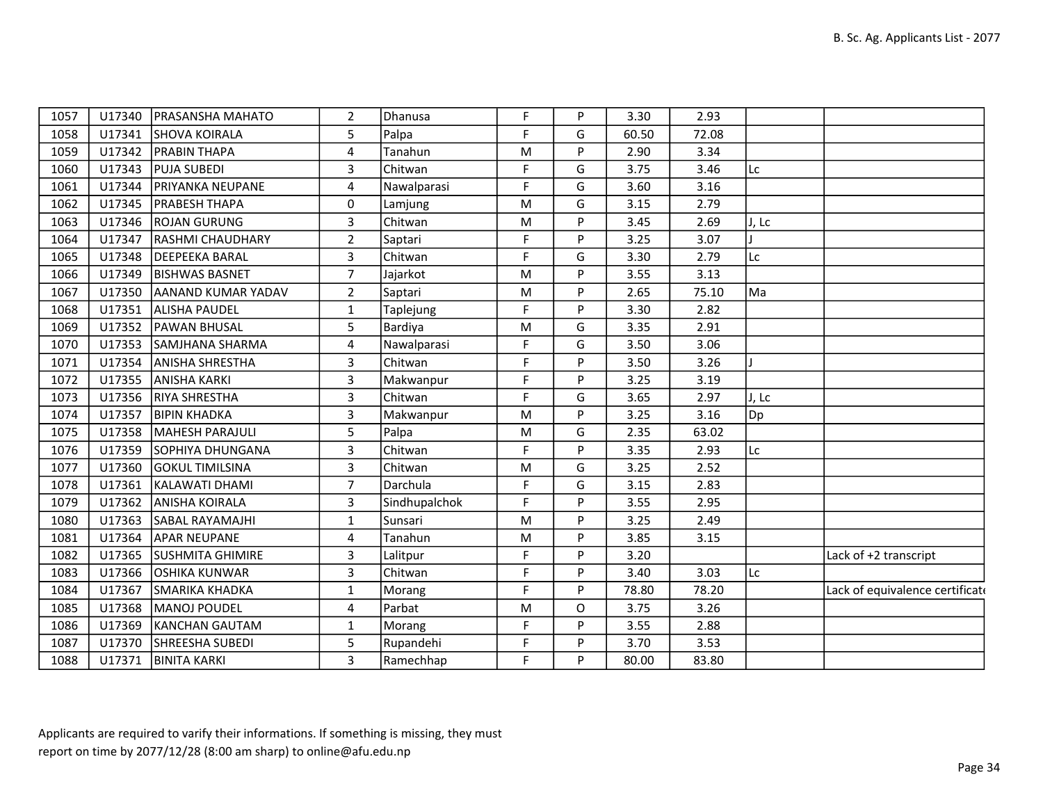| 1057 | U17340 | <b>PRASANSHA MAHATO</b> | $\overline{2}$ | Dhanusa       | F           | P | 3.30  | 2.93  |        |                                 |
|------|--------|-------------------------|----------------|---------------|-------------|---|-------|-------|--------|---------------------------------|
| 1058 | U17341 | <b>SHOVA KOIRALA</b>    | 5              | Palpa         | F           | G | 60.50 | 72.08 |        |                                 |
| 1059 | U17342 | <b>PRABIN THAPA</b>     | 4              | Tanahun       | M           | P | 2.90  | 3.34  |        |                                 |
| 1060 | U17343 | <b>PUJA SUBEDI</b>      | 3              | Chitwan       | F           | G | 3.75  | 3.46  | Lc     |                                 |
| 1061 | U17344 | PRIYANKA NEUPANE        | 4              | Nawalparasi   | F           | G | 3.60  | 3.16  |        |                                 |
| 1062 | U17345 | <b>PRABESH THAPA</b>    | $\mathbf 0$    | Lamjung       | M           | G | 3.15  | 2.79  |        |                                 |
| 1063 | U17346 | <b>ROJAN GURUNG</b>     | 3              | Chitwan       | M           | P | 3.45  | 2.69  | J, Lc  |                                 |
| 1064 | U17347 | <b>RASHMI CHAUDHARY</b> | $\overline{2}$ | Saptari       | F           | P | 3.25  | 3.07  |        |                                 |
| 1065 | U17348 | <b>DEEPEEKA BARAL</b>   | 3              | Chitwan       | F           | G | 3.30  | 2.79  | Lc     |                                 |
| 1066 | U17349 | <b>BISHWAS BASNET</b>   | $\overline{7}$ | Jajarkot      | M           | P | 3.55  | 3.13  |        |                                 |
| 1067 | U17350 | AANAND KUMAR YADAV      | $\overline{2}$ | Saptari       | M           | P | 2.65  | 75.10 | l Ma   |                                 |
| 1068 | U17351 | <b>ALISHA PAUDEL</b>    | 1              | Taplejung     | F           | P | 3.30  | 2.82  |        |                                 |
| 1069 | U17352 | <b>PAWAN BHUSAL</b>     | 5              | Bardiya       | M           | G | 3.35  | 2.91  |        |                                 |
| 1070 | U17353 | SAMJHANA SHARMA         | 4              | Nawalparasi   | F           | G | 3.50  | 3.06  |        |                                 |
| 1071 | U17354 | <b>ANISHA SHRESTHA</b>  | 3              | Chitwan       | F           | P | 3.50  | 3.26  |        |                                 |
| 1072 | U17355 | <b>ANISHA KARKI</b>     | 3              | Makwanpur     | $\mathsf F$ | P | 3.25  | 3.19  |        |                                 |
| 1073 | U17356 | <b>RIYA SHRESTHA</b>    | 3              | Chitwan       | F           | G | 3.65  | 2.97  | IJ, Lc |                                 |
| 1074 | U17357 | <b>BIPIN KHADKA</b>     | 3              | Makwanpur     | M           | P | 3.25  | 3.16  | Dp]    |                                 |
| 1075 | U17358 | MAHESH PARAJULI         | 5              | Palpa         | M           | G | 2.35  | 63.02 |        |                                 |
| 1076 | U17359 | SOPHIYA DHUNGANA        | 3              | Chitwan       | F           | P | 3.35  | 2.93  | lLc    |                                 |
| 1077 | U17360 | <b>GOKUL TIMILSINA</b>  | 3              | Chitwan       | M           | G | 3.25  | 2.52  |        |                                 |
| 1078 | U17361 | KALAWATI DHAMI          | $\overline{7}$ | Darchula      | F           | G | 3.15  | 2.83  |        |                                 |
| 1079 | U17362 | <b>ANISHA KOIRALA</b>   | 3              | Sindhupalchok | F           | P | 3.55  | 2.95  |        |                                 |
| 1080 | U17363 | <b>SABAL RAYAMAJHI</b>  | 1              | Sunsari       | M           | P | 3.25  | 2.49  |        |                                 |
| 1081 | U17364 | <b>APAR NEUPANE</b>     | 4              | Tanahun       | ${\sf M}$   | P | 3.85  | 3.15  |        |                                 |
| 1082 | U17365 | <b>SUSHMITA GHIMIRE</b> | 3              | Lalitpur      | F           | P | 3.20  |       |        | Lack of +2 transcript           |
| 1083 | U17366 | <b>OSHIKA KUNWAR</b>    | 3              | Chitwan       | F           | P | 3.40  | 3.03  | lLc    |                                 |
| 1084 | U17367 | SMARIKA KHADKA          | $\mathbf 1$    | Morang        | F           | P | 78.80 | 78.20 |        | Lack of equivalence certificate |
| 1085 | U17368 | MANOJ POUDEL            | 4              | Parbat        | M           | O | 3.75  | 3.26  |        |                                 |
| 1086 | U17369 | KANCHAN GAUTAM          | 1              | Morang        | F           | P | 3.55  | 2.88  |        |                                 |
| 1087 | U17370 | SHREESHA SUBEDI         | 5              | Rupandehi     | F           | P | 3.70  | 3.53  |        |                                 |
| 1088 | U17371 | <b>BINITA KARKI</b>     | 3              | Ramechhap     | F           | P | 80.00 | 83.80 |        |                                 |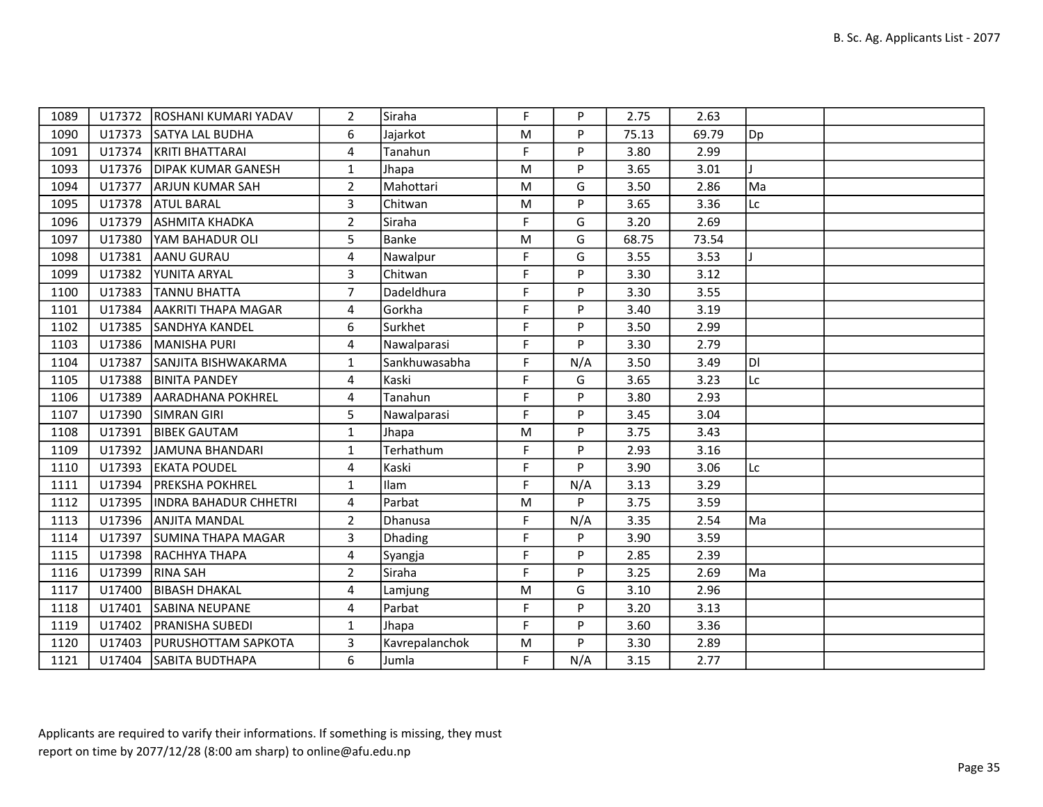| 1089 | U17372 | <b>IROSHANI KUMARI YADAV</b> | $\overline{2}$ | Siraha         | F.        | P   | 2.75  | 2.63  |     |  |
|------|--------|------------------------------|----------------|----------------|-----------|-----|-------|-------|-----|--|
| 1090 |        | U17373 SATYA LAL BUDHA       | 6              | Jajarkot       | ${\sf M}$ | P   | 75.13 | 69.79 | Dp] |  |
| 1091 | U17374 | KRITI BHATTARAI              | $\overline{4}$ | Tanahun        | F         | P   | 3.80  | 2.99  |     |  |
| 1093 |        | U17376   DIPAK KUMAR GANESH  | $\mathbf{1}$   | Jhapa          | ${\sf M}$ | P   | 3.65  | 3.01  |     |  |
| 1094 | U17377 | <b>ARJUN KUMAR SAH</b>       | $\overline{2}$ | Mahottari      | ${\sf M}$ | G   | 3.50  | 2.86  | Ma  |  |
| 1095 | U17378 | <b>ATUL BARAL</b>            | 3              | Chitwan        | M         | P   | 3.65  | 3.36  | Lc  |  |
| 1096 | U17379 | <b>ASHMITA KHADKA</b>        | $\overline{2}$ | Siraha         | F         | G   | 3.20  | 2.69  |     |  |
| 1097 | U17380 | <b>YAM BAHADUR OLI</b>       | 5              | Banke          | ${\sf M}$ | G   | 68.75 | 73.54 |     |  |
| 1098 | U17381 | AANU GURAU                   | 4              | Nawalpur       | F         | G   | 3.55  | 3.53  |     |  |
| 1099 | U17382 | YUNITA ARYAL                 | 3              | Chitwan        | F         | P   | 3.30  | 3.12  |     |  |
| 1100 | U17383 | TANNU BHATTA                 | $\overline{7}$ | Dadeldhura     | F         | P   | 3.30  | 3.55  |     |  |
| 1101 | U17384 | <b>AAKRITI THAPA MAGAR</b>   | $\overline{4}$ | Gorkha         | F         | P   | 3.40  | 3.19  |     |  |
| 1102 | U17385 | <b>SANDHYA KANDEL</b>        | 6              | Surkhet        | F         | P   | 3.50  | 2.99  |     |  |
| 1103 | U17386 | MANISHA PURI                 | 4              | Nawalparasi    | F         | P   | 3.30  | 2.79  |     |  |
| 1104 | U17387 | SANJITA BISHWAKARMA          | $\mathbf{1}$   | Sankhuwasabha  | F         | N/A | 3.50  | 3.49  | ldi |  |
| 1105 | U17388 | <b>BINITA PANDEY</b>         | 4              | Kaski          | F         | G   | 3.65  | 3.23  | Lc  |  |
| 1106 | U17389 | <b>JAARADHANA POKHREL</b>    | $\overline{4}$ | Tanahun        | F         | P   | 3.80  | 2.93  |     |  |
| 1107 | U17390 | <b>SIMRAN GIRI</b>           | 5              | Nawalparasi    | F         | P   | 3.45  | 3.04  |     |  |
| 1108 | U17391 | <b>BIBEK GAUTAM</b>          | $\mathbf{1}$   | Jhapa          | ${\sf M}$ | P   | 3.75  | 3.43  |     |  |
| 1109 | U17392 | JAMUNA BHANDARI              | $\mathbf{1}$   | Terhathum      | F         | P   | 2.93  | 3.16  |     |  |
| 1110 | U17393 | <b>EKATA POUDEL</b>          | 4              | Kaski          | F.        | P   | 3.90  | 3.06  | Lc  |  |
| 1111 | U17394 | <b>PREKSHA POKHREL</b>       | $\mathbf{1}$   | Ilam           | F         | N/A | 3.13  | 3.29  |     |  |
| 1112 | U17395 | INDRA BAHADUR CHHETRI        | 4              | Parbat         | ${\sf M}$ | P   | 3.75  | 3.59  |     |  |
| 1113 |        | U17396 ANJITA MANDAL         | $\overline{2}$ | Dhanusa        | F.        | N/A | 3.35  | 2.54  | Ma  |  |
| 1114 | U17397 | <b>SUMINA THAPA MAGAR</b>    | 3              | Dhading        | F         | P   | 3.90  | 3.59  |     |  |
| 1115 | U17398 | <b>RACHHYA THAPA</b>         | 4              | Syangja        | F         | P   | 2.85  | 2.39  |     |  |
| 1116 | U17399 | <b>RINA SAH</b>              | $\overline{2}$ | Siraha         | F.        | P   | 3.25  | 2.69  | Ma  |  |
| 1117 | U17400 | <b>BIBASH DHAKAL</b>         | 4              | Lamjung        | ${\sf M}$ | G   | 3.10  | 2.96  |     |  |
| 1118 | U17401 | ISABINA NEUPANE              | $\overline{4}$ | Parbat         | F         | P   | 3.20  | 3.13  |     |  |
| 1119 | U17402 | <b>PRANISHA SUBEDI</b>       | $\mathbf{1}$   | Jhapa          | F         | P   | 3.60  | 3.36  |     |  |
| 1120 |        | U17403   PURUSHOTTAM SAPKOTA | 3              | Kavrepalanchok | ${\sf M}$ | P   | 3.30  | 2.89  |     |  |
| 1121 | U17404 | <b>SABITA BUDTHAPA</b>       | 6              | Jumla          | F.        | N/A | 3.15  | 2.77  |     |  |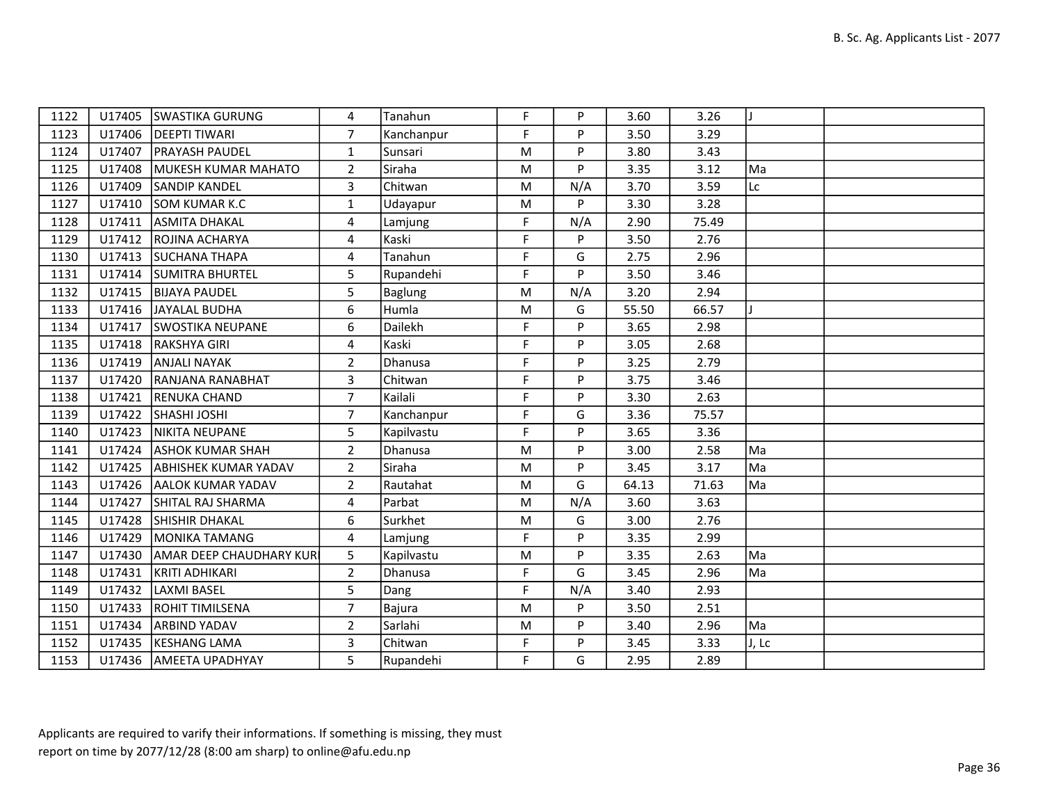| 1122 | U17405 | <b>SWASTIKA GURUNG</b>         | 4              | Tanahun    | F.        | P   | 3.60  | 3.26  |       |  |
|------|--------|--------------------------------|----------------|------------|-----------|-----|-------|-------|-------|--|
| 1123 |        | U17406   DEEPTI TIWARI         | $\overline{7}$ | Kanchanpur | F.        | P   | 3.50  | 3.29  |       |  |
| 1124 | U17407 | <b>PRAYASH PAUDEL</b>          | $\mathbf{1}$   | Sunsari    | M         | P   | 3.80  | 3.43  |       |  |
| 1125 | U17408 | MUKESH KUMAR MAHATO            | $\overline{2}$ | Siraha     | ${\sf M}$ | P   | 3.35  | 3.12  | Ma    |  |
| 1126 | U17409 | <b>SANDIP KANDEL</b>           | 3              | Chitwan    | M         | N/A | 3.70  | 3.59  | Lc    |  |
| 1127 | U17410 | <b>SOM KUMAR K.C</b>           | $\mathbf{1}$   | Udayapur   | M         | P   | 3.30  | 3.28  |       |  |
| 1128 | U17411 | <b>ASMITA DHAKAL</b>           | 4              | Lamjung    | F         | N/A | 2.90  | 75.49 |       |  |
| 1129 | U17412 | <b>ROJINA ACHARYA</b>          | 4              | Kaski      | F         | P   | 3.50  | 2.76  |       |  |
| 1130 | U17413 | SUCHANA THAPA                  | 4              | Tanahun    | F         | G   | 2.75  | 2.96  |       |  |
| 1131 |        | U17414 SUMITRA BHURTEL         | 5 <sup>5</sup> | Rupandehi  | F         | P   | 3.50  | 3.46  |       |  |
| 1132 | U17415 | <b>BIJAYA PAUDEL</b>           | 5              | Baglung    | ${\sf M}$ | N/A | 3.20  | 2.94  |       |  |
| 1133 | U17416 | JAYALAL BUDHA                  | 6              | Humla      | M         | G   | 55.50 | 66.57 |       |  |
| 1134 | U17417 | <b>SWOSTIKA NEUPANE</b>        | 6              | Dailekh    | F         | P   | 3.65  | 2.98  |       |  |
| 1135 | U17418 | RAKSHYA GIRI                   | 4              | Kaski      | F         | P   | 3.05  | 2.68  |       |  |
| 1136 | U17419 | <b>ANJALI NAYAK</b>            | $\overline{2}$ | Dhanusa    | F         | P   | 3.25  | 2.79  |       |  |
| 1137 | U17420 | <b>RANJANA RANABHAT</b>        | 3              | Chitwan    | F         | P   | 3.75  | 3.46  |       |  |
| 1138 | U17421 | <b>RENUKA CHAND</b>            | $\overline{7}$ | Kailali    | F.        | P   | 3.30  | 2.63  |       |  |
| 1139 | U17422 | <b>SHASHI JOSHI</b>            | $\overline{7}$ | Kanchanpur | F         | G   | 3.36  | 75.57 |       |  |
| 1140 | U17423 | NIKITA NEUPANE                 | 5              | Kapilvastu | F         | P   | 3.65  | 3.36  |       |  |
| 1141 | U17424 | <b>ASHOK KUMAR SHAH</b>        | $\overline{2}$ | Dhanusa    | ${\sf M}$ | P   | 3.00  | 2.58  | Ma    |  |
| 1142 | U17425 | <b>ABHISHEK KUMAR YADAV</b>    | $\overline{2}$ | Siraha     | M         | P   | 3.45  | 3.17  | Ma    |  |
| 1143 | U17426 | <b>AALOK KUMAR YADAV</b>       | $\overline{2}$ | Rautahat   | ${\sf M}$ | G   | 64.13 | 71.63 | Ma    |  |
| 1144 | U17427 | SHITAL RAJ SHARMA              | 4              | Parbat     | ${\sf M}$ | N/A | 3.60  | 3.63  |       |  |
| 1145 | U17428 | <b>SHISHIR DHAKAL</b>          | 6              | Surkhet    | M         | G   | 3.00  | 2.76  |       |  |
| 1146 | U17429 | MONIKA TAMANG                  | 4              | Lamjung    | F         | P   | 3.35  | 2.99  |       |  |
| 1147 | U17430 | <b>AMAR DEEP CHAUDHARY KUR</b> | 5              | Kapilvastu | ${\sf M}$ | P   | 3.35  | 2.63  | Ma    |  |
| 1148 | U17431 | KRITI ADHIKARI                 | $\overline{2}$ | Dhanusa    | F         | G   | 3.45  | 2.96  | Ma    |  |
| 1149 | U17432 | LAXMI BASEL                    | 5              | Dang       | F         | N/A | 3.40  | 2.93  |       |  |
| 1150 | U17433 | <b>ROHIT TIMILSENA</b>         | $\overline{7}$ | Bajura     | ${\sf M}$ | P   | 3.50  | 2.51  |       |  |
| 1151 | U17434 | <b>ARBIND YADAV</b>            | $\overline{2}$ | Sarlahi    | M         | P   | 3.40  | 2.96  | Ma    |  |
| 1152 | U17435 | KESHANG LAMA                   | $\overline{3}$ | Chitwan    | F         | P   | 3.45  | 3.33  | J, Lc |  |
| 1153 |        | U17436 AMEETA UPADHYAY         | 5              | Rupandehi  | F         | G   | 2.95  | 2.89  |       |  |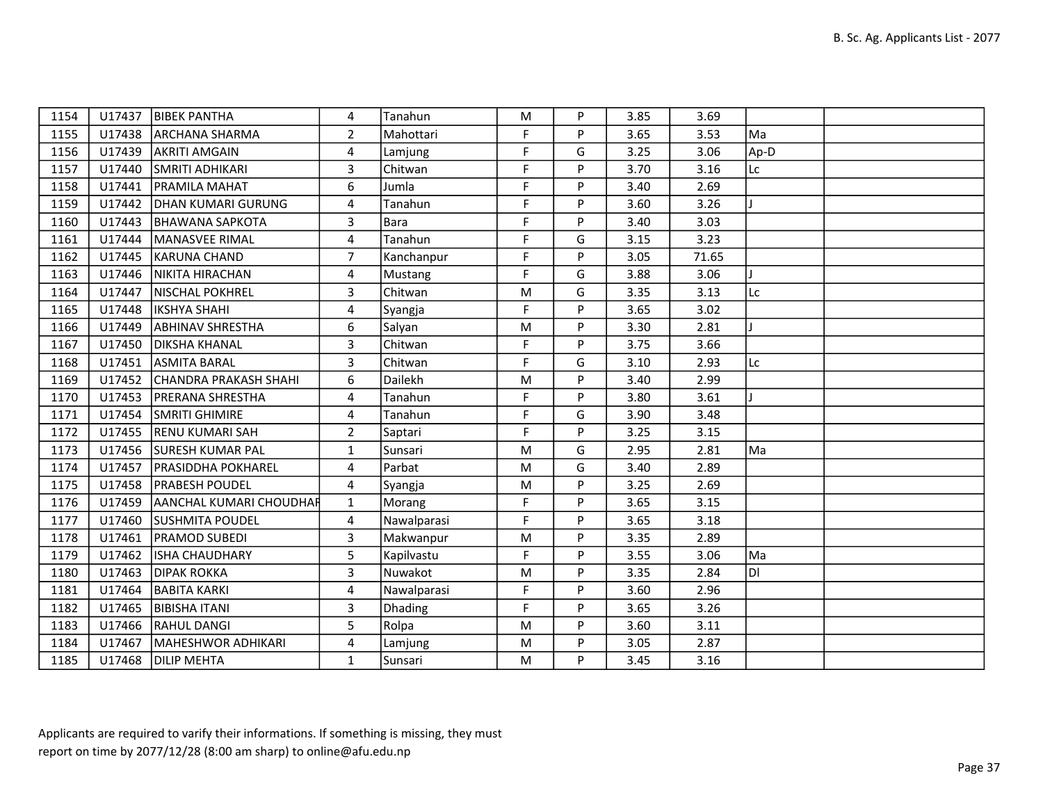| 1154 | U17437 | <b>BIBEK PANTHA</b>            | 4              | Tanahun     | M         | P | 3.85 | 3.69  |      |  |
|------|--------|--------------------------------|----------------|-------------|-----------|---|------|-------|------|--|
| 1155 | U17438 | <b>ARCHANA SHARMA</b>          | $\overline{2}$ | Mahottari   | F         | P | 3.65 | 3.53  | Ma   |  |
| 1156 | U17439 | <b>AKRITI AMGAIN</b>           | 4              | Lamjung     | F         | G | 3.25 | 3.06  | Ap-D |  |
| 1157 | U17440 | SMRITI ADHIKARI                | 3              | Chitwan     | F         | P | 3.70 | 3.16  | Lc   |  |
| 1158 | U17441 | <b>PRAMILA MAHAT</b>           | 6              | Jumla       | F         | P | 3.40 | 2.69  |      |  |
| 1159 | U17442 | <b>DHAN KUMARI GURUNG</b>      | 4              | Tanahun     | F         | P | 3.60 | 3.26  |      |  |
| 1160 | U17443 | <b>BHAWANA SAPKOTA</b>         | 3              | Bara        | F         | P | 3.40 | 3.03  |      |  |
| 1161 | U17444 | MANASVEE RIMAL                 | $\overline{4}$ | Tanahun     | F.        | G | 3.15 | 3.23  |      |  |
| 1162 | U17445 | <b>KARUNA CHAND</b>            | $\overline{7}$ | Kanchanpur  | F         | P | 3.05 | 71.65 |      |  |
| 1163 | U17446 | NIKITA HIRACHAN                | 4              | Mustang     | F         | G | 3.88 | 3.06  |      |  |
| 1164 | U17447 | NISCHAL POKHREL                | 3              | Chitwan     | M         | G | 3.35 | 3.13  | Lc   |  |
| 1165 | U17448 | <b>IKSHYA SHAHI</b>            | $\overline{4}$ | Syangja     | F         | P | 3.65 | 3.02  |      |  |
| 1166 | U17449 | <b>ABHINAV SHRESTHA</b>        | 6              | Salyan      | M         | P | 3.30 | 2.81  |      |  |
| 1167 | U17450 | <b>DIKSHA KHANAL</b>           | 3              | Chitwan     | F         | P | 3.75 | 3.66  |      |  |
| 1168 | U17451 | <b>ASMITA BARAL</b>            | 3              | Chitwan     | F         | G | 3.10 | 2.93  | Lc   |  |
| 1169 | U17452 | CHANDRA PRAKASH SHAHI          | 6              | Dailekh     | M         | P | 3.40 | 2.99  |      |  |
| 1170 | U17453 | <b>IPRERANA SHRESTHA</b>       | 4              | Tanahun     | F         | P | 3.80 | 3.61  |      |  |
| 1171 | U17454 | <b>SMRITI GHIMIRE</b>          | 4              | Tanahun     | F         | G | 3.90 | 3.48  |      |  |
| 1172 |        | U17455 RENU KUMARI SAH         | $\overline{2}$ | Saptari     | F         | P | 3.25 | 3.15  |      |  |
| 1173 |        | U17456 SURESH KUMAR PAL        | $\mathbf{1}$   | Sunsari     | ${\sf M}$ | G | 2.95 | 2.81  | Ma   |  |
| 1174 | U17457 | <b>PRASIDDHA POKHAREL</b>      | 4              | Parbat      | M         | G | 3.40 | 2.89  |      |  |
| 1175 | U17458 | <b>PRABESH POUDEL</b>          | 4              | Syangja     | M         | P | 3.25 | 2.69  |      |  |
| 1176 | U17459 | <b>AANCHAL KUMARI CHOUDHAR</b> | $\mathbf{1}$   | Morang      | F         | P | 3.65 | 3.15  |      |  |
| 1177 | U17460 | <b>SUSHMITA POUDEL</b>         | 4              | Nawalparasi | F.        | P | 3.65 | 3.18  |      |  |
| 1178 | U17461 | <b>PRAMOD SUBEDI</b>           | $\overline{3}$ | Makwanpur   | M         | P | 3.35 | 2.89  |      |  |
| 1179 | U17462 | <b>ISHA CHAUDHARY</b>          | 5              | Kapilvastu  | F         | P | 3.55 | 3.06  | Ma   |  |
| 1180 | U17463 | <b>DIPAK ROKKA</b>             | 3              | Nuwakot     | M         | P | 3.35 | 2.84  | IDI  |  |
| 1181 | U17464 | <b>BABITA KARKI</b>            | 4              | Nawalparasi | F         | P | 3.60 | 2.96  |      |  |
| 1182 | U17465 | BIBISHA ITANI                  | 3              | Dhading     | F         | P | 3.65 | 3.26  |      |  |
| 1183 | U17466 | <b>RAHUL DANGI</b>             | 5              | Rolpa       | M         | P | 3.60 | 3.11  |      |  |
| 1184 | U17467 | MAHESHWOR ADHIKARI             | 4              | Lamjung     | ${\sf M}$ | P | 3.05 | 2.87  |      |  |
| 1185 |        | U17468   DILIP MEHTA           | $\mathbf{1}$   | Sunsari     | M         | P | 3.45 | 3.16  |      |  |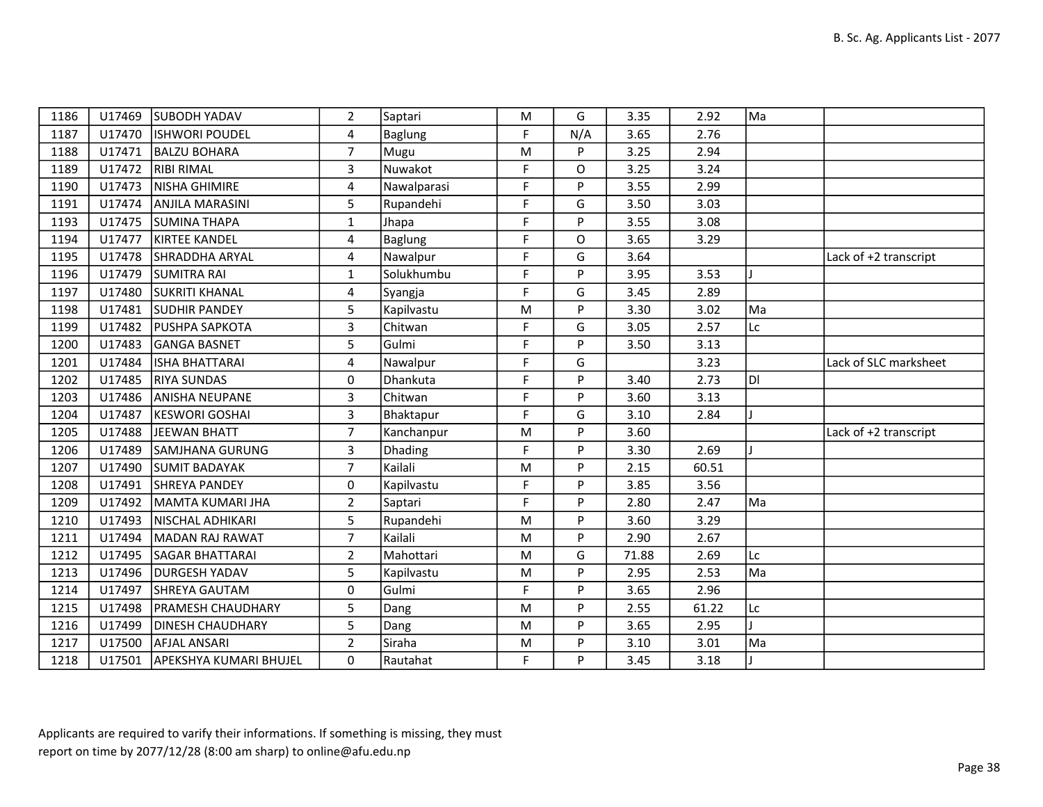| 1186 |        | U17469 SUBODH YADAV           | $\overline{2}$ | Saptari        | M           | G        | 3.35  | 2.92  | Ma |                       |
|------|--------|-------------------------------|----------------|----------------|-------------|----------|-------|-------|----|-----------------------|
| 1187 | U17470 | <b>ISHWORI POUDEL</b>         | 4              | Baglung        | F           | N/A      | 3.65  | 2.76  |    |                       |
| 1188 |        | U17471   BALZU BOHARA         | $\overline{7}$ | Mugu           | M           | P        | 3.25  | 2.94  |    |                       |
| 1189 | U17472 | <b>RIBI RIMAL</b>             | $\overline{3}$ | Nuwakot        | F           | O        | 3.25  | 3.24  |    |                       |
| 1190 | U17473 | NISHA GHIMIRE                 | 4              | Nawalparasi    | F           | P        | 3.55  | 2.99  |    |                       |
| 1191 | U17474 | <b>ANJILA MARASINI</b>        | 5              | Rupandehi      | $\mathsf F$ | G        | 3.50  | 3.03  |    |                       |
| 1193 |        | U17475 SUMINA THAPA           | $\mathbf{1}$   | Jhapa          | F           | P        | 3.55  | 3.08  |    |                       |
| 1194 | U17477 | KIRTEE KANDEL                 | 4              | Baglung        | F           | O        | 3.65  | 3.29  |    |                       |
| 1195 |        | U17478 SHRADDHA ARYAL         | 4              | Nawalpur       | F           | G        | 3.64  |       |    | Lack of +2 transcript |
| 1196 |        | U17479 SUMITRA RAI            | $\mathbf{1}$   | Solukhumbu     | F           | P        | 3.95  | 3.53  |    |                       |
| 1197 | U17480 | <b>SUKRITI KHANAL</b>         | 4              | Syangja        | F           | G        | 3.45  | 2.89  |    |                       |
| 1198 | U17481 | <b>SUDHIR PANDEY</b>          | 5              | Kapilvastu     | M           | P        | 3.30  | 3.02  | Ma |                       |
| 1199 |        | U17482   PUSHPA SAPKOTA       | $\overline{3}$ | Chitwan        | F           | G        | 3.05  | 2.57  | Lc |                       |
| 1200 | U17483 | <b>GANGA BASNET</b>           | 5              | Gulmi          | F           | P        | 3.50  | 3.13  |    |                       |
| 1201 | U17484 | ISHA BHATTARAI                | 4              | Nawalpur       | F           | G        |       | 3.23  |    | Lack of SLC marksheet |
| 1202 | U17485 | <b>RIYA SUNDAS</b>            | 0              | Dhankuta       | F           | P        | 3.40  | 2.73  | DI |                       |
| 1203 | U17486 | <b>ANISHA NEUPANE</b>         | 3              | Chitwan        | F           | P        | 3.60  | 3.13  |    |                       |
| 1204 | U17487 | <b>KESWORI GOSHAI</b>         | $\overline{3}$ | Bhaktapur      | F           | G        | 3.10  | 2.84  |    |                       |
| 1205 | U17488 | JEEWAN BHATT                  | $\overline{7}$ | Kanchanpur     | M           | P        | 3.60  |       |    | Lack of +2 transcript |
| 1206 | U17489 | <b>SAMJHANA GURUNG</b>        | 3              | <b>Dhading</b> | F           | P        | 3.30  | 2.69  |    |                       |
| 1207 | U17490 | <b>SUMIT BADAYAK</b>          | $\overline{7}$ | Kailali        | M           | <b>P</b> | 2.15  | 60.51 |    |                       |
| 1208 | U17491 | <b>ISHREYA PANDEY</b>         | 0              | Kapilvastu     | F           | P        | 3.85  | 3.56  |    |                       |
| 1209 | U17492 | MAMTA KUMARI JHA              | $\overline{2}$ | Saptari        | F           | P        | 2.80  | 2.47  | Ma |                       |
| 1210 | U17493 | NISCHAL ADHIKARI              | 5              | Rupandehi      | M           | P        | 3.60  | 3.29  |    |                       |
| 1211 | U17494 | MADAN RAJ RAWAT               | $\overline{7}$ | Kailali        | M           | P        | 2.90  | 2.67  |    |                       |
| 1212 | U17495 | <b>SAGAR BHATTARAI</b>        | $\overline{2}$ | Mahottari      | M           | G        | 71.88 | 2.69  | Lc |                       |
| 1213 |        | U17496   DURGESH YADAV        | 5              | Kapilvastu     | M           | P        | 2.95  | 2.53  | Ma |                       |
| 1214 | U17497 | <b>SHREYA GAUTAM</b>          | $\mathbf 0$    | Gulmi          | F           | <b>P</b> | 3.65  | 2.96  |    |                       |
| 1215 | U17498 | <b>PRAMESH CHAUDHARY</b>      | 5              | Dang           | M           | P        | 2.55  | 61.22 | Lc |                       |
| 1216 | U17499 | <b>DINESH CHAUDHARY</b>       | 5              | Dang           | M           | P        | 3.65  | 2.95  |    |                       |
| 1217 | U17500 | <b>AFJAL ANSARI</b>           | $\overline{2}$ | Siraha         | M           | P        | 3.10  | 3.01  | Ma |                       |
| 1218 |        | U17501 APEKSHYA KUMARI BHUJEL | 0              | Rautahat       | F           | P        | 3.45  | 3.18  |    |                       |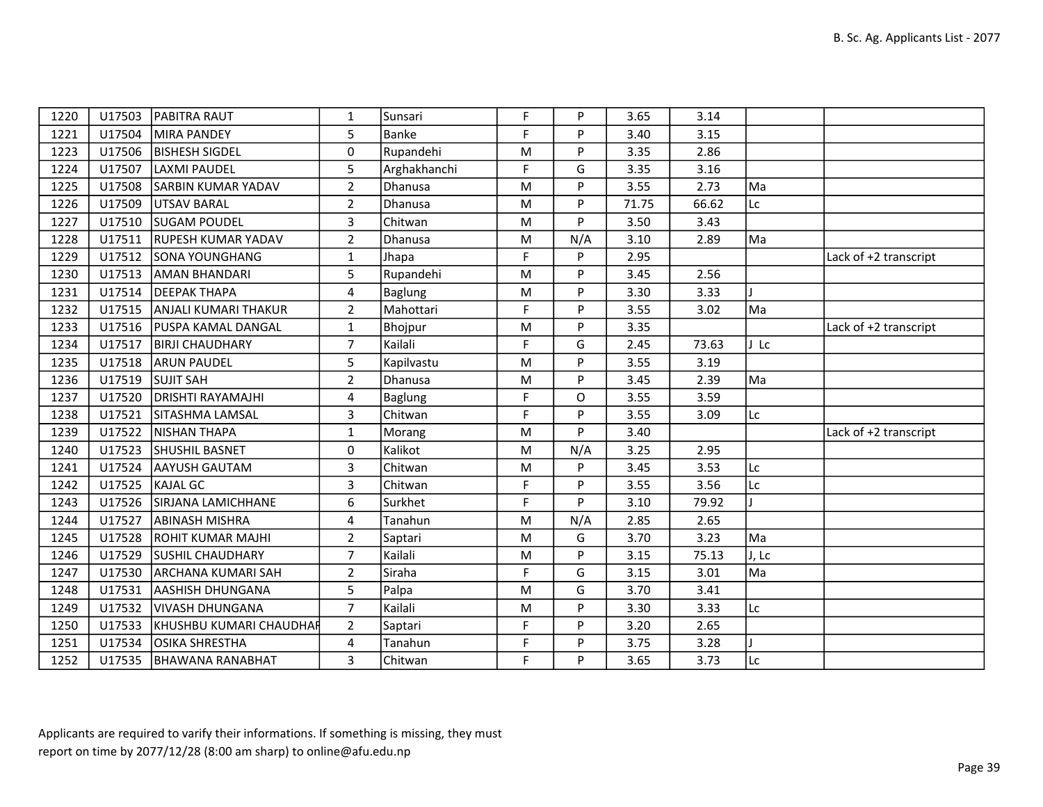| 1220 | U17503 | <b>PABITRA RAUT</b>         | 1              | Sunsari        | F | P   | 3.65  | 3.14  |       |                       |
|------|--------|-----------------------------|----------------|----------------|---|-----|-------|-------|-------|-----------------------|
| 1221 | U17504 | MIRA PANDEY                 | 5              | <b>Banke</b>   | F | P   | 3.40  | 3.15  |       |                       |
| 1223 | U17506 | <b>BISHESH SIGDEL</b>       | 0              | Rupandehi      | M | P   | 3.35  | 2.86  |       |                       |
| 1224 | U17507 | LAXMI PAUDEL                | 5              | Arghakhanchi   | F | G   | 3.35  | 3.16  |       |                       |
| 1225 | U17508 | <b>SARBIN KUMAR YADAV</b>   | $\overline{2}$ | Dhanusa        | M | P   | 3.55  | 2.73  | Ma    |                       |
| 1226 | U17509 | UTSAV BARAL                 | $\overline{2}$ | Dhanusa        | M | P   | 71.75 | 66.62 | Lc    |                       |
| 1227 | U17510 | <b>SUGAM POUDEL</b>         | $\overline{3}$ | Chitwan        | M | P   | 3.50  | 3.43  |       |                       |
| 1228 | U17511 | <b>RUPESH KUMAR YADAV</b>   | $\overline{2}$ | Dhanusa        | M | N/A | 3.10  | 2.89  | Ma    |                       |
| 1229 | U17512 | <b>SONA YOUNGHANG</b>       | $\mathbf{1}$   | Jhapa          | F | P   | 2.95  |       |       | Lack of +2 transcript |
| 1230 | U17513 | <b>AMAN BHANDARI</b>        | 5              | Rupandehi      | M | P   | 3.45  | 2.56  |       |                       |
| 1231 | U17514 | <b>DEEPAK THAPA</b>         | 4              | <b>Baglung</b> | M | P   | 3.30  | 3.33  |       |                       |
| 1232 | U17515 | ANJALI KUMARI THAKUR        | $\overline{2}$ | Mahottari      | F | P   | 3.55  | 3.02  | Ma    |                       |
| 1233 |        | U17516   PUSPA KAMAL DANGAL | $\mathbf{1}$   | Bhojpur        | M | P   | 3.35  |       |       | Lack of +2 transcript |
| 1234 | U17517 | <b>BIRJI CHAUDHARY</b>      | $\overline{7}$ | Kailali        | F | G   | 2.45  | 73.63 | J Lc  |                       |
| 1235 | U17518 | <b>ARUN PAUDEL</b>          | 5              | Kapilvastu     | M | P   | 3.55  | 3.19  |       |                       |
| 1236 | U17519 | <b>SUJIT SAH</b>            | $\overline{2}$ | Dhanusa        | M | P   | 3.45  | 2.39  | Ma    |                       |
| 1237 | U17520 | <b>DRISHTI RAYAMAJHI</b>    | 4              | <b>Baglung</b> | F | O   | 3.55  | 3.59  |       |                       |
| 1238 | U17521 | <b>SITASHMA LAMSAL</b>      | 3              | Chitwan        | F | P   | 3.55  | 3.09  | Lc    |                       |
| 1239 | U17522 | NISHAN THAPA                | $\mathbf{1}$   | Morang         | M | P   | 3.40  |       |       | Lack of +2 transcript |
| 1240 | U17523 | <b>SHUSHIL BASNET</b>       | 0              | Kalikot        | M | N/A | 3.25  | 2.95  |       |                       |
| 1241 | U17524 | AAYUSH GAUTAM               | 3              | Chitwan        | M | P   | 3.45  | 3.53  | Lc    |                       |
| 1242 | U17525 | KAJAL GC                    | 3              | Chitwan        | F | P   | 3.55  | 3.56  | Lc    |                       |
| 1243 | U17526 | <b>SIRJANA LAMICHHANE</b>   | 6              | Surkhet        | F | P   | 3.10  | 79.92 |       |                       |
| 1244 | U17527 | <b>ABINASH MISHRA</b>       | $\overline{4}$ | Tanahun        | M | N/A | 2.85  | 2.65  |       |                       |
| 1245 | U17528 | <b>ROHIT KUMAR MAJHI</b>    | $\overline{2}$ | Saptari        | M | G   | 3.70  | 3.23  | Ma    |                       |
| 1246 | U17529 | <b>SUSHIL CHAUDHARY</b>     | $\overline{7}$ | Kailali        | M | P   | 3.15  | 75.13 | J, Lc |                       |
| 1247 | U17530 | <b>ARCHANA KUMARI SAH</b>   | $\overline{2}$ | Siraha         | F | G   | 3.15  | 3.01  | Ma    |                       |
| 1248 | U17531 | AASHISH DHUNGANA            | 5              | Palpa          | M | G   | 3.70  | 3.41  |       |                       |
| 1249 | U17532 | <b>VIVASH DHUNGANA</b>      | $\overline{7}$ | Kailali        | M | P   | 3.30  | 3.33  | Lc    |                       |
| 1250 | U17533 | KHUSHBU KUMARI CHAUDHAR     | $2^{\circ}$    | Saptari        | F | P   | 3.20  | 2.65  |       |                       |
| 1251 | U17534 | <b>OSIKA SHRESTHA</b>       | 4              | Tanahun        | F | P   | 3.75  | 3.28  |       |                       |
| 1252 |        | U17535   BHAWANA RANABHAT   | 3              | Chitwan        | F | P   | 3.65  | 3.73  | Lc    |                       |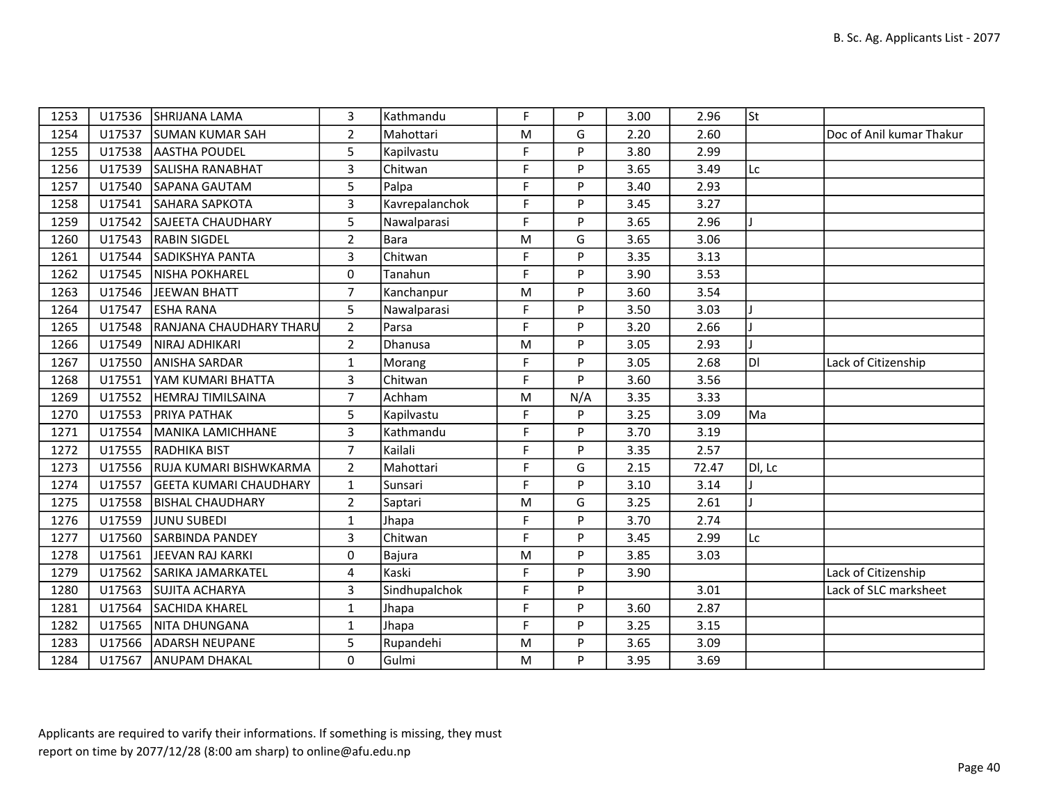| 1253 |        | U17536 SHRIJANA LAMA          | 3                   | Kathmandu      | F           | P   | 3.00 | 2.96  | lst.   |                          |
|------|--------|-------------------------------|---------------------|----------------|-------------|-----|------|-------|--------|--------------------------|
| 1254 | U17537 | <b>SUMAN KUMAR SAH</b>        | $\overline{2}$      | Mahottari      | M           | G   | 2.20 | 2.60  |        | Doc of Anil kumar Thakur |
| 1255 | U17538 | <b>AASTHA POUDEL</b>          | 5                   | Kapilvastu     | F           | P   | 3.80 | 2.99  |        |                          |
| 1256 | U17539 | SALISHA RANABHAT              | $\overline{3}$      | Chitwan        | $\mathsf F$ | P   | 3.65 | 3.49  | Lc     |                          |
| 1257 | U17540 | SAPANA GAUTAM                 | 5                   | Palpa          | F           | P   | 3.40 | 2.93  |        |                          |
| 1258 | U17541 | <b>SAHARA SAPKOTA</b>         | 3                   | Kavrepalanchok | F           | P   | 3.45 | 3.27  |        |                          |
| 1259 | U17542 | <b>SAJEETA CHAUDHARY</b>      | 5                   | Nawalparasi    | F           | P   | 3.65 | 2.96  |        |                          |
| 1260 | U17543 | <b>RABIN SIGDEL</b>           | $\overline{2}$      | Bara           | M           | G   | 3.65 | 3.06  |        |                          |
| 1261 | U17544 | SADIKSHYA PANTA               | $\overline{3}$      | Chitwan        | F           | P   | 3.35 | 3.13  |        |                          |
| 1262 | U17545 | <b>NISHA POKHAREL</b>         | $\mathsf{O}\xspace$ | Tanahun        | F           | P   | 3.90 | 3.53  |        |                          |
| 1263 | U17546 | JEEWAN BHATT                  | $\overline{7}$      | Kanchanpur     | M           | P   | 3.60 | 3.54  |        |                          |
| 1264 | U17547 | <b>ESHA RANA</b>              | 5                   | Nawalparasi    | F           | P   | 3.50 | 3.03  |        |                          |
| 1265 | U17548 | RANJANA CHAUDHARY THARU       | $\overline{2}$      | Parsa          | F           | P   | 3.20 | 2.66  |        |                          |
| 1266 | U17549 | NIRAJ ADHIKARI                | $\overline{2}$      | Dhanusa        | M           | P   | 3.05 | 2.93  |        |                          |
| 1267 | U17550 | <b>ANISHA SARDAR</b>          | 1                   | Morang         | F           | P   | 3.05 | 2.68  | ÌЫ     | Lack of Citizenship      |
| 1268 | U17551 | YAM KUMARI BHATTA             | $\mathbf{3}$        | Chitwan        | F           | P   | 3.60 | 3.56  |        |                          |
| 1269 | U17552 | <b>HEMRAJ TIMILSAINA</b>      | $\overline{7}$      | Achham         | M           | N/A | 3.35 | 3.33  |        |                          |
| 1270 | U17553 | <b>PRIYA PATHAK</b>           | 5                   | Kapilvastu     | F           | P   | 3.25 | 3.09  | Ma     |                          |
| 1271 | U17554 | MANIKA LAMICHHANE             | 3                   | Kathmandu      | F           | P   | 3.70 | 3.19  |        |                          |
| 1272 | U17555 | RADHIKA BIST                  | $\overline{7}$      | Kailali        | F           | P   | 3.35 | 2.57  |        |                          |
| 1273 | U17556 | RUJA KUMARI BISHWKARMA        | $\overline{2}$      | Mahottari      | F           | G   | 2.15 | 72.47 | DI, Lc |                          |
| 1274 | U17557 | <b>GEETA KUMARI CHAUDHARY</b> | $\mathbf{1}$        | Sunsari        | F           | P   | 3.10 | 3.14  |        |                          |
| 1275 | U17558 | <b>BISHAL CHAUDHARY</b>       | $\overline{2}$      | Saptari        | ${\sf M}$   | G   | 3.25 | 2.61  |        |                          |
| 1276 | U17559 | <b>JUNU SUBEDI</b>            | $\mathbf{1}$        | Jhapa          | F           | P   | 3.70 | 2.74  |        |                          |
| 1277 | U17560 | <b>SARBINDA PANDEY</b>        | $\mathbf{3}$        | Chitwan        | F           | P   | 3.45 | 2.99  | Lc     |                          |
| 1278 | U17561 | JEEVAN RAJ KARKI              | 0                   | Bajura         | M           | P   | 3.85 | 3.03  |        |                          |
| 1279 | U17562 | SARIKA JAMARKATEL             | 4                   | Kaski          | F           | P   | 3.90 |       |        | Lack of Citizenship      |
| 1280 | U17563 | <b>SUJITA ACHARYA</b>         | $\overline{3}$      | Sindhupalchok  | F           | P   |      | 3.01  |        | Lack of SLC marksheet    |
| 1281 | U17564 | <b>SACHIDA KHAREL</b>         | $\mathbf{1}$        | Jhapa          | F           | P   | 3.60 | 2.87  |        |                          |
| 1282 | U17565 | NITA DHUNGANA                 | $\mathbf{1}$        | Jhapa          | F           | P   | 3.25 | 3.15  |        |                          |
| 1283 | U17566 | <b>ADARSH NEUPANE</b>         | 5                   | Rupandehi      | M           | P   | 3.65 | 3.09  |        |                          |
| 1284 | U17567 | <b>ANUPAM DHAKAL</b>          | 0                   | Gulmi          | ${\sf M}$   | P   | 3.95 | 3.69  |        |                          |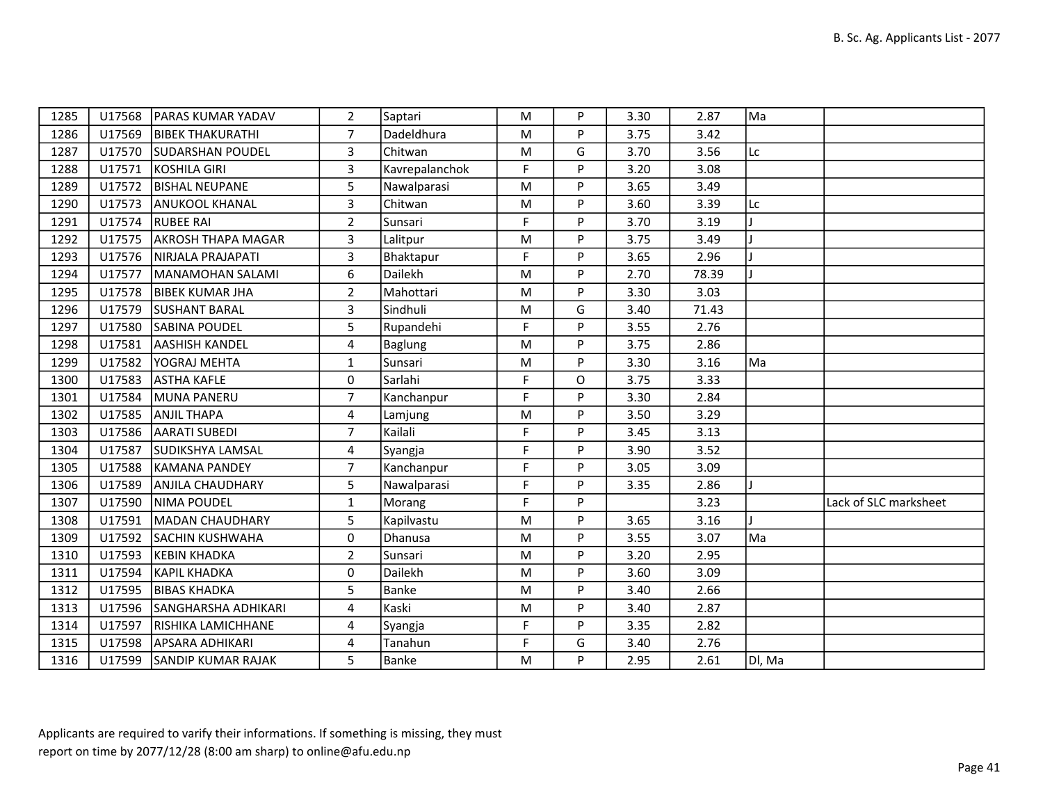| 1285 | U17568 | <b>IPARAS KUMAR YADAV</b>  | $\overline{2}$ | Saptari        | M           | P | 3.30 | 2.87  | Ma     |                       |
|------|--------|----------------------------|----------------|----------------|-------------|---|------|-------|--------|-----------------------|
| 1286 | U17569 | <b>BIBEK THAKURATHI</b>    | $\overline{7}$ | Dadeldhura     | ${\sf M}$   | P | 3.75 | 3.42  |        |                       |
| 1287 | U17570 | <b>SUDARSHAN POUDEL</b>    | $\overline{3}$ | Chitwan        | M           | G | 3.70 | 3.56  | Lc     |                       |
| 1288 | U17571 | KOSHILA GIRI               | $\overline{3}$ | Kavrepalanchok | F           | P | 3.20 | 3.08  |        |                       |
| 1289 | U17572 | <b>BISHAL NEUPANE</b>      | 5              | Nawalparasi    | M           | P | 3.65 | 3.49  |        |                       |
| 1290 | U17573 | <b>ANUKOOL KHANAL</b>      | 3              | Chitwan        | M           | P | 3.60 | 3.39  | Lc     |                       |
| 1291 | U17574 | <b>RUBEE RAI</b>           | $\overline{2}$ | Sunsari        | $\mathsf F$ | P | 3.70 | 3.19  |        |                       |
| 1292 | U17575 | <b>AKROSH THAPA MAGAR</b>  | 3              | Lalitpur       | M           | P | 3.75 | 3.49  |        |                       |
| 1293 | U17576 | NIRJALA PRAJAPATI          | $\overline{3}$ | Bhaktapur      | F           | P | 3.65 | 2.96  |        |                       |
| 1294 | U17577 | MANAMOHAN SALAMI           | 6              | Dailekh        | M           | P | 2.70 | 78.39 |        |                       |
| 1295 | U17578 | <b>BIBEK KUMAR JHA</b>     | $\overline{2}$ | Mahottari      | ${\sf M}$   | P | 3.30 | 3.03  |        |                       |
| 1296 | U17579 | <b>SUSHANT BARAL</b>       | 3              | Sindhuli       | M           | G | 3.40 | 71.43 |        |                       |
| 1297 | U17580 | <b>SABINA POUDEL</b>       | 5              | Rupandehi      | F           | P | 3.55 | 2.76  |        |                       |
| 1298 | U17581 | <b>AASHISH KANDEL</b>      | 4              | Baglung        | M           | P | 3.75 | 2.86  |        |                       |
| 1299 | U17582 | <b>YOGRAJ MEHTA</b>        | $\mathbf{1}$   | Sunsari        | M           | P | 3.30 | 3.16  | Ma     |                       |
| 1300 | U17583 | <b>ASTHA KAFLE</b>         | $\mathbf 0$    | Sarlahi        | F           | O | 3.75 | 3.33  |        |                       |
| 1301 | U17584 | MUNA PANERU                | $\overline{7}$ | Kanchanpur     | F           | P | 3.30 | 2.84  |        |                       |
| 1302 | U17585 | <b>ANJIL THAPA</b>         | 4              | Lamjung        | M           | P | 3.50 | 3.29  |        |                       |
| 1303 | U17586 | <b>AARATI SUBEDI</b>       | $\overline{7}$ | Kailali        | F           | P | 3.45 | 3.13  |        |                       |
| 1304 | U17587 | SUDIKSHYA LAMSAL           | 4              | Syangja        | F           | P | 3.90 | 3.52  |        |                       |
| 1305 | U17588 | KAMANA PANDEY              | $\overline{7}$ | Kanchanpur     | F           | P | 3.05 | 3.09  |        |                       |
| 1306 | U17589 | <b>ANJILA CHAUDHARY</b>    | 5              | Nawalparasi    | F           | P | 3.35 | 2.86  |        |                       |
| 1307 | U17590 | NIMA POUDEL                | $\mathbf{1}$   | Morang         | $\mathsf F$ | P |      | 3.23  |        | Lack of SLC marksheet |
| 1308 | U17591 | MADAN CHAUDHARY            | 5              | Kapilvastu     | M           | P | 3.65 | 3.16  |        |                       |
| 1309 | U17592 | <b>SACHIN KUSHWAHA</b>     | $\mathbf 0$    | Dhanusa        | M           | P | 3.55 | 3.07  | Ma     |                       |
| 1310 | U17593 | <b>KEBIN KHADKA</b>        | $\overline{2}$ | Sunsari        | M           | P | 3.20 | 2.95  |        |                       |
| 1311 | U17594 | <b>KAPIL KHADKA</b>        | $\Omega$       | Dailekh        | M           | P | 3.60 | 3.09  |        |                       |
| 1312 | U17595 | <b>BIBAS KHADKA</b>        | 5              | Banke          | M           | P | 3.40 | 2.66  |        |                       |
| 1313 | U17596 | <b>SANGHARSHA ADHIKARI</b> | 4              | Kaski          | M           | P | 3.40 | 2.87  |        |                       |
| 1314 | U17597 | RISHIKA LAMICHHANE         | 4              | Syangja        | F           | P | 3.35 | 2.82  |        |                       |
| 1315 | U17598 | <b>APSARA ADHIKARI</b>     | 4              | Tanahun        | F           | G | 3.40 | 2.76  |        |                       |
| 1316 |        | U17599 SANDIP KUMAR RAJAK  | 5              | Banke          | M           | P | 2.95 | 2.61  | DI, Ma |                       |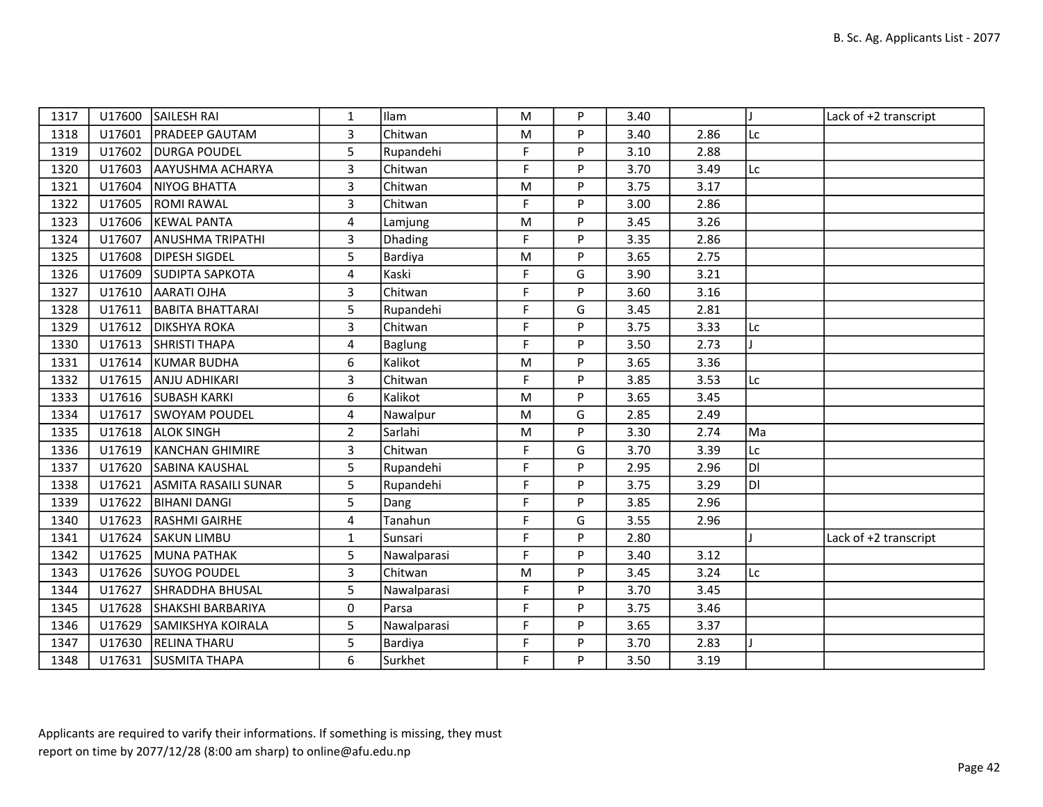| 1317 | U17600 | SAILESH RAI             | 1              | Ilam        | M           | P | 3.40 |      |     | Lack of +2 transcript |
|------|--------|-------------------------|----------------|-------------|-------------|---|------|------|-----|-----------------------|
| 1318 | U17601 | <b>PRADEEP GAUTAM</b>   | 3              | Chitwan     | M           | P | 3.40 | 2.86 | Lc  |                       |
| 1319 | U17602 | <b>DURGA POUDEL</b>     | 5              | Rupandehi   | F           | P | 3.10 | 2.88 |     |                       |
| 1320 | U17603 | AAYUSHMA ACHARYA        | $\overline{3}$ | Chitwan     | F           | P | 3.70 | 3.49 | Lc  |                       |
| 1321 | U17604 | NIYOG BHATTA            | 3              | Chitwan     | M           | P | 3.75 | 3.17 |     |                       |
| 1322 | U17605 | <b>ROMI RAWAL</b>       | $\overline{3}$ | Chitwan     | F           | P | 3.00 | 2.86 |     |                       |
| 1323 | U17606 | <b>KEWAL PANTA</b>      | 4              | Lamjung     | M           | P | 3.45 | 3.26 |     |                       |
| 1324 | U17607 | <b>ANUSHMA TRIPATHI</b> | 3              | Dhading     | F           | P | 3.35 | 2.86 |     |                       |
| 1325 | U17608 | <b>DIPESH SIGDEL</b>    | 5              | Bardiya     | M           | P | 3.65 | 2.75 |     |                       |
| 1326 | U17609 | <b>SUDIPTA SAPKOTA</b>  | 4              | Kaski       | F           | G | 3.90 | 3.21 |     |                       |
| 1327 | U17610 | AARATI OJHA             | 3              | Chitwan     | F           | P | 3.60 | 3.16 |     |                       |
| 1328 | U17611 | <b>BABITA BHATTARAI</b> | 5              | Rupandehi   | F           | G | 3.45 | 2.81 |     |                       |
| 1329 | U17612 | <b>DIKSHYA ROKA</b>     | $\overline{3}$ | Chitwan     | $\mathsf F$ | P | 3.75 | 3.33 | Lc  |                       |
| 1330 | U17613 | <b>SHRISTI THAPA</b>    | 4              | Baglung     | F           | P | 3.50 | 2.73 |     |                       |
| 1331 | U17614 | KUMAR BUDHA             | 6              | Kalikot     | M           | P | 3.65 | 3.36 |     |                       |
| 1332 | U17615 | <b>ANJU ADHIKARI</b>    | 3              | Chitwan     | F           | P | 3.85 | 3.53 | Lc  |                       |
| 1333 |        | U17616 SUBASH KARKI     | 6              | Kalikot     | M           | P | 3.65 | 3.45 |     |                       |
| 1334 | U17617 | <b>SWOYAM POUDEL</b>    | 4              | Nawalpur    | M           | G | 2.85 | 2.49 |     |                       |
| 1335 | U17618 | <b>ALOK SINGH</b>       | $\overline{2}$ | Sarlahi     | ${\sf M}$   | P | 3.30 | 2.74 | Ma  |                       |
| 1336 | U17619 | <b>KANCHAN GHIMIRE</b>  | 3              | Chitwan     | F           | G | 3.70 | 3.39 | Lc  |                       |
| 1337 | U17620 | <b>SABINA KAUSHAL</b>   | 5              | Rupandehi   | F           | P | 2.95 | 2.96 | DI. |                       |
| 1338 | U17621 | ASMITA RASAILI SUNAR    | 5              | Rupandehi   | F           | P | 3.75 | 3.29 | DI  |                       |
| 1339 | U17622 | <b>BIHANI DANGI</b>     | 5              | Dang        | F           | P | 3.85 | 2.96 |     |                       |
| 1340 | U17623 | <b>RASHMI GAIRHE</b>    | 4              | Tanahun     | F           | G | 3.55 | 2.96 |     |                       |
| 1341 | U17624 | <b>SAKUN LIMBU</b>      | $\mathbf{1}$   | Sunsari     | F           | P | 2.80 |      |     | Lack of +2 transcript |
| 1342 | U17625 | MUNA PATHAK             | 5              | Nawalparasi | F           | P | 3.40 | 3.12 |     |                       |
| 1343 | U17626 | <b>SUYOG POUDEL</b>     | 3              | Chitwan     | M           | P | 3.45 | 3.24 | Lc  |                       |
| 1344 | U17627 | <b>SHRADDHA BHUSAL</b>  | 5              | Nawalparasi | F           | P | 3.70 | 3.45 |     |                       |
| 1345 | U17628 | SHAKSHI BARBARIYA       | 0              | Parsa       | F           | P | 3.75 | 3.46 |     |                       |
| 1346 | U17629 | SAMIKSHYA KOIRALA       | 5              | Nawalparasi | F           | P | 3.65 | 3.37 |     |                       |
| 1347 | U17630 | <b>RELINA THARU</b>     | 5              | Bardiya     | F           | P | 3.70 | 2.83 |     |                       |
| 1348 |        | U17631 SUSMITA THAPA    | 6              | Surkhet     | F           | P | 3.50 | 3.19 |     |                       |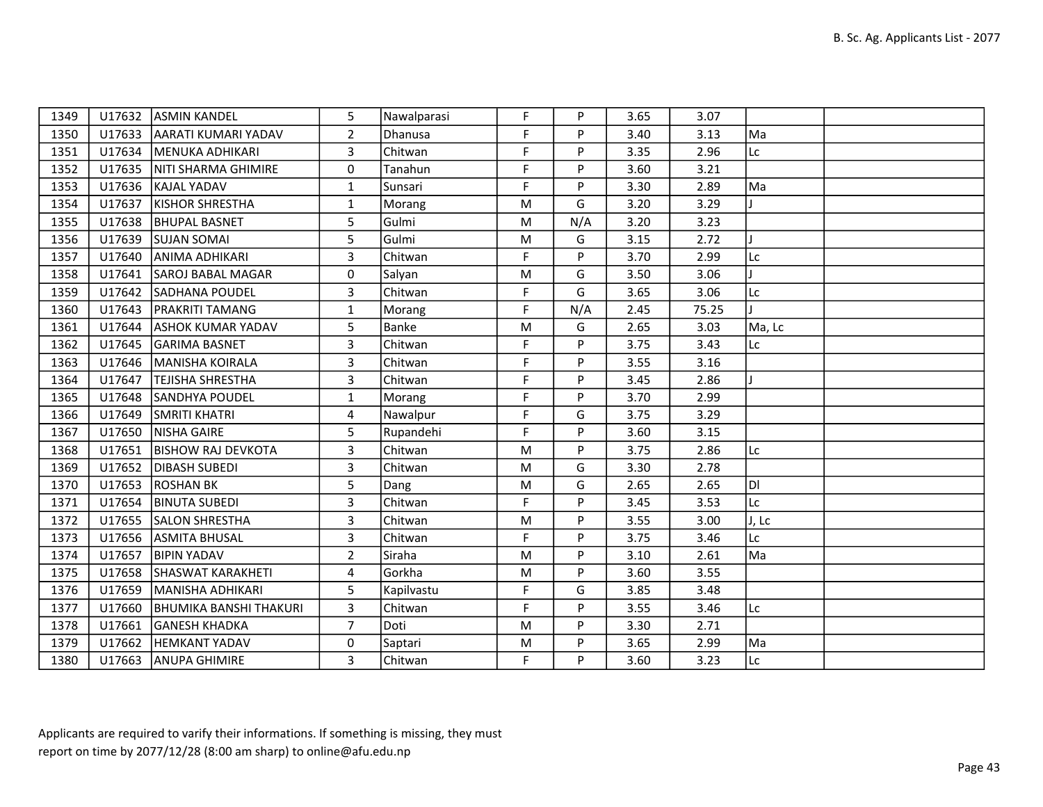| 1349 |        | U17632 ASMIN KANDEL           | 5              | Nawalparasi | F           | P   | 3.65 | 3.07  |        |  |
|------|--------|-------------------------------|----------------|-------------|-------------|-----|------|-------|--------|--|
| 1350 |        | U17633 AARATI KUMARI YADAV    | $\overline{2}$ | Dhanusa     | F           | P   | 3.40 | 3.13  | Ma     |  |
| 1351 |        | U17634   MENUKA ADHIKARI      | 3              | Chitwan     | F           | P   | 3.35 | 2.96  | Lc     |  |
| 1352 | U17635 | NITI SHARMA GHIMIRE           | $\mathbf 0$    | Tanahun     | F           | P   | 3.60 | 3.21  |        |  |
| 1353 | U17636 | KAJAL YADAV                   | 1              | Sunsari     | F           | P   | 3.30 | 2.89  | Ma     |  |
| 1354 | U17637 | <b>KISHOR SHRESTHA</b>        | $\mathbf{1}$   | Morang      | M           | G   | 3.20 | 3.29  |        |  |
| 1355 | U17638 | <b>BHUPAL BASNET</b>          | 5              | Gulmi       | M           | N/A | 3.20 | 3.23  |        |  |
| 1356 | U17639 | <b>SUJAN SOMAI</b>            | 5              | Gulmi       | M           | G   | 3.15 | 2.72  |        |  |
| 1357 | U17640 | <b>JANIMA ADHIKARI</b>        | 3              | Chitwan     | F           | P   | 3.70 | 2.99  | Lc:    |  |
| 1358 | U17641 | SAROJ BABAL MAGAR             | $\mathbf 0$    | Salyan      | M           | G   | 3.50 | 3.06  |        |  |
| 1359 | U17642 | SADHANA POUDEL                | 3              | Chitwan     | F           | G   | 3.65 | 3.06  | Lc     |  |
| 1360 | U17643 | <b>PRAKRITI TAMANG</b>        | $\mathbf{1}$   | Morang      | F           | N/A | 2.45 | 75.25 |        |  |
| 1361 | U17644 | <b>ASHOK KUMAR YADAV</b>      | $5\phantom{.}$ | Banke       | M           | G   | 2.65 | 3.03  | Ma, Lc |  |
| 1362 | U17645 | GARIMA BASNET                 | 3              | Chitwan     | $\mathsf F$ | P   | 3.75 | 3.43  | Lc     |  |
| 1363 | U17646 | MANISHA KOIRALA               | 3              | Chitwan     | F           | P   | 3.55 | 3.16  |        |  |
| 1364 | U17647 | <b>TEJISHA SHRESTHA</b>       | $\overline{3}$ | Chitwan     | F           | P   | 3.45 | 2.86  |        |  |
| 1365 | U17648 | <b>SANDHYA POUDEL</b>         | $\mathbf{1}$   | Morang      | F           | P   | 3.70 | 2.99  |        |  |
| 1366 | U17649 | <b>SMRITI KHATRI</b>          | 4              | Nawalpur    | F           | G   | 3.75 | 3.29  |        |  |
| 1367 | U17650 | NISHA GAIRE                   | 5              | Rupandehi   | F           | P   | 3.60 | 3.15  |        |  |
| 1368 | U17651 | <b>BISHOW RAJ DEVKOTA</b>     | 3              | Chitwan     | M           | P   | 3.75 | 2.86  | Lc     |  |
| 1369 | U17652 | <b>DIBASH SUBEDI</b>          | 3              | Chitwan     | M           | G   | 3.30 | 2.78  |        |  |
| 1370 | U17653 | <b>ROSHAN BK</b>              | 5              | Dang        | M           | G   | 2.65 | 2.65  | Id     |  |
| 1371 | U17654 | <b>BINUTA SUBEDI</b>          | 3              | Chitwan     | F           | P   | 3.45 | 3.53  | Lc:    |  |
| 1372 | U17655 | <b>SALON SHRESTHA</b>         | 3              | Chitwan     | M           | P   | 3.55 | 3.00  | J, Lc  |  |
| 1373 | U17656 | ASMITA BHUSAL                 | 3              | Chitwan     | F           | P   | 3.75 | 3.46  | Lc     |  |
| 1374 | U17657 | <b>BIPIN YADAV</b>            | $\overline{2}$ | Siraha      | ${\sf M}$   | P   | 3.10 | 2.61  | Ma     |  |
| 1375 | U17658 | SHASWAT KARAKHETI             | 4              | Gorkha      | M           | P   | 3.60 | 3.55  |        |  |
| 1376 | U17659 | MANISHA ADHIKARI              | 5              | Kapilvastu  | F           | G   | 3.85 | 3.48  |        |  |
| 1377 | U17660 | <b>BHUMIKA BANSHI THAKURI</b> | 3              | Chitwan     | F           | P   | 3.55 | 3.46  | Lc     |  |
| 1378 | U17661 | <b>GANESH KHADKA</b>          | $\overline{7}$ | Doti        | M           | P   | 3.30 | 2.71  |        |  |
| 1379 |        | U17662  HEMKANT YADAV         | $\mathbf 0$    | Saptari     | M           | P   | 3.65 | 2.99  | Ma     |  |
| 1380 | U17663 | ANUPA GHIMIRE                 | 3              | Chitwan     | F           | P   | 3.60 | 3.23  | Lc     |  |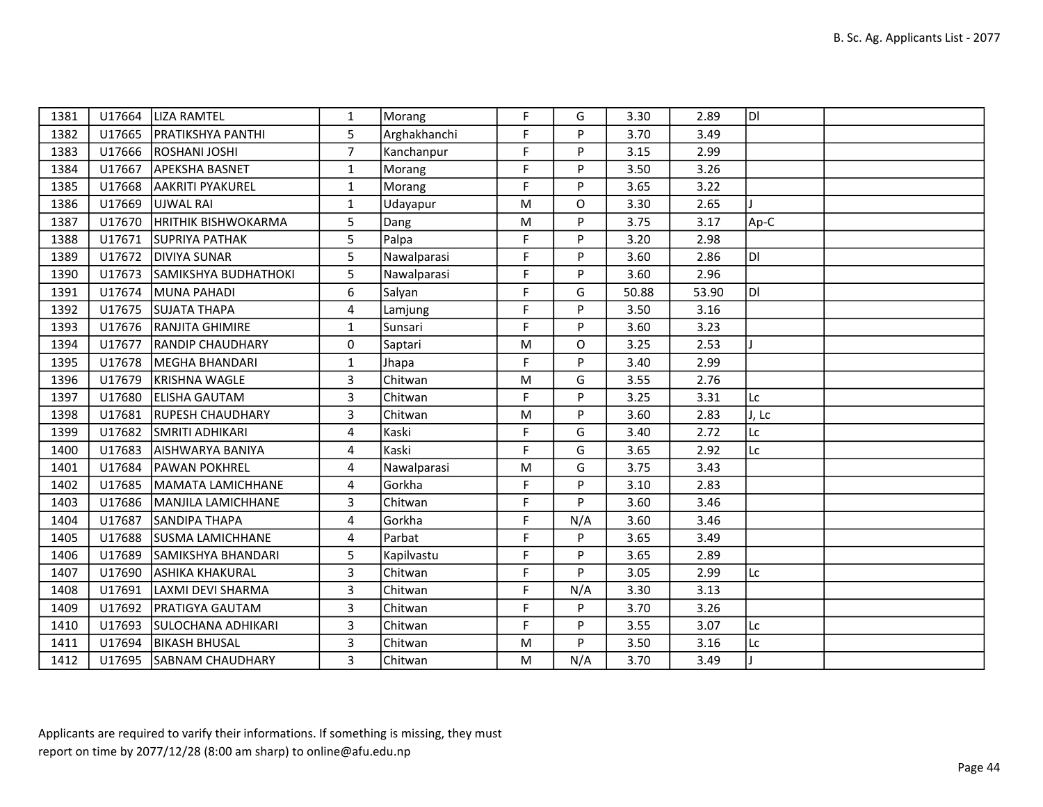| 1381 | U17664 | <b>LIZA RAMTEL</b>         | $\mathbf{1}$   | Morang       | F. | G        | 3.30  | 2.89  | ldl   |  |
|------|--------|----------------------------|----------------|--------------|----|----------|-------|-------|-------|--|
| 1382 | U17665 | <b>PRATIKSHYA PANTHI</b>   | 5              | Arghakhanchi | F  | P        | 3.70  | 3.49  |       |  |
| 1383 | U17666 | ROSHANI JOSHI              | $\overline{7}$ | Kanchanpur   | F  | P        | 3.15  | 2.99  |       |  |
| 1384 | U17667 | <b>APEKSHA BASNET</b>      | $\mathbf{1}$   | Morang       | F  | P        | 3.50  | 3.26  |       |  |
| 1385 | U17668 | <b>AAKRITI PYAKUREL</b>    | $\mathbf{1}$   | Morang       | F  | P        | 3.65  | 3.22  |       |  |
| 1386 | U17669 | <b>JUJWAL RAI</b>          | $\mathbf{1}$   | Udayapur     | M  | $\Omega$ | 3.30  | 2.65  |       |  |
| 1387 | U17670 | HRITHIK BISHWOKARMA        | 5              | Dang         | M  | P        | 3.75  | 3.17  | Ap-C  |  |
| 1388 | U17671 | <b>SUPRIYA PATHAK</b>      | 5              | Palpa        | F  | P        | 3.20  | 2.98  |       |  |
| 1389 | U17672 | <b>DIVIYA SUNAR</b>        | 5              | Nawalparasi  | F  | P        | 3.60  | 2.86  | ldı   |  |
| 1390 | U17673 | SAMIKSHYA BUDHATHOKI       | 5              | Nawalparasi  | F  | P        | 3.60  | 2.96  |       |  |
| 1391 | U17674 | MUNA PAHADI                | 6              | Salyan       | F  | G        | 50.88 | 53.90 | IDI   |  |
| 1392 | U17675 | SUJATA THAPA               | 4              | Lamjung      | F  | P        | 3.50  | 3.16  |       |  |
| 1393 |        | U17676 RANJITA GHIMIRE     | $\mathbf{1}$   | Sunsari      | F. | P        | 3.60  | 3.23  |       |  |
| 1394 | U17677 | <b>RANDIP CHAUDHARY</b>    | 0              | Saptari      | M  | $\Omega$ | 3.25  | 2.53  |       |  |
| 1395 | U17678 | MEGHA BHANDARI             | $\mathbf{1}$   | Jhapa        | F  | P        | 3.40  | 2.99  |       |  |
| 1396 | U17679 | KRISHNA WAGLE              | 3              | Chitwan      | M  | G        | 3.55  | 2.76  |       |  |
| 1397 | U17680 | <b>ELISHA GAUTAM</b>       | 3              | Chitwan      | F  | P        | 3.25  | 3.31  | Lc    |  |
| 1398 | U17681 | <b>RUPESH CHAUDHARY</b>    | 3              | Chitwan      | M  | P        | 3.60  | 2.83  | J, Lc |  |
| 1399 | U17682 | <b>SMRITI ADHIKARI</b>     | $\overline{4}$ | Kaski        | F. | G        | 3.40  | 2.72  | Lc    |  |
| 1400 | U17683 | <b>AISHWARYA BANIYA</b>    | 4              | Kaski        | F. | G        | 3.65  | 2.92  | Lc    |  |
| 1401 | U17684 | <b>PAWAN POKHREL</b>       | 4              | Nawalparasi  | M  | G        | 3.75  | 3.43  |       |  |
| 1402 | U17685 | MAMATA LAMICHHANE          | 4              | Gorkha       | F. | P        | 3.10  | 2.83  |       |  |
| 1403 | U17686 | <b>IMANJILA LAMICHHANE</b> | 3              | Chitwan      | F  | P        | 3.60  | 3.46  |       |  |
| 1404 | U17687 | <b>SANDIPA THAPA</b>       | 4              | Gorkha       | F  | N/A      | 3.60  | 3.46  |       |  |
| 1405 | U17688 | <b>SUSMA LAMICHHANE</b>    | 4              | Parbat       | F  | P        | 3.65  | 3.49  |       |  |
| 1406 | U17689 | SAMIKSHYA BHANDARI         | 5              | Kapilvastu   | F  | P        | 3.65  | 2.89  |       |  |
| 1407 | U17690 | <b>ASHIKA KHAKURAL</b>     | $\overline{3}$ | Chitwan      | F  | P        | 3.05  | 2.99  | Lc    |  |
| 1408 | U17691 | llaxmi devi sharma         | 3              | Chitwan      | F  | N/A      | 3.30  | 3.13  |       |  |
| 1409 | U17692 | <b>PRATIGYA GAUTAM</b>     | 3              | Chitwan      | F  | P        | 3.70  | 3.26  |       |  |
| 1410 | U17693 | <b>SULOCHANA ADHIKARI</b>  | 3              | Chitwan      | F  | P        | 3.55  | 3.07  | Lc    |  |
| 1411 | U17694 | <b>BIKASH BHUSAL</b>       | 3              | Chitwan      | M  | P        | 3.50  | 3.16  | Lc    |  |
| 1412 | U17695 | <b>SABNAM CHAUDHARY</b>    | 3              | Chitwan      | M  | N/A      | 3.70  | 3.49  |       |  |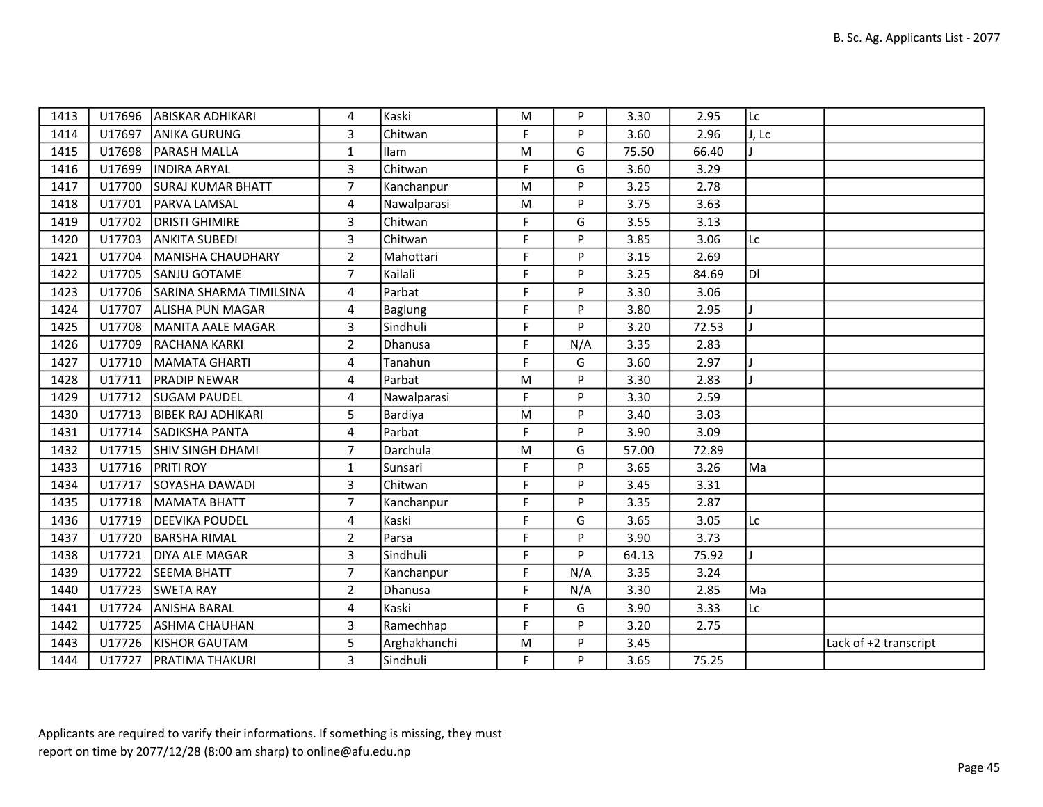| 1413 |        | U17696 ABISKAR ADHIKARI        | 4              | Kaski          | M           | P   | 3.30  | 2.95  | Lc    |                       |
|------|--------|--------------------------------|----------------|----------------|-------------|-----|-------|-------|-------|-----------------------|
| 1414 | U17697 | <b>ANIKA GURUNG</b>            | 3              | Chitwan        | F           | P   | 3.60  | 2.96  | J, Lc |                       |
| 1415 |        | U17698   PARASH MALLA          | $\mathbf{1}$   | Ilam           | M           | G   | 75.50 | 66.40 |       |                       |
| 1416 | U17699 | <b>INDIRA ARYAL</b>            | $\overline{3}$ | Chitwan        | F           | G   | 3.60  | 3.29  |       |                       |
| 1417 | U17700 | <b>SURAJ KUMAR BHATT</b>       | $\overline{7}$ | Kanchanpur     | M           | P   | 3.25  | 2.78  |       |                       |
| 1418 | U17701 | <b>PARVA LAMSAL</b>            | 4              | Nawalparasi    | M           | P   | 3.75  | 3.63  |       |                       |
| 1419 | U17702 | <b>DRISTI GHIMIRE</b>          | $\overline{3}$ | Chitwan        | F           | G   | 3.55  | 3.13  |       |                       |
| 1420 | U17703 | <b>ANKITA SUBEDI</b>           | 3              | Chitwan        | F           | P   | 3.85  | 3.06  | Lc    |                       |
| 1421 | U17704 | MANISHA CHAUDHARY              | $\overline{2}$ | Mahottari      | F           | P   | 3.15  | 2.69  |       |                       |
| 1422 | U17705 | SANJU GOTAME                   | $\overline{7}$ | Kailali        | F           | P   | 3.25  | 84.69 | ldi   |                       |
| 1423 |        | U17706 SARINA SHARMA TIMILSINA | 4              | Parbat         | F.          | P   | 3.30  | 3.06  |       |                       |
| 1424 | U17707 | <b>ALISHA PUN MAGAR</b>        | 4              | <b>Baglung</b> | F           | P   | 3.80  | 2.95  |       |                       |
| 1425 | U17708 | MANITA AALE MAGAR              | 3              | Sindhuli       | F           | Þ   | 3.20  | 72.53 |       |                       |
| 1426 |        | U17709 RACHANA KARKI           | $\overline{2}$ | Dhanusa        | F           | N/A | 3.35  | 2.83  |       |                       |
| 1427 |        | U17710   MAMATA GHARTI         | 4              | Tanahun        | F           | G   | 3.60  | 2.97  |       |                       |
| 1428 |        | U17711   PRADIP NEWAR          | 4              | Parbat         | M           | Þ   | 3.30  | 2.83  |       |                       |
| 1429 |        | U17712 SUGAM PAUDEL            | 4              | Nawalparasi    | F           | P   | 3.30  | 2.59  |       |                       |
| 1430 |        | U17713   BIBEK RAJ ADHIKARI    | 5              | Bardiya        | M           | P   | 3.40  | 3.03  |       |                       |
| 1431 |        | U17714 SADIKSHA PANTA          | $\overline{4}$ | Parbat         | F.          | P   | 3.90  | 3.09  |       |                       |
| 1432 |        | U17715 SHIV SINGH DHAMI        | $\overline{7}$ | Darchula       | M           | G   | 57.00 | 72.89 |       |                       |
| 1433 |        | U17716 PRITI ROY               | $\mathbf{1}$   | Sunsari        | F           | P   | 3.65  | 3.26  | Ma    |                       |
| 1434 | U17717 | SOYASHA DAWADI                 | 3              | Chitwan        | F           | Þ   | 3.45  | 3.31  |       |                       |
| 1435 |        | U17718   MAMATA BHATT          | $\overline{7}$ | Kanchanpur     | F           | P   | 3.35  | 2.87  |       |                       |
| 1436 |        | U17719   DEEVIKA POUDEL        | 4              | Kaski          | $\mathsf F$ | G   | 3.65  | 3.05  | Lc    |                       |
| 1437 |        | U17720 BARSHA RIMAL            | $\overline{2}$ | Parsa          | F           | P   | 3.90  | 3.73  |       |                       |
| 1438 | U17721 | <b>IDIYA ALE MAGAR</b>         | 3              | Sindhuli       | F           | P   | 64.13 | 75.92 |       |                       |
| 1439 |        | U17722 SEEMA BHATT             | $\overline{7}$ | Kanchanpur     | F           | N/A | 3.35  | 3.24  |       |                       |
| 1440 |        | U17723 SWETA RAY               | $\overline{2}$ | Dhanusa        | F           | N/A | 3.30  | 2.85  | Ma    |                       |
| 1441 | U17724 | <b>JANISHA BARAL</b>           | 4              | Kaski          | F           | G   | 3.90  | 3.33  | Lc    |                       |
| 1442 | U17725 | ASHMA CHAUHAN                  | 3              | Ramechhap      | $\mathsf F$ | P   | 3.20  | 2.75  |       |                       |
| 1443 |        | U17726   KISHOR GAUTAM         | 5              | Arghakhanchi   | M           | P   | 3.45  |       |       | Lack of +2 transcript |
| 1444 |        | U17727   PRATIMA THAKURI       | 3              | Sindhuli       | F           | P   | 3.65  | 75.25 |       |                       |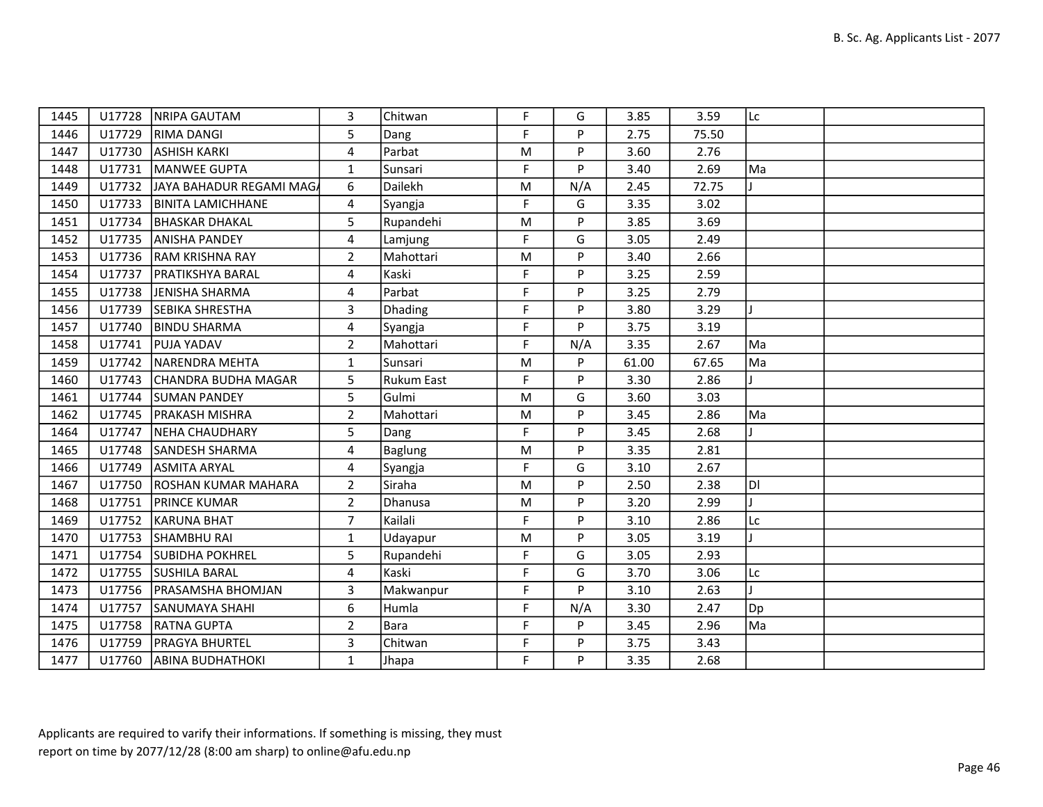| 1445 | U17728 | NRIPA GAUTAM               | 3              | Chitwan    | F. | G   | 3.85  | 3.59  | Lc |  |
|------|--------|----------------------------|----------------|------------|----|-----|-------|-------|----|--|
| 1446 |        | U17729 RIMA DANGI          | 5              | Dang       | F. | P   | 2.75  | 75.50 |    |  |
| 1447 | U17730 | <b>ASHISH KARKI</b>        | 4              | Parbat     | M  | P   | 3.60  | 2.76  |    |  |
| 1448 | U17731 | MANWEE GUPTA               | $\mathbf{1}$   | Sunsari    | F  | P   | 3.40  | 2.69  | Ma |  |
| 1449 | U17732 | JAYA BAHADUR REGAMI MAGA   | 6              | Dailekh    | M  | N/A | 2.45  | 72.75 |    |  |
| 1450 | U17733 | <b>BINITA LAMICHHANE</b>   | $\overline{4}$ | Syangja    | F  | G   | 3.35  | 3.02  |    |  |
| 1451 |        | U17734   BHASKAR DHAKAL    | 5              | Rupandehi  | M  | P   | 3.85  | 3.69  |    |  |
| 1452 | U17735 | <b>JANISHA PANDEY</b>      | 4              | Lamjung    | F  | G   | 3.05  | 2.49  |    |  |
| 1453 |        | U17736 RAM KRISHNA RAY     | $\overline{2}$ | Mahottari  | M  | P   | 3.40  | 2.66  |    |  |
| 1454 | U17737 | <b>PRATIKSHYA BARAL</b>    | $\overline{4}$ | Kaski      | F  | P   | 3.25  | 2.59  |    |  |
| 1455 | U17738 | JENISHA SHARMA             | 4              | Parbat     | F  | P   | 3.25  | 2.79  |    |  |
| 1456 | U17739 | <b>SEBIKA SHRESTHA</b>     | 3              | Dhading    | F  | P   | 3.80  | 3.29  | I. |  |
| 1457 | U17740 | <b>BINDU SHARMA</b>        | 4              | Syangja    | F  | P   | 3.75  | 3.19  |    |  |
| 1458 | U17741 | <b>PUJA YADAV</b>          | $\overline{2}$ | Mahottari  | F  | N/A | 3.35  | 2.67  | Ma |  |
| 1459 | U17742 | NARENDRA MEHTA             | $\mathbf{1}$   | Sunsari    | M  | P   | 61.00 | 67.65 | Ma |  |
| 1460 | U17743 | ICHANDRA BUDHA MAGAR       | 5              | Rukum East | F. | P   | 3.30  | 2.86  |    |  |
| 1461 | U17744 | <b>SUMAN PANDEY</b>        | 5 <sub>1</sub> | Gulmi      | M  | G   | 3.60  | 3.03  |    |  |
| 1462 | U17745 | <b>PRAKASH MISHRA</b>      | $\overline{2}$ | Mahottari  | M  | P   | 3.45  | 2.86  | Ma |  |
| 1464 | U17747 | <b>NEHA CHAUDHARY</b>      | 5              | Dang       | F. | P   | 3.45  | 2.68  |    |  |
| 1465 | U17748 | <b>SANDESH SHARMA</b>      | 4              | Baglung    | M  | P   | 3.35  | 2.81  |    |  |
| 1466 | U17749 | <b>ASMITA ARYAL</b>        | 4              | Syangja    | F. | G   | 3.10  | 2.67  |    |  |
| 1467 | U17750 | <b>ROSHAN KUMAR MAHARA</b> | $\overline{2}$ | Siraha     | M  | P   | 2.50  | 2.38  | ÌЫ |  |
| 1468 | U17751 | <b>PRINCE KUMAR</b>        | $\overline{2}$ | Dhanusa    | M  | P   | 3.20  | 2.99  |    |  |
| 1469 | U17752 | KARUNA BHAT                | $\overline{7}$ | Kailali    | F. | P   | 3.10  | 2.86  | Lc |  |
| 1470 | U17753 | <b>SHAMBHU RAI</b>         | $\mathbf{1}$   | Udayapur   | M  | P   | 3.05  | 3.19  |    |  |
| 1471 | U17754 | <b>SUBIDHA POKHREL</b>     | 5              | Rupandehi  | F  | G   | 3.05  | 2.93  |    |  |
| 1472 | U17755 | <b>SUSHILA BARAL</b>       | 4              | Kaski      | F  | G   | 3.70  | 3.06  | Lc |  |
| 1473 | U17756 | <b>PRASAMSHA BHOMJAN</b>   | 3              | Makwanpur  | F  | P   | 3.10  | 2.63  |    |  |
| 1474 | U17757 | <b>SANUMAYA SHAHI</b>      | 6              | Humla      | F  | N/A | 3.30  | 2.47  | Dp |  |
| 1475 | U17758 | <b>RATNA GUPTA</b>         | $\overline{2}$ | Bara       | F. | P   | 3.45  | 2.96  | Ma |  |
| 1476 |        | U17759   PRAGYA BHURTEL    | 3              | Chitwan    | F  | P   | 3.75  | 3.43  |    |  |
| 1477 |        | U17760   ABINA BUDHATHOKI  | $\mathbf{1}$   | Jhapa      | F  | P   | 3.35  | 2.68  |    |  |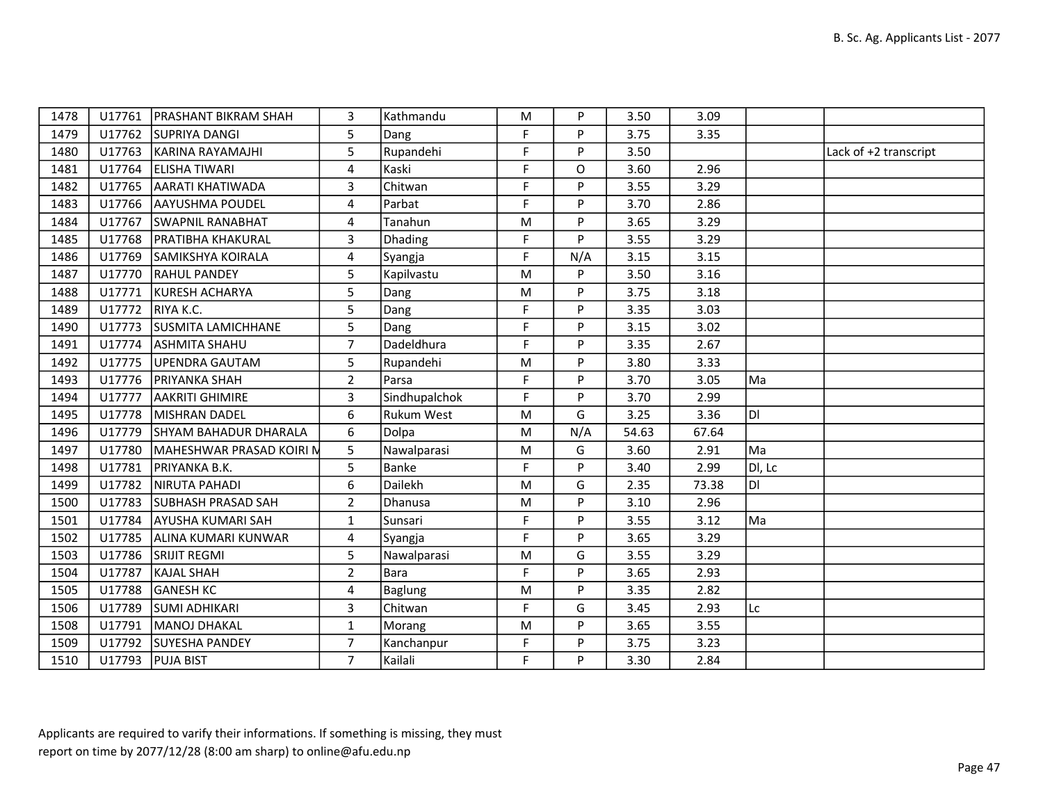| 1478 | U17761 | <b>IPRASHANT BIKRAM SHAH</b> | 3              | Kathmandu      | M         | P   | 3.50  | 3.09  |        |                       |
|------|--------|------------------------------|----------------|----------------|-----------|-----|-------|-------|--------|-----------------------|
| 1479 |        | U17762 SUPRIYA DANGI         | 5              | Dang           | F         | P   | 3.75  | 3.35  |        |                       |
| 1480 | U17763 | KARINA RAYAMAJHI             | 5              | Rupandehi      | F.        | P   | 3.50  |       |        | Lack of +2 transcript |
| 1481 | U17764 | ELISHA TIWARI                | 4              | Kaski          | F         | O   | 3.60  | 2.96  |        |                       |
| 1482 | U17765 | <b>AARATI KHATIWADA</b>      | 3              | Chitwan        | F         | P   | 3.55  | 3.29  |        |                       |
| 1483 | U17766 | <b>AAYUSHMA POUDEL</b>       | 4              | Parbat         | F         | P   | 3.70  | 2.86  |        |                       |
| 1484 | U17767 | <b>SWAPNIL RANABHAT</b>      | 4              | Tanahun        | M         | P   | 3.65  | 3.29  |        |                       |
| 1485 | U17768 | <b>PRATIBHA KHAKURAL</b>     | 3              | Dhading        | F.        | P   | 3.55  | 3.29  |        |                       |
| 1486 | U17769 | <b>SAMIKSHYA KOIRALA</b>     | 4              | Syangja        | F.        | N/A | 3.15  | 3.15  |        |                       |
| 1487 | U17770 | <b>RAHUL PANDEY</b>          | 5              | Kapilvastu     | M         | P   | 3.50  | 3.16  |        |                       |
| 1488 | U17771 | KURESH ACHARYA               | 5              | Dang           | M         | P   | 3.75  | 3.18  |        |                       |
| 1489 | U17772 | RIYA K.C.                    | 5              | Dang           | E         | P   | 3.35  | 3.03  |        |                       |
| 1490 | U17773 | <b>SUSMITA LAMICHHANE</b>    | 5              | Dang           | E         | P   | 3.15  | 3.02  |        |                       |
| 1491 | U17774 | <b>ASHMITA SHAHU</b>         | $\overline{7}$ | Dadeldhura     | F         | P   | 3.35  | 2.67  |        |                       |
| 1492 | U17775 | UPENDRA GAUTAM               | 5              | Rupandehi      | M         | P   | 3.80  | 3.33  |        |                       |
| 1493 | U17776 | PRIYANKA SHAH                | $\overline{2}$ | Parsa          | E         | P   | 3.70  | 3.05  | Ma     |                       |
| 1494 | U17777 | <b>AAKRITI GHIMIRE</b>       | 3              | Sindhupalchok  | F         | P   | 3.70  | 2.99  |        |                       |
| 1495 | U17778 | MISHRAN DADEL                | 6              | Rukum West     | ${\sf M}$ | G   | 3.25  | 3.36  | DI     |                       |
| 1496 | U17779 | SHYAM BAHADUR DHARALA        | 6              | Dolpa          | M         | N/A | 54.63 | 67.64 |        |                       |
| 1497 | U17780 | MAHESHWAR PRASAD KOIRI N     | 5              | Nawalparasi    | ${\sf M}$ | G   | 3.60  | 2.91  | Ma     |                       |
| 1498 | U17781 | PRIYANKA B.K.                | 5              | Banke          | F         | P   | 3.40  | 2.99  | DI, Lc |                       |
| 1499 | U17782 | NIRUTA PAHADI                | 6              | Dailekh        | M         | G   | 2.35  | 73.38 | DI     |                       |
| 1500 | U17783 | <b>SUBHASH PRASAD SAH</b>    | $\overline{2}$ | Dhanusa        | ${\sf M}$ | P   | 3.10  | 2.96  |        |                       |
| 1501 | U17784 | <b>AYUSHA KUMARI SAH</b>     | $\mathbf{1}$   | Sunsari        | F.        | P   | 3.55  | 3.12  | Ma     |                       |
| 1502 | U17785 | ALINA KUMARI KUNWAR          | 4              | Syangja        | F.        | P   | 3.65  | 3.29  |        |                       |
| 1503 | U17786 | <b>SRIJIT REGMI</b>          | 5              | Nawalparasi    | ${\sf M}$ | G   | 3.55  | 3.29  |        |                       |
| 1504 | U17787 | KAJAL SHAH                   | $\overline{2}$ | Bara           | F         | P   | 3.65  | 2.93  |        |                       |
| 1505 | U17788 | <b>GANESH KC</b>             | 4              | <b>Baglung</b> | M         | P   | 3.35  | 2.82  |        |                       |
| 1506 | U17789 | <b>SUMI ADHIKARI</b>         | 3              | Chitwan        | F         | G   | 3.45  | 2.93  | Lc     |                       |
| 1508 | U17791 | MANOJ DHAKAL                 | $\mathbf{1}$   | Morang         | M         | P   | 3.65  | 3.55  |        |                       |
| 1509 | U17792 | <b>SUYESHA PANDEY</b>        | $\overline{7}$ | Kanchanpur     | F         | P   | 3.75  | 3.23  |        |                       |
| 1510 |        | U17793 PUJA BIST             | $\overline{7}$ | Kailali        | F         | P   | 3.30  | 2.84  |        |                       |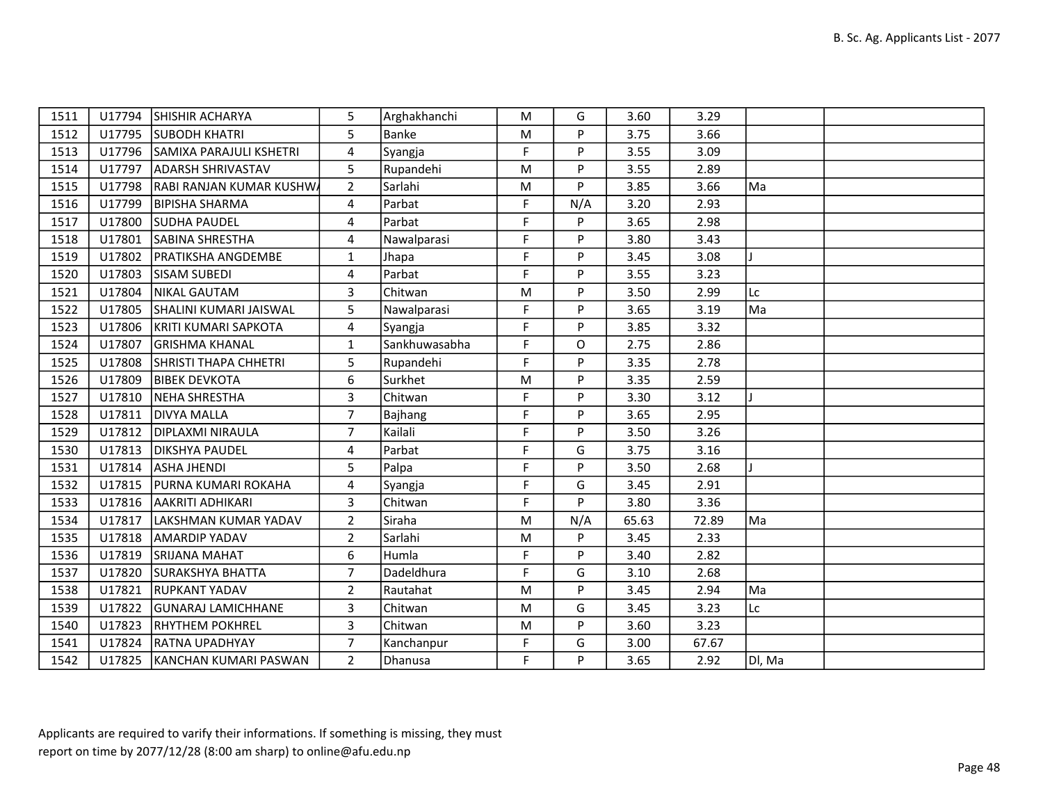| 1511 |        | U17794 SHISHIR ACHARYA         | 5              | Arghakhanchi  | M  | G            | 3.60  | 3.29  |              |  |
|------|--------|--------------------------------|----------------|---------------|----|--------------|-------|-------|--------------|--|
| 1512 |        | U17795 SUBODH KHATRI           | 5              | Banke         | M  | P            | 3.75  | 3.66  |              |  |
| 1513 |        | U17796 SAMIXA PARAJULI KSHETRI | 4              | Syangja       | F  | P            | 3.55  | 3.09  |              |  |
| 1514 |        | U17797 ADARSH SHRIVASTAV       | 5              | Rupandehi     | M  | P            | 3.55  | 2.89  |              |  |
| 1515 | U17798 | RABI RANJAN KUMAR KUSHWA       | $2^{\circ}$    | Sarlahi       | M  | P            | 3.85  | 3.66  | Ma           |  |
| 1516 | U17799 | <b>BIPISHA SHARMA</b>          | 4              | Parbat        | F  | N/A          | 3.20  | 2.93  |              |  |
| 1517 | U17800 | <b>SUDHA PAUDEL</b>            | 4              | Parbat        | F  | P            | 3.65  | 2.98  |              |  |
| 1518 | U17801 | <b>SABINA SHRESTHA</b>         | 4              | Nawalparasi   | F  | P            | 3.80  | 3.43  |              |  |
| 1519 | U17802 | <b>PRATIKSHA ANGDEMBE</b>      | $\mathbf{1}$   | Jhapa         | F  | P            | 3.45  | 3.08  |              |  |
| 1520 | U17803 | <b>SISAM SUBEDI</b>            | 4              | Parbat        | F  | P            | 3.55  | 3.23  |              |  |
| 1521 | U17804 | NIKAL GAUTAM                   | 3              | Chitwan       | M  | P            | 3.50  | 2.99  | Lc           |  |
| 1522 | U17805 | <b>SHALINI KUMARI JAISWAL</b>  | 5              | Nawalparasi   | F  | P            | 3.65  | 3.19  | Ma           |  |
| 1523 | U17806 | KRITI KUMARI SAPKOTA           | 4              | Syangja       | F  | P            | 3.85  | 3.32  |              |  |
| 1524 | U17807 | <b>GRISHMA KHANAL</b>          | $\mathbf{1}$   | Sankhuwasabha | F. | $\mathsf{O}$ | 2.75  | 2.86  |              |  |
| 1525 | U17808 | SHRISTI THAPA CHHETRI          | 5              | Rupandehi     | F  | P            | 3.35  | 2.78  |              |  |
| 1526 | U17809 | <b>BIBEK DEVKOTA</b>           | 6              | Surkhet       | M  | P            | 3.35  | 2.59  |              |  |
| 1527 | U17810 | NEHA SHRESTHA                  | 3              | Chitwan       | F  | P            | 3.30  | 3.12  | $\mathbf{I}$ |  |
| 1528 | U17811 | <b>DIVYA MALLA</b>             | $\overline{7}$ | Bajhang       | F  | P            | 3.65  | 2.95  |              |  |
| 1529 | U17812 | <b>DIPLAXMI NIRAULA</b>        | $\overline{7}$ | Kailali       | F  | P            | 3.50  | 3.26  |              |  |
| 1530 |        | U17813   DIKSHYA PAUDEL        | 4              | Parbat        | F  | G            | 3.75  | 3.16  |              |  |
| 1531 | U17814 | <b>ASHA JHENDI</b>             | 5              | Palpa         | F  | P            | 3.50  | 2.68  |              |  |
| 1532 |        | U17815   PURNA KUMARI ROKAHA   | 4              | Syangja       | F  | G            | 3.45  | 2.91  |              |  |
| 1533 |        | U17816 AAKRITI ADHIKARI        | 3              | Chitwan       | F  | P            | 3.80  | 3.36  |              |  |
| 1534 | U17817 | LAKSHMAN KUMAR YADAV           | $\overline{2}$ | Siraha        | M  | N/A          | 65.63 | 72.89 | Ma           |  |
| 1535 | U17818 | <b>AMARDIP YADAV</b>           | $\overline{2}$ | Sarlahi       | M  | P            | 3.45  | 2.33  |              |  |
| 1536 |        | U17819 SRIJANA MAHAT           | 6              | Humla         | F  | P            | 3.40  | 2.82  |              |  |
| 1537 | U17820 | SURAKSHYA BHATTA               | $\overline{7}$ | Dadeldhura    | F  | G            | 3.10  | 2.68  |              |  |
| 1538 | U17821 | <b>RUPKANT YADAV</b>           | $\overline{2}$ | Rautahat      | M  | P            | 3.45  | 2.94  | Ma           |  |
| 1539 |        | U17822 GUNARAJ LAMICHHANE      | 3              | Chitwan       | M  | G            | 3.45  | 3.23  | Lc           |  |
| 1540 |        | U17823 RHYTHEM POKHREL         | 3              | Chitwan       | M  | P            | 3.60  | 3.23  |              |  |
| 1541 |        | U17824 RATNA UPADHYAY          | $\overline{7}$ | Kanchanpur    | F  | G            | 3.00  | 67.67 |              |  |
| 1542 |        | U17825 KANCHAN KUMARI PASWAN   | $\overline{2}$ | Dhanusa       | F  | P            | 3.65  | 2.92  | Dl, Ma       |  |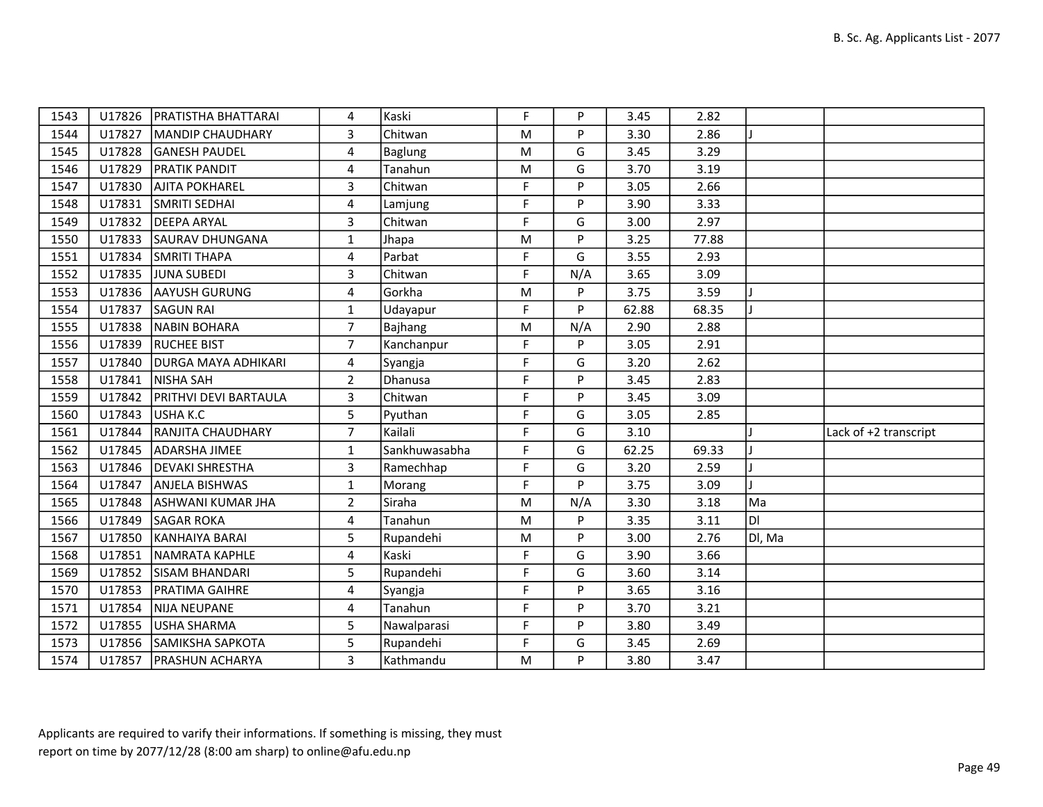| 1543 |        | U17826   PRATISTHA BHATTARAI | 4              | Kaski          | F  | P   | 3.45  | 2.82  |        |                       |
|------|--------|------------------------------|----------------|----------------|----|-----|-------|-------|--------|-----------------------|
| 1544 | U17827 | MANDIP CHAUDHARY             | 3              | Chitwan        | M  | P   | 3.30  | 2.86  |        |                       |
| 1545 |        | U17828 GANESH PAUDEL         | 4              | <b>Baglung</b> | M  | G   | 3.45  | 3.29  |        |                       |
| 1546 | U17829 | <b>PRATIK PANDIT</b>         | 4              | Tanahun        | M  | G   | 3.70  | 3.19  |        |                       |
| 1547 | U17830 | <b>AJITA POKHAREL</b>        | 3              | Chitwan        | F  | P   | 3.05  | 2.66  |        |                       |
| 1548 | U17831 | SMRITI SEDHAI                | 4              | Lamjung        | F  | P   | 3.90  | 3.33  |        |                       |
| 1549 |        | U17832 DEEPA ARYAL           | $\overline{3}$ | Chitwan        | F. | G   | 3.00  | 2.97  |        |                       |
| 1550 | U17833 | SAURAV DHUNGANA              | $\mathbf{1}$   | Jhapa          | M  | P   | 3.25  | 77.88 |        |                       |
| 1551 | U17834 | <b>SMRITI THAPA</b>          | 4              | Parbat         | F  | G   | 3.55  | 2.93  |        |                       |
| 1552 | U17835 | <b>JUNA SUBEDI</b>           | 3              | Chitwan        | F  | N/A | 3.65  | 3.09  |        |                       |
| 1553 | U17836 | <b>AAYUSH GURUNG</b>         | 4              | Gorkha         | M  | P   | 3.75  | 3.59  |        |                       |
| 1554 | U17837 | <b>SAGUN RAI</b>             | 1              | Udayapur       | F  | P   | 62.88 | 68.35 |        |                       |
| 1555 | U17838 | NABIN BOHARA                 | $\overline{7}$ | Bajhang        | M  | N/A | 2.90  | 2.88  |        |                       |
| 1556 | U17839 | <b>RUCHEE BIST</b>           | $\overline{7}$ | Kanchanpur     | F  | P   | 3.05  | 2.91  |        |                       |
| 1557 | U17840 | <b>DURGA MAYA ADHIKARI</b>   | 4              | Syangja        | F  | G   | 3.20  | 2.62  |        |                       |
| 1558 | U17841 | NISHA SAH                    | $\overline{2}$ | Dhanusa        | F. | P   | 3.45  | 2.83  |        |                       |
| 1559 | U17842 | <b>PRITHVI DEVI BARTAULA</b> | 3              | Chitwan        | F  | P   | 3.45  | 3.09  |        |                       |
| 1560 | U17843 | USHA K.C                     | 5              | Pyuthan        | F  | G   | 3.05  | 2.85  |        |                       |
| 1561 | U17844 | <b>RANJITA CHAUDHARY</b>     | $\overline{7}$ | Kailali        | F  | G   | 3.10  |       |        | Lack of +2 transcript |
| 1562 | U17845 | ADARSHA JIMEE                | $\mathbf{1}$   | Sankhuwasabha  | F  | G   | 62.25 | 69.33 |        |                       |
| 1563 | U17846 | <b>DEVAKI SHRESTHA</b>       | 3              | Ramechhap      | F  | G   | 3.20  | 2.59  |        |                       |
| 1564 | U17847 | <b>ANJELA BISHWAS</b>        | $\mathbf{1}$   | Morang         | F. | P   | 3.75  | 3.09  |        |                       |
| 1565 | U17848 | <b>ASHWANI KUMAR JHA</b>     | $\overline{2}$ | Siraha         | M  | N/A | 3.30  | 3.18  | Ma     |                       |
| 1566 | U17849 | <b>SAGAR ROKA</b>            | 4              | Tanahun        | M  | P   | 3.35  | 3.11  | Iы     |                       |
| 1567 | U17850 | KANHAIYA BARAI               | $5\phantom{.}$ | Rupandehi      | M  | P   | 3.00  | 2.76  | Dl, Ma |                       |
| 1568 | U17851 | NAMRATA KAPHLE               | 4              | Kaski          | F  | G   | 3.90  | 3.66  |        |                       |
| 1569 | U17852 | SISAM BHANDARI               | 5              | Rupandehi      | F  | G   | 3.60  | 3.14  |        |                       |
| 1570 | U17853 | <b>PRATIMA GAIHRE</b>        | 4              | Syangja        | F. | P   | 3.65  | 3.16  |        |                       |
| 1571 | U17854 | NIJA NEUPANE                 | 4              | Tanahun        | F  | P   | 3.70  | 3.21  |        |                       |
| 1572 | U17855 | <b>USHA SHARMA</b>           | 5              | Nawalparasi    | F  | P   | 3.80  | 3.49  |        |                       |
| 1573 |        | U17856 SAMIKSHA SAPKOTA      | 5              | Rupandehi      | F  | G   | 3.45  | 2.69  |        |                       |
| 1574 |        | U17857   PRASHUN ACHARYA     | 3              | Kathmandu      | M  | P   | 3.80  | 3.47  |        |                       |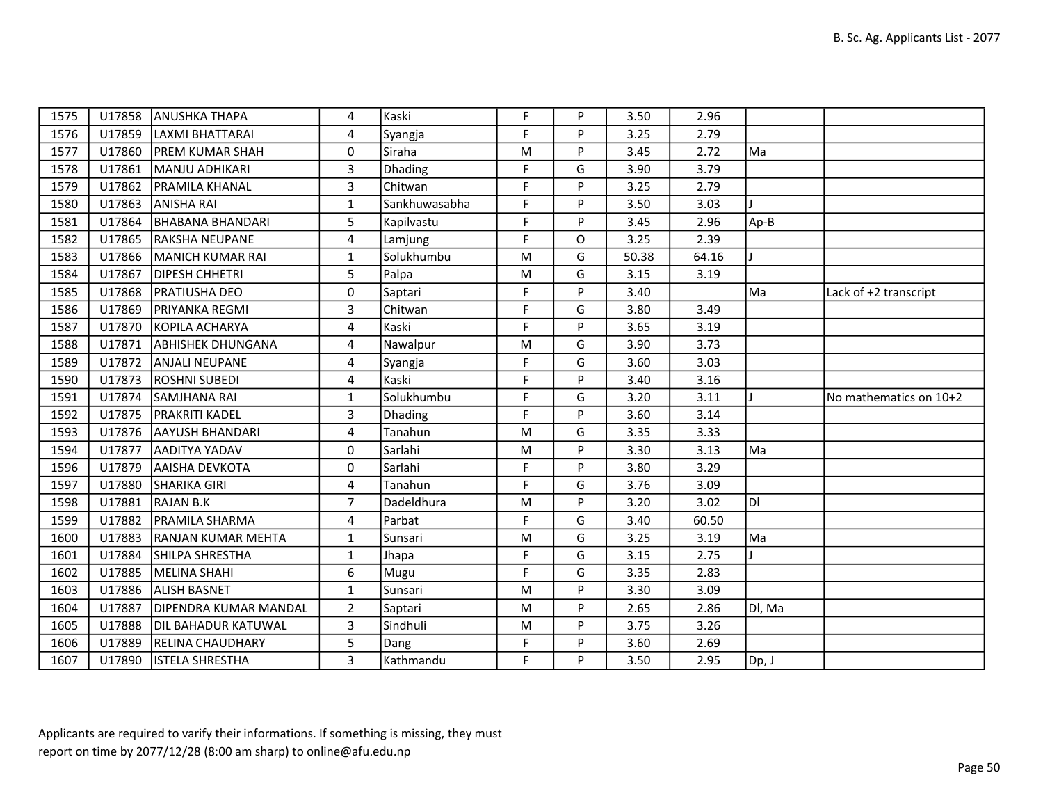| 1575 | U17858 | <b>ANUSHKA THAPA</b>       | 4                       | Kaski         | F           | P | 3.50  | 2.96  |        |                        |
|------|--------|----------------------------|-------------------------|---------------|-------------|---|-------|-------|--------|------------------------|
| 1576 | U17859 | LAXMI BHATTARAI            | 4                       | Syangja       | F           | P | 3.25  | 2.79  |        |                        |
| 1577 | U17860 | <b>PREM KUMAR SHAH</b>     | $\Omega$                | Siraha        | M           | P | 3.45  | 2.72  | Ma     |                        |
| 1578 | U17861 | MANJU ADHIKARI             | $\overline{3}$          | Dhading       | $\mathsf F$ | G | 3.90  | 3.79  |        |                        |
| 1579 | U17862 | IPRAMILA KHANAL            | $\overline{\mathbf{3}}$ | Chitwan       | F           | P | 3.25  | 2.79  |        |                        |
| 1580 | U17863 | <b>ANISHA RAI</b>          | $\mathbf{1}$            | Sankhuwasabha | F           | P | 3.50  | 3.03  |        |                        |
| 1581 | U17864 | BHABANA BHANDARI           | 5                       | Kapilvastu    | F           | P | 3.45  | 2.96  | Ap-B   |                        |
| 1582 | U17865 | <b>RAKSHA NEUPANE</b>      | 4                       | Lamjung       | F           | O | 3.25  | 2.39  |        |                        |
| 1583 | U17866 | MANICH KUMAR RAI           | $\mathbf{1}$            | Solukhumbu    | M           | G | 50.38 | 64.16 |        |                        |
| 1584 | U17867 | <b>DIPESH CHHETRI</b>      | 5                       | Palpa         | M           | G | 3.15  | 3.19  |        |                        |
| 1585 | U17868 | <b>PRATIUSHA DEO</b>       | 0                       | Saptari       | F           | P | 3.40  |       | Ma     | Lack of +2 transcript  |
| 1586 | U17869 | <b>PRIYANKA REGMI</b>      | 3                       | Chitwan       | F           | G | 3.80  | 3.49  |        |                        |
| 1587 | U17870 | KOPILA ACHARYA             | $\overline{4}$          | Kaski         | F           | P | 3.65  | 3.19  |        |                        |
| 1588 | U17871 | <b>ABHISHEK DHUNGANA</b>   | 4                       | Nawalpur      | M           | G | 3.90  | 3.73  |        |                        |
| 1589 | U17872 | <b>ANJALI NEUPANE</b>      | 4                       | Syangja       | F           | G | 3.60  | 3.03  |        |                        |
| 1590 | U17873 | <b>ROSHNI SUBEDI</b>       | 4                       | Kaski         | F           | P | 3.40  | 3.16  |        |                        |
| 1591 | U17874 | <b>SAMJHANA RAI</b>        | $\mathbf{1}$            | Solukhumbu    | F           | G | 3.20  | 3.11  |        | No mathematics on 10+2 |
|      |        |                            |                         |               |             |   |       |       |        |                        |
| 1592 | U17875 | <b>PRAKRITI KADEL</b>      | 3                       | Dhading       | F           | P | 3.60  | 3.14  |        |                        |
| 1593 | U17876 | <b>AAYUSH BHANDARI</b>     | 4                       | Tanahun       | M           | G | 3.35  | 3.33  |        |                        |
| 1594 | U17877 | AADITYA YADAV              | 0                       | Sarlahi       | M           | P | 3.30  | 3.13  | Ma     |                        |
| 1596 | U17879 | <b>AAISHA DEVKOTA</b>      | 0                       | Sarlahi       | F           | P | 3.80  | 3.29  |        |                        |
| 1597 | U17880 | <b>SHARIKA GIRI</b>        | 4                       | Tanahun       | $\mathsf F$ | G | 3.76  | 3.09  |        |                        |
| 1598 | U17881 | <b>RAJAN B.K</b>           | $\overline{7}$          | Dadeldhura    | M           | P | 3.20  | 3.02  | Iol    |                        |
| 1599 | U17882 | <b>PRAMILA SHARMA</b>      | 4                       | Parbat        | F           | G | 3.40  | 60.50 |        |                        |
| 1600 | U17883 | <b>RANJAN KUMAR MEHTA</b>  | $\mathbf{1}$            | Sunsari       | M           | G | 3.25  | 3.19  | Ma     |                        |
| 1601 | U17884 | SHILPA SHRESTHA            | $\mathbf{1}$            | Jhapa         | F           | G | 3.15  | 2.75  |        |                        |
| 1602 | U17885 | MELINA SHAHI               | 6                       | Mugu          | F           | G | 3.35  | 2.83  |        |                        |
| 1603 | U17886 | <b>ALISH BASNET</b>        | $\mathbf{1}$            | Sunsari       | M           | P | 3.30  | 3.09  |        |                        |
| 1604 | U17887 | DIPENDRA KUMAR MANDAL      | $\overline{2}$          | Saptari       | M           | P | 2.65  | 2.86  | DI, Ma |                        |
| 1605 | U17888 | <b>DIL BAHADUR KATUWAL</b> | $\overline{\mathbf{3}}$ | Sindhuli      | M           | P | 3.75  | 3.26  |        |                        |
| 1606 | U17889 | <b>RELINA CHAUDHARY</b>    | 5                       | Dang          | $\mathsf F$ | P | 3.60  | 2.69  |        |                        |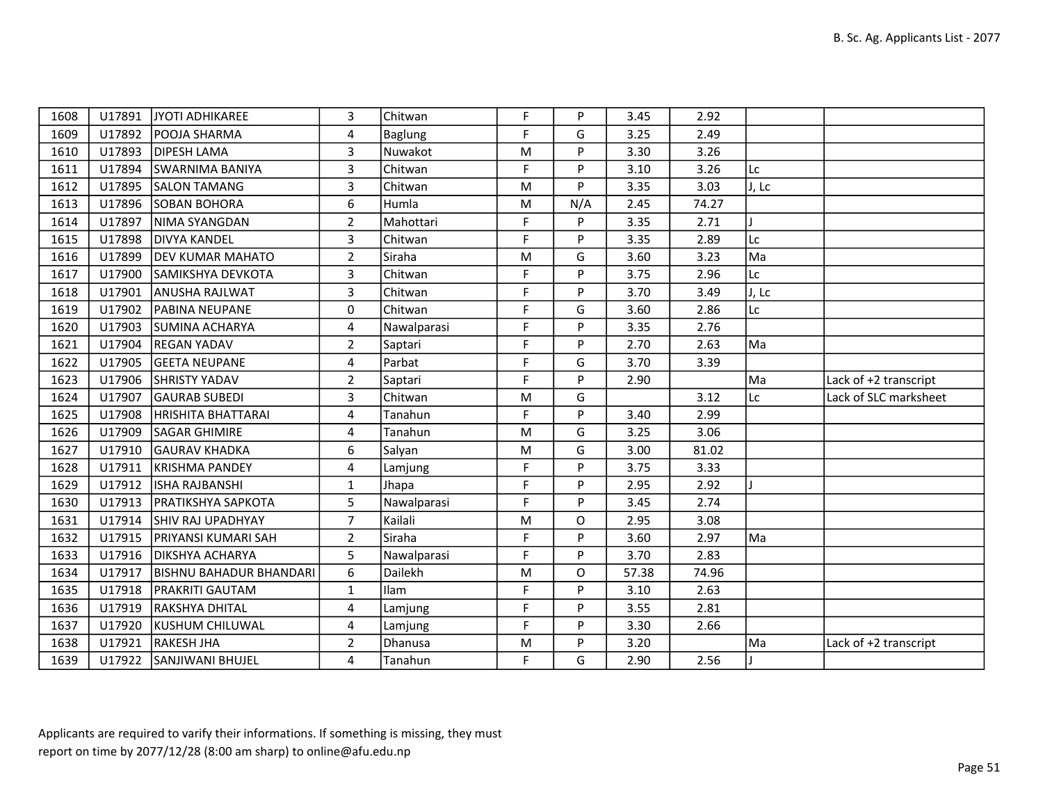| 1608 |        | U17891 JYOTI ADHIKAREE         | 3              | Chitwan     | F. | P        | 3.45  | 2.92  |       |                       |
|------|--------|--------------------------------|----------------|-------------|----|----------|-------|-------|-------|-----------------------|
| 1609 |        | U17892   POOJA SHARMA          | 4              | Baglung     | F. | G        | 3.25  | 2.49  |       |                       |
| 1610 | U17893 | <b>DIPESH LAMA</b>             | $\overline{3}$ | Nuwakot     | M  | P        | 3.30  | 3.26  |       |                       |
| 1611 | U17894 | <b>SWARNIMA BANIYA</b>         | 3              | Chitwan     | F  | P        | 3.10  | 3.26  | Lc    |                       |
| 1612 | U17895 | <b>SALON TAMANG</b>            | 3              | Chitwan     | M  | P        | 3.35  | 3.03  | J, Lc |                       |
| 1613 |        | U17896 SOBAN BOHORA            | 6              | Humla       | M  | N/A      | 2.45  | 74.27 |       |                       |
| 1614 | U17897 | NIMA SYANGDAN                  | $\overline{2}$ | Mahottari   | F  | P        | 3.35  | 2.71  |       |                       |
| 1615 | U17898 | <b>DIVYA KANDEL</b>            | 3              | Chitwan     | F  | P        | 3.35  | 2.89  | Lc    |                       |
| 1616 | U17899 | <b>DEV KUMAR MAHATO</b>        | $\overline{2}$ | Siraha      | M  | G        | 3.60  | 3.23  | Ma    |                       |
| 1617 | U17900 | SAMIKSHYA DEVKOTA              | 3              | Chitwan     | F  | P        | 3.75  | 2.96  | Lc    |                       |
| 1618 | U17901 | <b>ANUSHA RAJLWAT</b>          | 3              | Chitwan     | F  | P        | 3.70  | 3.49  | J, Lc |                       |
| 1619 | U17902 | <b>IPABINA NEUPANE</b>         | 0              | Chitwan     | F  | G        | 3.60  | 2.86  | Lc    |                       |
| 1620 | U17903 | <b>SUMINA ACHARYA</b>          | 4              | Nawalparasi | F  | P        | 3.35  | 2.76  |       |                       |
| 1621 | U17904 | <b>REGAN YADAV</b>             | $\overline{2}$ | Saptari     | F  | P        | 2.70  | 2.63  | Ma    |                       |
| 1622 | U17905 | <b>GEETA NEUPANE</b>           | 4              | Parbat      | F  | G        | 3.70  | 3.39  |       |                       |
| 1623 | U17906 | <b>SHRISTY YADAV</b>           | $\overline{2}$ | Saptari     | F  | P        | 2.90  |       | lMa   | Lack of +2 transcript |
| 1624 | U17907 | <b>GAURAB SUBEDI</b>           | 3              | Chitwan     | M  | G        |       | 3.12  | Lc    | Lack of SLC marksheet |
| 1625 |        | U17908   HRISHITA BHATTARAI    | 4              | Tanahun     | F  | P        | 3.40  | 2.99  |       |                       |
| 1626 | U17909 | <b>SAGAR GHIMIRE</b>           | 4              | Tanahun     | M  | G        | 3.25  | 3.06  |       |                       |
| 1627 | U17910 | <b>GAURAV KHADKA</b>           | 6              | Salyan      | M  | G        | 3.00  | 81.02 |       |                       |
| 1628 | U17911 | KRISHMA PANDEY                 | 4              | Lamjung     | F  | P        | 3.75  | 3.33  |       |                       |
| 1629 | U17912 | IISHA RAJBANSHI                | $\mathbf{1}$   | Jhapa       | F  | P        | 2.95  | 2.92  |       |                       |
| 1630 | U17913 | <b>PRATIKSHYA SAPKOTA</b>      | 5              | Nawalparasi | F  | P        | 3.45  | 2.74  |       |                       |
| 1631 |        | U17914 SHIV RAJ UPADHYAY       | $\overline{7}$ | Kailali     | M  | 0        | 2.95  | 3.08  |       |                       |
| 1632 | U17915 | <b>PRIYANSI KUMARI SAH</b>     | $\overline{2}$ | Siraha      | F  | P        | 3.60  | 2.97  | Ma    |                       |
| 1633 | U17916 | <b>DIKSHYA ACHARYA</b>         | 5              | Nawalparasi | F  | P        | 3.70  | 2.83  |       |                       |
| 1634 | U17917 | <b>BISHNU BAHADUR BHANDARI</b> | 6              | Dailekh     | M  | $\Omega$ | 57.38 | 74.96 |       |                       |
| 1635 | U17918 | <b>PRAKRITI GAUTAM</b>         | $\mathbf{1}$   | <b>Ilam</b> | F  | P        | 3.10  | 2.63  |       |                       |
| 1636 | U17919 | <b>RAKSHYA DHITAL</b>          | 4              | Lamjung     | F  | P        | 3.55  | 2.81  |       |                       |
| 1637 |        | U17920 KUSHUM CHILUWAL         | 4              | Lamjung     | F  | P        | 3.30  | 2.66  |       |                       |
| 1638 | U17921 | RAKESH JHA                     | $\overline{2}$ | Dhanusa     | M  | P        | 3.20  |       | Ma    | Lack of +2 transcript |
| 1639 |        | U17922 SANJIWANI BHUJEL        | 4              | Tanahun     | F  | G        | 2.90  | 2.56  |       |                       |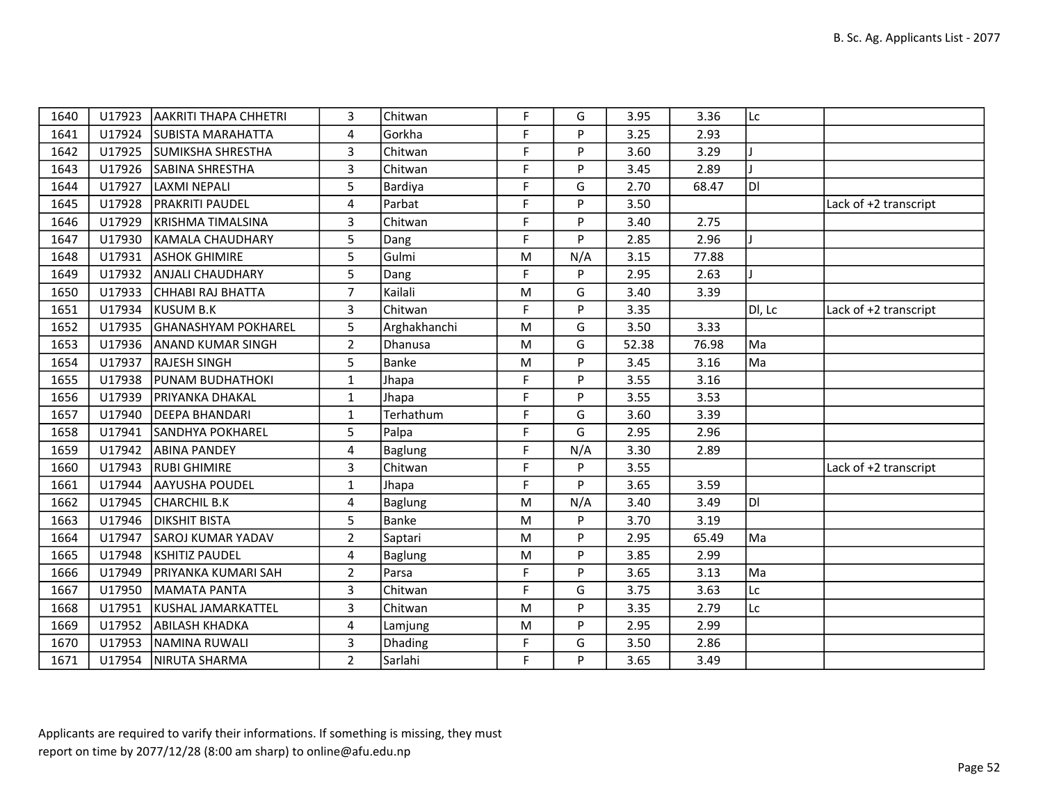| 1640 | U17923 | <b>AAKRITI THAPA CHHETRI</b> | 3              | Chitwan        | F.        | G   | 3.95  | 3.36  | Lc     |                       |
|------|--------|------------------------------|----------------|----------------|-----------|-----|-------|-------|--------|-----------------------|
| 1641 | U17924 | <b>SUBISTA MARAHATTA</b>     | 4              | Gorkha         | F         | P   | 3.25  | 2.93  |        |                       |
| 1642 | U17925 | <b>SUMIKSHA SHRESTHA</b>     | 3              | Chitwan        | F         | P   | 3.60  | 3.29  |        |                       |
| 1643 | U17926 | SABINA SHRESTHA              | 3              | Chitwan        | F         | P   | 3.45  | 2.89  |        |                       |
| 1644 | U17927 | LAXMI NEPALI                 | 5              | Bardiya        | F         | G   | 2.70  | 68.47 | ldi.   |                       |
| 1645 | U17928 | <b>PRAKRITI PAUDEL</b>       | 4              | Parbat         | F         | P   | 3.50  |       |        | Lack of +2 transcript |
| 1646 | U17929 | KRISHMA TIMALSINA            | 3              | Chitwan        | F.        | P   | 3.40  | 2.75  |        |                       |
| 1647 | U17930 | KAMALA CHAUDHARY             | 5              | Dang           | F.        | P   | 2.85  | 2.96  |        |                       |
| 1648 | U17931 | <b>ASHOK GHIMIRE</b>         | 5              | Gulmi          | M         | N/A | 3.15  | 77.88 |        |                       |
| 1649 | U17932 | <b>ANJALI CHAUDHARY</b>      | 5              | Dang           | F         | P   | 2.95  | 2.63  |        |                       |
| 1650 | U17933 | CHHABI RAJ BHATTA            | $\overline{7}$ | Kailali        | ${\sf M}$ | G   | 3.40  | 3.39  |        |                       |
| 1651 | U17934 | KUSUM B.K                    | 3              | Chitwan        | F         | P   | 3.35  |       | DI, Lc | Lack of +2 transcript |
| 1652 | U17935 | GHANASHYAM POKHAREL          | 5              | Arghakhanchi   | ${\sf M}$ | G   | 3.50  | 3.33  |        |                       |
| 1653 | U17936 | <b>ANAND KUMAR SINGH</b>     | $\overline{2}$ | Dhanusa        | ${\sf M}$ | G   | 52.38 | 76.98 | Ma     |                       |
| 1654 | U17937 | <b>RAJESH SINGH</b>          | 5              | Banke          | M         | P   | 3.45  | 3.16  | Ma     |                       |
| 1655 | U17938 | <b>PUNAM BUDHATHOKI</b>      | $\mathbf{1}$   | Jhapa          | F         | P   | 3.55  | 3.16  |        |                       |
| 1656 | U17939 | <b>PRIYANKA DHAKAL</b>       | $\mathbf{1}$   | Jhapa          | F.        | P   | 3.55  | 3.53  |        |                       |
| 1657 | U17940 | <b>DEEPA BHANDARI</b>        | 1              | Terhathum      | F         | G   | 3.60  | 3.39  |        |                       |
| 1658 | U17941 | <b>SANDHYA POKHAREL</b>      | 5              | Palpa          | F         | G   | 2.95  | 2.96  |        |                       |
| 1659 | U17942 | <b>ABINA PANDEY</b>          | 4              | <b>Baglung</b> | F         | N/A | 3.30  | 2.89  |        |                       |
| 1660 | U17943 | <b>RUBI GHIMIRE</b>          | 3              | Chitwan        | F         | P   | 3.55  |       |        | Lack of +2 transcript |
| 1661 | U17944 | AAYUSHA POUDEL               | $\mathbf{1}$   | Jhapa          | F         | P   | 3.65  | 3.59  |        |                       |
| 1662 | U17945 | <b>CHARCHIL B.K</b>          | $\overline{4}$ | <b>Baglung</b> | ${\sf M}$ | N/A | 3.40  | 3.49  | ldi    |                       |
| 1663 | U17946 | <b>DIKSHIT BISTA</b>         | 5              | Banke          | M         | P   | 3.70  | 3.19  |        |                       |
| 1664 | U17947 | <b>SAROJ KUMAR YADAV</b>     | $\overline{2}$ | Saptari        | ${\sf M}$ | P   | 2.95  | 65.49 | Ma     |                       |
| 1665 | U17948 | <b>KSHITIZ PAUDEL</b>        | 4              | <b>Baglung</b> | ${\sf M}$ | P   | 3.85  | 2.99  |        |                       |
| 1666 | U17949 | PRIYANKA KUMARI SAH          | $\overline{2}$ | Parsa          | F         | P   | 3.65  | 3.13  | Ma     |                       |
| 1667 | U17950 | MAMATA PANTA                 | 3              | Chitwan        | F         | G   | 3.75  | 3.63  | Lc     |                       |
| 1668 | U17951 | KUSHAL JAMARKATTEL           | 3              | Chitwan        | ${\sf M}$ | P   | 3.35  | 2.79  | Lc     |                       |
| 1669 | U17952 | <b>ABILASH KHADKA</b>        | 4              | Lamjung        | M         | P   | 2.95  | 2.99  |        |                       |
| 1670 | U17953 | NAMINA RUWALI                | 3              | Dhading        | F         | G   | 3.50  | 2.86  |        |                       |
| 1671 |        | U17954   NIRUTA SHARMA       | $\overline{2}$ | Sarlahi        | F         | P   | 3.65  | 3.49  |        |                       |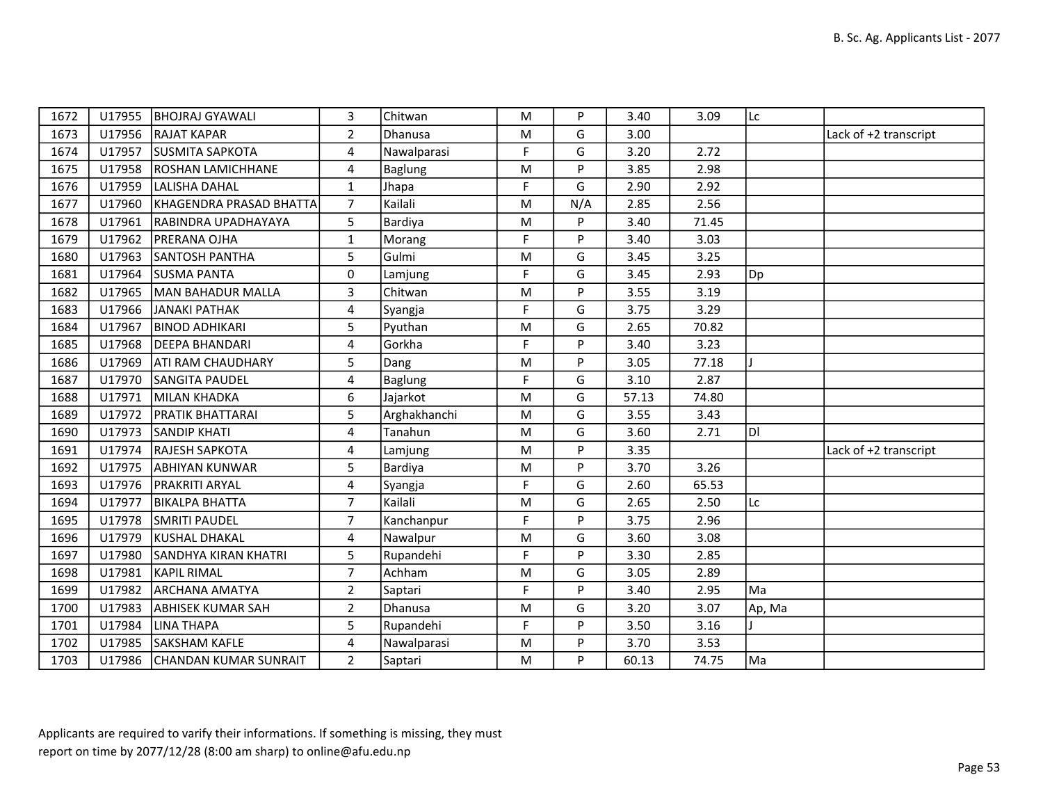| 1672 | U17955 | <b>BHOJRAJ GYAWALI</b>       | 3                       | Chitwan      | M           | P   | 3.40  | 3.09  | Lc     |                       |
|------|--------|------------------------------|-------------------------|--------------|-------------|-----|-------|-------|--------|-----------------------|
| 1673 |        | U17956 RAJAT KAPAR           | $\overline{2}$          | Dhanusa      | M           | G   | 3.00  |       |        | Lack of +2 transcript |
| 1674 | U17957 | <b>SUSMITA SAPKOTA</b>       | $\overline{4}$          | Nawalparasi  | F           | G   | 3.20  | 2.72  |        |                       |
| 1675 | U17958 | <b>ROSHAN LAMICHHANE</b>     | $\overline{\mathbf{4}}$ | Baglung      | ${\sf M}$   | P   | 3.85  | 2.98  |        |                       |
| 1676 | U17959 | LALISHA DAHAL                | 1                       | Jhapa        | F           | G   | 2.90  | 2.92  |        |                       |
| 1677 | U17960 | KHAGENDRA PRASAD BHATTA      | $\overline{7}$          | Kailali      | M           | N/A | 2.85  | 2.56  |        |                       |
| 1678 | U17961 | RABINDRA UPADHAYAYA          | 5                       | Bardiya      | M           | P   | 3.40  | 71.45 |        |                       |
| 1679 | U17962 | <b>PRERANA OJHA</b>          | $\mathbf{1}$            | Morang       | F           | P   | 3.40  | 3.03  |        |                       |
| 1680 | U17963 | <b>SANTOSH PANTHA</b>        | 5                       | Gulmi        | M           | G   | 3.45  | 3.25  |        |                       |
| 1681 |        | U17964 SUSMA PANTA           | $\mathbf 0$             | Lamjung      | F           | G   | 3.45  | 2.93  | Dp     |                       |
| 1682 | U17965 | MAN BAHADUR MALLA            | 3                       | Chitwan      | ${\sf M}$   | P   | 3.55  | 3.19  |        |                       |
| 1683 | U17966 | JANAKI PATHAK                | 4                       | Syangja      | F           | G   | 3.75  | 3.29  |        |                       |
| 1684 | U17967 | <b>BINOD ADHIKARI</b>        | 5                       | Pyuthan      | M           | G   | 2.65  | 70.82 |        |                       |
| 1685 | U17968 | <b>DEEPA BHANDARI</b>        | 4                       | Gorkha       | F           | P   | 3.40  | 3.23  |        |                       |
| 1686 | U17969 | <b>ATI RAM CHAUDHARY</b>     | 5                       | Dang         | M           | P   | 3.05  | 77.18 |        |                       |
| 1687 | U17970 | SANGITA PAUDEL               | 4                       | Baglung      | $\mathsf F$ | G   | 3.10  | 2.87  |        |                       |
| 1688 | U17971 | MILAN KHADKA                 | 6                       | Jajarkot     | M           | G   | 57.13 | 74.80 |        |                       |
| 1689 | U17972 | <b>PRATIK BHATTARAI</b>      | 5                       | Arghakhanchi | M           | G   | 3.55  | 3.43  |        |                       |
| 1690 | U17973 | <b>SANDIP KHATI</b>          | 4                       | Tanahun      | M           | G   | 3.60  | 2.71  | DI     |                       |
| 1691 | U17974 | <b>RAJESH SAPKOTA</b>        | 4                       | Lamjung      | M           | P   | 3.35  |       |        | Lack of +2 transcript |
| 1692 | U17975 | <b>ABHIYAN KUNWAR</b>        | 5                       | Bardiya      | M           | P   | 3.70  | 3.26  |        |                       |
| 1693 |        | U17976 PRAKRITI ARYAL        | 4                       | Syangja      | $\mathsf F$ | G   | 2.60  | 65.53 |        |                       |
| 1694 | U17977 | <b>BIKALPA BHATTA</b>        | $\overline{7}$          | Kailali      | M           | G   | 2.65  | 2.50  | Lc     |                       |
| 1695 |        | U17978 SMRITI PAUDEL         | $\overline{7}$          | Kanchanpur   | $\mathsf F$ | P   | 3.75  | 2.96  |        |                       |
| 1696 | U17979 | KUSHAL DHAKAL                | 4                       | Nawalpur     | M           | G   | 3.60  | 3.08  |        |                       |
| 1697 | U17980 | <b>SANDHYA KIRAN KHATRI</b>  | 5                       | Rupandehi    | F           | P   | 3.30  | 2.85  |        |                       |
| 1698 | U17981 | <b>KAPIL RIMAL</b>           | $\overline{7}$          | Achham       | M           | G   | 3.05  | 2.89  |        |                       |
| 1699 | U17982 | ARCHANA AMATYA               | $\overline{2}$          | Saptari      | F           | P   | 3.40  | 2.95  | Ma     |                       |
| 1700 | U17983 | ABHISEK KUMAR SAH            | $\overline{2}$          | Dhanusa      | M           | G   | 3.20  | 3.07  | Ap, Ma |                       |
| 1701 | U17984 | LINA THAPA                   | 5                       | Rupandehi    | F           | P   | 3.50  | 3.16  |        |                       |
| 1702 | U17985 | SAKSHAM KAFLE                | 4                       | Nawalparasi  | ${\sf M}$   | P   | 3.70  | 3.53  |        |                       |
| 1703 |        | U17986 CHANDAN KUMAR SUNRAIT | $\overline{2}$          | Saptari      | ${\sf M}$   | P   | 60.13 | 74.75 | Ma     |                       |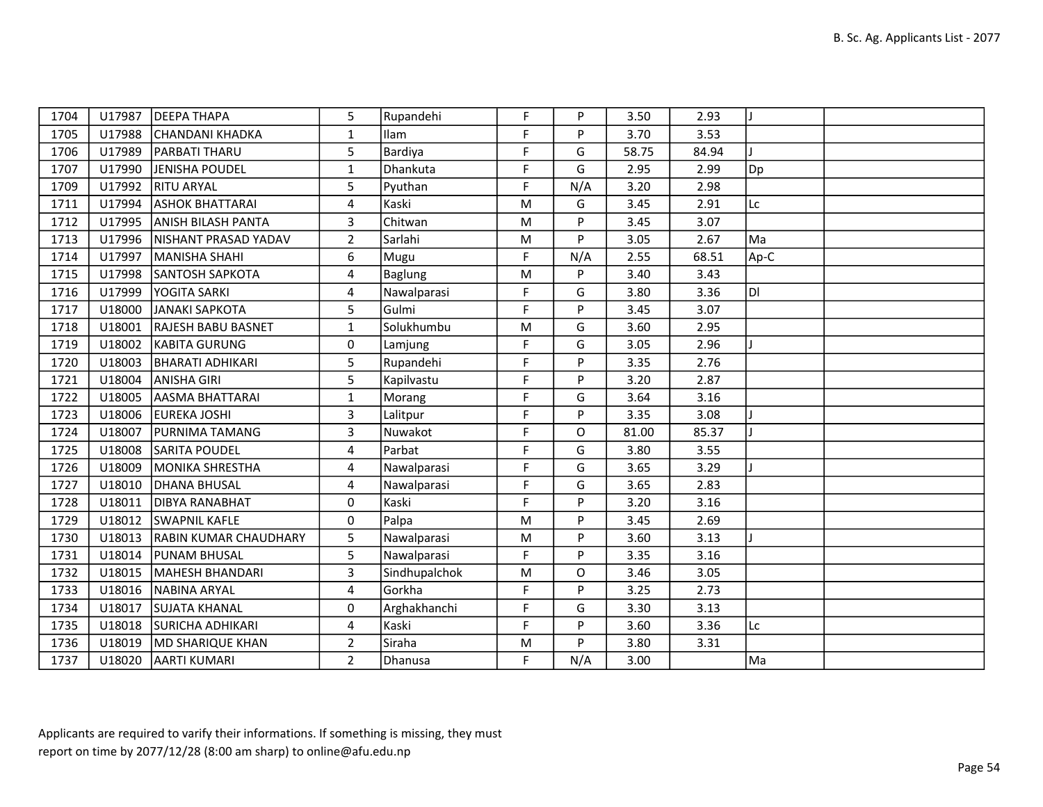| 1704 | U17987 | <b>DEEPA THAPA</b>           | 5              | Rupandehi      | F.        | P        | 3.50  | 2.93  |      |  |
|------|--------|------------------------------|----------------|----------------|-----------|----------|-------|-------|------|--|
| 1705 | U17988 | CHANDANI KHADKA              | $\mathbf{1}$   | Ilam           | F         | P        | 3.70  | 3.53  |      |  |
| 1706 | U17989 | <b>PARBATI THARU</b>         | 5              | Bardiya        | F         | G        | 58.75 | 84.94 |      |  |
| 1707 | U17990 | JENISHA POUDEL               | $\mathbf{1}$   | Dhankuta       | F         | G        | 2.95  | 2.99  | Dp   |  |
| 1709 | U17992 | <b>RITU ARYAL</b>            | 5              | Pyuthan        | F         | N/A      | 3.20  | 2.98  |      |  |
| 1711 | U17994 | <b>ASHOK BHATTARAI</b>       | 4              | Kaski          | M         | G        | 3.45  | 2.91  | Lc   |  |
| 1712 | U17995 | <b>ANISH BILASH PANTA</b>    | 3              | Chitwan        | M         | P        | 3.45  | 3.07  |      |  |
| 1713 | U17996 | NISHANT PRASAD YADAV         | $\overline{2}$ | Sarlahi        | ${\sf M}$ | P        | 3.05  | 2.67  | Ma   |  |
| 1714 | U17997 | MANISHA SHAHI                | 6              | Mugu           | F         | N/A      | 2.55  | 68.51 | Ap-C |  |
| 1715 | U17998 | <b>SANTOSH SAPKOTA</b>       | 4              | <b>Baglung</b> | ${\sf M}$ | P        | 3.40  | 3.43  |      |  |
| 1716 | U17999 | <b>YOGITA SARKI</b>          | 4              | Nawalparasi    | F         | G        | 3.80  | 3.36  | loı  |  |
| 1717 | U18000 | JANAKI SAPKOTA               | 5              | Gulmi          | F         | P        | 3.45  | 3.07  |      |  |
| 1718 | U18001 | <b>RAJESH BABU BASNET</b>    | $\mathbf{1}$   | Solukhumbu     | M         | G        | 3.60  | 2.95  |      |  |
| 1719 | U18002 | KABITA GURUNG                | 0              | Lamjung        | F         | G        | 3.05  | 2.96  |      |  |
| 1720 | U18003 | <b>BHARATI ADHIKARI</b>      | 5              | Rupandehi      | F         | P        | 3.35  | 2.76  |      |  |
| 1721 | U18004 | <b>ANISHA GIRI</b>           | 5              | Kapilvastu     | F         | P        | 3.20  | 2.87  |      |  |
| 1722 | U18005 | AASMA BHATTARAI              | $\mathbf{1}$   | Morang         | F.        | G        | 3.64  | 3.16  |      |  |
| 1723 | U18006 | EUREKA JOSHI                 | $\overline{3}$ | Lalitpur       | F         | P        | 3.35  | 3.08  |      |  |
| 1724 | U18007 | <b>PURNIMA TAMANG</b>        | $\overline{3}$ | Nuwakot        | F         | O        | 81.00 | 85.37 |      |  |
| 1725 | U18008 | <b>SARITA POUDEL</b>         | 4              | Parbat         | F         | G        | 3.80  | 3.55  |      |  |
| 1726 | U18009 | MONIKA SHRESTHA              | 4              | Nawalparasi    | F         | G        | 3.65  | 3.29  |      |  |
| 1727 | U18010 | DHANA BHUSAL                 | 4              | Nawalparasi    | F         | G        | 3.65  | 2.83  |      |  |
| 1728 | U18011 | <b>DIBYA RANABHAT</b>        | 0              | Kaski          | F         | P        | 3.20  | 3.16  |      |  |
| 1729 | U18012 | <b>SWAPNIL KAFLE</b>         | 0              | Palpa          | M         | P        | 3.45  | 2.69  |      |  |
| 1730 | U18013 | <b>RABIN KUMAR CHAUDHARY</b> | 5              | Nawalparasi    | ${\sf M}$ | P        | 3.60  | 3.13  |      |  |
| 1731 | U18014 | <b>PUNAM BHUSAL</b>          | 5              | Nawalparasi    | F         | P        | 3.35  | 3.16  |      |  |
| 1732 | U18015 | MAHESH BHANDARI              | 3              | Sindhupalchok  | ${\sf M}$ | $\Omega$ | 3.46  | 3.05  |      |  |
| 1733 | U18016 | <b>NABINA ARYAL</b>          | $\overline{4}$ | Gorkha         | F         | P        | 3.25  | 2.73  |      |  |
| 1734 | U18017 | <b>SUJATA KHANAL</b>         | 0              | Arghakhanchi   | F         | G        | 3.30  | 3.13  |      |  |
| 1735 | U18018 | <b>SURICHA ADHIKARI</b>      | 4              | Kaski          | F         | P        | 3.60  | 3.36  | Lc   |  |
| 1736 | U18019 | <b>MD SHARIQUE KHAN</b>      | $\overline{2}$ | Siraha         | ${\sf M}$ | P        | 3.80  | 3.31  |      |  |
| 1737 | U18020 | AARTI KUMARI                 | $\overline{2}$ | Dhanusa        | F.        | N/A      | 3.00  |       | Ma   |  |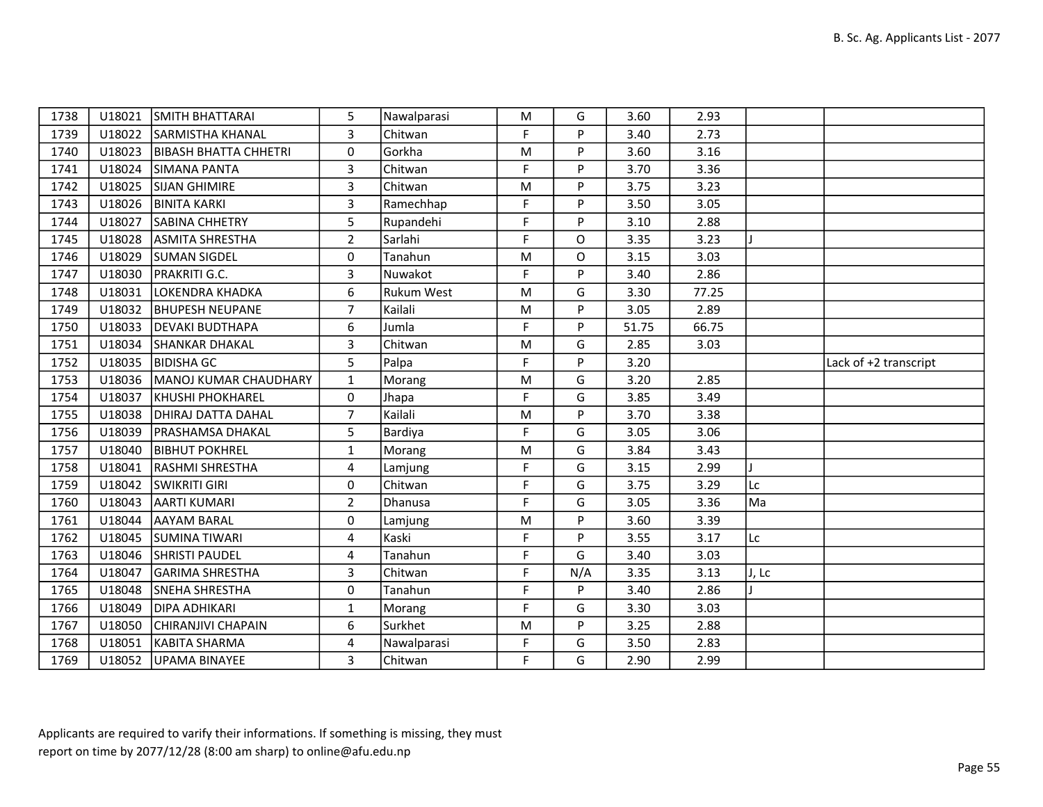| 1738 | U18021 | SMITH BHATTARAI              | 5              | Nawalparasi       | M  | G        | 3.60  | 2.93  |       |                       |
|------|--------|------------------------------|----------------|-------------------|----|----------|-------|-------|-------|-----------------------|
| 1739 | U18022 | <b>SARMISTHA KHANAL</b>      | 3              | Chitwan           | F. | P        | 3.40  | 2.73  |       |                       |
| 1740 | U18023 | <b>BIBASH BHATTA CHHETRI</b> | 0              | Gorkha            | M  | P        | 3.60  | 3.16  |       |                       |
| 1741 | U18024 | SIMANA PANTA                 | 3              | Chitwan           | F  | P        | 3.70  | 3.36  |       |                       |
| 1742 | U18025 | <b>SIJAN GHIMIRE</b>         | 3              | Chitwan           | M  | P        | 3.75  | 3.23  |       |                       |
| 1743 |        | U18026 BINITA KARKI          | $\overline{3}$ | Ramechhap         | F  | P        | 3.50  | 3.05  |       |                       |
| 1744 | U18027 | SABINA CHHETRY               | 5              | Rupandehi         | F  | P        | 3.10  | 2.88  |       |                       |
| 1745 | U18028 | <b>ASMITA SHRESTHA</b>       | $\overline{2}$ | Sarlahi           | F  | $\Omega$ | 3.35  | 3.23  |       |                       |
| 1746 | U18029 | <b>SUMAN SIGDEL</b>          | 0              | Tanahun           | M  | O        | 3.15  | 3.03  |       |                       |
| 1747 | U18030 | <b>PRAKRITI G.C.</b>         | 3              | Nuwakot           | F  | P        | 3.40  | 2.86  |       |                       |
| 1748 | U18031 | LOKENDRA KHADKA              | 6              | <b>Rukum West</b> | M  | G        | 3.30  | 77.25 |       |                       |
| 1749 | U18032 | <b>BHUPESH NEUPANE</b>       | $\overline{7}$ | Kailali           | M  | P        | 3.05  | 2.89  |       |                       |
| 1750 | U18033 | <b>DEVAKI BUDTHAPA</b>       | 6              | Jumla             | F. | P        | 51.75 | 66.75 |       |                       |
| 1751 | U18034 | <b>SHANKAR DHAKAL</b>        | 3              | Chitwan           | M  | G        | 2.85  | 3.03  |       |                       |
| 1752 | U18035 | <b>BIDISHA GC</b>            | 5              | Palpa             | F  | P        | 3.20  |       |       | Lack of +2 transcript |
| 1753 | U18036 | MANOJ KUMAR CHAUDHARY        | $\mathbf{1}$   | Morang            | M  | G        | 3.20  | 2.85  |       |                       |
| 1754 | U18037 | <b>KHUSHI PHOKHAREL</b>      | 0              | Jhapa             | F  | G        | 3.85  | 3.49  |       |                       |
| 1755 | U18038 | <b>DHIRAJ DATTA DAHAL</b>    | $\overline{7}$ | Kailali           | M  | P        | 3.70  | 3.38  |       |                       |
| 1756 | U18039 | <b>PRASHAMSA DHAKAL</b>      | 5              | Bardiya           | F  | G        | 3.05  | 3.06  |       |                       |
| 1757 | U18040 | <b>BIBHUT POKHREL</b>        | $\mathbf{1}$   | Morang            | M  | G        | 3.84  | 3.43  |       |                       |
| 1758 | U18041 | RASHMI SHRESTHA              | 4              | Lamjung           | F. | G        | 3.15  | 2.99  |       |                       |
| 1759 | U18042 | <b>SWIKRITI GIRI</b>         | $\mathbf 0$    | Chitwan           | F  | G        | 3.75  | 3.29  | Lc    |                       |
| 1760 | U18043 | <b>AARTI KUMARI</b>          | $\overline{2}$ | Dhanusa           | F  | G        | 3.05  | 3.36  | Ma    |                       |
| 1761 | U18044 | AAYAM BARAL                  | 0              | Lamjung           | M  | P.       | 3.60  | 3.39  |       |                       |
| 1762 | U18045 | <b>SUMINA TIWARI</b>         | $\overline{4}$ | Kaski             | F  | P        | 3.55  | 3.17  | Lc    |                       |
| 1763 | U18046 | <b>SHRISTI PAUDEL</b>        | 4              | Tanahun           | F  | G        | 3.40  | 3.03  |       |                       |
| 1764 | U18047 | GARIMA SHRESTHA              | $\overline{3}$ | Chitwan           | F  | N/A      | 3.35  | 3.13  | J, Lc |                       |
| 1765 | U18048 | SNEHA SHRESTHA               | 0              | Tanahun           | F  | P        | 3.40  | 2.86  |       |                       |
| 1766 | U18049 | <b>DIPA ADHIKARI</b>         | $\mathbf{1}$   | Morang            | F  | G        | 3.30  | 3.03  |       |                       |
| 1767 | U18050 | CHIRANJIVI CHAPAIN           | 6              | Surkhet           | M  | P        | 3.25  | 2.88  |       |                       |
| 1768 | U18051 | KABITA SHARMA                | 4              | Nawalparasi       | F  | G        | 3.50  | 2.83  |       |                       |
| 1769 |        | U18052 UPAMA BINAYEE         | 3              | Chitwan           | F. | G        | 2.90  | 2.99  |       |                       |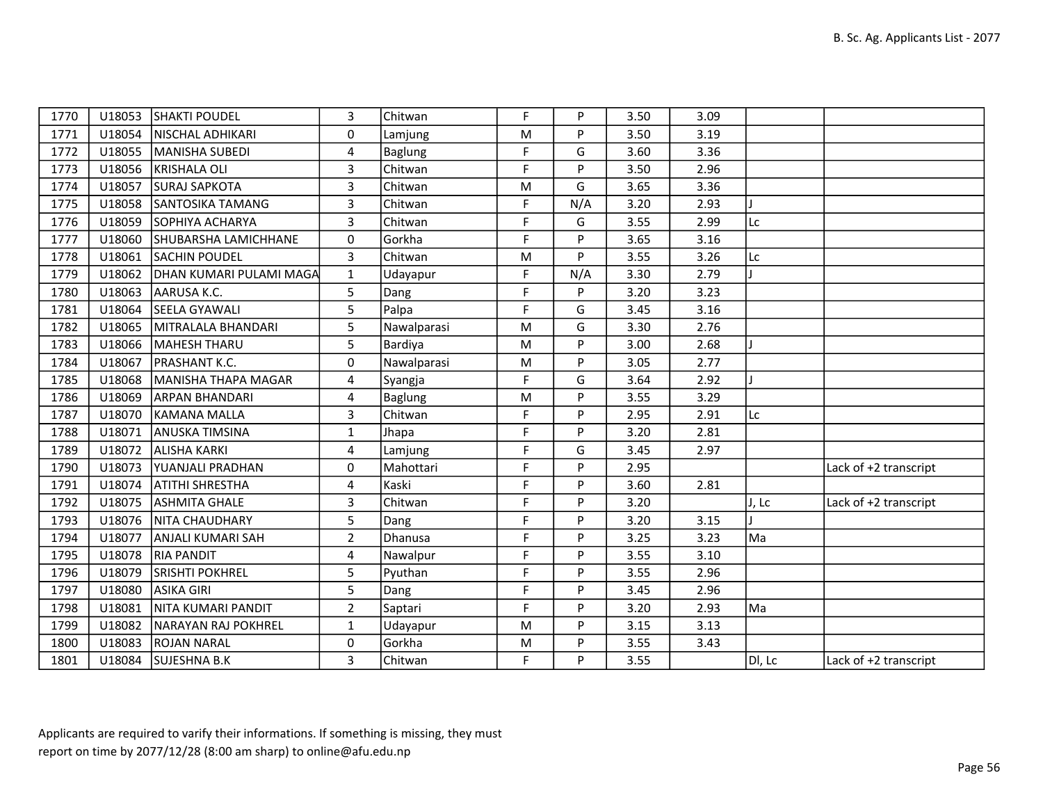| 1770 | U18053 | <b>SHAKTI POUDEL</b>    | 3              | Chitwan     | F           | P   | 3.50 | 3.09 |        |                       |
|------|--------|-------------------------|----------------|-------------|-------------|-----|------|------|--------|-----------------------|
| 1771 | U18054 | <b>NISCHAL ADHIKARI</b> | $\Omega$       | Lamjung     | M           | P   | 3.50 | 3.19 |        |                       |
| 1772 | U18055 | MANISHA SUBEDI          | 4              | Baglung     | F           | G   | 3.60 | 3.36 |        |                       |
| 1773 | U18056 | KRISHALA OLI            | $\overline{3}$ | Chitwan     | F           | P   | 3.50 | 2.96 |        |                       |
| 1774 | U18057 | <b>SURAJ SAPKOTA</b>    | 3              | Chitwan     | M           | G   | 3.65 | 3.36 |        |                       |
| 1775 | U18058 | SANTOSIKA TAMANG        | $\overline{3}$ | Chitwan     | F           | N/A | 3.20 | 2.93 |        |                       |
| 1776 | U18059 | SOPHIYA ACHARYA         | 3              | Chitwan     | F           | G   | 3.55 | 2.99 | Lc     |                       |
| 1777 | U18060 | SHUBARSHA LAMICHHANE    | 0              | Gorkha      | F           | P   | 3.65 | 3.16 |        |                       |
| 1778 | U18061 | <b>SACHIN POUDEL</b>    | $\overline{3}$ | Chitwan     | M           | P   | 3.55 | 3.26 | Lc     |                       |
| 1779 | U18062 | DHAN KUMARI PULAMI MAGA | $\mathbf{1}$   | Udayapur    | F           | N/A | 3.30 | 2.79 |        |                       |
| 1780 | U18063 | AARUSA K.C.             | 5              | Dang        | $\mathsf F$ | P   | 3.20 | 3.23 |        |                       |
| 1781 | U18064 | <b>SEELA GYAWALI</b>    | 5              | Palpa       | F           | G   | 3.45 | 3.16 |        |                       |
| 1782 | U18065 | MITRALALA BHANDARI      | 5              | Nawalparasi | M           | G   | 3.30 | 2.76 |        |                       |
| 1783 | U18066 | MAHESH THARU            | 5              | Bardiya     | M           | P   | 3.00 | 2.68 |        |                       |
| 1784 | U18067 | <b>PRASHANT K.C.</b>    | $\Omega$       | Nawalparasi | M           | P   | 3.05 | 2.77 |        |                       |
| 1785 | U18068 | MANISHA THAPA MAGAR     | 4              | Syangja     | F           | G   | 3.64 | 2.92 |        |                       |
| 1786 | U18069 | <b>ARPAN BHANDARI</b>   | 4              | Baglung     | M           | P   | 3.55 | 3.29 |        |                       |
| 1787 | U18070 | KAMANA MALLA            | 3              | Chitwan     | F           | P   | 2.95 | 2.91 | Lc     |                       |
| 1788 | U18071 | <b>ANUSKA TIMSINA</b>   | $\mathbf{1}$   | Jhapa       | F           | P   | 3.20 | 2.81 |        |                       |
| 1789 | U18072 | <b>ALISHA KARKI</b>     | 4              | Lamjung     | F           | G   | 3.45 | 2.97 |        |                       |
| 1790 | U18073 | <b>YUANJALI PRADHAN</b> | 0              | Mahottari   | F           | P   | 2.95 |      |        | Lack of +2 transcript |
| 1791 | U18074 | ATITHI SHRESTHA         | 4              | Kaski       | F           | P   | 3.60 | 2.81 |        |                       |
| 1792 | U18075 | <b>ASHMITA GHALE</b>    | 3              | Chitwan     | F           | P   | 3.20 |      | J, Lc  | Lack of +2 transcript |
| 1793 | U18076 | NITA CHAUDHARY          | 5              | Dang        | F           | P   | 3.20 | 3.15 |        |                       |
| 1794 | U18077 | ANJALI KUMARI SAH       | $\overline{2}$ | Dhanusa     | F           | P   | 3.25 | 3.23 | Ma     |                       |
| 1795 | U18078 | <b>RIA PANDIT</b>       | 4              | Nawalpur    | F           | P   | 3.55 | 3.10 |        |                       |
| 1796 | U18079 | <b>SRISHTI POKHREL</b>  | 5              | Pyuthan     | F           | P   | 3.55 | 2.96 |        |                       |
| 1797 | U18080 | ASIKA GIRI              | 5              | Dang        | F           | P   | 3.45 | 2.96 |        |                       |
| 1798 | U18081 | NITA KUMARI PANDIT      | $\overline{2}$ | Saptari     | F           | P   | 3.20 | 2.93 | Ma     |                       |
| 1799 | U18082 | NARAYAN RAJ POKHREL     | $\mathbf{1}$   | Udayapur    | ${\sf M}$   | P   | 3.15 | 3.13 |        |                       |
| 1800 | U18083 | <b>ROJAN NARAL</b>      | 0              | Gorkha      | M           | P   | 3.55 | 3.43 |        |                       |
| 1801 | U18084 | SUJESHNA B.K            | 3              | Chitwan     | F           | P   | 3.55 |      | DI, Lc | Lack of +2 transcript |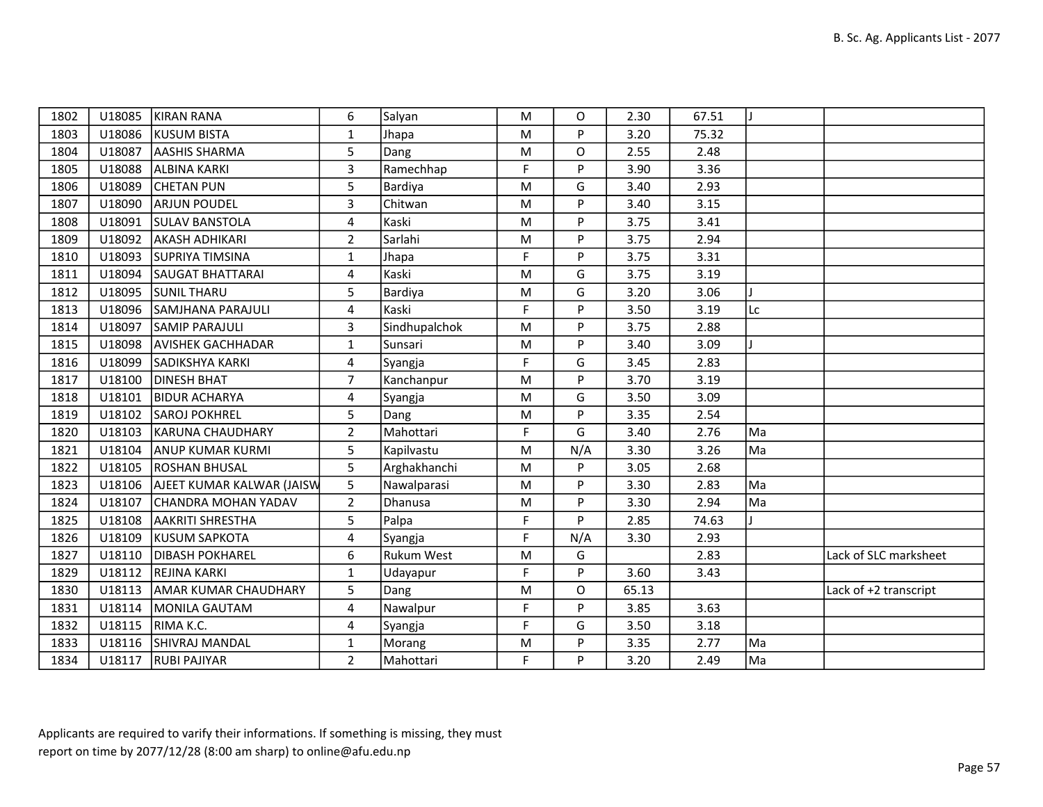| 1802 | U18085 | KIRAN RANA                  | 6              | Salyan            | M | O        | 2.30  | 67.51 |    |                       |
|------|--------|-----------------------------|----------------|-------------------|---|----------|-------|-------|----|-----------------------|
| 1803 | U18086 | KUSUM BISTA                 | $\mathbf{1}$   | Jhapa             | M | P        | 3.20  | 75.32 |    |                       |
| 1804 | U18087 | <b>AASHIS SHARMA</b>        | 5              | Dang              | M | $\Omega$ | 2.55  | 2.48  |    |                       |
| 1805 | U18088 | ALBINA KARKI                | $\overline{3}$ | Ramechhap         | F | P        | 3.90  | 3.36  |    |                       |
| 1806 | U18089 | <b>CHETAN PUN</b>           | 5              | Bardiya           | M | G        | 3.40  | 2.93  |    |                       |
| 1807 | U18090 | <b>ARJUN POUDEL</b>         | 3              | Chitwan           | M | P        | 3.40  | 3.15  |    |                       |
| 1808 | U18091 | <b>SULAV BANSTOLA</b>       | 4              | Kaski             | M | P        | 3.75  | 3.41  |    |                       |
| 1809 | U18092 | <b>AKASH ADHIKARI</b>       | $\overline{2}$ | Sarlahi           | M | P        | 3.75  | 2.94  |    |                       |
| 1810 | U18093 | <b>SUPRIYA TIMSINA</b>      | $\mathbf{1}$   | Jhapa             | F | P        | 3.75  | 3.31  |    |                       |
| 1811 | U18094 | <b>SAUGAT BHATTARAI</b>     | 4              | Kaski             | M | G        | 3.75  | 3.19  |    |                       |
| 1812 | U18095 | <b>SUNIL THARU</b>          | 5              | Bardiya           | M | G        | 3.20  | 3.06  |    |                       |
| 1813 | U18096 | SAMJHANA PARAJULI           | 4              | Kaski             | F | P        | 3.50  | 3.19  | Lc |                       |
| 1814 | U18097 | <b>SAMIP PARAJULI</b>       | 3              | Sindhupalchok     | M | P        | 3.75  | 2.88  |    |                       |
| 1815 | U18098 | <b>AVISHEK GACHHADAR</b>    | $\mathbf{1}$   | Sunsari           | M | P        | 3.40  | 3.09  |    |                       |
| 1816 | U18099 | SADIKSHYA KARKI             | 4              | Syangja           | F | G        | 3.45  | 2.83  |    |                       |
| 1817 | U18100 | <b>DINESH BHAT</b>          | $\overline{7}$ | Kanchanpur        | M | P        | 3.70  | 3.19  |    |                       |
| 1818 | U18101 | <b>BIDUR ACHARYA</b>        | 4              | Syangja           | M | G        | 3.50  | 3.09  |    |                       |
| 1819 | U18102 | <b>SAROJ POKHREL</b>        | 5              | Dang              | M | P        | 3.35  | 2.54  |    |                       |
| 1820 | U18103 | KARUNA CHAUDHARY            | $\overline{2}$ | Mahottari         | F | G        | 3.40  | 2.76  | Ma |                       |
| 1821 | U18104 | <b>ANUP KUMAR KURMI</b>     | 5              | Kapilvastu        | M | N/A      | 3.30  | 3.26  | Ma |                       |
| 1822 | U18105 | <b>ROSHAN BHUSAL</b>        | 5              | Arghakhanchi      | M | P        | 3.05  | 2.68  |    |                       |
| 1823 | U18106 | AJEET KUMAR KALWAR (JAISW   | 5              | Nawalparasi       | M | P        | 3.30  | 2.83  | Ma |                       |
| 1824 | U18107 | CHANDRA MOHAN YADAV         | $\overline{2}$ | Dhanusa           | M | P        | 3.30  | 2.94  | Ma |                       |
| 1825 | U18108 | <b>AAKRITI SHRESTHA</b>     | 5              | Palpa             | F | P        | 2.85  | 74.63 |    |                       |
| 1826 | U18109 | <b>KUSUM SAPKOTA</b>        | 4              | Syangja           | F | N/A      | 3.30  | 2.93  |    |                       |
| 1827 | U18110 | <b>DIBASH POKHAREL</b>      | 6              | <b>Rukum West</b> | M | G        |       | 2.83  |    | Lack of SLC marksheet |
| 1829 | U18112 | <b>REJINA KARKI</b>         | $\mathbf{1}$   | Udayapur          | F | P        | 3.60  | 3.43  |    |                       |
| 1830 | U18113 | <b>AMAR KUMAR CHAUDHARY</b> | 5              | Dang              | M | O        | 65.13 |       |    | Lack of +2 transcript |
| 1831 | U18114 | MONILA GAUTAM               | 4              | Nawalpur          | F | P        | 3.85  | 3.63  |    |                       |
| 1832 | U18115 | RIMA K.C.                   | 4              | Syangja           | F | G        | 3.50  | 3.18  |    |                       |
| 1833 | U18116 | SHIVRAJ MANDAL              | $\mathbf{1}$   | Morang            | M | P        | 3.35  | 2.77  | Ma |                       |
| 1834 | U18117 | <b>RUBI PAJIYAR</b>         | $\overline{2}$ | Mahottari         | F | P        | 3.20  | 2.49  | Ma |                       |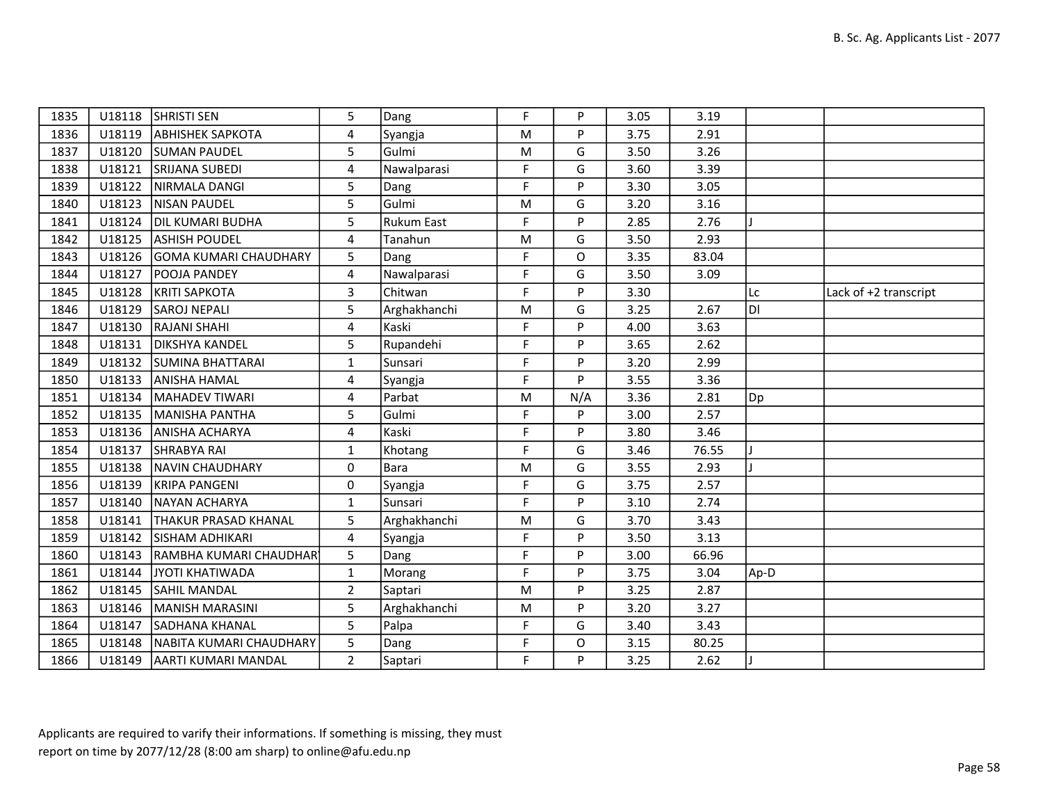| 1835 |        | U18118 SHRISTI SEN               | 5              | Dang              | F  | P            | 3.05 | 3.19  |      |                       |
|------|--------|----------------------------------|----------------|-------------------|----|--------------|------|-------|------|-----------------------|
| 1836 |        | U18119   ABHISHEK SAPKOTA        | 4              | Syangja           | M  | P            | 3.75 | 2.91  |      |                       |
| 1837 | U18120 | <b>SUMAN PAUDEL</b>              | 5              | Gulmi             | M  | G            | 3.50 | 3.26  |      |                       |
| 1838 | U18121 | <b>SRIJANA SUBEDI</b>            | 4              | Nawalparasi       | F  | G            | 3.60 | 3.39  |      |                       |
| 1839 | U18122 | NIRMALA DANGI                    | 5              | Dang              | F  | P            | 3.30 | 3.05  |      |                       |
| 1840 |        | U18123   NISAN PAUDEL            | 5              | Gulmi             | M  | G            | 3.20 | 3.16  |      |                       |
| 1841 |        | U18124   DIL KUMARI BUDHA        | 5              | <b>Rukum East</b> | F  | P            | 2.85 | 2.76  |      |                       |
| 1842 |        | U18125 ASHISH POUDEL             | 4              | Tanahun           | M  | G            | 3.50 | 2.93  |      |                       |
| 1843 |        | U18126 GOMA KUMARI CHAUDHARY     | 5              | Dang              | F  | $\Omega$     | 3.35 | 83.04 |      |                       |
| 1844 | U18127 | <b>POOJA PANDEY</b>              | 4              | Nawalparasi       | F  | G            | 3.50 | 3.09  |      |                       |
| 1845 | U18128 | <b>KRITI SAPKOTA</b>             | 3              | Chitwan           | F  | P            | 3.30 |       | Lc   | Lack of +2 transcript |
| 1846 | U18129 | SAROJ NEPALI                     | 5              | Arghakhanchi      | M  | G            | 3.25 | 2.67  | ldı  |                       |
| 1847 | U18130 | <b>RAJANI SHAHI</b>              | 4              | Kaski             | F  | P            | 4.00 | 3.63  |      |                       |
| 1848 | U18131 | <b>DIKSHYA KANDEL</b>            | 5              | Rupandehi         | F  | P            | 3.65 | 2.62  |      |                       |
| 1849 |        | U18132 SUMINA BHATTARAI          | $\mathbf{1}$   | Sunsari           | F  | P            | 3.20 | 2.99  |      |                       |
| 1850 | U18133 | <b>ANISHA HAMAL</b>              | 4              | Syangja           | F  | P            | 3.55 | 3.36  |      |                       |
| 1851 | U18134 | MAHADEV TIWARI                   | 4              | Parbat            | M  | N/A          | 3.36 | 2.81  | Dp   |                       |
| 1852 |        | U18135   MANISHA PANTHA          | 5              | Gulmi             | F  | P            | 3.00 | 2.57  |      |                       |
| 1853 |        | U18136 ANISHA ACHARYA            | 4              | Kaski             | F  | P            | 3.80 | 3.46  |      |                       |
| 1854 | U18137 | <b>SHRABYA RAI</b>               | $\mathbf{1}$   | Khotang           | F  | G            | 3.46 | 76.55 |      |                       |
| 1855 | U18138 | NAVIN CHAUDHARY                  | 0              | Bara              | M  | G            | 3.55 | 2.93  |      |                       |
| 1856 | U18139 | <b>KRIPA PANGENI</b>             | 0              | Syangja           | F  | G            | 3.75 | 2.57  |      |                       |
| 1857 | U18140 | NAYAN ACHARYA                    | $\mathbf{1}$   | Sunsari           | F  | P            | 3.10 | 2.74  |      |                       |
| 1858 | U18141 | <b>THAKUR PRASAD KHANAL</b>      | 5              | Arghakhanchi      | M  | G            | 3.70 | 3.43  |      |                       |
| 1859 |        | U18142 SISHAM ADHIKARI           | 4              | Syangja           | F  | P            | 3.50 | 3.13  |      |                       |
| 1860 | U18143 | RAMBHA KUMARI CHAUDHAR           | 5              | Dang              | F  | P            | 3.00 | 66.96 |      |                       |
| 1861 | U18144 | JYOTI KHATIWADA                  | $\mathbf{1}$   | Morang            | F. | P            | 3.75 | 3.04  | Ap-D |                       |
| 1862 | U18145 | <b>SAHIL MANDAL</b>              | $\overline{2}$ | Saptari           | M  | P            | 3.25 | 2.87  |      |                       |
| 1863 | U18146 | <b>IMANISH MARASINI</b>          | 5              | Arghakhanchi      | M  | P            | 3.20 | 3.27  |      |                       |
| 1864 | U18147 | SADHANA KHANAL                   | 5              | Palpa             | F  | G            | 3.40 | 3.43  |      |                       |
| 1865 |        | U18148   NABITA KUMARI CHAUDHARY | 5              | Dang              | F  | $\mathsf{O}$ | 3.15 | 80.25 |      |                       |
| 1866 |        | U18149   AARTI KUMARI MANDAL     | $\overline{2}$ | Saptari           | F  | P            | 3.25 | 2.62  |      |                       |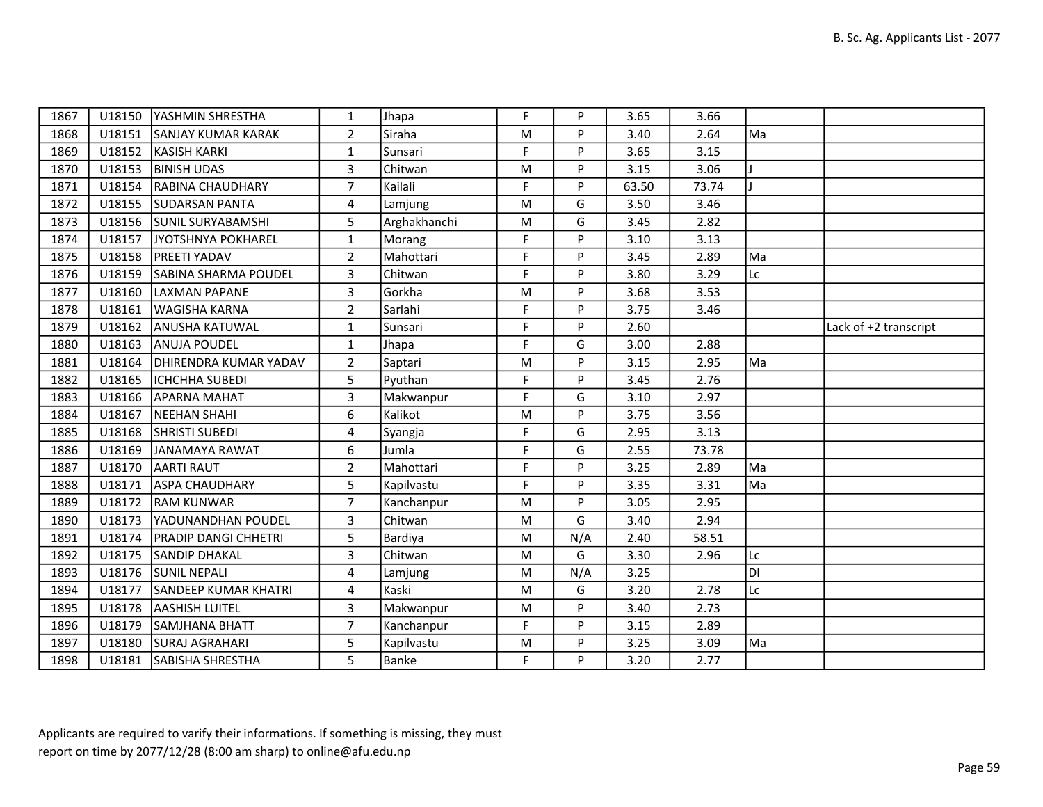| 1867 |        | U18150   YASHMIN SHRESTHA    | $\mathbf{1}$            | Jhapa        | F         | P   | 3.65  | 3.66  |    |                       |
|------|--------|------------------------------|-------------------------|--------------|-----------|-----|-------|-------|----|-----------------------|
| 1868 | U18151 | <b>SANJAY KUMAR KARAK</b>    | $\overline{2}$          | Siraha       | ${\sf M}$ | P   | 3.40  | 2.64  | Ma |                       |
| 1869 | U18152 | KASISH KARKI                 | 1                       | Sunsari      | F         | P   | 3.65  | 3.15  |    |                       |
| 1870 | U18153 | <b>BINISH UDAS</b>           | $\overline{3}$          | Chitwan      | M         | P   | 3.15  | 3.06  |    |                       |
| 1871 | U18154 | <b>RABINA CHAUDHARY</b>      | $\overline{7}$          | Kailali      | F         | P   | 63.50 | 73.74 |    |                       |
| 1872 | U18155 | <b>SUDARSAN PANTA</b>        | 4                       | Lamjung      | M         | G   | 3.50  | 3.46  |    |                       |
| 1873 |        | U18156 SUNIL SURYABAMSHI     | 5                       | Arghakhanchi | M         | G   | 3.45  | 2.82  |    |                       |
| 1874 | U18157 | JYOTSHNYA POKHAREL           | $\mathbf{1}$            | Morang       | F         | P   | 3.10  | 3.13  |    |                       |
| 1875 | U18158 | <b>PREETI YADAV</b>          | $\overline{2}$          | Mahottari    | F         | P   | 3.45  | 2.89  | Ma |                       |
| 1876 | U18159 | <b>SABINA SHARMA POUDEL</b>  | $\mathbf{3}$            | Chitwan      | F         | P   | 3.80  | 3.29  | Lc |                       |
| 1877 | U18160 | LAXMAN PAPANE                | 3                       | Gorkha       | M         | P   | 3.68  | 3.53  |    |                       |
| 1878 | U18161 | <b>WAGISHA KARNA</b>         | $2^{\circ}$             | Sarlahi      | F         | P   | 3.75  | 3.46  |    |                       |
| 1879 | U18162 | <b>ANUSHA KATUWAL</b>        | $\mathbf{1}$            | Sunsari      | F         | P   | 2.60  |       |    | Lack of +2 transcript |
| 1880 | U18163 | ANUJA POUDEL                 | $\mathbf{1}$            | Jhapa        | F         | G   | 3.00  | 2.88  |    |                       |
| 1881 | U18164 | <b>DHIRENDRA KUMAR YADAV</b> | $\overline{2}$          | Saptari      | ${\sf M}$ | P   | 3.15  | 2.95  | Ma |                       |
| 1882 | U18165 | <b>ICHCHHA SUBEDI</b>        | 5                       | Pyuthan      | F         | P   | 3.45  | 2.76  |    |                       |
| 1883 | U18166 | IAPARNA MAHAT                | 3                       | Makwanpur    | F         | G   | 3.10  | 2.97  |    |                       |
| 1884 | U18167 | NEEHAN SHAHI                 | 6                       | Kalikot      | ${\sf M}$ | P   | 3.75  | 3.56  |    |                       |
| 1885 | U18168 | <b>SHRISTI SUBEDI</b>        | 4                       | Syangja      | F         | G   | 2.95  | 3.13  |    |                       |
| 1886 | U18169 | JANAMAYA RAWAT               | 6                       | Jumla        | F         | G   | 2.55  | 73.78 |    |                       |
| 1887 | U18170 | <b>AARTI RAUT</b>            | $\overline{2}$          | Mahottari    | F         | P   | 3.25  | 2.89  | Ma |                       |
| 1888 | U18171 | ASPA CHAUDHARY               | 5                       | Kapilvastu   | F         | P   | 3.35  | 3.31  | Ma |                       |
| 1889 | U18172 | <b>RAM KUNWAR</b>            | $\overline{7}$          | Kanchanpur   | M         | P   | 3.05  | 2.95  |    |                       |
| 1890 | U18173 | YADUNANDHAN POUDEL           | $\overline{\mathbf{3}}$ | Chitwan      | M         | G   | 3.40  | 2.94  |    |                       |
| 1891 | U18174 | <b>PRADIP DANGI CHHETRI</b>  | 5                       | Bardiya      | M         | N/A | 2.40  | 58.51 |    |                       |
| 1892 | U18175 | <b>SANDIP DHAKAL</b>         | 3                       | Chitwan      | M         | G   | 3.30  | 2.96  | Lc |                       |
| 1893 |        | U18176 SUNIL NEPALI          | 4                       | Lamjung      | ${\sf M}$ | N/A | 3.25  |       | Ы  |                       |
| 1894 | U18177 | <b>SANDEEP KUMAR KHATRI</b>  | 4                       | Kaski        | ${\sf M}$ | G   | 3.20  | 2.78  | Lc |                       |
| 1895 | U18178 | <b>AASHISH LUITEL</b>        | 3                       | Makwanpur    | M         | P   | 3.40  | 2.73  |    |                       |
| 1896 | U18179 | <b>SAMJHANA BHATT</b>        | $\overline{7}$          | Kanchanpur   | F         | P   | 3.15  | 2.89  |    |                       |
| 1897 |        | U18180 SURAJ AGRAHARI        | 5                       | Kapilvastu   | M         | P   | 3.25  | 3.09  | Ma |                       |
| 1898 | U18181 | SABISHA SHRESTHA             | 5                       | Banke        | F         | P   | 3.20  | 2.77  |    |                       |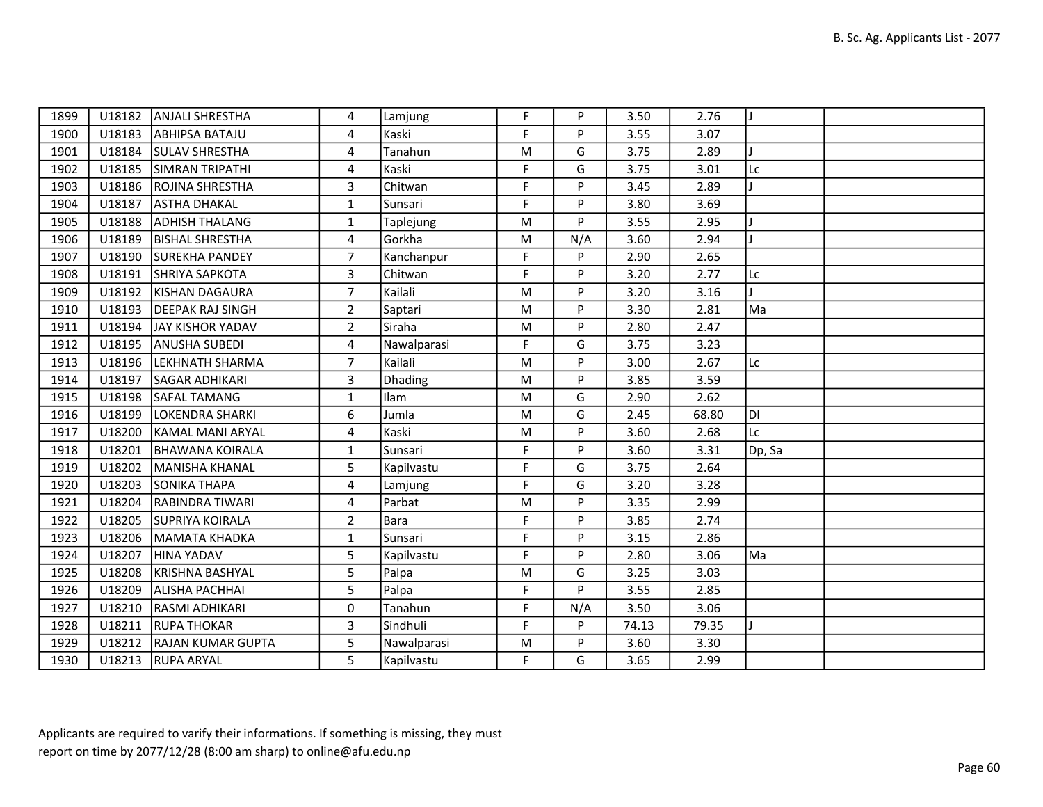| 1899 |        | U18182   ANJALI SHRESTHA   | 4              | Lamjung     | F.        | P   | 3.50  | 2.76  |              |  |
|------|--------|----------------------------|----------------|-------------|-----------|-----|-------|-------|--------------|--|
| 1900 |        | U18183 ABHIPSA BATAJU      | 4              | Kaski       | F         | P   | 3.55  | 3.07  |              |  |
| 1901 |        | U18184 SULAV SHRESTHA      | 4              | Tanahun     | M         | G   | 3.75  | 2.89  |              |  |
| 1902 |        | U18185 SIMRAN TRIPATHI     | 4              | Kaski       | F         | G   | 3.75  | 3.01  | Lc           |  |
| 1903 |        | U18186 ROJINA SHRESTHA     | 3              | Chitwan     | F         | P   | 3.45  | 2.89  | $\mathbf{I}$ |  |
| 1904 | U18187 | <b>ASTHA DHAKAL</b>        | $\mathbf{1}$   | Sunsari     | F         | P   | 3.80  | 3.69  |              |  |
| 1905 | U18188 | <b>ADHISH THALANG</b>      | $\mathbf{1}$   | Taplejung   | M         | P   | 3.55  | 2.95  |              |  |
| 1906 | U18189 | <b>BISHAL SHRESTHA</b>     | 4              | Gorkha      | M         | N/A | 3.60  | 2.94  | T            |  |
| 1907 |        | U18190 SUREKHA PANDEY      | $\overline{7}$ | Kanchanpur  | F         | P   | 2.90  | 2.65  |              |  |
| 1908 | U18191 | SHRIYA SAPKOTA             | 3              | Chitwan     | F         | P   | 3.20  | 2.77  | Lc           |  |
| 1909 | U18192 | KISHAN DAGAURA             | $\overline{7}$ | Kailali     | M         | P   | 3.20  | 3.16  | $\mathbf{I}$ |  |
| 1910 |        | U18193   DEEPAK RAJ SINGH  | $\overline{2}$ | Saptari     | M         | P   | 3.30  | 2.81  | Ma           |  |
| 1911 |        | U18194 JAY KISHOR YADAV    | $\overline{2}$ | Siraha      | M         | P   | 2.80  | 2.47  |              |  |
| 1912 |        | U18195 ANUSHA SUBEDI       | 4              | Nawalparasi | F.        | G   | 3.75  | 3.23  |              |  |
| 1913 |        | U18196  LEKHNATH SHARMA    | 7              | Kailali     | ${\sf M}$ | P   | 3.00  | 2.67  | Lc           |  |
| 1914 | U18197 | <b>SAGAR ADHIKARI</b>      | 3              | Dhading     | M         | P   | 3.85  | 3.59  |              |  |
| 1915 |        | U18198 SAFAL TAMANG        | $\mathbf{1}$   | Ilam        | M         | G   | 2.90  | 2.62  |              |  |
| 1916 | U18199 | LOKENDRA SHARKI            | 6              | Jumla       | M         | G   | 2.45  | 68.80 | DI           |  |
| 1917 | U18200 | KAMAL MANI ARYAL           | 4              | Kaski       | M         | P   | 3.60  | 2.68  | Lc           |  |
| 1918 | U18201 | <b>BHAWANA KOIRALA</b>     | $\mathbf{1}$   | Sunsari     | F.        | P   | 3.60  | 3.31  | Dp, Sa       |  |
| 1919 | U18202 | MANISHA KHANAL             | 5              | Kapilvastu  | F.        | G   | 3.75  | 2.64  |              |  |
| 1920 | U18203 | <b>SONIKA THAPA</b>        | 4              | Lamjung     | F         | G   | 3.20  | 3.28  |              |  |
| 1921 | U18204 | <b>RABINDRA TIWARI</b>     | 4              | Parbat      | M         | P   | 3.35  | 2.99  |              |  |
| 1922 |        | U18205 SUPRIYA KOIRALA     | $\overline{2}$ | <b>Bara</b> | F.        | P   | 3.85  | 2.74  |              |  |
| 1923 |        | U18206 MAMATA KHADKA       | $\mathbf{1}$   | Sunsari     | F         | P   | 3.15  | 2.86  |              |  |
| 1924 | U18207 | HINA YADAV                 | 5              | Kapilvastu  | F         | P   | 2.80  | 3.06  | Ma           |  |
| 1925 | U18208 | KRISHNA BASHYAL            | 5              | Palpa       | M         | G   | 3.25  | 3.03  |              |  |
| 1926 | U18209 | <b>ALISHA PACHHAI</b>      | 5              | Palpa       | F         | P   | 3.55  | 2.85  |              |  |
| 1927 | U18210 | RASMI ADHIKARI             | 0              | Tanahun     | F         | N/A | 3.50  | 3.06  |              |  |
| 1928 |        | U18211 RUPA THOKAR         | 3              | Sindhuli    | F.        | P   | 74.13 | 79.35 |              |  |
| 1929 |        | U18212   RAJAN KUMAR GUPTA | 5              | Nawalparasi | M         | P   | 3.60  | 3.30  |              |  |
| 1930 |        | U18213  RUPA ARYAL         | 5.             | Kapilvastu  | F         | G   | 3.65  | 2.99  |              |  |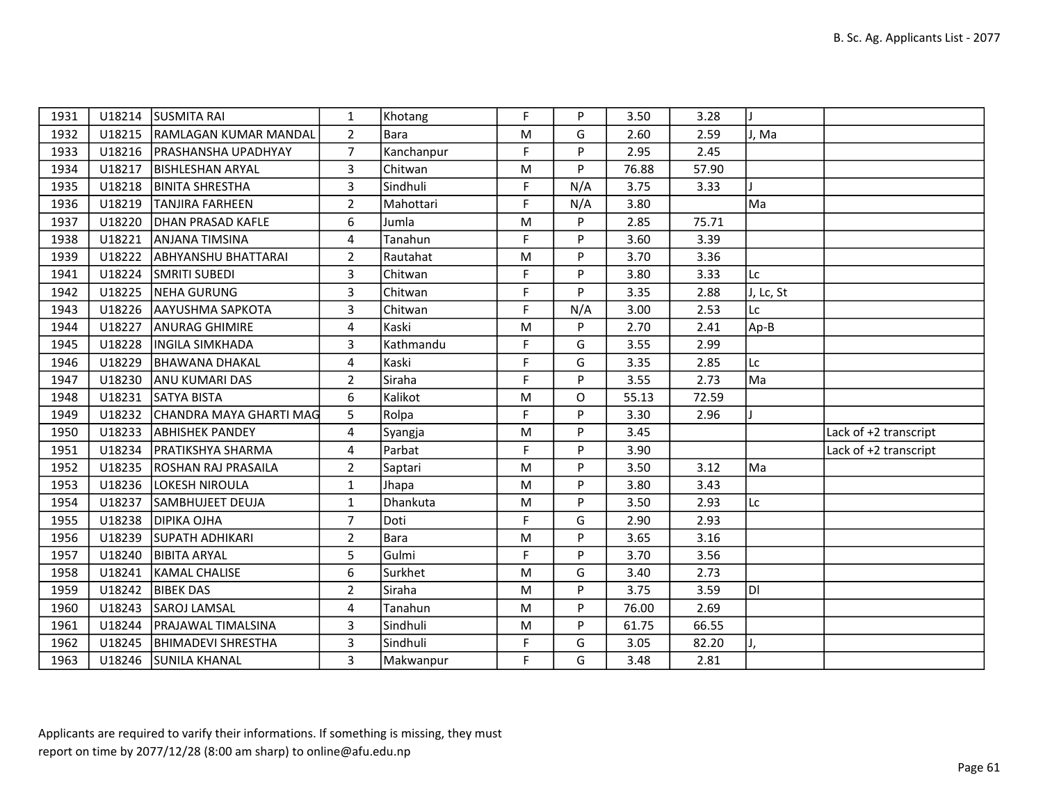| 1931 |        | U18214 ISUSMITA RAI            | $\mathbf{1}$   | Khotang    | F         | P   | 3.50  | 3.28  | H.        |                       |
|------|--------|--------------------------------|----------------|------------|-----------|-----|-------|-------|-----------|-----------------------|
| 1932 |        | U18215 RAMLAGAN KUMAR MANDAL   | $\overline{2}$ | Bara       | ${\sf M}$ | G   | 2.60  | 2.59  | J, Ma     |                       |
| 1933 |        | U18216   PRASHANSHA UPADHYAY   | $\overline{7}$ | Kanchanpur | F         | P   | 2.95  | 2.45  |           |                       |
| 1934 | U18217 | <b>BISHLESHAN ARYAL</b>        | 3              | Chitwan    | ${\sf M}$ | P   | 76.88 | 57.90 |           |                       |
| 1935 | U18218 | <b>BINITA SHRESTHA</b>         | 3              | Sindhuli   | F.        | N/A | 3.75  | 3.33  |           |                       |
| 1936 |        | U18219   TANJIRA FARHEEN       | $\overline{2}$ | Mahottari  | F         | N/A | 3.80  |       | Ma        |                       |
| 1937 | U18220 | DHAN PRASAD KAFLE              | 6              | Jumla      | ${\sf M}$ | P   | 2.85  | 75.71 |           |                       |
| 1938 | U18221 | <b>ANJANA TIMSINA</b>          | 4              | Tanahun    | F         | P   | 3.60  | 3.39  |           |                       |
| 1939 |        | U18222 ABHYANSHU BHATTARAI     | $\overline{2}$ | Rautahat   | M         | P   | 3.70  | 3.36  |           |                       |
| 1941 |        | U18224 SMRITI SUBEDI           | 3              | Chitwan    | F         | P   | 3.80  | 3.33  | Lc        |                       |
| 1942 | U18225 | <b>NEHA GURUNG</b>             | 3              | Chitwan    | F         | P   | 3.35  | 2.88  | J, Lc, St |                       |
| 1943 |        | U18226 AAYUSHMA SAPKOTA        | 3              | Chitwan    | F         | N/A | 3.00  | 2.53  | Lc        |                       |
| 1944 | U18227 | <b>ANURAG GHIMIRE</b>          | 4              | Kaski      | ${\sf M}$ | P   | 2.70  | 2.41  | Ap-B      |                       |
| 1945 | U18228 | <b>INGILA SIMKHADA</b>         | 3              | Kathmandu  | F.        | G   | 3.55  | 2.99  |           |                       |
| 1946 | U18229 | <b>BHAWANA DHAKAL</b>          | $\overline{4}$ | Kaski      | F         | G   | 3.35  | 2.85  | Lc        |                       |
| 1947 | U18230 | <b>ANU KUMARI DAS</b>          | $\overline{2}$ | Siraha     | F         | P   | 3.55  | 2.73  | Ma        |                       |
| 1948 | U18231 | <b>SATYA BISTA</b>             | 6              | Kalikot    | ${\sf M}$ | O   | 55.13 | 72.59 |           |                       |
| 1949 |        | U18232 CHANDRA MAYA GHARTI MAG | 5              | Rolpa      | F         | P   | 3.30  | 2.96  |           |                       |
| 1950 | U18233 | <b>ABHISHEK PANDEY</b>         | $\overline{4}$ | Syangja    | M         | P   | 3.45  |       |           | Lack of +2 transcript |
| 1951 | U18234 | <b>PRATIKSHYA SHARMA</b>       | 4              | Parbat     | F         | P   | 3.90  |       |           | Lack of +2 transcript |
| 1952 |        | U18235 ROSHAN RAJ PRASAILA     | $\overline{2}$ | Saptari    | ${\sf M}$ | P   | 3.50  | 3.12  | Ma        |                       |
| 1953 | U18236 | LOKESH NIROULA                 | $\mathbf{1}$   | Jhapa      | M         | P   | 3.80  | 3.43  |           |                       |
| 1954 | U18237 | <b>SAMBHUJEET DEUJA</b>        | $\mathbf{1}$   | Dhankuta   | M         | P   | 3.50  | 2.93  | Lc        |                       |
| 1955 |        | U18238 DIPIKA OJHA             | $\overline{7}$ | Doti       | F         | G   | 2.90  | 2.93  |           |                       |
| 1956 |        | U18239 SUPATH ADHIKARI         | $\overline{2}$ | Bara       | ${\sf M}$ | P   | 3.65  | 3.16  |           |                       |
| 1957 | U18240 | <b>BIBITA ARYAL</b>            | 5              | Gulmi      | F         | P   | 3.70  | 3.56  |           |                       |
| 1958 | U18241 | <b>KAMAL CHALISE</b>           | 6              | Surkhet    | M         | G   | 3.40  | 2.73  |           |                       |
| 1959 | U18242 | <b>BIBEK DAS</b>               | $\overline{2}$ | Siraha     | M         | P   | 3.75  | 3.59  | ldi       |                       |
| 1960 | U18243 | <b>SAROJ LAMSAL</b>            | 4              | Tanahun    | M         | P   | 76.00 | 2.69  |           |                       |
| 1961 | U18244 | <b>PRAJAWAL TIMALSINA</b>      | 3              | Sindhuli   | ${\sf M}$ | P   | 61.75 | 66.55 |           |                       |
| 1962 |        | U18245   BHIMADEVI SHRESTHA    | 3              | Sindhuli   | F         | G   | 3.05  | 82.20 | IJ,       |                       |
| 1963 |        | U18246 SUNILA KHANAL           | 3              | Makwanpur  | F.        | G   | 3.48  | 2.81  |           |                       |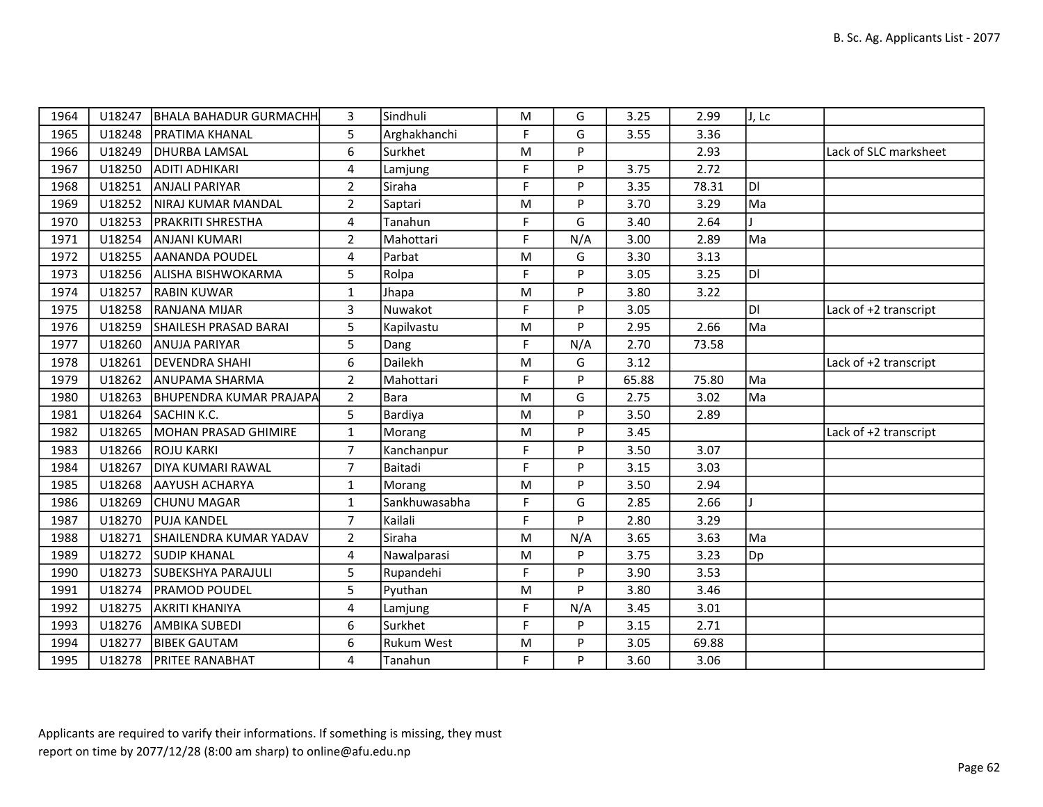| 1964 |        | U18247   BHALA BAHADUR GURMACHH | 3              | Sindhuli          | M         | G        | 3.25  | 2.99  | J, Lc |                       |
|------|--------|---------------------------------|----------------|-------------------|-----------|----------|-------|-------|-------|-----------------------|
| 1965 |        | U18248   PRATIMA KHANAL         | 5              | Arghakhanchi      | F         | G        | 3.55  | 3.36  |       |                       |
| 1966 | U18249 | <b>DHURBA LAMSAL</b>            | 6              | Surkhet           | M         | <b>P</b> |       | 2.93  |       | Lack of SLC marksheet |
| 1967 | U18250 | ADITI ADHIKARI                  | 4              | Lamjung           | F         | P        | 3.75  | 2.72  |       |                       |
| 1968 | U18251 | ANJALI PARIYAR                  | $\overline{2}$ | Siraha            | F         | P        | 3.35  | 78.31 | DI    |                       |
| 1969 | U18252 | NIRAJ KUMAR MANDAL              | $\overline{2}$ | Saptari           | M         | <b>P</b> | 3.70  | 3.29  | Ma    |                       |
| 1970 | U18253 | <b>PRAKRITI SHRESTHA</b>        | 4              | Tanahun           | F         | G        | 3.40  | 2.64  |       |                       |
| 1971 | U18254 | ANJANI KUMARI                   | $\overline{2}$ | Mahottari         | F         | N/A      | 3.00  | 2.89  | Ma    |                       |
| 1972 | U18255 | <b>AANANDA POUDEL</b>           | 4              | Parbat            | M         | G        | 3.30  | 3.13  |       |                       |
| 1973 | U18256 | ALISHA BISHWOKARMA              | 5              | Rolpa             | F         | P        | 3.05  | 3.25  | DI    |                       |
| 1974 | U18257 | RABIN KUWAR                     | $\mathbf{1}$   | Jhapa             | M         | P        | 3.80  | 3.22  |       |                       |
| 1975 | U18258 | <b>RANJANA MIJAR</b>            | 3              | Nuwakot           | F         | <b>D</b> | 3.05  |       | DI    | Lack of +2 transcript |
| 1976 |        | U18259 SHAILESH PRASAD BARAI    | 5              | Kapilvastu        | M         | P        | 2.95  | 2.66  | Ma    |                       |
| 1977 | U18260 | <b>ANUJA PARIYAR</b>            | 5              | Dang              | F         | N/A      | 2.70  | 73.58 |       |                       |
| 1978 |        | U18261   DEVENDRA SHAHI         | 6              | Dailekh           | M         | G        | 3.12  |       |       | Lack of +2 transcript |
| 1979 | U18262 | ANUPAMA SHARMA                  | $\overline{2}$ | Mahottari         | F         | P        | 65.88 | 75.80 | Ma    |                       |
| 1980 | U18263 | <b>BHUPENDRA KUMAR PRAJAPA</b>  | $2^{\circ}$    | Bara              | ${\sf M}$ | G        | 2.75  | 3.02  | Ma    |                       |
| 1981 | U18264 | SACHIN K.C.                     | 5              | Bardiya           | M         | <b>P</b> | 3.50  | 2.89  |       |                       |
| 1982 | U18265 | MOHAN PRASAD GHIMIRE            | $\mathbf{1}$   | Morang            | M         | P        | 3.45  |       |       | Lack of +2 transcript |
| 1983 | U18266 | <b>ROJU KARKI</b>               | $\overline{7}$ | Kanchanpur        | F         | P        | 3.50  | 3.07  |       |                       |
| 1984 | U18267 | <b>DIYA KUMARI RAWAL</b>        | $\overline{7}$ | Baitadi           | F         | <b>D</b> | 3.15  | 3.03  |       |                       |
| 1985 | U18268 | AAYUSH ACHARYA                  | $\mathbf{1}$   | Morang            | M         | P        | 3.50  | 2.94  |       |                       |
| 1986 | U18269 | <b>CHUNU MAGAR</b>              | $\mathbf{1}$   | Sankhuwasabha     | F         | G        | 2.85  | 2.66  |       |                       |
| 1987 | U18270 | <b>PUJA KANDEL</b>              | $\overline{7}$ | Kailali           | F         | P        | 2.80  | 3.29  |       |                       |
| 1988 | U18271 | SHAILENDRA KUMAR YADAV          | $\overline{2}$ | Siraha            | M         | N/A      | 3.65  | 3.63  | Ma    |                       |
| 1989 |        | U18272 SUDIP KHANAL             | 4              | Nawalparasi       | M         | P        | 3.75  | 3.23  | Dp    |                       |
| 1990 | U18273 | <b>SUBEKSHYA PARAJULI</b>       | 5              | Rupandehi         | F         | <b>D</b> | 3.90  | 3.53  |       |                       |
| 1991 | U18274 | <b>PRAMOD POUDEL</b>            | 5              | Pyuthan           | M         | P        | 3.80  | 3.46  |       |                       |
| 1992 | U18275 | <b>AKRITI KHANIYA</b>           | 4              | Lamjung           | F         | N/A      | 3.45  | 3.01  |       |                       |
| 1993 |        | U18276   AMBIKA SUBEDI          | 6              | Surkhet           | F         | P        | 3.15  | 2.71  |       |                       |
| 1994 | U18277 | <b>BIBEK GAUTAM</b>             | 6              | <b>Rukum West</b> | M         | P        | 3.05  | 69.88 |       |                       |
| 1995 |        | U18278 PRITEE RANABHAT          | 4              | Tanahun           | F         | P        | 3.60  | 3.06  |       |                       |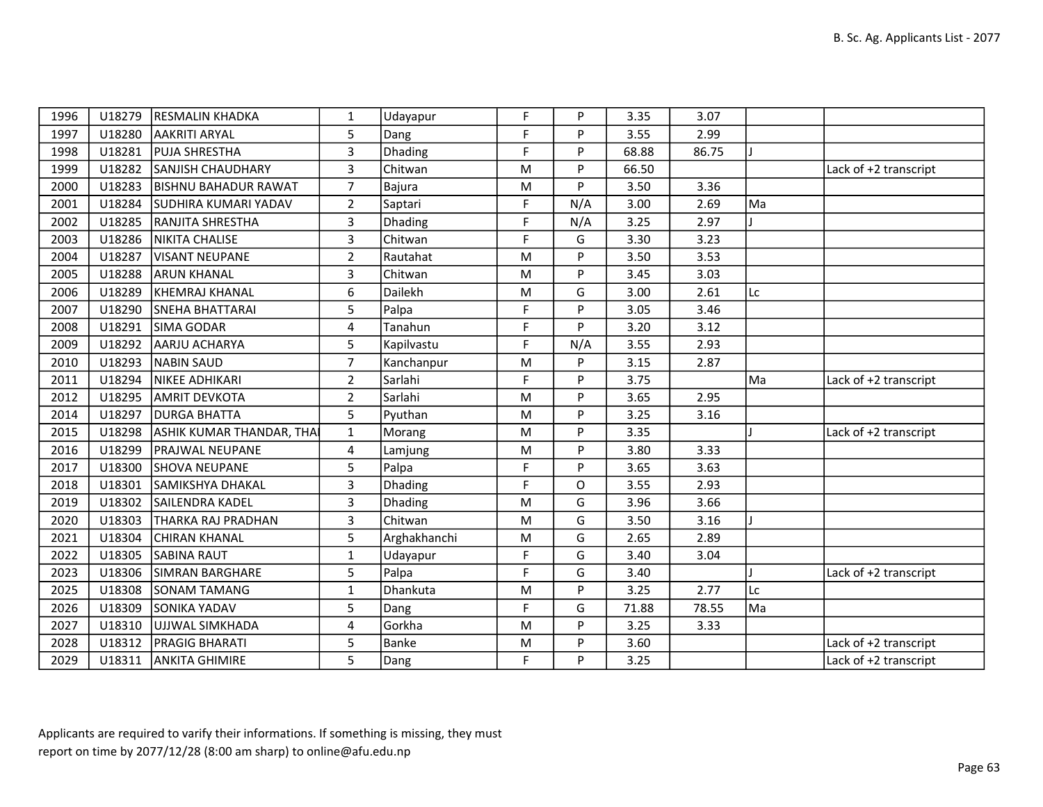| 1996 | U18279 | <b>RESMALIN KHADKA</b>      | 1              | Udayapur       | F.        | P   | 3.35  | 3.07  |    |                       |
|------|--------|-----------------------------|----------------|----------------|-----------|-----|-------|-------|----|-----------------------|
| 1997 | U18280 | <b>AAKRITI ARYAL</b>        | 5              | Dang           | F         | P   | 3.55  | 2.99  |    |                       |
| 1998 | U18281 | <b>PUJA SHRESTHA</b>        | 3              | Dhading        | F         | P   | 68.88 | 86.75 |    |                       |
| 1999 | U18282 | <b>SANJISH CHAUDHARY</b>    | 3              | Chitwan        | M         | P   | 66.50 |       |    | Lack of +2 transcript |
| 2000 | U18283 | <b>BISHNU BAHADUR RAWAT</b> | $\overline{7}$ | Bajura         | ${\sf M}$ | P   | 3.50  | 3.36  |    |                       |
| 2001 | U18284 | <b>SUDHIRA KUMARI YADAV</b> | $\overline{2}$ | Saptari        | F         | N/A | 3.00  | 2.69  | Ma |                       |
| 2002 | U18285 | <b>RANJITA SHRESTHA</b>     | 3              | Dhading        | F         | N/A | 3.25  | 2.97  |    |                       |
| 2003 | U18286 | NIKITA CHALISE              | 3              | Chitwan        | F         | G   | 3.30  | 3.23  |    |                       |
| 2004 | U18287 | VISANT NEUPANE              | $\overline{2}$ | Rautahat       | M         | P   | 3.50  | 3.53  |    |                       |
| 2005 | U18288 | <b>ARUN KHANAL</b>          | 3              | Chitwan        | ${\sf M}$ | P   | 3.45  | 3.03  |    |                       |
| 2006 | U18289 | KHEMRAJ KHANAL              | 6              | Dailekh        | M         | G   | 3.00  | 2.61  | Lc |                       |
| 2007 | U18290 | <b>SNEHA BHATTARAI</b>      | 5              | Palpa          | F         | P   | 3.05  | 3.46  |    |                       |
| 2008 | U18291 | <b>SIMA GODAR</b>           | $\overline{4}$ | Tanahun        | F         | P   | 3.20  | 3.12  |    |                       |
| 2009 | U18292 | AARJU ACHARYA               | 5              | Kapilvastu     | F         | N/A | 3.55  | 2.93  |    |                       |
| 2010 | U18293 | NABIN SAUD                  | $\overline{7}$ | Kanchanpur     | M         | P   | 3.15  | 2.87  |    |                       |
| 2011 | U18294 | NIKEE ADHIKARI              | $\overline{2}$ | Sarlahi        | F         | P   | 3.75  |       | Ma | Lack of +2 transcript |
| 2012 | U18295 | AMRIT DEVKOTA               | $\overline{2}$ | Sarlahi        | M         | P   | 3.65  | 2.95  |    |                       |
| 2014 | U18297 | <b>DURGA BHATTA</b>         | 5              | Pyuthan        | M         | P   | 3.25  | 3.16  |    |                       |
| 2015 | U18298 | ASHIK KUMAR THANDAR, THAI   | $\mathbf{1}$   | Morang         | M         | P   | 3.35  |       |    | Lack of +2 transcript |
| 2016 | U18299 | <b>PRAJWAL NEUPANE</b>      | 4              | Lamjung        | ${\sf M}$ | P   | 3.80  | 3.33  |    |                       |
| 2017 | U18300 | SHOVA NEUPANE               | 5              | Palpa          | F         | P   | 3.65  | 3.63  |    |                       |
| 2018 | U18301 | SAMIKSHYA DHAKAL            | 3              | <b>Dhading</b> | F         | O   | 3.55  | 2.93  |    |                       |
| 2019 | U18302 | SAILENDRA KADEL             | 3              | Dhading        | ${\sf M}$ | G   | 3.96  | 3.66  |    |                       |
| 2020 | U18303 | THARKA RAJ PRADHAN          | 3              | Chitwan        | M         | G   | 3.50  | 3.16  |    |                       |
| 2021 | U18304 | <b>CHIRAN KHANAL</b>        | 5              | Arghakhanchi   | ${\sf M}$ | G   | 2.65  | 2.89  |    |                       |
| 2022 | U18305 | <b>SABINA RAUT</b>          | $\mathbf{1}$   | Udayapur       | F         | G   | 3.40  | 3.04  |    |                       |
| 2023 | U18306 | <b>SIMRAN BARGHARE</b>      | 5              | Palpa          | F         | G   | 3.40  |       |    | Lack of +2 transcript |
| 2025 | U18308 | <b>SONAM TAMANG</b>         | $\mathbf{1}$   | Dhankuta       | ${\sf M}$ | P   | 3.25  | 2.77  | Lc |                       |
| 2026 | U18309 | <b>SONIKA YADAV</b>         | 5              | Dang           | F         | G   | 71.88 | 78.55 | Ma |                       |
| 2027 | U18310 | UJJWAL SIMKHADA             | 4              | Gorkha         | M         | P   | 3.25  | 3.33  |    |                       |
| 2028 | U18312 | <b>PRAGIG BHARATI</b>       | 5              | Banke          | ${\sf M}$ | P   | 3.60  |       |    | Lack of +2 transcript |
| 2029 | U18311 | <b>ANKITA GHIMIRE</b>       | 5              | Dang           | F         | P   | 3.25  |       |    | Lack of +2 transcript |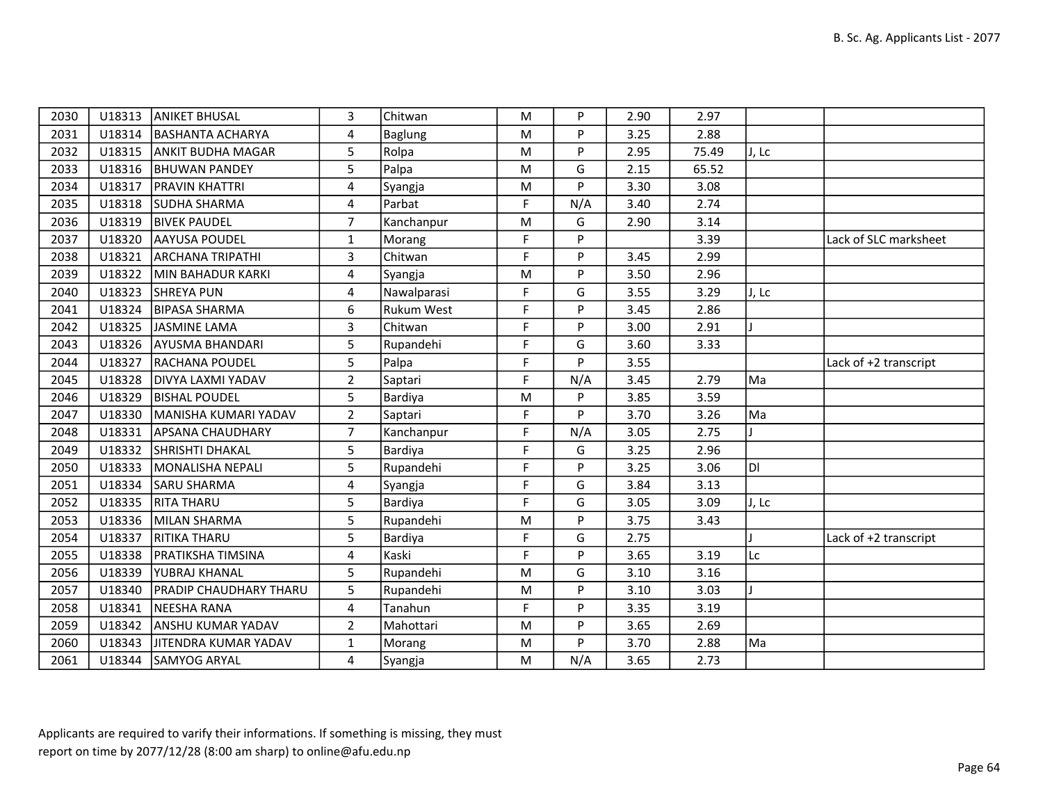| 2030 | U18313 | <b>ANIKET BHUSAL</b>     | 3              | Chitwan           | M         | P        | 2.90 | 2.97  |       |                       |
|------|--------|--------------------------|----------------|-------------------|-----------|----------|------|-------|-------|-----------------------|
| 2031 | U18314 | BASHANTA ACHARYA         | 4              | <b>Baglung</b>    | M         | P        | 3.25 | 2.88  |       |                       |
| 2032 | U18315 | <b>ANKIT BUDHA MAGAR</b> | 5              | Rolpa             | M         | P        | 2.95 | 75.49 | J, Lc |                       |
| 2033 | U18316 | <b>BHUWAN PANDEY</b>     | 5              | Palpa             | ${\sf M}$ | G        | 2.15 | 65.52 |       |                       |
| 2034 | U18317 | PRAVIN KHATTRI           | 4              | Syangja           | M         | P        | 3.30 | 3.08  |       |                       |
| 2035 | U18318 | <b>SUDHA SHARMA</b>      | 4              | Parbat            | F         | N/A      | 3.40 | 2.74  |       |                       |
| 2036 | U18319 | <b>BIVEK PAUDEL</b>      | $\overline{7}$ | Kanchanpur        | M         | G        | 2.90 | 3.14  |       |                       |
| 2037 | U18320 | <b>AAYUSA POUDEL</b>     | $\mathbf{1}$   | Morang            | F         | P        |      | 3.39  |       | Lack of SLC marksheet |
| 2038 | U18321 | <b>ARCHANA TRIPATHI</b>  | 3              | Chitwan           | F         | <b>P</b> | 3.45 | 2.99  |       |                       |
| 2039 | U18322 | MIN BAHADUR KARKI        | 4              | Syangja           | M         | P        | 3.50 | 2.96  |       |                       |
| 2040 | U18323 | <b>SHREYA PUN</b>        | 4              | Nawalparasi       | F         | G        | 3.55 | 3.29  | J, Lc |                       |
| 2041 |        | U18324   BIPASA SHARMA   | 6              | <b>Rukum West</b> | F         | D        | 3.45 | 2.86  |       |                       |
| 2042 | U18325 | JASMINE LAMA             | $\overline{3}$ | Chitwan           | F         | P        | 3.00 | 2.91  |       |                       |
| 2043 | U18326 | <b>AYUSMA BHANDARI</b>   | 5              | Rupandehi         | F         | G        | 3.60 | 3.33  |       |                       |
| 2044 | U18327 | <b>RACHANA POUDEL</b>    | 5              | Palpa             | F         | P        | 3.55 |       |       | Lack of +2 transcript |
| 2045 | U18328 | DIVYA LAXMI YADAV        | $\overline{2}$ | Saptari           | F         | N/A      | 3.45 | 2.79  | Ma    |                       |
| 2046 | U18329 | <b>BISHAL POUDEL</b>     | 5              | Bardiya           | M         | P        | 3.85 | 3.59  |       |                       |
| 2047 | U18330 | MANISHA KUMARI YADAV     | $\overline{2}$ | Saptari           | F         | P        | 3.70 | 3.26  | Ma    |                       |
| 2048 | U18331 | <b>APSANA CHAUDHARY</b>  | $\overline{7}$ | Kanchanpur        | F         | N/A      | 3.05 | 2.75  |       |                       |
| 2049 | U18332 | SHRISHTI DHAKAL          | 5              | Bardiya           | F         | G        | 3.25 | 2.96  |       |                       |
| 2050 | U18333 | MONALISHA NEPALI         | 5              | Rupandehi         | F         | P        | 3.25 | 3.06  | DI.   |                       |
| 2051 | U18334 | SARU SHARMA              | 4              | Syangja           | F         | G        | 3.84 | 3.13  |       |                       |
| 2052 | U18335 | <b>RITA THARU</b>        | 5              | Bardiya           | F         | G        | 3.05 | 3.09  | J, Lc |                       |
| 2053 | U18336 | MILAN SHARMA             | 5              | Rupandehi         | M         | P        | 3.75 | 3.43  |       |                       |
| 2054 | U18337 | <b>RITIKA THARU</b>      | 5              | Bardiya           | F         | G        | 2.75 |       |       | Lack of +2 transcript |
| 2055 | U18338 | <b>PRATIKSHA TIMSINA</b> | 4              | Kaski             | F         | P        | 3.65 | 3.19  | Lc    |                       |
| 2056 | U18339 | YUBRAJ KHANAL            | 5              | Rupandehi         | M         | G        | 3.10 | 3.16  |       |                       |
| 2057 | U18340 | PRADIP CHAUDHARY THARU   | 5              | Rupandehi         | M         | P        | 3.10 | 3.03  |       |                       |
| 2058 | U18341 | NEESHA RANA              | 4              | Tanahun           | F         | P        | 3.35 | 3.19  |       |                       |
| 2059 | U18342 | <b>ANSHU KUMAR YADAV</b> | $\overline{2}$ | Mahottari         | M         | P        | 3.65 | 2.69  |       |                       |
| 2060 | U18343 | JITENDRA KUMAR YADAV     | $\mathbf{1}$   | Morang            | M         | P        | 3.70 | 2.88  | Ma    |                       |
| 2061 |        | U18344 SAMYOG ARYAL      | 4              | Syangja           | M         | N/A      | 3.65 | 2.73  |       |                       |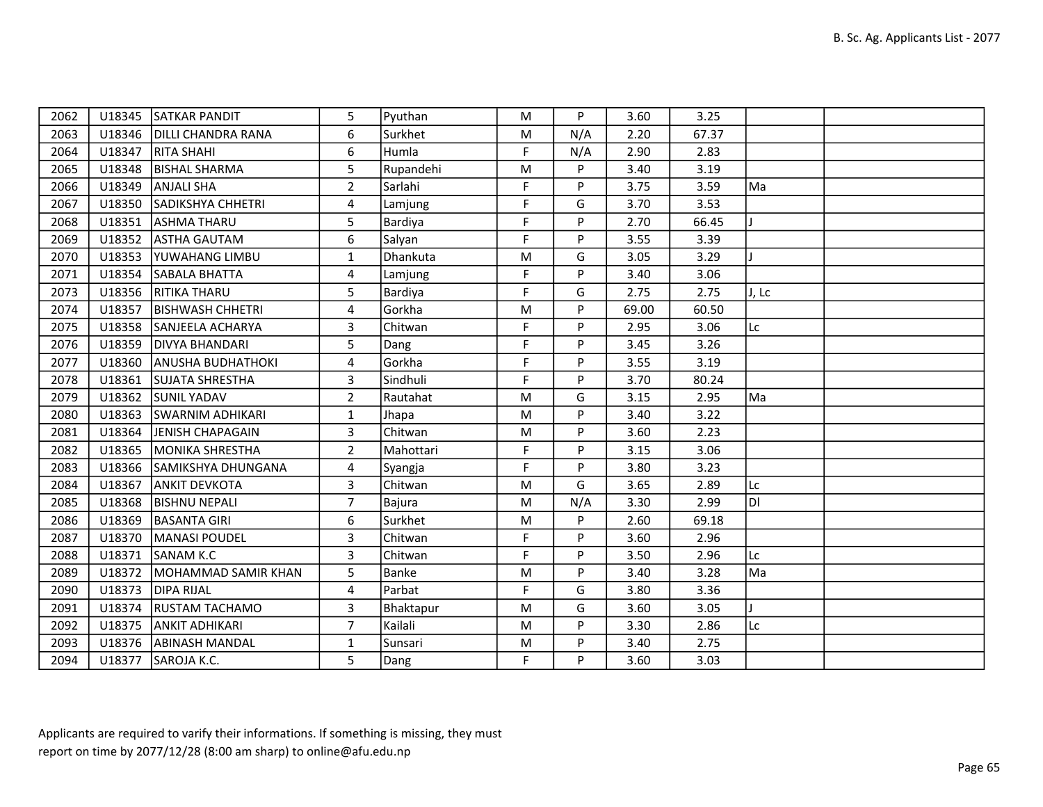| 2062 |        | U18345 SATKAR PANDIT     | 5               | Pyuthan   | M           | P   | 3.60  | 3.25  |              |  |
|------|--------|--------------------------|-----------------|-----------|-------------|-----|-------|-------|--------------|--|
| 2063 | U18346 | DILLI CHANDRA RANA       | 6               | Surkhet   | ${\sf M}$   | N/A | 2.20  | 67.37 |              |  |
| 2064 | U18347 | <b>RITA SHAHI</b>        | 6               | Humla     | F           | N/A | 2.90  | 2.83  |              |  |
| 2065 | U18348 | <b>BISHAL SHARMA</b>     | $5\overline{)}$ | Rupandehi | M           | P   | 3.40  | 3.19  |              |  |
| 2066 | U18349 | <b>ANJALI SHA</b>        | $2^{\circ}$     | Sarlahi   | F           | P   | 3.75  | 3.59  | Ma           |  |
| 2067 |        | U18350 SADIKSHYA CHHETRI | 4               | Lamjung   | F           | G   | 3.70  | 3.53  |              |  |
| 2068 | U18351 | <b>ASHMA THARU</b>       | 5               | Bardiya   | $\mathsf F$ | P   | 2.70  | 66.45 |              |  |
| 2069 | U18352 | <b>ASTHA GAUTAM</b>      | 6               | Salyan    | F           | P   | 3.55  | 3.39  |              |  |
| 2070 | U18353 | YUWAHANG LIMBU           | $\mathbf{1}$    | Dhankuta  | M           | G   | 3.05  | 3.29  |              |  |
| 2071 | U18354 | SABALA BHATTA            | 4               | Lamjung   | F           | P   | 3.40  | 3.06  |              |  |
| 2073 | U18356 | <b>RITIKA THARU</b>      | 5               | Bardiya   | F           | G   | 2.75  | 2.75  | J, Lc        |  |
| 2074 | U18357 | <b>BISHWASH CHHETRI</b>  | 4               | Gorkha    | M           | P   | 69.00 | 60.50 |              |  |
| 2075 | U18358 | SANJEELA ACHARYA         | $\mathbf{3}$    | Chitwan   | F           | P   | 2.95  | 3.06  | Lc           |  |
| 2076 | U18359 | <b>DIVYA BHANDARI</b>    | 5               | Dang      | F           | P   | 3.45  | 3.26  |              |  |
| 2077 | U18360 | <b>ANUSHA BUDHATHOKI</b> | 4               | Gorkha    | F           | P   | 3.55  | 3.19  |              |  |
| 2078 | U18361 | <b>SUJATA SHRESTHA</b>   | 3               | Sindhuli  | F           | P   | 3.70  | 80.24 |              |  |
| 2079 | U18362 | <b>SUNIL YADAV</b>       | $\overline{2}$  | Rautahat  | M           | G   | 3.15  | 2.95  | Ma           |  |
| 2080 | U18363 | <b>SWARNIM ADHIKARI</b>  | $\mathbf{1}$    | Jhapa     | M           | P   | 3.40  | 3.22  |              |  |
| 2081 | U18364 | JENISH CHAPAGAIN         | 3               | Chitwan   | ${\sf M}$   | P   | 3.60  | 2.23  |              |  |
| 2082 | U18365 | <b>MONIKA SHRESTHA</b>   | $\overline{2}$  | Mahottari | F           | P   | 3.15  | 3.06  |              |  |
| 2083 | U18366 | SAMIKSHYA DHUNGANA       | 4               | Syangja   | F           | P   | 3.80  | 3.23  |              |  |
| 2084 | U18367 | <b>ANKIT DEVKOTA</b>     | 3               | Chitwan   | M           | G   | 3.65  | 2.89  | Lc           |  |
| 2085 | U18368 | <b>BISHNU NEPALI</b>     | $\overline{7}$  | Bajura    | M           | N/A | 3.30  | 2.99  | ldi          |  |
| 2086 | U18369 | <b>BASANTA GIRI</b>      | 6               | Surkhet   | M           | P   | 2.60  | 69.18 |              |  |
| 2087 | U18370 | MANASI POUDEL            | $\mathbf{3}$    | Chitwan   | F           | P   | 3.60  | 2.96  |              |  |
| 2088 | U18371 | SANAM K.C                | 3               | Chitwan   | F           | P   | 3.50  | 2.96  | Lc           |  |
| 2089 | U18372 | MOHAMMAD SAMIR KHAN      | 5               | Banke     | M           | P   | 3.40  | 3.28  | Ma           |  |
| 2090 | U18373 | <b>DIPA RIJAL</b>        | 4               | Parbat    | F           | G   | 3.80  | 3.36  |              |  |
| 2091 | U18374 | <b>RUSTAM TACHAMO</b>    | 3               | Bhaktapur | ${\sf M}$   | G   | 3.60  | 3.05  | $\mathbf{I}$ |  |
| 2092 | U18375 | <b>ANKIT ADHIKARI</b>    | $\overline{7}$  | Kailali   | M           | P   | 3.30  | 2.86  | Lc           |  |
| 2093 |        | U18376 ABINASH MANDAL    | $\mathbf{1}$    | Sunsari   | M           | P   | 3.40  | 2.75  |              |  |
| 2094 |        | U18377 SAROJA K.C.       | 5               | Dang      | F           | P   | 3.60  | 3.03  |              |  |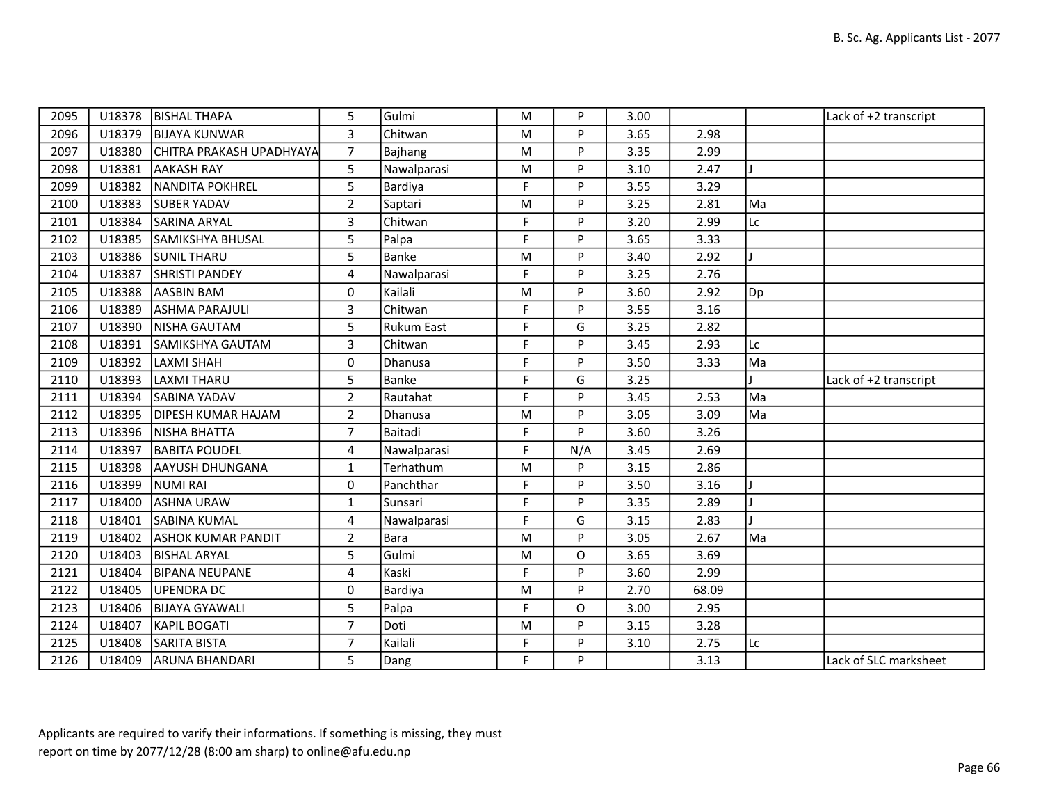| 2095 | U18378 | <b>BISHAL THAPA</b>       | 5              | Gulmi             | M           | P   | 3.00 |       |    | Lack of +2 transcript |
|------|--------|---------------------------|----------------|-------------------|-------------|-----|------|-------|----|-----------------------|
| 2096 | U18379 | <b>BIJAYA KUNWAR</b>      | $\overline{3}$ | Chitwan           | M           | P   | 3.65 | 2.98  |    |                       |
| 2097 | U18380 | CHITRA PRAKASH UPADHYAYA  | $\overline{7}$ | Bajhang           | M           | P   | 3.35 | 2.99  |    |                       |
| 2098 | U18381 | <b>AAKASH RAY</b>         | 5              | Nawalparasi       | M           | P   | 3.10 | 2.47  |    |                       |
| 2099 | U18382 | NANDITA POKHREL           | 5              | Bardiya           | $\mathsf F$ | P   | 3.55 | 3.29  |    |                       |
| 2100 | U18383 | <b>SUBER YADAV</b>        | $\overline{2}$ | Saptari           | M           | P   | 3.25 | 2.81  | Ma |                       |
| 2101 | U18384 | <b>SARINA ARYAL</b>       | 3              | Chitwan           | F           | P   | 3.20 | 2.99  | Lc |                       |
| 2102 | U18385 | <b>SAMIKSHYA BHUSAL</b>   | 5              | Palpa             | F           | P   | 3.65 | 3.33  |    |                       |
| 2103 | U18386 | <b>SUNIL THARU</b>        | 5              | Banke             | M           | P   | 3.40 | 2.92  |    |                       |
| 2104 | U18387 | <b>SHRISTI PANDEY</b>     | 4              | Nawalparasi       | F           | P   | 3.25 | 2.76  |    |                       |
| 2105 | U18388 | <b>AASBIN BAM</b>         | 0              | Kailali           | M           | P   | 3.60 | 2.92  | Dp |                       |
| 2106 | U18389 | <b>ASHMA PARAJULI</b>     | 3              | Chitwan           | F           | P   | 3.55 | 3.16  |    |                       |
| 2107 | U18390 | NISHA GAUTAM              | 5              | <b>Rukum East</b> | $\mathsf F$ | G   | 3.25 | 2.82  |    |                       |
| 2108 | U18391 | SAMIKSHYA GAUTAM          | 3              | Chitwan           | F           | P   | 3.45 | 2.93  | Lc |                       |
| 2109 | U18392 | LAXMI SHAH                | 0              | Dhanusa           | F           | P   | 3.50 | 3.33  | Ma |                       |
| 2110 | U18393 | LAXMI THARU               | 5              | <b>Banke</b>      | $\mathsf F$ | G   | 3.25 |       |    | Lack of +2 transcript |
| 2111 | U18394 | <b>SABINA YADAV</b>       | $\overline{2}$ | Rautahat          | F           | P   | 3.45 | 2.53  | Ma |                       |
| 2112 | U18395 | <b>DIPESH KUMAR HAJAM</b> | $\overline{2}$ | Dhanusa           | M           | P   | 3.05 | 3.09  | Ma |                       |
| 2113 | U18396 | NISHA BHATTA              | $\overline{7}$ | Baitadi           | $\mathsf F$ | P   | 3.60 | 3.26  |    |                       |
| 2114 | U18397 | <b>BABITA POUDEL</b>      | 4              | Nawalparasi       | F           | N/A | 3.45 | 2.69  |    |                       |
| 2115 | U18398 | <b>AAYUSH DHUNGANA</b>    | 1              | Terhathum         | ${\sf M}$   | P   | 3.15 | 2.86  |    |                       |
| 2116 | U18399 | <b>NUMI RAI</b>           | $\mathbf 0$    | Panchthar         | $\mathsf F$ | P   | 3.50 | 3.16  |    |                       |
| 2117 | U18400 | <b>ASHNA URAW</b>         | $\mathbf{1}$   | Sunsari           | F           | P   | 3.35 | 2.89  |    |                       |
| 2118 | U18401 | <b>SABINA KUMAL</b>       | 4              | Nawalparasi       | F           | G   | 3.15 | 2.83  |    |                       |
| 2119 | U18402 | <b>ASHOK KUMAR PANDIT</b> | $\overline{2}$ | Bara              | M           | P   | 3.05 | 2.67  | Ma |                       |
| 2120 | U18403 | <b>BISHAL ARYAL</b>       | 5              | Gulmi             | M           | O   | 3.65 | 3.69  |    |                       |
| 2121 | U18404 | <b>BIPANA NEUPANE</b>     | 4              | Kaski             | F           | P   | 3.60 | 2.99  |    |                       |
| 2122 | U18405 | UPENDRA DC                | $\mathbf 0$    | Bardiya           | M           | P   | 2.70 | 68.09 |    |                       |
| 2123 | U18406 | <b>BIJAYA GYAWALI</b>     | 5              | Palpa             | F           | O   | 3.00 | 2.95  |    |                       |
| 2124 | U18407 | KAPIL BOGATI              | $\overline{7}$ | Doti              | M           | P   | 3.15 | 3.28  |    |                       |
| 2125 | U18408 | <b>SARITA BISTA</b>       | $\overline{7}$ | Kailali           | $\mathsf F$ | P   | 3.10 | 2.75  | Lc |                       |
| 2126 |        | U18409 ARUNA BHANDARI     | 5              | Dang              | F           | P   |      | 3.13  |    | Lack of SLC marksheet |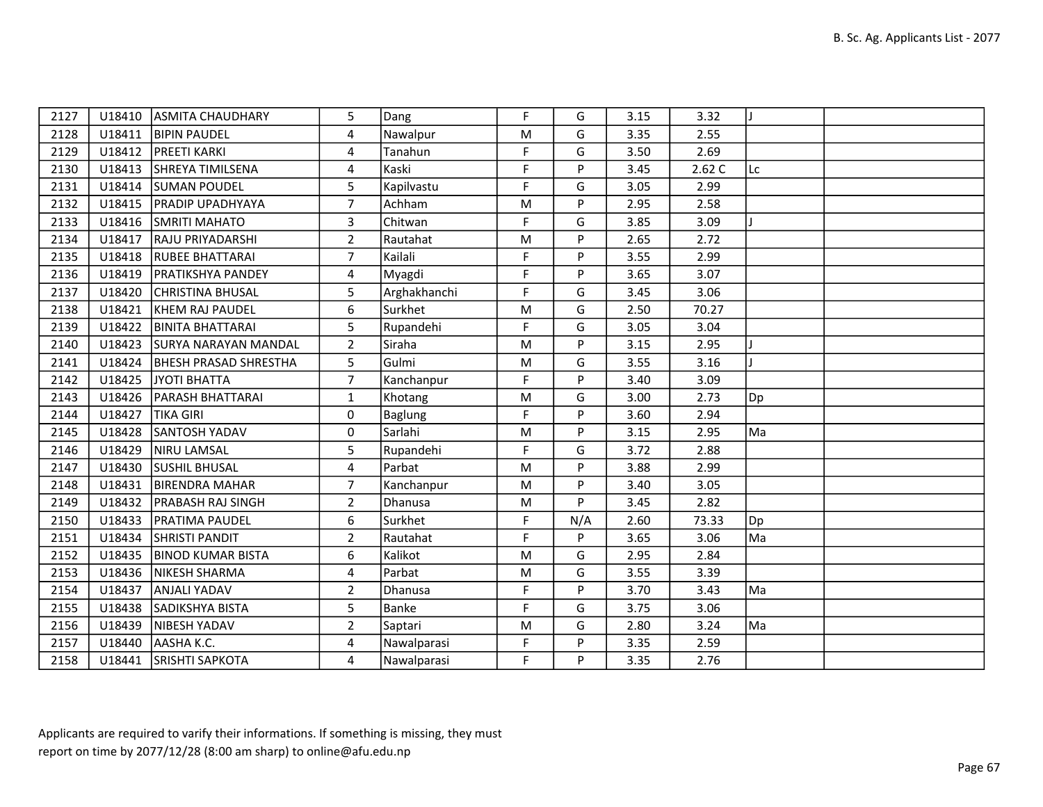| 2127 | U18410 | <b>ASMITA CHAUDHARY</b>      | 5              | Dang           | F           | G   | 3.15 | 3.32  |     |  |
|------|--------|------------------------------|----------------|----------------|-------------|-----|------|-------|-----|--|
| 2128 | U18411 | <b>BIPIN PAUDEL</b>          | 4              | Nawalpur       | M           | G   | 3.35 | 2.55  |     |  |
| 2129 | U18412 | <b>PREETI KARKI</b>          | 4              | Tanahun        | F           | G   | 3.50 | 2.69  |     |  |
| 2130 | U18413 | SHREYA TIMILSENA             | 4              | Kaski          | F           | P   | 3.45 | 2.62C | Lc  |  |
| 2131 | U18414 | <b>SUMAN POUDEL</b>          | 5              | Kapilvastu     | F           | G   | 3.05 | 2.99  |     |  |
| 2132 | U18415 | <b>PRADIP UPADHYAYA</b>      | $\overline{7}$ | Achham         | M           | P   | 2.95 | 2.58  |     |  |
| 2133 | U18416 | <b>SMRITI MAHATO</b>         | 3              | Chitwan        | $\mathsf F$ | G   | 3.85 | 3.09  |     |  |
| 2134 | U18417 | <b>RAJU PRIYADARSHI</b>      | $\overline{2}$ | Rautahat       | M           | P   | 2.65 | 2.72  |     |  |
| 2135 | U18418 | <b>RUBEE BHATTARAI</b>       | $\overline{7}$ | Kailali        | F           | P   | 3.55 | 2.99  |     |  |
| 2136 | U18419 | <b>PRATIKSHYA PANDEY</b>     | 4              | Myagdi         | F           | P   | 3.65 | 3.07  |     |  |
| 2137 | U18420 | <b>CHRISTINA BHUSAL</b>      | 5              | Arghakhanchi   | F           | G   | 3.45 | 3.06  |     |  |
| 2138 | U18421 | KHEM RAJ PAUDEL              | 6              | Surkhet        | M           | G   | 2.50 | 70.27 |     |  |
| 2139 | U18422 | <b>BINITA BHATTARAI</b>      | 5              | Rupandehi      | $\mathsf F$ | G   | 3.05 | 3.04  |     |  |
| 2140 | U18423 | <b>SURYA NARAYAN MANDAL</b>  | $\overline{2}$ | Siraha         | ${\sf M}$   | P   | 3.15 | 2.95  |     |  |
| 2141 | U18424 | <b>BHESH PRASAD SHRESTHA</b> | 5              | Gulmi          | M           | G   | 3.55 | 3.16  |     |  |
| 2142 | U18425 | JYOTI BHATTA                 | $\overline{7}$ | Kanchanpur     | F           | P   | 3.40 | 3.09  |     |  |
| 2143 | U18426 | <b>PARASH BHATTARAI</b>      | $\mathbf{1}$   | Khotang        | M           | G   | 3.00 | 2.73  | Dp  |  |
| 2144 | U18427 | <b>TIKA GIRI</b>             | $\Omega$       | <b>Baglung</b> | F           | P   | 3.60 | 2.94  |     |  |
| 2145 | U18428 | SANTOSH YADAV                | 0              | Sarlahi        | M           | P   | 3.15 | 2.95  | Ma  |  |
| 2146 | U18429 | NIRU LAMSAL                  | 5              | Rupandehi      | $\mathsf F$ | G   | 3.72 | 2.88  |     |  |
| 2147 | U18430 | <b>SUSHIL BHUSAL</b>         | 4              | Parbat         | M           | P   | 3.88 | 2.99  |     |  |
| 2148 | U18431 | <b>BIRENDRA MAHAR</b>        | $\overline{7}$ | Kanchanpur     | M           | P   | 3.40 | 3.05  |     |  |
| 2149 | U18432 | <b>PRABASH RAJ SINGH</b>     | $\overline{2}$ | Dhanusa        | ${\sf M}$   | P   | 3.45 | 2.82  |     |  |
| 2150 | U18433 | <b>PRATIMA PAUDEL</b>        | 6              | Surkhet        | F           | N/A | 2.60 | 73.33 | Dp] |  |
| 2151 | U18434 | <b>SHRISTI PANDIT</b>        | $\overline{2}$ | Rautahat       | F           | P   | 3.65 | 3.06  | Ma  |  |
| 2152 | U18435 | <b>BINOD KUMAR BISTA</b>     | 6              | Kalikot        | ${\sf M}$   | G   | 2.95 | 2.84  |     |  |
| 2153 | U18436 | NIKESH SHARMA                | 4              | Parbat         | M           | G   | 3.55 | 3.39  |     |  |
| 2154 | U18437 | ANJALI YADAV                 | $\overline{2}$ | <b>Dhanusa</b> | F           | P   | 3.70 | 3.43  | Ma  |  |
| 2155 | U18438 | SADIKSHYA BISTA              | 5              | Banke          | F           | G   | 3.75 | 3.06  |     |  |
| 2156 | U18439 | NIBESH YADAV                 | $\overline{2}$ | Saptari        | M           | G   | 2.80 | 3.24  | Ma  |  |
| 2157 | U18440 | AASHA K.C.                   | $\overline{4}$ | Nawalparasi    | F           | P   | 3.35 | 2.59  |     |  |
| 2158 | U18441 | SRISHTI SAPKOTA              | 4              | Nawalparasi    | F           | P   | 3.35 | 2.76  |     |  |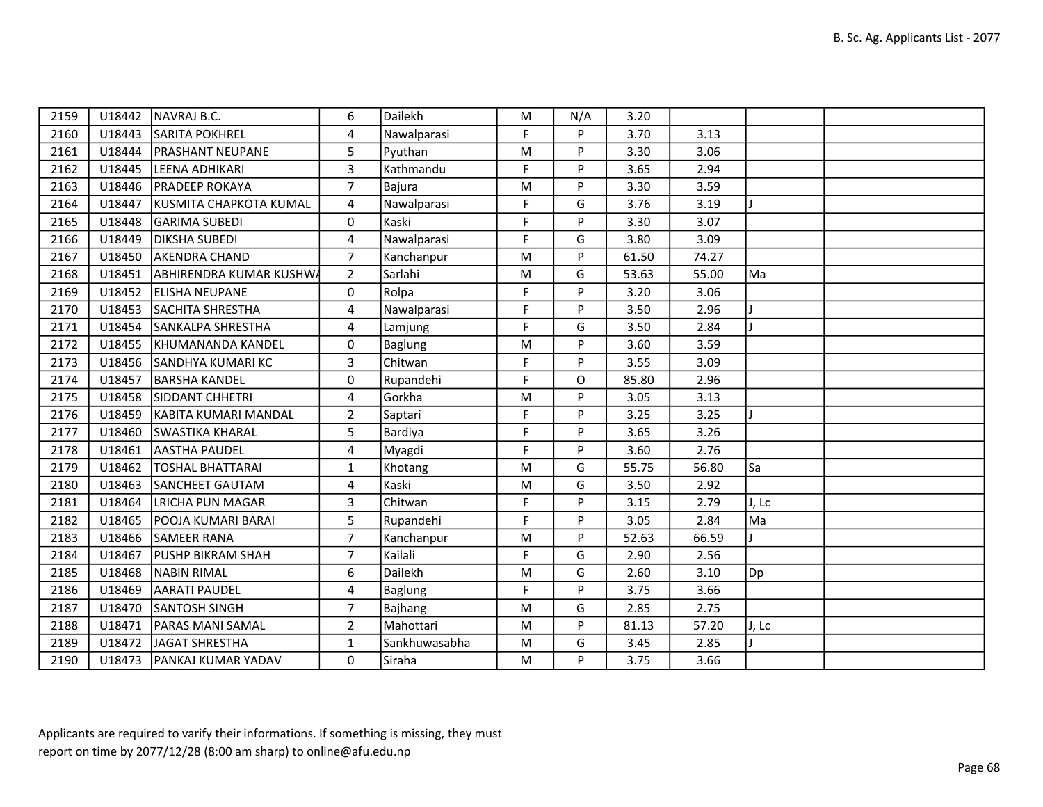| 2159 | U18442 | NAVRAJ B.C.                    | 6                       | Dailekh        | M         | N/A | 3.20  |       |       |  |
|------|--------|--------------------------------|-------------------------|----------------|-----------|-----|-------|-------|-------|--|
| 2160 | U18443 | <b>SARITA POKHREL</b>          | $\overline{4}$          | Nawalparasi    | F         | P   | 3.70  | 3.13  |       |  |
| 2161 | U18444 | <b>PRASHANT NEUPANE</b>        | 5                       | Pyuthan        | M         | P   | 3.30  | 3.06  |       |  |
| 2162 | U18445 | LEENA ADHIKARI                 | 3                       | Kathmandu      | F         | P   | 3.65  | 2.94  |       |  |
| 2163 | U18446 | <b>PRADEEP ROKAYA</b>          | $\overline{7}$          | Bajura         | ${\sf M}$ | P   | 3.30  | 3.59  |       |  |
| 2164 | U18447 | KUSMITA CHAPKOTA KUMAL         | $\overline{4}$          | Nawalparasi    | F         | G   | 3.76  | 3.19  |       |  |
| 2165 | U18448 | <b>GARIMA SUBEDI</b>           | 0                       | Kaski          | F         | P   | 3.30  | 3.07  |       |  |
| 2166 | U18449 | <b>DIKSHA SUBEDI</b>           | 4                       | Nawalparasi    | F         | G   | 3.80  | 3.09  |       |  |
| 2167 | U18450 | <b>AKENDRA CHAND</b>           | $\overline{7}$          | Kanchanpur     | M         | P   | 61.50 | 74.27 |       |  |
| 2168 | U18451 | <b>ABHIRENDRA KUMAR KUSHWA</b> | $\overline{2}$          | Sarlahi        | ${\sf M}$ | G   | 53.63 | 55.00 | Ma    |  |
| 2169 | U18452 | <b>ELISHA NEUPANE</b>          | 0                       | Rolpa          | F.        | P   | 3.20  | 3.06  |       |  |
| 2170 | U18453 | SACHITA SHRESTHA               | 4                       | Nawalparasi    | F         | P   | 3.50  | 2.96  |       |  |
| 2171 | U18454 | SANKALPA SHRESTHA              | 4                       | Lamjung        | F         | G   | 3.50  | 2.84  |       |  |
| 2172 | U18455 | KHUMANANDA KANDEL              | 0                       | <b>Baglung</b> | ${\sf M}$ | P   | 3.60  | 3.59  |       |  |
| 2173 | U18456 | SANDHYA KUMARI KC              | 3                       | Chitwan        | F.        | P   | 3.55  | 3.09  |       |  |
| 2174 | U18457 | <b>BARSHA KANDEL</b>           | 0                       | Rupandehi      | F         | O   | 85.80 | 2.96  |       |  |
| 2175 | U18458 | <b>SIDDANT CHHETRI</b>         | 4                       | Gorkha         | ${\sf M}$ | P   | 3.05  | 3.13  |       |  |
| 2176 | U18459 | KABITA KUMARI MANDAL           | $2^{\circ}$             | Saptari        | F.        | P   | 3.25  | 3.25  |       |  |
| 2177 | U18460 | <b>SWASTIKA KHARAL</b>         | 5                       | Bardiya        | F         | P   | 3.65  | 3.26  |       |  |
| 2178 | U18461 | <b>AASTHA PAUDEL</b>           | 4                       | Myagdi         | F         | P   | 3.60  | 2.76  |       |  |
| 2179 | U18462 | <b>TOSHAL BHATTARAI</b>        | $\mathbf{1}$            | Khotang        | ${\sf M}$ | G   | 55.75 | 56.80 | Sa    |  |
| 2180 | U18463 | <b>SANCHEET GAUTAM</b>         | 4                       | Kaski          | ${\sf M}$ | G   | 3.50  | 2.92  |       |  |
| 2181 | U18464 | LRICHA PUN MAGAR               | $\overline{\mathbf{3}}$ | Chitwan        | F         | P   | 3.15  | 2.79  | J, Lc |  |
| 2182 | U18465 | <b>POOJA KUMARI BARAI</b>      | 5                       | Rupandehi      | F.        | P   | 3.05  | 2.84  | Ma    |  |
| 2183 | U18466 | SAMEER RANA                    | $\overline{7}$          | Kanchanpur     | ${\sf M}$ | P   | 52.63 | 66.59 |       |  |
| 2184 | U18467 | <b>PUSHP BIKRAM SHAH</b>       | $\overline{7}$          | Kailali        | F         | G   | 2.90  | 2.56  |       |  |
| 2185 | U18468 | <b>NABIN RIMAL</b>             | 6                       | Dailekh        | M         | G   | 2.60  | 3.10  | Dp]   |  |
| 2186 | U18469 | <b>AARATI PAUDEL</b>           | 4                       | <b>Baglung</b> | F         | P   | 3.75  | 3.66  |       |  |
| 2187 | U18470 | <b>ISANTOSH SINGH</b>          | $\overline{7}$          | <b>Bajhang</b> | ${\sf M}$ | G   | 2.85  | 2.75  |       |  |
| 2188 | U18471 | <b>PARAS MANI SAMAL</b>        | $\overline{2}$          | Mahottari      | M         | P   | 81.13 | 57.20 | J, Lc |  |
| 2189 |        | U18472 JAGAT SHRESTHA          | $\mathbf{1}$            | Sankhuwasabha  | ${\sf M}$ | G   | 3.45  | 2.85  |       |  |
| 2190 | U18473 | <b>PANKAJ KUMAR YADAV</b>      | 0                       | Siraha         | M         | P   | 3.75  | 3.66  |       |  |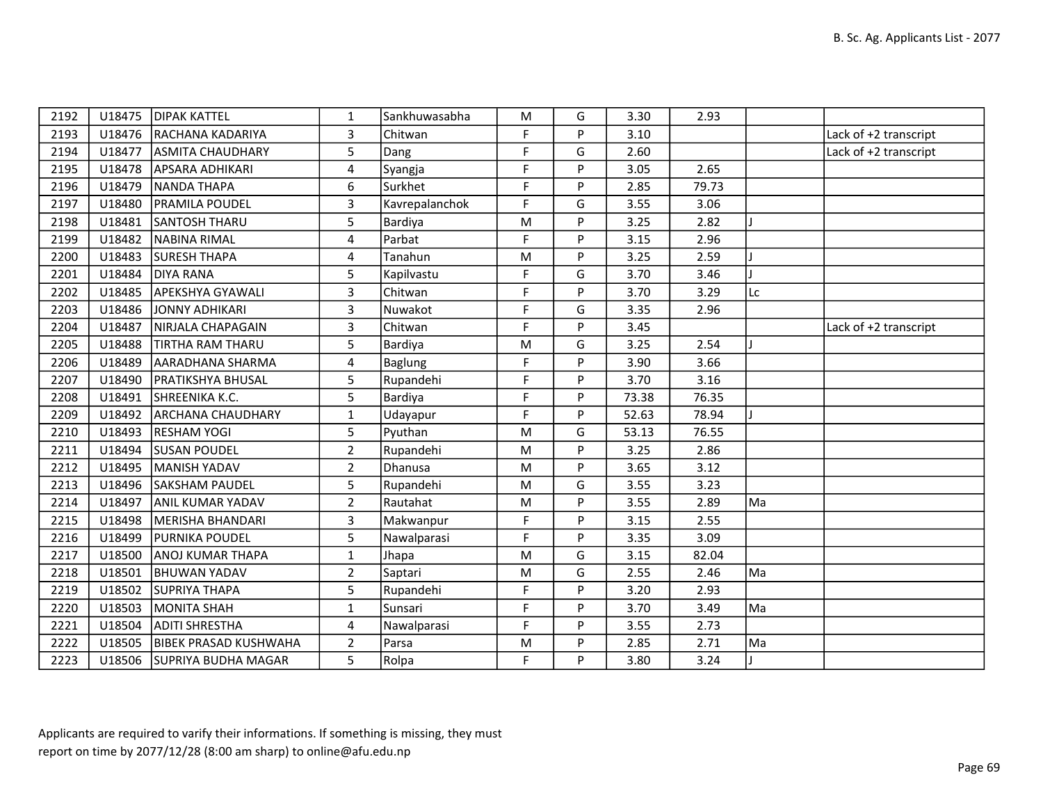| 2192 | U18475 | <b>DIPAK KATTEL</b>        | 1              | Sankhuwasabha  | M         | G | 3.30  | 2.93  |    |                       |
|------|--------|----------------------------|----------------|----------------|-----------|---|-------|-------|----|-----------------------|
| 2193 | U18476 | RACHANA KADARIYA           | 3              | Chitwan        | F         | P | 3.10  |       |    | Lack of +2 transcript |
| 2194 | U18477 | <b>ASMITA CHAUDHARY</b>    | 5              | Dang           | F         | G | 2.60  |       |    | Lack of +2 transcript |
| 2195 | U18478 | <b>APSARA ADHIKARI</b>     | $\overline{4}$ | Syangja        | F         | Þ | 3.05  | 2.65  |    |                       |
| 2196 | U18479 | NANDA THAPA                | 6              | Surkhet        | F         | P | 2.85  | 79.73 |    |                       |
| 2197 | U18480 | <b>PRAMILA POUDEL</b>      | 3              | Kavrepalanchok | F         | G | 3.55  | 3.06  |    |                       |
| 2198 | U18481 | SANTOSH THARU              | 5              | Bardiya        | ${\sf M}$ | P | 3.25  | 2.82  |    |                       |
| 2199 | U18482 | NABINA RIMAL               | 4              | Parbat         | F         | P | 3.15  | 2.96  |    |                       |
| 2200 | U18483 | <b>SURESH THAPA</b>        | 4              | Tanahun        | M         | D | 3.25  | 2.59  |    |                       |
| 2201 | U18484 | <b>DIYA RANA</b>           | 5              | Kapilvastu     | F         | G | 3.70  | 3.46  |    |                       |
| 2202 | U18485 | APEKSHYA GYAWALI           | $\mathbf{3}$   | Chitwan        | F         | P | 3.70  | 3.29  | Lc |                       |
| 2203 | U18486 | JONNY ADHIKARI             | $\overline{3}$ | Nuwakot        | F         | G | 3.35  | 2.96  |    |                       |
| 2204 | U18487 | NIRJALA CHAPAGAIN          | 3              | Chitwan        | F         | P | 3.45  |       |    | Lack of +2 transcript |
| 2205 | U18488 | <b>TIRTHA RAM THARU</b>    | 5              | Bardiya        | M         | G | 3.25  | 2.54  |    |                       |
| 2206 | U18489 | AARADHANA SHARMA           | $\overline{4}$ | Baglung        | F         | P | 3.90  | 3.66  |    |                       |
| 2207 | U18490 | <b>PRATIKSHYA BHUSAL</b>   | 5              | Rupandehi      | F         | P | 3.70  | 3.16  |    |                       |
| 2208 | U18491 | SHREENIKA K.C.             | 5              | Bardiya        | F         | P | 73.38 | 76.35 |    |                       |
| 2209 | U18492 | <b>ARCHANA CHAUDHARY</b>   | $\mathbf{1}$   | Udayapur       | F         | P | 52.63 | 78.94 |    |                       |
| 2210 | U18493 | <b>RESHAM YOGI</b>         | 5              | Pyuthan        | M         | G | 53.13 | 76.55 |    |                       |
| 2211 | U18494 | <b>SUSAN POUDEL</b>        | $\overline{2}$ | Rupandehi      | M         | P | 3.25  | 2.86  |    |                       |
| 2212 | U18495 | MANISH YADAV               | $\overline{2}$ | Dhanusa        | M         | P | 3.65  | 3.12  |    |                       |
| 2213 | U18496 | <b>SAKSHAM PAUDEL</b>      | 5              | Rupandehi      | ${\sf M}$ | G | 3.55  | 3.23  |    |                       |
| 2214 | U18497 | ANIL KUMAR YADAV           | $\overline{2}$ | Rautahat       | ${\sf M}$ | P | 3.55  | 2.89  | Ma |                       |
| 2215 | U18498 | MERISHA BHANDARI           | $\mathbf{3}$   | Makwanpur      | F         | D | 3.15  | 2.55  |    |                       |
| 2216 | U18499 | <b>PURNIKA POUDEL</b>      | 5              | Nawalparasi    | F         | P | 3.35  | 3.09  |    |                       |
| 2217 | U18500 | <b>ANOJ KUMAR THAPA</b>    | $\mathbf{1}$   | Jhapa          | ${\sf M}$ | G | 3.15  | 82.04 |    |                       |
| 2218 | U18501 | <b>BHUWAN YADAV</b>        | $\overline{2}$ | Saptari        | M         | G | 2.55  | 2.46  | Ma |                       |
| 2219 | U18502 | <b>SUPRIYA THAPA</b>       | 5              | Rupandehi      | F         | P | 3.20  | 2.93  |    |                       |
| 2220 | U18503 | MONITA SHAH                | $\mathbf{1}$   | Sunsari        | F         | P | 3.70  | 3.49  | Ma |                       |
| 2221 | U18504 | <b>ADITI SHRESTHA</b>      | 4              | Nawalparasi    | F         | Þ | 3.55  | 2.73  |    |                       |
| 2222 | U18505 | BIBEK PRASAD KUSHWAHA      | $\overline{2}$ | Parsa          | M         | P | 2.85  | 2.71  | Ma |                       |
| 2223 |        | U18506 SUPRIYA BUDHA MAGAR | 5              | Rolpa          | F         | P | 3.80  | 3.24  |    |                       |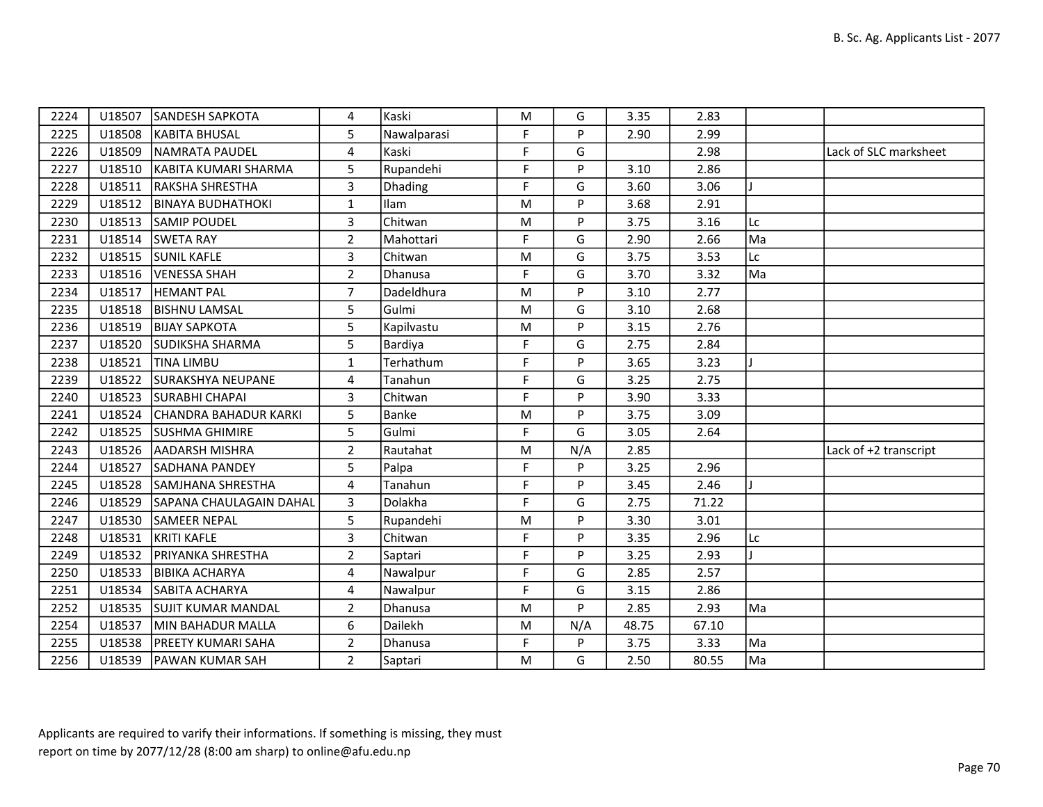| 2224 | U18507 | <b>SANDESH SAPKOTA</b>         | 4              | Kaski          | ${\sf M}$ | G   | 3.35  | 2.83  |    |                       |
|------|--------|--------------------------------|----------------|----------------|-----------|-----|-------|-------|----|-----------------------|
| 2225 | U18508 | <b>KABITA BHUSAL</b>           | 5              | Nawalparasi    | F.        | P   | 2.90  | 2.99  |    |                       |
| 2226 | U18509 | NAMRATA PAUDEL                 | 4              | Kaski          | F         | G   |       | 2.98  |    | Lack of SLC marksheet |
| 2227 | U18510 | KABITA KUMARI SHARMA           | 5              | Rupandehi      | F         | P   | 3.10  | 2.86  |    |                       |
| 2228 | U18511 | <b>RAKSHA SHRESTHA</b>         | 3              | <b>Dhading</b> | F         | G   | 3.60  | 3.06  |    |                       |
| 2229 | U18512 | <b>BINAYA BUDHATHOKI</b>       | $\mathbf{1}$   | Ilam           | M         | P   | 3.68  | 2.91  |    |                       |
| 2230 | U18513 | <b>SAMIP POUDEL</b>            | $\overline{3}$ | Chitwan        | ${\sf M}$ | P   | 3.75  | 3.16  | Lc |                       |
| 2231 | U18514 | <b>SWETA RAY</b>               | $\overline{2}$ | Mahottari      | F.        | G   | 2.90  | 2.66  | Ma |                       |
| 2232 | U18515 | <b>SUNIL KAFLE</b>             | 3              | Chitwan        | M         | G   | 3.75  | 3.53  | Lc |                       |
| 2233 | U18516 | VENESSA SHAH                   | $\overline{2}$ | Dhanusa        | F         | G   | 3.70  | 3.32  | Ma |                       |
| 2234 | U18517 | <b>HEMANT PAL</b>              | $\overline{7}$ | Dadeldhura     | ${\sf M}$ | P   | 3.10  | 2.77  |    |                       |
| 2235 | U18518 | <b>BISHNU LAMSAL</b>           | 5              | Gulmi          | M         | G   | 3.10  | 2.68  |    |                       |
| 2236 | U18519 | <b>BIJAY SAPKOTA</b>           | 5              | Kapilvastu     | ${\sf M}$ | P   | 3.15  | 2.76  |    |                       |
| 2237 | U18520 | <b>SUDIKSHA SHARMA</b>         | 5              | Bardiya        | F         | G   | 2.75  | 2.84  |    |                       |
| 2238 | U18521 | <b>TINA LIMBU</b>              | $\mathbf{1}$   | Terhathum      | F         | P.  | 3.65  | 3.23  |    |                       |
| 2239 | U18522 | <b>SURAKSHYA NEUPANE</b>       | 4              | Tanahun        | F         | G   | 3.25  | 2.75  |    |                       |
| 2240 | U18523 | <b>SURABHI CHAPAI</b>          | 3              | Chitwan        | F         | P   | 3.90  | 3.33  |    |                       |
| 2241 | U18524 | CHANDRA BAHADUR KARKI          | 5              | Banke          | M         | P   | 3.75  | 3.09  |    |                       |
| 2242 | U18525 | <b>SUSHMA GHIMIRE</b>          | 5              | Gulmi          | F.        | G   | 3.05  | 2.64  |    |                       |
| 2243 | U18526 | <b>AADARSH MISHRA</b>          | $\overline{2}$ | Rautahat       | ${\sf M}$ | N/A | 2.85  |       |    | Lack of +2 transcript |
| 2244 | U18527 | <b>SADHANA PANDEY</b>          | 5              | Palpa          | F         | P   | 3.25  | 2.96  |    |                       |
| 2245 | U18528 | SAMJHANA SHRESTHA              | 4              | Tanahun        | F.        | P   | 3.45  | 2.46  |    |                       |
| 2246 | U18529 | <b>SAPANA CHAULAGAIN DAHAL</b> | 3              | Dolakha        | F         | G   | 2.75  | 71.22 |    |                       |
| 2247 | U18530 | <b>SAMEER NEPAL</b>            | 5              | Rupandehi      | M         | P.  | 3.30  | 3.01  |    |                       |
| 2248 | U18531 | KRITI KAFLE                    | $\mathbf{3}$   | Chitwan        | F         | P   | 3.35  | 2.96  | Lc |                       |
| 2249 | U18532 | <b>PRIYANKA SHRESTHA</b>       | $\overline{2}$ | Saptari        | F         | P   | 3.25  | 2.93  |    |                       |
| 2250 | U18533 | <b>BIBIKA ACHARYA</b>          | 4              | Nawalpur       | F.        | G   | 2.85  | 2.57  |    |                       |
| 2251 | U18534 | <b>SABITA ACHARYA</b>          | 4              | Nawalpur       | F         | G   | 3.15  | 2.86  |    |                       |
| 2252 | U18535 | <b>SUJIT KUMAR MANDAL</b>      | $\overline{2}$ | Dhanusa        | ${\sf M}$ | P   | 2.85  | 2.93  | Ma |                       |
| 2254 | U18537 | MIN BAHADUR MALLA              | 6              | Dailekh        | ${\sf M}$ | N/A | 48.75 | 67.10 |    |                       |
| 2255 | U18538 | <b>PREETY KUMARI SAHA</b>      | $\overline{2}$ | Dhanusa        | F         | P   | 3.75  | 3.33  | Ma |                       |
| 2256 |        | U18539   PAWAN KUMAR SAH       | $2^{\circ}$    | Saptari        | ${\sf M}$ | G   | 2.50  | 80.55 | Ma |                       |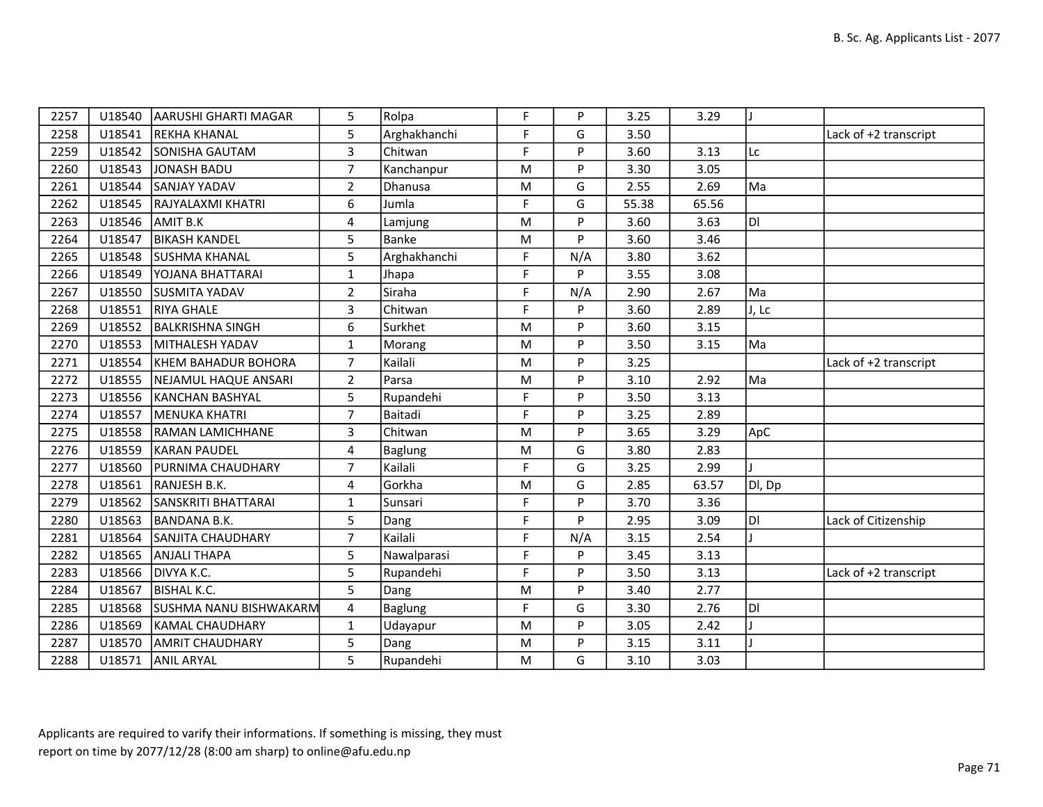| 2257 | U18540 | AARUSHI GHARTI MAGAR          | 5              | Rolpa          | F         | P   | 3.25  | 3.29  |        |                       |
|------|--------|-------------------------------|----------------|----------------|-----------|-----|-------|-------|--------|-----------------------|
| 2258 | U18541 | <b>REKHA KHANAL</b>           | 5              | Arghakhanchi   | F         | G   | 3.50  |       |        | Lack of +2 transcript |
| 2259 | U18542 | <b>SONISHA GAUTAM</b>         | $\overline{3}$ | Chitwan        | F         | Þ   | 3.60  | 3.13  | Lc     |                       |
| 2260 | U18543 | JONASH BADU                   | $\overline{7}$ | Kanchanpur     | M         | P   | 3.30  | 3.05  |        |                       |
| 2261 | U18544 | SANJAY YADAV                  | $\overline{2}$ | Dhanusa        | M         | G   | 2.55  | 2.69  | Ma     |                       |
| 2262 | U18545 | RAJYALAXMI KHATRI             | 6              | Jumla          | F         | G   | 55.38 | 65.56 |        |                       |
| 2263 | U18546 | AMIT B.K                      | $\overline{4}$ | Lamjung        | M         | Þ   | 3.60  | 3.63  | DI.    |                       |
| 2264 | U18547 | <b>BIKASH KANDEL</b>          | 5              | Banke          | M         | P   | 3.60  | 3.46  |        |                       |
| 2265 | U18548 | <b>SUSHMA KHANAL</b>          | 5              | Arghakhanchi   | F         | N/A | 3.80  | 3.62  |        |                       |
| 2266 | U18549 | YOJANA BHATTARAI              | $\mathbf{1}$   | Jhapa          | F         | P   | 3.55  | 3.08  |        |                       |
| 2267 | U18550 | <b>SUSMITA YADAV</b>          | $\overline{2}$ | Siraha         | F         | N/A | 2.90  | 2.67  | Ma     |                       |
| 2268 | U18551 | <b>RIYA GHALE</b>             | 3              | Chitwan        | F         | Þ   | 3.60  | 2.89  | J, Lc  |                       |
| 2269 | U18552 | <b>BALKRISHNA SINGH</b>       | 6              | Surkhet        | M         | P   | 3.60  | 3.15  |        |                       |
| 2270 | U18553 | MITHALESH YADAV               | $\mathbf{1}$   | Morang         | M         | P   | 3.50  | 3.15  | Ma     |                       |
| 2271 | U18554 | KHEM BAHADUR BOHORA           | $\overline{7}$ | Kailali        | M         | Þ   | 3.25  |       |        | Lack of +2 transcript |
| 2272 | U18555 | NEJAMUL HAQUE ANSARI          | $\overline{2}$ | Parsa          | M         | P   | 3.10  | 2.92  | Ma     |                       |
| 2273 | U18556 | KANCHAN BASHYAL               | 5              | Rupandehi      | F         | P   | 3.50  | 3.13  |        |                       |
| 2274 | U18557 | MENUKA KHATRI                 | $\overline{7}$ | Baitadi        | F         | P   | 3.25  | 2.89  |        |                       |
| 2275 | U18558 | RAMAN LAMICHHANE              | 3              | Chitwan        | M         | P   | 3.65  | 3.29  | ApC    |                       |
| 2276 | U18559 | <b>KARAN PAUDEL</b>           | 4              | <b>Baglung</b> | M         | G   | 3.80  | 2.83  |        |                       |
| 2277 | U18560 | <b>PURNIMA CHAUDHARY</b>      | $\overline{7}$ | Kailali        | F         | G   | 3.25  | 2.99  |        |                       |
| 2278 | U18561 | RANJESH B.K.                  | 4              | Gorkha         | ${\sf M}$ | G   | 2.85  | 63.57 | DI, Dp |                       |
| 2279 | U18562 | SANSKRITI BHATTARAI           | $\mathbf{1}$   | Sunsari        | F         | P   | 3.70  | 3.36  |        |                       |
| 2280 | U18563 | BANDANA B.K.                  | 5              | Dang           | F         | P   | 2.95  | 3.09  | ldl    | Lack of Citizenship   |
| 2281 | U18564 | SANJITA CHAUDHARY             | $\overline{7}$ | Kailali        | F         | N/A | 3.15  | 2.54  |        |                       |
| 2282 | U18565 | ANJALI THAPA                  | 5              | Nawalparasi    | F         | P   | 3.45  | 3.13  |        |                       |
| 2283 | U18566 | DIVYA K.C.                    | 5              | Rupandehi      | F         | Þ   | 3.50  | 3.13  |        | Lack of +2 transcript |
| 2284 | U18567 | BISHAL K.C.                   | 5              | Dang           | ${\sf M}$ | P   | 3.40  | 2.77  |        |                       |
| 2285 | U18568 | <b>SUSHMA NANU BISHWAKARM</b> | 4              | <b>Baglung</b> | F         | G   | 3.30  | 2.76  | IDI    |                       |
| 2286 | U18569 | <b>KAMAL CHAUDHARY</b>        | $\mathbf{1}$   | Udayapur       | ${\sf M}$ | Þ   | 3.05  | 2.42  |        |                       |
| 2287 | U18570 | <b>AMRIT CHAUDHARY</b>        | 5              | Dang           | M         | P   | 3.15  | 3.11  |        |                       |
| 2288 | U18571 | <b>ANIL ARYAL</b>             | 5              | Rupandehi      | M         | G   | 3.10  | 3.03  |        |                       |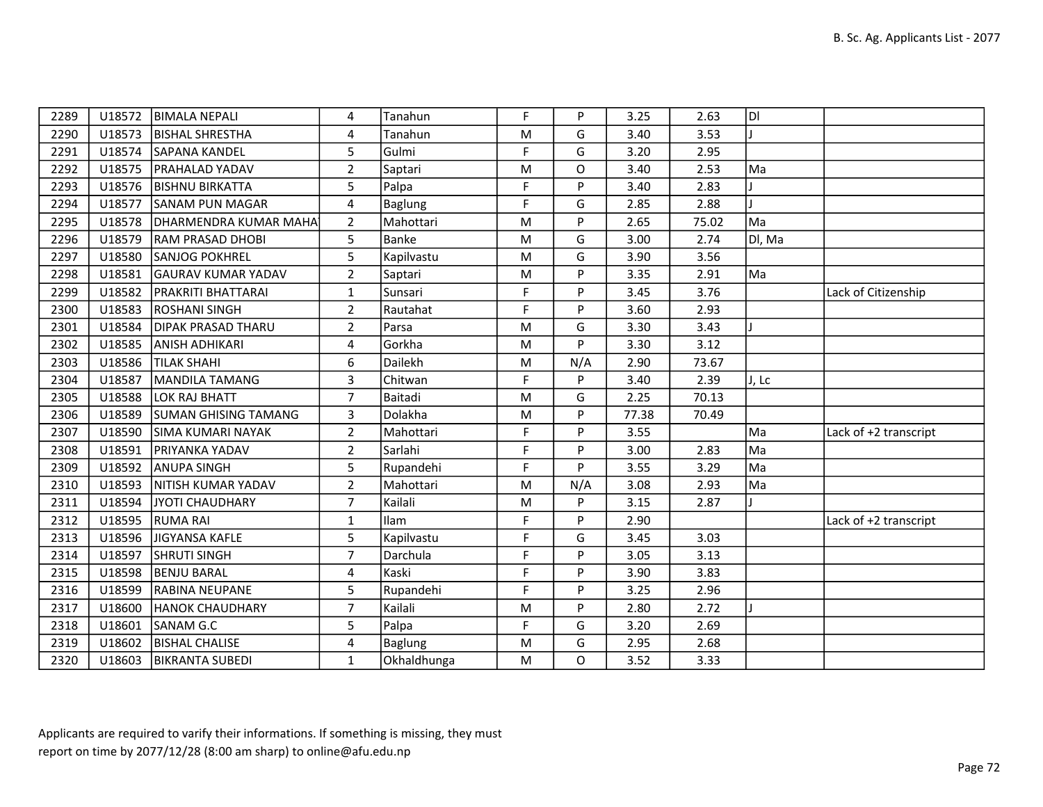| 2289 | U18572 | <b>BIMALA NEPALI</b>        | 4              | Tanahun        | F | P        | 3.25  | 2.63  | DI     |                       |
|------|--------|-----------------------------|----------------|----------------|---|----------|-------|-------|--------|-----------------------|
| 2290 | U18573 | <b>BISHAL SHRESTHA</b>      | 4              | Tanahun        | M | G        | 3.40  | 3.53  |        |                       |
| 2291 | U18574 | <b>SAPANA KANDEL</b>        | 5              | Gulmi          | F | G        | 3.20  | 2.95  |        |                       |
| 2292 | U18575 | <b>PRAHALAD YADAV</b>       | $\overline{2}$ | Saptari        | M | O        | 3.40  | 2.53  | Ma     |                       |
| 2293 | U18576 | <b>BISHNU BIRKATTA</b>      | 5              | Palpa          | F | P        | 3.40  | 2.83  |        |                       |
| 2294 | U18577 | <b>SANAM PUN MAGAR</b>      | $\overline{4}$ | <b>Baglung</b> | F | G        | 2.85  | 2.88  |        |                       |
| 2295 | U18578 | DHARMENDRA KUMAR MAHA       | $\overline{2}$ | Mahottari      | M | P        | 2.65  | 75.02 | Ma     |                       |
| 2296 | U18579 | RAM PRASAD DHOBI            | 5              | Banke          | M | G        | 3.00  | 2.74  | Dl, Ma |                       |
| 2297 | U18580 | <b>SANJOG POKHREL</b>       | 5              | Kapilvastu     | M | G        | 3.90  | 3.56  |        |                       |
| 2298 | U18581 | <b>GAURAV KUMAR YADAV</b>   | $\overline{2}$ | Saptari        | M | P        | 3.35  | 2.91  | Ma     |                       |
| 2299 | U18582 | PRAKRITI BHATTARAI          | $\mathbf{1}$   | Sunsari        | F | P        | 3.45  | 3.76  |        | Lack of Citizenship   |
| 2300 | U18583 | <b>ROSHANI SINGH</b>        | $\overline{2}$ | Rautahat       | F | <b>P</b> | 3.60  | 2.93  |        |                       |
| 2301 | U18584 | <b>DIPAK PRASAD THARU</b>   | $\overline{2}$ | Parsa          | M | G        | 3.30  | 3.43  |        |                       |
| 2302 | U18585 | ANISH ADHIKARI              | 4              | Gorkha         | M | P        | 3.30  | 3.12  |        |                       |
| 2303 | U18586 | <b>TILAK SHAHI</b>          | 6              | Dailekh        | M | N/A      | 2.90  | 73.67 |        |                       |
| 2304 | U18587 | MANDILA TAMANG              | $\mathbf{3}$   | Chitwan        | F | P        | 3.40  | 2.39  | J, Lc  |                       |
| 2305 | U18588 | LOK RAJ BHATT               | $\overline{7}$ | Baitadi        | M | G        | 2.25  | 70.13 |        |                       |
| 2306 | U18589 | <b>SUMAN GHISING TAMANG</b> | $\mathbf{3}$   | Dolakha        | M | P        | 77.38 | 70.49 |        |                       |
| 2307 | U18590 | SIMA KUMARI NAYAK           | $\overline{2}$ | Mahottari      | F | P        | 3.55  |       | Ma     | Lack of +2 transcript |
| 2308 | U18591 | PRIYANKA YADAV              | $\overline{2}$ | Sarlahi        | F | P        | 3.00  | 2.83  | Ma     |                       |
| 2309 | U18592 | <b>ANUPA SINGH</b>          | 5              | Rupandehi      | F | P        | 3.55  | 3.29  | Ma     |                       |
| 2310 | U18593 | NITISH KUMAR YADAV          | $\overline{2}$ | Mahottari      | M | N/A      | 3.08  | 2.93  | Ma     |                       |
| 2311 | U18594 | JYOTI CHAUDHARY             | 7              | Kailali        | M | P        | 3.15  | 2.87  |        |                       |
| 2312 | U18595 | <b>RUMA RAI</b>             | $\mathbf{1}$   | Ilam           | F | P        | 2.90  |       |        | Lack of +2 transcript |
| 2313 | U18596 | JIGYANSA KAFLE              | 5              | Kapilvastu     | F | G        | 3.45  | 3.03  |        |                       |
| 2314 | U18597 | <b>SHRUTI SINGH</b>         | 7              | Darchula       | F | P        | 3.05  | 3.13  |        |                       |
| 2315 | U18598 | <b>BENJU BARAL</b>          | $\overline{4}$ | Kaski          | F | P        | 3.90  | 3.83  |        |                       |
| 2316 | U18599 | <b>RABINA NEUPANE</b>       | 5              | Rupandehi      | F | P        | 3.25  | 2.96  |        |                       |
| 2317 | U18600 | <b>HANOK CHAUDHARY</b>      | $\overline{7}$ | Kailali        | M | P        | 2.80  | 2.72  |        |                       |
| 2318 | U18601 | SANAM G.C                   | $5\phantom{.}$ | Palpa          | F | G        | 3.20  | 2.69  |        |                       |
| 2319 | U18602 | <b>BISHAL CHALISE</b>       | $\overline{4}$ | <b>Baglung</b> | M | G        | 2.95  | 2.68  |        |                       |
| 2320 | U18603 | <b>BIKRANTA SUBEDI</b>      | $\mathbf{1}$   | Okhaldhunga    | M | $\Omega$ | 3.52  | 3.33  |        |                       |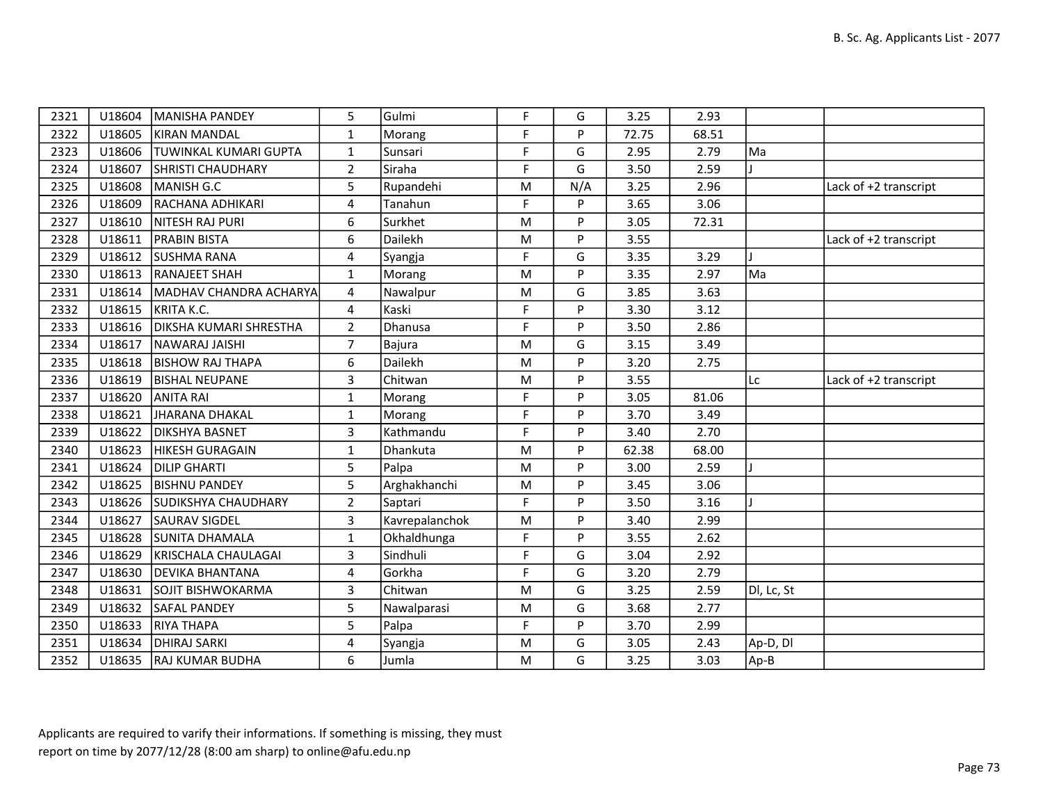| 2321 |        | U18604   MANISHA PANDEY       | 5              | Gulmi          | F | G   | 3.25  | 2.93  |            |                       |
|------|--------|-------------------------------|----------------|----------------|---|-----|-------|-------|------------|-----------------------|
| 2322 | U18605 | KIRAN MANDAL                  | $\mathbf{1}$   | Morang         | F | P   | 72.75 | 68.51 |            |                       |
| 2323 | U18606 | <b>TUWINKAL KUMARI GUPTA</b>  | $\mathbf{1}$   | Sunsari        | F | G   | 2.95  | 2.79  | Ma         |                       |
| 2324 | U18607 | <b>SHRISTI CHAUDHARY</b>      | $\overline{2}$ | Siraha         | F | G   | 3.50  | 2.59  |            |                       |
| 2325 | U18608 | MANISH G.C                    | 5              | Rupandehi      | M | N/A | 3.25  | 2.96  |            | Lack of +2 transcript |
| 2326 | U18609 | RACHANA ADHIKARI              | 4              | Tanahun        | F | P   | 3.65  | 3.06  |            |                       |
| 2327 | U18610 | NITESH RAJ PURI               | 6              | Surkhet        | M | P   | 3.05  | 72.31 |            |                       |
| 2328 | U18611 | <b>PRABIN BISTA</b>           | 6              | Dailekh        | M | P   | 3.55  |       |            | Lack of +2 transcript |
| 2329 | U18612 | <b>SUSHMA RANA</b>            | 4              | Syangja        | F | G   | 3.35  | 3.29  |            |                       |
| 2330 | U18613 | <b>RANAJEET SHAH</b>          | $\mathbf{1}$   | Morang         | M | P   | 3.35  | 2.97  | Ma         |                       |
| 2331 | U18614 | MADHAV CHANDRA ACHARYA        | 4              | Nawalpur       | M | G   | 3.85  | 3.63  |            |                       |
| 2332 | U18615 | KRITA K.C.                    | 4              | Kaski          | F | P   | 3.30  | 3.12  |            |                       |
| 2333 | U18616 | <b>DIKSHA KUMARI SHRESTHA</b> | $\overline{2}$ | Dhanusa        | F | P   | 3.50  | 2.86  |            |                       |
| 2334 | U18617 | NAWARAJ JAISHI                | $\overline{7}$ | <b>Bajura</b>  | M | G   | 3.15  | 3.49  |            |                       |
| 2335 | U18618 | BISHOW RAJ THAPA              | 6              | Dailekh        | M | P   | 3.20  | 2.75  |            |                       |
| 2336 | U18619 | <b>BISHAL NEUPANE</b>         | $\mathsf{3}$   | Chitwan        | M | P   | 3.55  |       | Lc         | Lack of +2 transcript |
| 2337 | U18620 | ANITA RAI                     | $\mathbf{1}$   | Morang         | F | P   | 3.05  | 81.06 |            |                       |
| 2338 | U18621 | JHARANA DHAKAL                | 1              | Morang         | F | P   | 3.70  | 3.49  |            |                       |
| 2339 | U18622 | DIKSHYA BASNET                | $\mathsf{3}$   | Kathmandu      | F | P   | 3.40  | 2.70  |            |                       |
| 2340 | U18623 | HIKESH GURAGAIN               | $\mathbf{1}$   | Dhankuta       | M | P   | 62.38 | 68.00 |            |                       |
| 2341 | U18624 | <b>DILIP GHARTI</b>           | 5              | Palpa          | M | P   | 3.00  | 2.59  |            |                       |
| 2342 | U18625 | <b>BISHNU PANDEY</b>          | 5              | Arghakhanchi   | M | P   | 3.45  | 3.06  |            |                       |
| 2343 | U18626 | SUDIKSHYA CHAUDHARY           | $\overline{2}$ | Saptari        | F | P   | 3.50  | 3.16  |            |                       |
| 2344 | U18627 | <b>SAURAV SIGDEL</b>          | 3              | Kavrepalanchok | M | P   | 3.40  | 2.99  |            |                       |
| 2345 | U18628 | <b>SUNITA DHAMALA</b>         | $\mathbf{1}$   | Okhaldhunga    | F | P   | 3.55  | 2.62  |            |                       |
| 2346 | U18629 | KRISCHALA CHAULAGAI           | 3              | Sindhuli       | F | G   | 3.04  | 2.92  |            |                       |
| 2347 | U18630 | <b>DEVIKA BHANTANA</b>        | 4              | Gorkha         | F | G   | 3.20  | 2.79  |            |                       |
| 2348 | U18631 | SOJIT BISHWOKARMA             | $\overline{3}$ | Chitwan        | M | G   | 3.25  | 2.59  | Dl, Lc, St |                       |
| 2349 | U18632 | <b>SAFAL PANDEY</b>           | 5              | Nawalparasi    | M | G   | 3.68  | 2.77  |            |                       |
| 2350 | U18633 | <b>RIYA THAPA</b>             | 5              | Palpa          | F | P   | 3.70  | 2.99  |            |                       |
| 2351 | U18634 | <b>DHIRAJ SARKI</b>           | 4              | Syangja        | M | G   | 3.05  | 2.43  | Ap-D, Dl   |                       |
| 2352 |        | U18635 RAJ KUMAR BUDHA        | 6              | Jumla          | M | G   | 3.25  | 3.03  | Ap-B       |                       |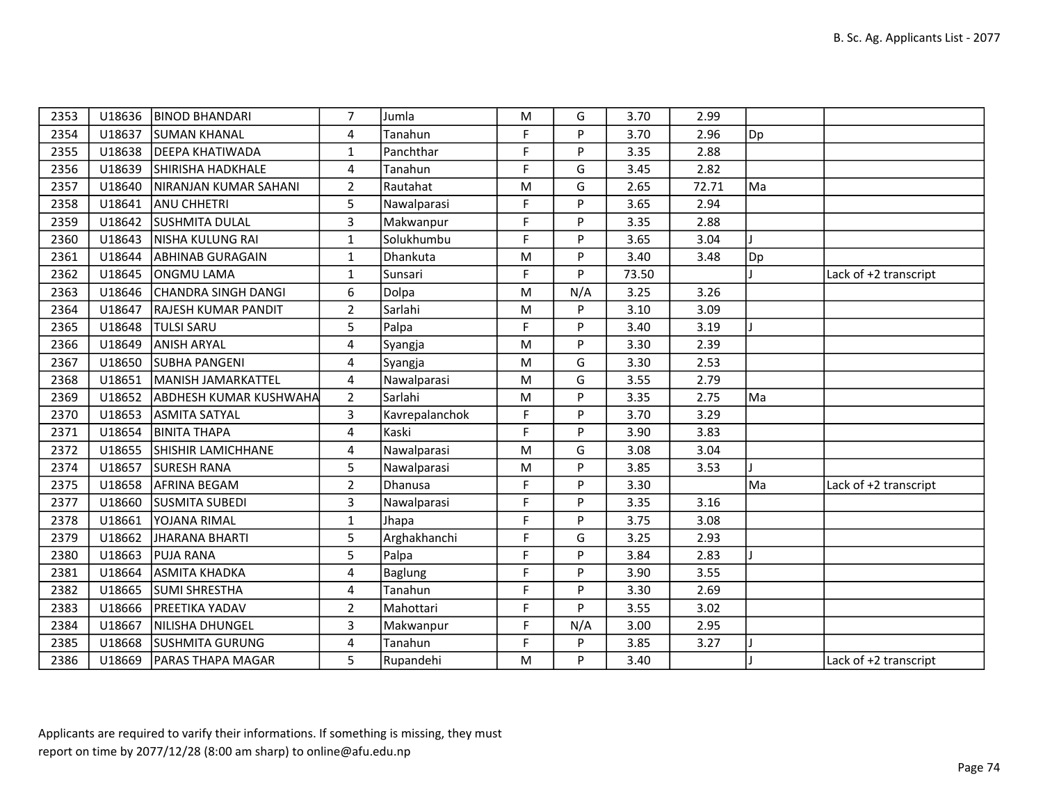| 2353 | U18636 | <b>BINOD BHANDARI</b>      | $\overline{7}$ | Jumla          | M           | G   | 3.70  | 2.99  |     |                       |
|------|--------|----------------------------|----------------|----------------|-------------|-----|-------|-------|-----|-----------------------|
| 2354 | U18637 | <b>SUMAN KHANAL</b>        | 4              | Tanahun        | F           | P   | 3.70  | 2.96  | Dp] |                       |
| 2355 | U18638 | <b>DEEPA KHATIWADA</b>     | $\mathbf{1}$   | Panchthar      | F           | P   | 3.35  | 2.88  |     |                       |
| 2356 | U18639 | SHIRISHA HADKHALE          | 4              | Tanahun        | F           | G   | 3.45  | 2.82  |     |                       |
| 2357 | U18640 | NIRANJAN KUMAR SAHANI      | $\overline{2}$ | Rautahat       | ${\sf M}$   | G   | 2.65  | 72.71 | Ma  |                       |
| 2358 | U18641 | ANU CHHETRI                | 5              | Nawalparasi    | F           | P   | 3.65  | 2.94  |     |                       |
| 2359 | U18642 | <b>SUSHMITA DULAL</b>      | $\overline{3}$ | Makwanpur      | F           | P   | 3.35  | 2.88  |     |                       |
| 2360 | U18643 | NISHA KULUNG RAI           | $\mathbf{1}$   | Solukhumbu     | F           | P   | 3.65  | 3.04  |     |                       |
| 2361 | U18644 | ABHINAB GURAGAIN           | $\mathbf{1}$   | Dhankuta       | M           | P   | 3.40  | 3.48  | Dp] |                       |
| 2362 | U18645 | ONGMU LAMA                 | $\mathbf{1}$   | Sunsari        | $\mathsf F$ | P   | 73.50 |       |     | Lack of +2 transcript |
| 2363 | U18646 | CHANDRA SINGH DANGI        | 6              | Dolpa          | M           | N/A | 3.25  | 3.26  |     |                       |
| 2364 | U18647 | <b>RAJESH KUMAR PANDIT</b> | $\overline{2}$ | Sarlahi        | M           | P   | 3.10  | 3.09  |     |                       |
| 2365 | U18648 | <b>TULSI SARU</b>          | 5              | Palpa          | $\mathsf F$ | P   | 3.40  | 3.19  |     |                       |
| 2366 | U18649 | ANISH ARYAL                | 4              | Syangja        | M           | P   | 3.30  | 2.39  |     |                       |
| 2367 | U18650 | <b>SUBHA PANGENI</b>       | 4              | Syangja        | M           | G   | 3.30  | 2.53  |     |                       |
| 2368 | U18651 | MANISH JAMARKATTEL         | 4              | Nawalparasi    | ${\sf M}$   | G   | 3.55  | 2.79  |     |                       |
| 2369 | U18652 | ABDHESH KUMAR KUSHWAHA     | $\overline{2}$ | Sarlahi        | M           | P   | 3.35  | 2.75  | Ma  |                       |
| 2370 | U18653 | <b>ASMITA SATYAL</b>       | 3              | Kavrepalanchok | F           | P   | 3.70  | 3.29  |     |                       |
| 2371 | U18654 | <b>BINITA THAPA</b>        | $\overline{4}$ | Kaski          | $\mathsf F$ | P   | 3.90  | 3.83  |     |                       |
| 2372 | U18655 | <b>SHISHIR LAMICHHANE</b>  | 4              | Nawalparasi    | ${\sf M}$   | G   | 3.08  | 3.04  |     |                       |
| 2374 | U18657 | <b>SURESH RANA</b>         | 5              | Nawalparasi    | M           | P   | 3.85  | 3.53  |     |                       |
| 2375 | U18658 | AFRINA BEGAM               | $\overline{2}$ | Dhanusa        | F           | P   | 3.30  |       | Ma  | Lack of +2 transcript |
| 2377 | U18660 | <b>SUSMITA SUBEDI</b>      | 3              | Nawalparasi    | F           | P   | 3.35  | 3.16  |     |                       |
| 2378 | U18661 | YOJANA RIMAL               | $\mathbf{1}$   | Jhapa          | F           | P   | 3.75  | 3.08  |     |                       |
| 2379 | U18662 | JHARANA BHARTI             | 5              | Arghakhanchi   | F           | G   | 3.25  | 2.93  |     |                       |
| 2380 | U18663 | <b>PUJA RANA</b>           | 5              | Palpa          | F           | P   | 3.84  | 2.83  |     |                       |
| 2381 | U18664 | ASMITA KHADKA              | 4              | <b>Baglung</b> | F           | P   | 3.90  | 3.55  |     |                       |
| 2382 | U18665 | SUMI SHRESTHA              | $\overline{4}$ | Tanahun        | F           | P   | 3.30  | 2.69  |     |                       |
| 2383 | U18666 | PREETIKA YADAV             | $\overline{2}$ | Mahottari      | F           | P   | 3.55  | 3.02  |     |                       |
| 2384 | U18667 | NILISHA DHUNGEL            | 3              | Makwanpur      | F           | N/A | 3.00  | 2.95  |     |                       |
| 2385 | U18668 | <b>SUSHMITA GURUNG</b>     | 4              | Tanahun        | F           | P   | 3.85  | 3.27  |     |                       |
| 2386 | U18669 | <b>PARAS THAPA MAGAR</b>   | 5              | Rupandehi      | ${\sf M}$   | P   | 3.40  |       |     | Lack of +2 transcript |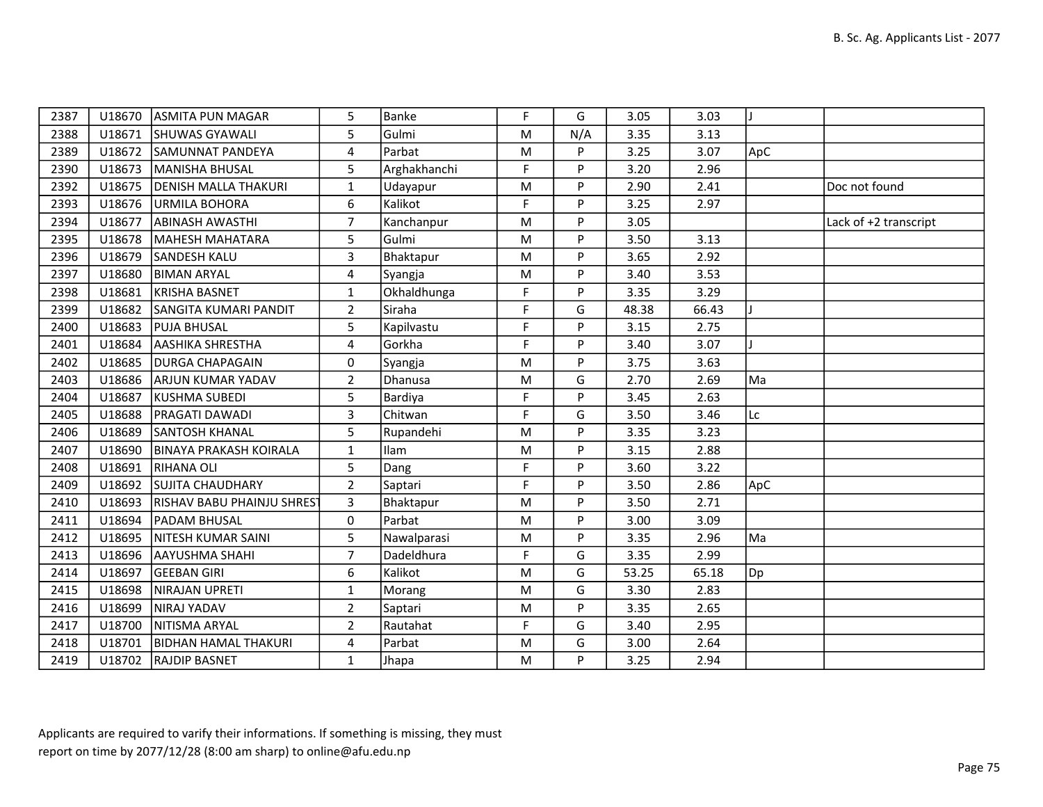| 2387 |        | U18670 ASMITA PUN MAGAR            | 5              | Banke        | F         | G   | 3.05  | 3.03  |     |                       |
|------|--------|------------------------------------|----------------|--------------|-----------|-----|-------|-------|-----|-----------------------|
| 2388 |        | U18671 SHUWAS GYAWALI              | 5              | Gulmi        | ${\sf M}$ | N/A | 3.35  | 3.13  |     |                       |
| 2389 |        | U18672 SAMUNNAT PANDEYA            | 4              | Parbat       | M         | P   | 3.25  | 3.07  | ApC |                       |
| 2390 | U18673 | MANISHA BHUSAL                     | 5              | Arghakhanchi | F         | P   | 3.20  | 2.96  |     |                       |
| 2392 |        | U18675   DENISH MALLA THAKURI      | $\mathbf{1}$   | Udayapur     | ${\sf M}$ | P   | 2.90  | 2.41  |     | Doc not found         |
| 2393 |        | U18676 URMILA BOHORA               | 6              | Kalikot      | F         | P   | 3.25  | 2.97  |     |                       |
| 2394 | U18677 | <b>ABINASH AWASTHI</b>             | $\overline{7}$ | Kanchanpur   | ${\sf M}$ | P   | 3.05  |       |     | Lack of +2 transcript |
| 2395 |        | U18678   MAHESH MAHATARA           | 5              | Gulmi        | M         | P   | 3.50  | 3.13  |     |                       |
| 2396 | U18679 | SANDESH KALU                       | $\overline{3}$ | Bhaktapur    | M         | P   | 3.65  | 2.92  |     |                       |
| 2397 | U18680 | <b>BIMAN ARYAL</b>                 | 4              | Syangja      | ${\sf M}$ | P   | 3.40  | 3.53  |     |                       |
| 2398 | U18681 | KRISHA BASNET                      | $\mathbf{1}$   | Okhaldhunga  | F         | P   | 3.35  | 3.29  |     |                       |
| 2399 | U18682 | <b>SANGITA KUMARI PANDIT</b>       | $\overline{2}$ | Siraha       | F         | G   | 48.38 | 66.43 |     |                       |
| 2400 | U18683 | <b>PUJA BHUSAL</b>                 | 5              | Kapilvastu   | F         | P   | 3.15  | 2.75  |     |                       |
| 2401 | U18684 | <b>AASHIKA SHRESTHA</b>            | 4              | Gorkha       | F         | P   | 3.40  | 3.07  |     |                       |
| 2402 | U18685 | <b>DURGA CHAPAGAIN</b>             | 0              | Syangja      | M         | P   | 3.75  | 3.63  |     |                       |
| 2403 | U18686 | <b>ARJUN KUMAR YADAV</b>           | $\overline{2}$ | Dhanusa      | ${\sf M}$ | G   | 2.70  | 2.69  | Ma  |                       |
| 2404 | U18687 | KUSHMA SUBEDI                      | 5              | Bardiya      | F.        | P   | 3.45  | 2.63  |     |                       |
| 2405 | U18688 | <b>PRAGATI DAWADI</b>              | $\overline{3}$ | Chitwan      | F         | G   | 3.50  | 3.46  | Lc  |                       |
| 2406 | U18689 | <b>SANTOSH KHANAL</b>              | 5              | Rupandehi    | M         | P   | 3.35  | 3.23  |     |                       |
| 2407 | U18690 | <b>BINAYA PRAKASH KOIRALA</b>      | $\mathbf{1}$   | Ilam         | ${\sf M}$ | P   | 3.15  | 2.88  |     |                       |
| 2408 | U18691 | RIHANA OLI                         | 5              | Dang         | F         | P   | 3.60  | 3.22  |     |                       |
| 2409 | U18692 | SUJITA CHAUDHARY                   | $\overline{2}$ | Saptari      | F         | P   | 3.50  | 2.86  | ApC |                       |
| 2410 | U18693 | <b>IRISHAV BABU PHAINJU SHREST</b> | 3              | Bhaktapur    | ${\sf M}$ | P   | 3.50  | 2.71  |     |                       |
| 2411 |        | U18694   PADAM BHUSAL              | $\mathsf{O}$   | Parbat       | ${\sf M}$ | P   | 3.00  | 3.09  |     |                       |
| 2412 |        | U18695 NITESH KUMAR SAINI          | 5              | Nawalparasi  | ${\sf M}$ | P   | 3.35  | 2.96  | Ma  |                       |
| 2413 | U18696 | <b>AAYUSHMA SHAHI</b>              | $\overline{7}$ | Dadeldhura   | F         | G   | 3.35  | 2.99  |     |                       |
| 2414 | U18697 | <b>GEEBAN GIRI</b>                 | 6              | Kalikot      | ${\sf M}$ | G   | 53.25 | 65.18 | Dp] |                       |
| 2415 | U18698 | NIRAJAN UPRETI                     | $\mathbf{1}$   | Morang       | M         | G   | 3.30  | 2.83  |     |                       |
| 2416 | U18699 | NIRAJ YADAV                        | $\overline{2}$ | Saptari      | M         | P   | 3.35  | 2.65  |     |                       |
| 2417 | U18700 | NITISMA ARYAL                      | $\overline{2}$ | Rautahat     | F.        | G   | 3.40  | 2.95  |     |                       |
| 2418 |        | U18701   BIDHAN HAMAL THAKURI      | 4              | Parbat       | M         | G   | 3.00  | 2.64  |     |                       |
| 2419 |        | U18702 RAJDIP BASNET               | $\mathbf{1}$   | Jhapa        | M         | P   | 3.25  | 2.94  |     |                       |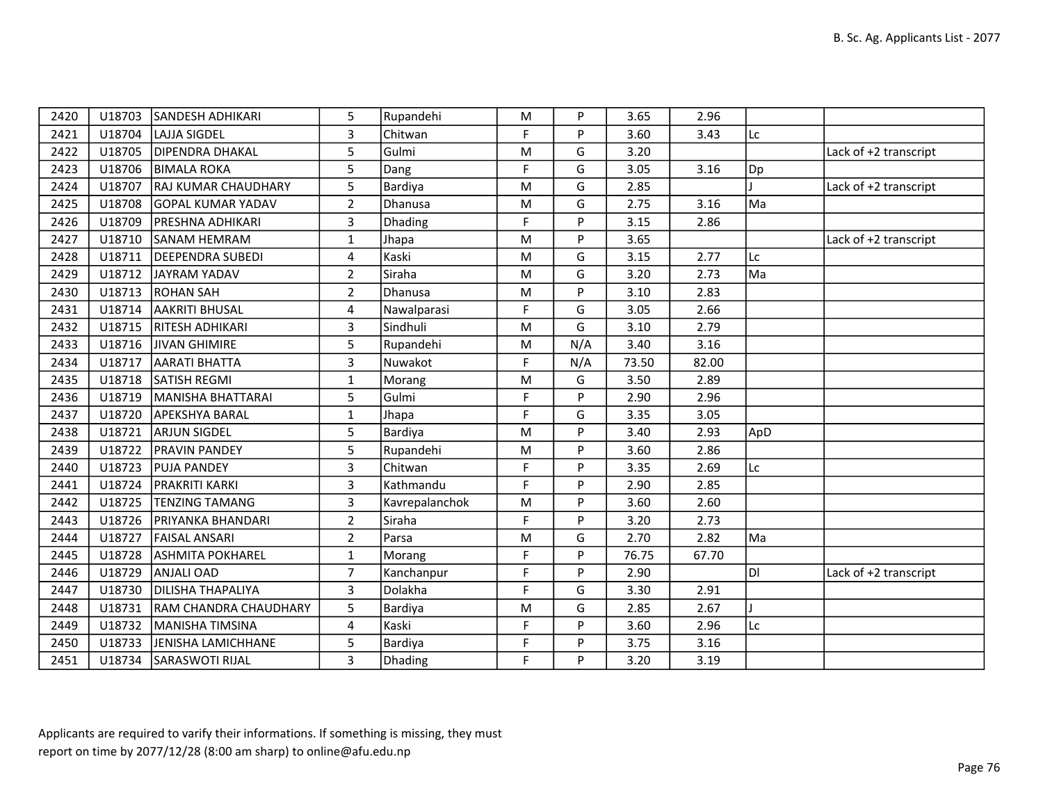| 2420 | U18703 | <b>SANDESH ADHIKARI</b>    | 5              | Rupandehi      | M         | P   | 3.65  | 2.96  |     |                       |
|------|--------|----------------------------|----------------|----------------|-----------|-----|-------|-------|-----|-----------------------|
| 2421 | U18704 | LAJJA SIGDEL               | 3              | Chitwan        | F         | P   | 3.60  | 3.43  | Lc  |                       |
| 2422 | U18705 | <b>DIPENDRA DHAKAL</b>     | 5              | Gulmi          | M         | G   | 3.20  |       |     | Lack of +2 transcript |
| 2423 | U18706 | <b>BIMALA ROKA</b>         | 5              | Dang           | F         | G   | 3.05  | 3.16  | Dp  |                       |
| 2424 | U18707 | <b>RAJ KUMAR CHAUDHARY</b> | 5              | Bardiya        | ${\sf M}$ | G   | 2.85  |       |     | Lack of +2 transcript |
| 2425 | U18708 | <b>GOPAL KUMAR YADAV</b>   | $\overline{2}$ | Dhanusa        | M         | G   | 2.75  | 3.16  | Ma  |                       |
| 2426 | U18709 | <b>PRESHNA ADHIKARI</b>    | $\overline{3}$ | Dhading        | F         | P   | 3.15  | 2.86  |     |                       |
| 2427 | U18710 | <b>SANAM HEMRAM</b>        | $\mathbf{1}$   | Jhapa          | ${\sf M}$ | P   | 3.65  |       |     | Lack of +2 transcript |
| 2428 | U18711 | <b>DEEPENDRA SUBEDI</b>    | 4              | Kaski          | M         | G   | 3.15  | 2.77  | Lc  |                       |
| 2429 | U18712 | JAYRAM YADAV               | $\overline{2}$ | Siraha         | ${\sf M}$ | G   | 3.20  | 2.73  | Ma  |                       |
| 2430 | U18713 | <b>ROHAN SAH</b>           | $\overline{2}$ | Dhanusa        | ${\sf M}$ | P   | 3.10  | 2.83  |     |                       |
| 2431 |        | U18714   AAKRITI BHUSAL    | 4              | Nawalparasi    | F         | G   | 3.05  | 2.66  |     |                       |
| 2432 | U18715 | <b>RITESH ADHIKARI</b>     | $\overline{3}$ | Sindhuli       | ${\sf M}$ | G   | 3.10  | 2.79  |     |                       |
| 2433 | U18716 | JIVAN GHIMIRE              | 5              | Rupandehi      | ${\sf M}$ | N/A | 3.40  | 3.16  |     |                       |
| 2434 | U18717 | <b>AARATI BHATTA</b>       | $\overline{3}$ | Nuwakot        | F         | N/A | 73.50 | 82.00 |     |                       |
| 2435 | U18718 | <b>SATISH REGMI</b>        | $\mathbf{1}$   | Morang         | M         | G   | 3.50  | 2.89  |     |                       |
| 2436 | U18719 | MANISHA BHATTARAI          | 5              | Gulmi          | F         | P   | 2.90  | 2.96  |     |                       |
| 2437 | U18720 | <b>APEKSHYA BARAL</b>      | 1              | Jhapa          | F         | G   | 3.35  | 3.05  |     |                       |
| 2438 | U18721 | <b>ARJUN SIGDEL</b>        | 5              | Bardiya        | ${\sf M}$ | P   | 3.40  | 2.93  | ApD |                       |
| 2439 | U18722 | <b>PRAVIN PANDEY</b>       | 5              | Rupandehi      | M         | P   | 3.60  | 2.86  |     |                       |
| 2440 | U18723 | <b>PUJA PANDEY</b>         | 3              | Chitwan        | F         | Þ.  | 3.35  | 2.69  | Lc  |                       |
| 2441 | U18724 | <b>PRAKRITI KARKI</b>      | 3              | Kathmandu      | F         | P   | 2.90  | 2.85  |     |                       |
| 2442 | U18725 | <b>TENZING TAMANG</b>      | 3              | Kavrepalanchok | M         | P   | 3.60  | 2.60  |     |                       |
| 2443 | U18726 | <b>PRIYANKA BHANDARI</b>   | $\overline{2}$ | Siraha         | F         | P   | 3.20  | 2.73  |     |                       |
| 2444 | U18727 | <b>FAISAL ANSARI</b>       | $\overline{2}$ | Parsa          | ${\sf M}$ | G   | 2.70  | 2.82  | Ma  |                       |
| 2445 | U18728 | <b>ASHMITA POKHAREL</b>    | $\mathbf{1}$   | Morang         | F.        | P   | 76.75 | 67.70 |     |                       |
| 2446 | U18729 | <b>ANJALI OAD</b>          | $\overline{7}$ | Kanchanpur     | F         | P   | 2.90  |       | ldı | Lack of +2 transcript |
| 2447 | U18730 | <b>DILISHA THAPALIYA</b>   | 3              | Dolakha        | F         | G   | 3.30  | 2.91  |     |                       |
| 2448 | U18731 | RAM CHANDRA CHAUDHARY      | 5              | Bardiya        | ${\sf M}$ | G   | 2.85  | 2.67  |     |                       |
| 2449 | U18732 | MANISHA TIMSINA            | 4              | Kaski          | F         | P   | 3.60  | 2.96  | Lc  |                       |
| 2450 | U18733 | JENISHA LAMICHHANE         | 5              | Bardiya        | F         | P   | 3.75  | 3.16  |     |                       |
| 2451 | U18734 | SARASWOTI RIJAL            | $\overline{3}$ | Dhading        | F.        | P   | 3.20  | 3.19  |     |                       |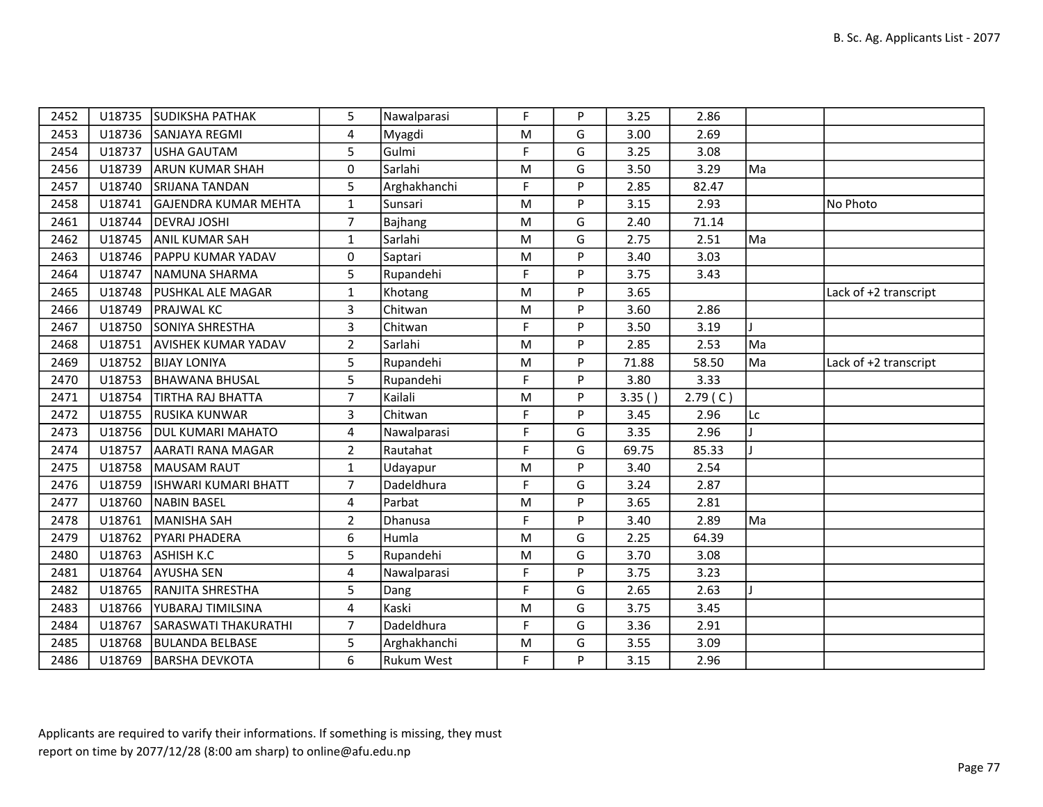| 2452 |        | U18735 SUDIKSHA PATHAK      | 5              | Nawalparasi       | F         | P | 3.25   | 2.86    |    |                       |
|------|--------|-----------------------------|----------------|-------------------|-----------|---|--------|---------|----|-----------------------|
| 2453 |        | U18736 SANJAYA REGMI        | $\overline{4}$ | Myagdi            | M         | G | 3.00   | 2.69    |    |                       |
| 2454 | U18737 | USHA GAUTAM                 | 5              | Gulmi             | F         | G | 3.25   | 3.08    |    |                       |
| 2456 | U18739 | <b>ARUN KUMAR SHAH</b>      | $\mathbf 0$    | Sarlahi           | ${\sf M}$ | G | 3.50   | 3.29    | Ma |                       |
| 2457 |        | U18740 SRIJANA TANDAN       | 5              | Arghakhanchi      | F         | P | 2.85   | 82.47   |    |                       |
| 2458 | U18741 | <b>GAJENDRA KUMAR MEHTA</b> | $\mathbf{1}$   | Sunsari           | M         | P | 3.15   | 2.93    |    | No Photo              |
| 2461 |        | U18744   DEVRAJ JOSHI       | $\overline{7}$ | <b>Bajhang</b>    | ${\sf M}$ | G | 2.40   | 71.14   |    |                       |
| 2462 | U18745 | <b>ANIL KUMAR SAH</b>       | $\mathbf{1}$   | Sarlahi           | M         | G | 2.75   | 2.51    | Ma |                       |
| 2463 |        | U18746 PAPPU KUMAR YADAV    | 0              | Saptari           | M         | P | 3.40   | 3.03    |    |                       |
| 2464 |        | U18747 NAMUNA SHARMA        | 5              | Rupandehi         | F         | P | 3.75   | 3.43    |    |                       |
| 2465 | U18748 | <b>PUSHKAL ALE MAGAR</b>    | $\mathbf{1}$   | Khotang           | M         | P | 3.65   |         |    | Lack of +2 transcript |
| 2466 | U18749 | <b>PRAJWAL KC</b>           | $\overline{3}$ | Chitwan           | M         | P | 3.60   | 2.86    |    |                       |
| 2467 |        | U18750 SONIYA SHRESTHA      | 3              | Chitwan           | F.        | P | 3.50   | 3.19    |    |                       |
| 2468 |        | U18751 AVISHEK KUMAR YADAV  | $\overline{2}$ | Sarlahi           | ${\sf M}$ | P | 2.85   | 2.53    | Ma |                       |
| 2469 |        | U18752 BIJAY LONIYA         | 5              | Rupandehi         | M         | P | 71.88  | 58.50   | Ma | Lack of +2 transcript |
| 2470 | U18753 | <b>BHAWANA BHUSAL</b>       | 5              | Rupandehi         | F         | P | 3.80   | 3.33    |    |                       |
| 2471 | U18754 | TIRTHA RAJ BHATTA           | $\overline{7}$ | Kailali           | M         | P | 3.35() | 2.79(C) |    |                       |
| 2472 |        | U18755 RUSIKA KUNWAR        | 3              | Chitwan           | F.        | P | 3.45   | 2.96    | Lc |                       |
| 2473 |        | U18756   DUL KUMARI MAHATO  | 4              | Nawalparasi       | F         | G | 3.35   | 2.96    |    |                       |
| 2474 | U18757 | AARATI RANA MAGAR           | $\overline{2}$ | Rautahat          | F         | G | 69.75  | 85.33   |    |                       |
| 2475 |        | U18758   MAUSAM RAUT        | $\mathbf{1}$   | Udayapur          | ${\sf M}$ | P | 3.40   | 2.54    |    |                       |
| 2476 | U18759 | ISHWARI KUMARI BHATT        | 7              | Dadeldhura        | F         | G | 3.24   | 2.87    |    |                       |
| 2477 | U18760 | <b>NABIN BASEL</b>          | 4              | Parbat            | M         | P | 3.65   | 2.81    |    |                       |
| 2478 |        | U18761 MANISHA SAH          | $\overline{2}$ | Dhanusa           | F         | P | 3.40   | 2.89    | Ma |                       |
| 2479 |        | U18762   PYARI PHADERA      | 6              | Humla             | ${\sf M}$ | G | 2.25   | 64.39   |    |                       |
| 2480 | U18763 | <b>ASHISH K.C</b>           | 5              | Rupandehi         | ${\sf M}$ | G | 3.70   | 3.08    |    |                       |
| 2481 | U18764 | <b>AYUSHA SEN</b>           | 4              | Nawalparasi       | F.        | P | 3.75   | 3.23    |    |                       |
| 2482 |        | U18765 RANJITA SHRESTHA     | 5              | Dang              | F         | G | 2.65   | 2.63    |    |                       |
| 2483 | U18766 | <b>YUBARAJ TIMILSINA</b>    | 4              | Kaski             | ${\sf M}$ | G | 3.75   | 3.45    |    |                       |
| 2484 | U18767 | SARASWATI THAKURATHI        | $\overline{7}$ | Dadeldhura        | F         | G | 3.36   | 2.91    |    |                       |
| 2485 |        | U18768   BULANDA BELBASE    | 5              | Arghakhanchi      | ${\sf M}$ | G | 3.55   | 3.09    |    |                       |
| 2486 |        | U18769   BARSHA DEVKOTA     | 6              | <b>Rukum West</b> | F.        | P | 3.15   | 2.96    |    |                       |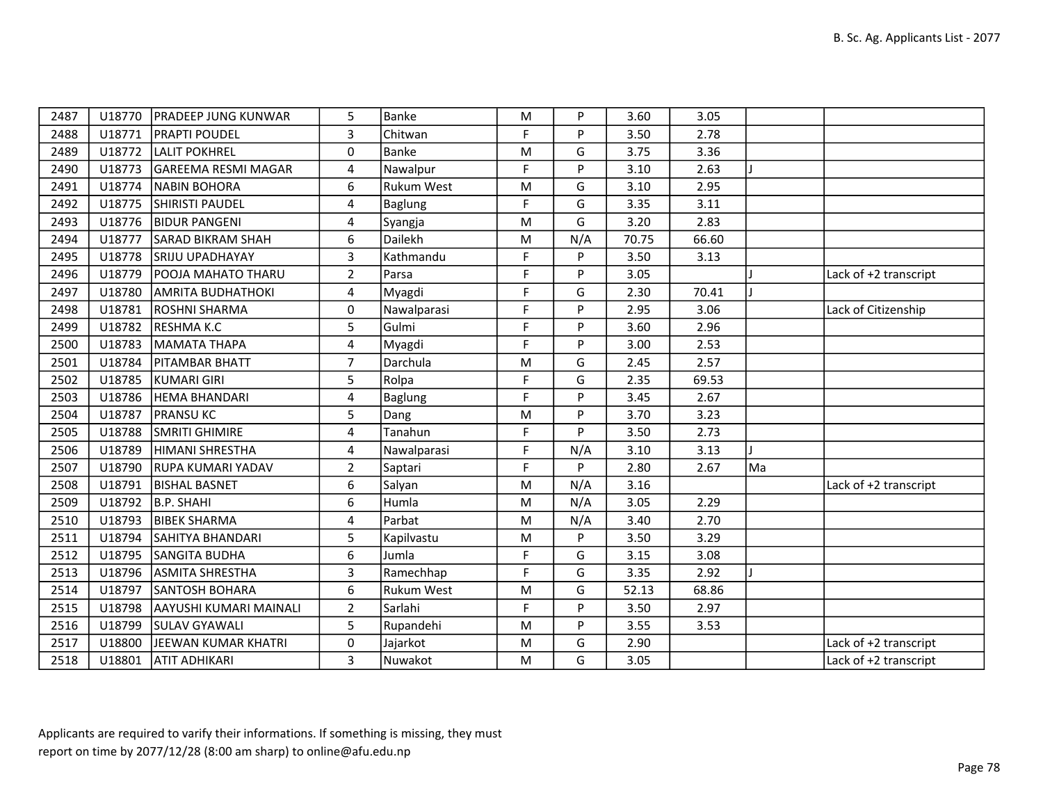| 2487 | U18770 | <b>PRADEEP JUNG KUNWAR</b> | 5              | Banke             | ${\sf M}$ | P   | 3.60  | 3.05  |    |                       |
|------|--------|----------------------------|----------------|-------------------|-----------|-----|-------|-------|----|-----------------------|
| 2488 | U18771 | <b>PRAPTI POUDEL</b>       | 3              | Chitwan           | F.        | P   | 3.50  | 2.78  |    |                       |
| 2489 | U18772 | <b>LALIT POKHREL</b>       | $\mathbf 0$    | Banke             | M         | G   | 3.75  | 3.36  |    |                       |
| 2490 | U18773 | GAREEMA RESMI MAGAR        | 4              | Nawalpur          | F         | P   | 3.10  | 2.63  |    |                       |
| 2491 | U18774 | <b>NABIN BOHORA</b>        | 6              | <b>Rukum West</b> | ${\sf M}$ | G   | 3.10  | 2.95  |    |                       |
| 2492 | U18775 | <b>SHIRISTI PAUDEL</b>     | 4              | Baglung           | F         | G   | 3.35  | 3.11  |    |                       |
| 2493 | U18776 | <b>BIDUR PANGENI</b>       | $\overline{4}$ | Syangja           | M         | G   | 3.20  | 2.83  |    |                       |
| 2494 | U18777 | <b>SARAD BIKRAM SHAH</b>   | 6              | Dailekh           | ${\sf M}$ | N/A | 70.75 | 66.60 |    |                       |
| 2495 | U18778 | <b>SRIJU UPADHAYAY</b>     | 3              | Kathmandu         | F         | P   | 3.50  | 3.13  |    |                       |
| 2496 | U18779 | POOJA MAHATO THARU         | $\overline{2}$ | Parsa             | F         | P   | 3.05  |       |    | Lack of +2 transcript |
| 2497 | U18780 | <b>AMRITA BUDHATHOKI</b>   | 4              | Myagdi            | F.        | G   | 2.30  | 70.41 |    |                       |
| 2498 | U18781 | <b>ROSHNI SHARMA</b>       | $\mathbf 0$    | Nawalparasi       | F         | P   | 2.95  | 3.06  |    | Lack of Citizenship   |
| 2499 | U18782 | RESHMA K.C                 | 5              | Gulmi             | F         | P   | 3.60  | 2.96  |    |                       |
| 2500 | U18783 | MAMATA THAPA               | $\overline{4}$ | Myagdi            | F         | P   | 3.00  | 2.53  |    |                       |
| 2501 | U18784 | <b>PITAMBAR BHATT</b>      | $\overline{7}$ | Darchula          | M         | G   | 2.45  | 2.57  |    |                       |
| 2502 | U18785 | KUMARI GIRI                | 5              | Rolpa             | F         | G   | 2.35  | 69.53 |    |                       |
| 2503 | U18786 | HEMA BHANDARI              | $\overline{4}$ | <b>Baglung</b>    | F         | P   | 3.45  | 2.67  |    |                       |
| 2504 | U18787 | <b>PRANSU KC</b>           | 5              | Dang              | M         | P   | 3.70  | 3.23  |    |                       |
| 2505 | U18788 | <b>SMRITI GHIMIRE</b>      | 4              | Tanahun           | F.        | P   | 3.50  | 2.73  |    |                       |
| 2506 | U18789 | HIMANI SHRESTHA            | 4              | Nawalparasi       | F.        | N/A | 3.10  | 3.13  |    |                       |
| 2507 | U18790 | <b>RUPA KUMARI YADAV</b>   | $\overline{2}$ | Saptari           | F         | P   | 2.80  | 2.67  | Ma |                       |
| 2508 | U18791 | <b>BISHAL BASNET</b>       | 6              | Salyan            | ${\sf M}$ | N/A | 3.16  |       |    | Lack of +2 transcript |
| 2509 | U18792 | B.P. SHAHI                 | 6              | Humla             | ${\sf M}$ | N/A | 3.05  | 2.29  |    |                       |
| 2510 | U18793 | <b>BIBEK SHARMA</b>        | 4              | Parbat            | M         | N/A | 3.40  | 2.70  |    |                       |
| 2511 | U18794 | SAHITYA BHANDARI           | 5              | Kapilvastu        | ${\sf M}$ | P   | 3.50  | 3.29  |    |                       |
| 2512 | U18795 | <b>SANGITA BUDHA</b>       | 6              | Jumla             | F         | G   | 3.15  | 3.08  |    |                       |
| 2513 | U18796 | <b>ASMITA SHRESTHA</b>     | 3              | Ramechhap         | F         | G   | 3.35  | 2.92  |    |                       |
| 2514 | U18797 | <b>SANTOSH BOHARA</b>      | 6              | <b>Rukum West</b> | ${\sf M}$ | G   | 52.13 | 68.86 |    |                       |
| 2515 | U18798 | AAYUSHI KUMARI MAINALI     | $2^{\circ}$    | Sarlahi           | F         | P   | 3.50  | 2.97  |    |                       |
| 2516 | U18799 | <b>SULAV GYAWALI</b>       | 5              | Rupandehi         | ${\sf M}$ | P   | 3.55  | 3.53  |    |                       |
| 2517 | U18800 | JEEWAN KUMAR KHATRI        | 0              | Jajarkot          | ${\sf M}$ | G   | 2.90  |       |    | Lack of +2 transcript |
| 2518 | U18801 | <b>ATIT ADHIKARI</b>       | 3              | Nuwakot           | M         | G   | 3.05  |       |    | Lack of +2 transcript |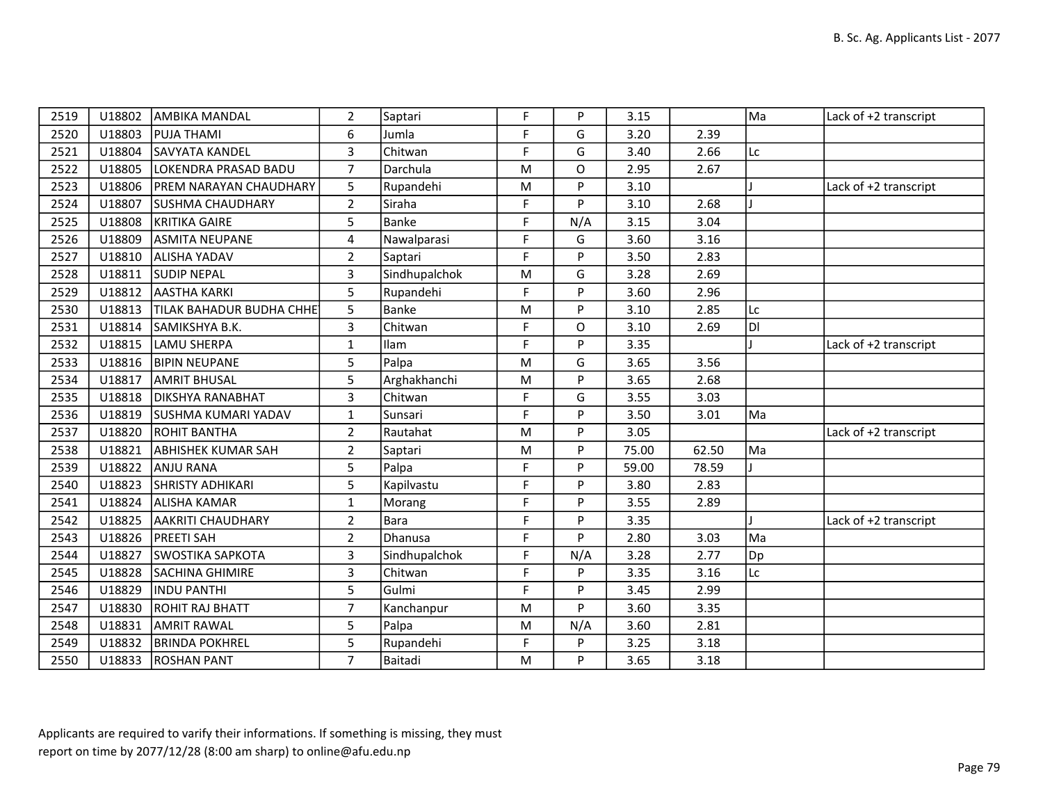| 2519 | U18802 | <b>AMBIKA MANDAL</b>       | $\overline{2}$ | Saptari       | F | P        | 3.15  |       | Ma | Lack of +2 transcript |
|------|--------|----------------------------|----------------|---------------|---|----------|-------|-------|----|-----------------------|
| 2520 | U18803 | <b>PUJA THAMI</b>          | 6              | Jumla         | F | G        | 3.20  | 2.39  |    |                       |
| 2521 | U18804 | SAVYATA KANDEL             | 3              | Chitwan       | F | G        | 3.40  | 2.66  | Lc |                       |
| 2522 | U18805 | LOKENDRA PRASAD BADU       | $\overline{7}$ | Darchula      | M | O        | 2.95  | 2.67  |    |                       |
| 2523 | U18806 | PREM NARAYAN CHAUDHARY     | 5              | Rupandehi     | M | P        | 3.10  |       |    | Lack of +2 transcript |
| 2524 | U18807 | <b>SUSHMA CHAUDHARY</b>    | $\overline{2}$ | Siraha        | F | P        | 3.10  | 2.68  |    |                       |
| 2525 | U18808 | KRITIKA GAIRE              | 5              | Banke         | F | N/A      | 3.15  | 3.04  |    |                       |
| 2526 | U18809 | <b>ASMITA NEUPANE</b>      | 4              | Nawalparasi   | F | G        | 3.60  | 3.16  |    |                       |
| 2527 | U18810 | <b>ALISHA YADAV</b>        | $\overline{2}$ | Saptari       | F | <b>P</b> | 3.50  | 2.83  |    |                       |
| 2528 | U18811 | <b>SUDIP NEPAL</b>         | $\overline{3}$ | Sindhupalchok | M | G        | 3.28  | 2.69  |    |                       |
| 2529 | U18812 | <b>AASTHA KARKI</b>        | 5              | Rupandehi     | F | P        | 3.60  | 2.96  |    |                       |
| 2530 | U18813 | TILAK BAHADUR BUDHA CHHE'  | 5              | Banke         | M | P        | 3.10  | 2.85  | Lc |                       |
| 2531 |        | U18814 SAMIKSHYA B.K.      | $\overline{3}$ | Chitwan       | F | O        | 3.10  | 2.69  | DI |                       |
| 2532 | U18815 | LAMU SHERPA                | $\mathbf{1}$   | Ilam          | F | P        | 3.35  |       |    | Lack of +2 transcript |
| 2533 |        | U18816 BIPIN NEUPANE       | 5              | Palpa         | M | G        | 3.65  | 3.56  |    |                       |
| 2534 | U18817 | <b>AMRIT BHUSAL</b>        | 5              | Arghakhanchi  | M | P        | 3.65  | 2.68  |    |                       |
| 2535 |        | U18818   DIKSHYA RANABHAT  | 3              | Chitwan       | F | G        | 3.55  | 3.03  |    |                       |
| 2536 |        | U18819 SUSHMA KUMARI YADAV | $\mathbf{1}$   | Sunsari       | F | P        | 3.50  | 3.01  | Ma |                       |
| 2537 | U18820 | <b>ROHIT BANTHA</b>        | $\overline{2}$ | Rautahat      | M | P        | 3.05  |       |    | Lack of +2 transcript |
| 2538 | U18821 | <b>ABHISHEK KUMAR SAH</b>  | $\overline{2}$ | Saptari       | M | P        | 75.00 | 62.50 | Ma |                       |
| 2539 | U18822 | ANJU RANA                  | 5              | Palpa         | F | P        | 59.00 | 78.59 |    |                       |
| 2540 | U18823 | <b>SHRISTY ADHIKARI</b>    | 5              | Kapilvastu    | F | P        | 3.80  | 2.83  |    |                       |
| 2541 | U18824 | <b>ALISHA KAMAR</b>        | 1              | Morang        | F | P        | 3.55  | 2.89  |    |                       |
| 2542 | U18825 | <b>AAKRITI CHAUDHARY</b>   | $\overline{2}$ | Bara          | F | P        | 3.35  |       |    | Lack of +2 transcript |
| 2543 | U18826 | <b>PREETI SAH</b>          | $\overline{2}$ | Dhanusa       | F | P        | 2.80  | 3.03  | Ma |                       |
| 2544 | U18827 | <b>SWOSTIKA SAPKOTA</b>    | 3              | Sindhupalchok | F | N/A      | 3.28  | 2.77  | Dp |                       |
| 2545 | U18828 | SACHINA GHIMIRE            | $\overline{3}$ | Chitwan       | F | P        | 3.35  | 3.16  | Lc |                       |
| 2546 | U18829 | INDU PANTHI                | 5              | Gulmi         | F | P        | 3.45  | 2.99  |    |                       |
| 2547 | U18830 | ROHIT RAJ BHATT            | $\overline{7}$ | Kanchanpur    | M | P        | 3.60  | 3.35  |    |                       |
| 2548 | U18831 | <b>AMRIT RAWAL</b>         | 5              | Palpa         | M | N/A      | 3.60  | 2.81  |    |                       |
| 2549 | U18832 | <b>BRINDA POKHREL</b>      | 5              | Rupandehi     | F | P        | 3.25  | 3.18  |    |                       |
| 2550 |        | U18833 ROSHAN PANT         | $\overline{7}$ | Baitadi       | M | P        | 3.65  | 3.18  |    |                       |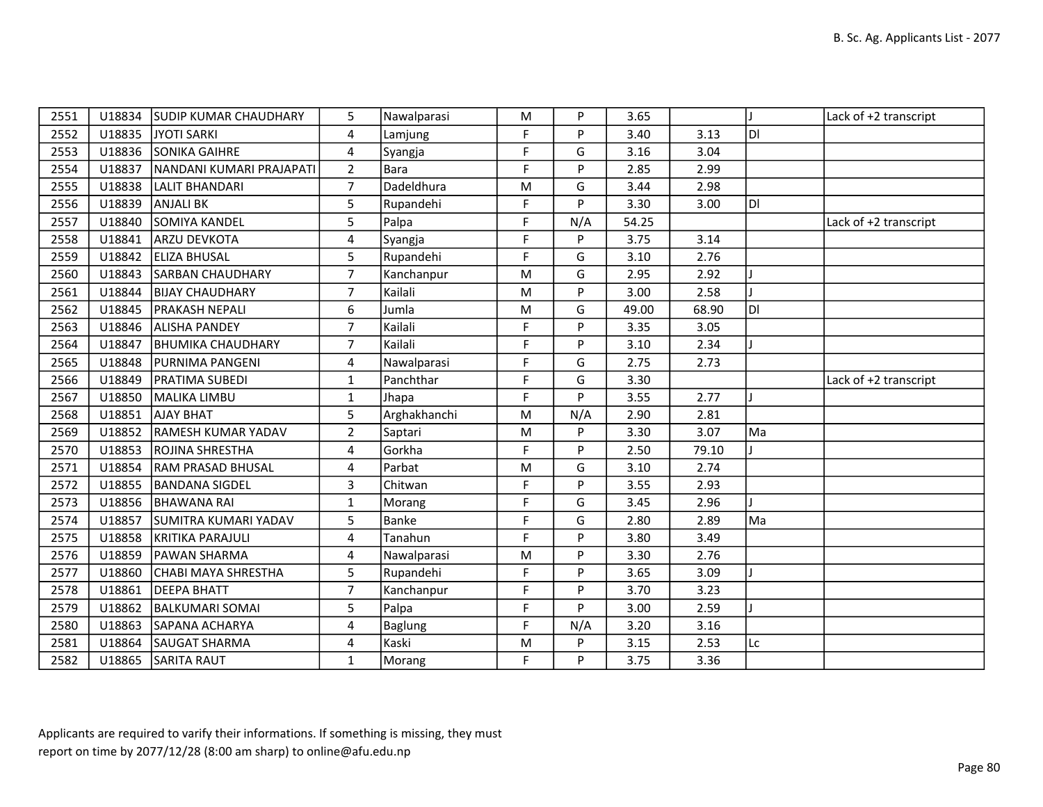| 2551 |        | U18834 SUDIP KUMAR CHAUDHARY | 5              | Nawalparasi  | M         | P        | 3.65  |       |     | Lack of +2 transcript |
|------|--------|------------------------------|----------------|--------------|-----------|----------|-------|-------|-----|-----------------------|
| 2552 | U18835 | JYOTI SARKI                  | 4              | Lamjung      | F         | P        | 3.40  | 3.13  | ldi |                       |
| 2553 | U18836 | <b>SONIKA GAIHRE</b>         | 4              | Syangja      | F         | G        | 3.16  | 3.04  |     |                       |
| 2554 | U18837 | NANDANI KUMARI PRAJAPATI     | $\overline{2}$ | Bara         | F         | P        | 2.85  | 2.99  |     |                       |
| 2555 | U18838 | LALIT BHANDARI               | $\overline{7}$ | Dadeldhura   | ${\sf M}$ | G        | 3.44  | 2.98  |     |                       |
| 2556 | U18839 | <b>ANJALI BK</b>             | 5              | Rupandehi    | F         | <b>D</b> | 3.30  | 3.00  | ldi |                       |
| 2557 | U18840 | SOMIYA KANDEL                | 5              | Palpa        | F         | N/A      | 54.25 |       |     | Lack of +2 transcript |
| 2558 | U18841 | ARZU DEVKOTA                 | 4              | Syangja      | F         | P        | 3.75  | 3.14  |     |                       |
| 2559 | U18842 | <b>ELIZA BHUSAL</b>          | 5              | Rupandehi    | F         | G        | 3.10  | 2.76  |     |                       |
| 2560 | U18843 | <b>SARBAN CHAUDHARY</b>      | $\overline{7}$ | Kanchanpur   | ${\sf M}$ | G        | 2.95  | 2.92  |     |                       |
| 2561 | U18844 | <b>BIJAY CHAUDHARY</b>       | $\overline{7}$ | Kailali      | ${\sf M}$ | P        | 3.00  | 2.58  |     |                       |
| 2562 | U18845 | <b>PRAKASH NEPALI</b>        | 6              | Jumla        | M         | G        | 49.00 | 68.90 | ldi |                       |
| 2563 | U18846 | <b>ALISHA PANDEY</b>         | $\overline{7}$ | Kailali      | F         | P        | 3.35  | 3.05  |     |                       |
| 2564 | U18847 | <b>BHUMIKA CHAUDHARY</b>     | $\overline{7}$ | Kailali      | F         | P        | 3.10  | 2.34  |     |                       |
| 2565 | U18848 | <b>PURNIMA PANGENI</b>       | 4              | Nawalparasi  | F         | G        | 2.75  | 2.73  |     |                       |
| 2566 | U18849 | <b>PRATIMA SUBEDI</b>        | $\mathbf{1}$   | Panchthar    | F         | G        | 3.30  |       |     | Lack of +2 transcript |
| 2567 | U18850 | MALIKA LIMBU                 | $\mathbf{1}$   | Jhapa        | F         | P        | 3.55  | 2.77  |     |                       |
| 2568 | U18851 | <b>AJAY BHAT</b>             | 5              | Arghakhanchi | M         | N/A      | 2.90  | 2.81  |     |                       |
| 2569 | U18852 | <b>RAMESH KUMAR YADAV</b>    | $\overline{2}$ | Saptari      | ${\sf M}$ | P        | 3.30  | 3.07  | Ma  |                       |
| 2570 | U18853 | <b>ROJINA SHRESTHA</b>       | 4              | Gorkha       | F         | P        | 2.50  | 79.10 |     |                       |
| 2571 | U18854 | <b>RAM PRASAD BHUSAL</b>     | 4              | Parbat       | M         | G        | 3.10  | 2.74  |     |                       |
| 2572 | U18855 | <b>BANDANA SIGDEL</b>        | $\overline{3}$ | Chitwan      | F         | P        | 3.55  | 2.93  |     |                       |
| 2573 | U18856 | <b>BHAWANA RAI</b>           | $\mathbf{1}$   | Morang       | F         | G        | 3.45  | 2.96  |     |                       |
| 2574 | U18857 | SUMITRA KUMARI YADAV         | 5              | Banke        | F         | G        | 2.80  | 2.89  | Ma  |                       |
| 2575 | U18858 | KRITIKA PARAJULI             | 4              | Tanahun      | F         | P        | 3.80  | 3.49  |     |                       |
| 2576 | U18859 | <b>PAWAN SHARMA</b>          | 4              | Nawalparasi  | ${\sf M}$ | P        | 3.30  | 2.76  |     |                       |
| 2577 | U18860 | CHABI MAYA SHRESTHA          | 5              | Rupandehi    | F         | Þ        | 3.65  | 3.09  |     |                       |
| 2578 | U18861 | <b>DEEPA BHATT</b>           | $\overline{7}$ | Kanchanpur   | F         | P        | 3.70  | 3.23  |     |                       |
| 2579 | U18862 | <b>BALKUMARI SOMAI</b>       | 5              | Palpa        | F         | P        | 3.00  | 2.59  |     |                       |
| 2580 | U18863 | SAPANA ACHARYA               | 4              | Baglung      | F         | N/A      | 3.20  | 3.16  |     |                       |
| 2581 | U18864 | SAUGAT SHARMA                | 4              | Kaski        | ${\sf M}$ | P        | 3.15  | 2.53  | Lc  |                       |
| 2582 | U18865 | <b>SARITA RAUT</b>           | $\mathbf{1}$   | Morang       | F         | P        | 3.75  | 3.36  |     |                       |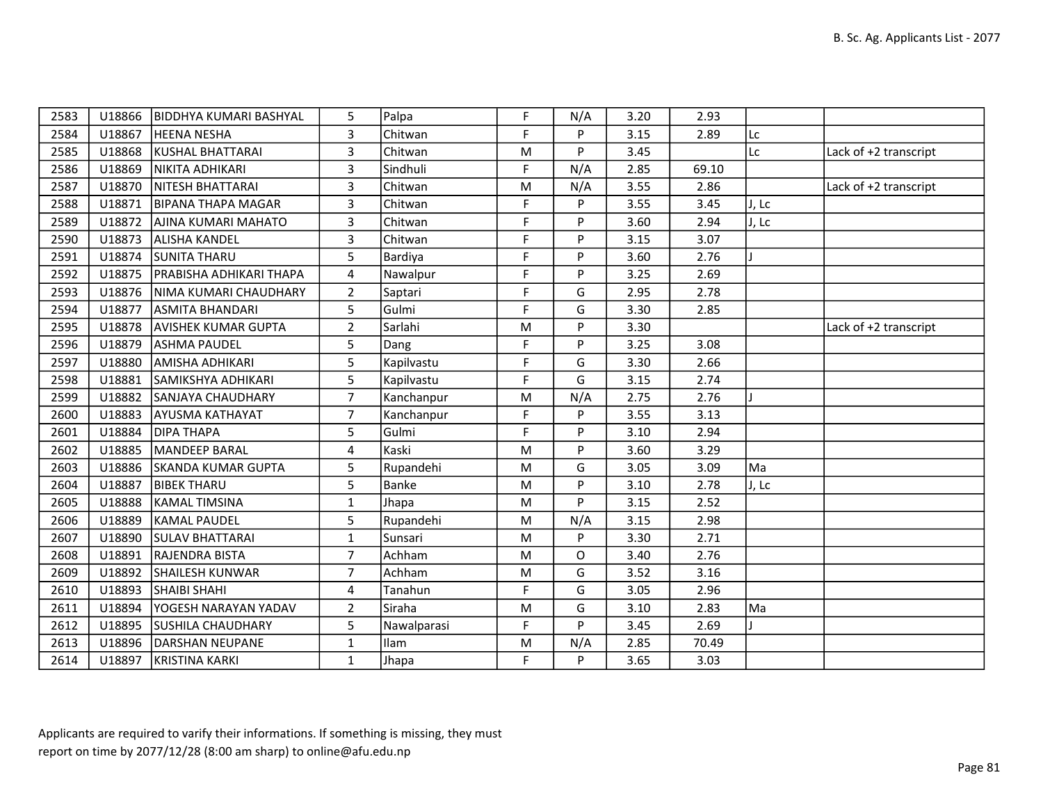| 2583 | U18866 | <b>IBIDDHYA KUMARI BASHYAL</b> | 5              | Palpa       | F | N/A | 3.20 | 2.93  |       |                       |
|------|--------|--------------------------------|----------------|-------------|---|-----|------|-------|-------|-----------------------|
| 2584 | U18867 | <b>HEENA NESHA</b>             | 3              | Chitwan     | F | P   | 3.15 | 2.89  | Lc    |                       |
| 2585 | U18868 | KUSHAL BHATTARAI               | 3              | Chitwan     | M | P   | 3.45 |       | Lc    | Lack of +2 transcript |
| 2586 | U18869 | NIKITA ADHIKARI                | $\mathbf{3}$   | Sindhuli    | F | N/A | 2.85 | 69.10 |       |                       |
| 2587 | U18870 | <b>NITESH BHATTARAI</b>        | 3              | Chitwan     | M | N/A | 3.55 | 2.86  |       | Lack of +2 transcript |
| 2588 | U18871 | <b>BIPANA THAPA MAGAR</b>      | 3              | Chitwan     | F | P   | 3.55 | 3.45  | J, Lc |                       |
| 2589 | U18872 | AJINA KUMARI MAHATO            | $\overline{3}$ | Chitwan     | F | P   | 3.60 | 2.94  | J, Lc |                       |
| 2590 | U18873 | <b>ALISHA KANDEL</b>           | 3              | Chitwan     | F | P   | 3.15 | 3.07  |       |                       |
| 2591 | U18874 | <b>SUNITA THARU</b>            | 5              | Bardiya     | F | P   | 3.60 | 2.76  |       |                       |
| 2592 | U18875 | <b>PRABISHA ADHIKARI THAPA</b> | 4              | Nawalpur    | F | P   | 3.25 | 2.69  |       |                       |
| 2593 | U18876 | NIMA KUMARI CHAUDHARY          | $2^{\circ}$    | Saptari     | F | G   | 2.95 | 2.78  |       |                       |
| 2594 | U18877 | <b>ASMITA BHANDARI</b>         | 5              | Gulmi       | F | G   | 3.30 | 2.85  |       |                       |
| 2595 | U18878 | AVISHEK KUMAR GUPTA            | $\overline{2}$ | Sarlahi     | M | P   | 3.30 |       |       | Lack of +2 transcript |
| 2596 | U18879 | <b>ASHMA PAUDEL</b>            | 5              | Dang        | F | P   | 3.25 | 3.08  |       |                       |
| 2597 | U18880 | <b>AMISHA ADHIKARI</b>         | 5              | Kapilvastu  | F | G   | 3.30 | 2.66  |       |                       |
| 2598 | U18881 | İSAMIKSHYA ADHIKARI            | 5              | Kapilvastu  | F | G   | 3.15 | 2.74  |       |                       |
| 2599 | U18882 | SANJAYA CHAUDHARY              | $\overline{7}$ | Kanchanpur  | M | N/A | 2.75 | 2.76  |       |                       |
| 2600 | U18883 | <b>AYUSMA KATHAYAT</b>         | $\overline{7}$ | Kanchanpur  | F | P   | 3.55 | 3.13  |       |                       |
| 2601 | U18884 | <b>DIPA THAPA</b>              | 5              | Gulmi       | F | P   | 3.10 | 2.94  |       |                       |
| 2602 | U18885 | İMANDEEP BARAL                 | 4              | Kaski       | M | P   | 3.60 | 3.29  |       |                       |
| 2603 | U18886 | <b>SKANDA KUMAR GUPTA</b>      | 5              | Rupandehi   | M | G   | 3.05 | 3.09  | Ma    |                       |
| 2604 | U18887 | <b>BIBEK THARU</b>             | 5              | Banke       | M | P   | 3.10 | 2.78  | J, Lc |                       |
| 2605 | U18888 | İKAMAL TIMSINA                 | $\mathbf{1}$   | Jhapa       | M | P   | 3.15 | 2.52  |       |                       |
| 2606 | U18889 | <b>KAMAL PAUDEL</b>            | 5              | Rupandehi   | M | N/A | 3.15 | 2.98  |       |                       |
| 2607 | U18890 | <b>SULAV BHATTARAI</b>         | $\mathbf{1}$   | Sunsari     | M | P   | 3.30 | 2.71  |       |                       |
| 2608 | U18891 | <b>RAJENDRA BISTA</b>          | $\overline{7}$ | Achham      | M | O   | 3.40 | 2.76  |       |                       |
| 2609 | U18892 | <b>SHAILESH KUNWAR</b>         | $\overline{7}$ | Achham      | M | G   | 3.52 | 3.16  |       |                       |
| 2610 | U18893 | <b>SHAIBI SHAHI</b>            | 4              | Tanahun     | F | G   | 3.05 | 2.96  |       |                       |
| 2611 | U18894 | YOGESH NARAYAN YADAV           | $\overline{2}$ | Siraha      | M | G   | 3.10 | 2.83  | Ma    |                       |
| 2612 | U18895 | <b>SUSHILA CHAUDHARY</b>       | 5              | Nawalparasi | F | P   | 3.45 | 2.69  |       |                       |
| 2613 | U18896 | DARSHAN NEUPANE                | $\mathbf{1}$   | Ilam        | M | N/A | 2.85 | 70.49 |       |                       |
| 2614 | U18897 | KRISTINA KARKI                 | $\mathbf{1}$   | Jhapa       | F | P   | 3.65 | 3.03  |       |                       |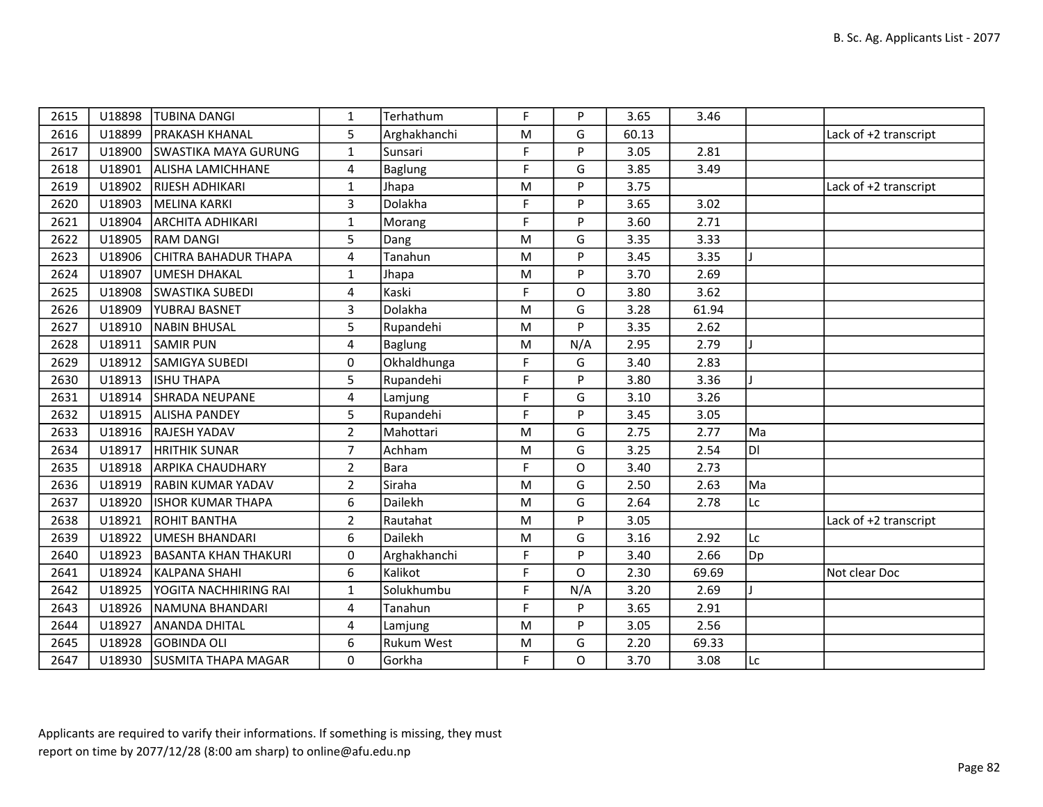| 2615 | U18898 | <b>TUBINA DANGI</b>         | 1              | Terhathum         | F           | P   | 3.65  | 3.46  |    |                       |
|------|--------|-----------------------------|----------------|-------------------|-------------|-----|-------|-------|----|-----------------------|
| 2616 | U18899 | <b>PRAKASH KHANAL</b>       | 5              | Arghakhanchi      | ${\sf M}$   | G   | 60.13 |       |    | Lack of +2 transcript |
| 2617 | U18900 | <b>SWASTIKA MAYA GURUNG</b> | $\mathbf{1}$   | Sunsari           | F           | P   | 3.05  | 2.81  |    |                       |
| 2618 | U18901 | <b>ALISHA LAMICHHANE</b>    | 4              | <b>Baglung</b>    | F           | G   | 3.85  | 3.49  |    |                       |
| 2619 | U18902 | RIJESH ADHIKARI             | $\mathbf{1}$   | Jhapa             | ${\sf M}$   | P   | 3.75  |       |    | Lack of +2 transcript |
| 2620 | U18903 | <b>MELINA KARKI</b>         | $\overline{3}$ | Dolakha           | F           | P   | 3.65  | 3.02  |    |                       |
| 2621 | U18904 | <b>ARCHITA ADHIKARI</b>     | $\mathbf{1}$   | Morang            | F           | P   | 3.60  | 2.71  |    |                       |
| 2622 | U18905 | <b>RAM DANGI</b>            | 5              | Dang              | M           | G   | 3.35  | 3.33  |    |                       |
| 2623 | U18906 | <b>CHITRA BAHADUR THAPA</b> | 4              | Tanahun           | M           | P   | 3.45  | 3.35  |    |                       |
| 2624 | U18907 | <b>UMESH DHAKAL</b>         | $\mathbf{1}$   | Jhapa             | M           | P   | 3.70  | 2.69  |    |                       |
| 2625 | U18908 | <b>SWASTIKA SUBEDI</b>      | 4              | Kaski             | F           | O   | 3.80  | 3.62  |    |                       |
| 2626 | U18909 | <b>YUBRAJ BASNET</b>        | 3              | Dolakha           | M           | G   | 3.28  | 61.94 |    |                       |
| 2627 | U18910 | NABIN BHUSAL                | 5              | Rupandehi         | M           | P   | 3.35  | 2.62  |    |                       |
| 2628 | U18911 | <b>SAMIR PUN</b>            | 4              | <b>Baglung</b>    | M           | N/A | 2.95  | 2.79  |    |                       |
| 2629 | U18912 | <b>SAMIGYA SUBEDI</b>       | $\Omega$       | Okhaldhunga       | F           | G   | 3.40  | 2.83  |    |                       |
| 2630 | U18913 | ISHU THAPA                  | 5              | Rupandehi         | $\mathsf F$ | P   | 3.80  | 3.36  |    |                       |
| 2631 | U18914 | <b>SHRADA NEUPANE</b>       | 4              | Lamjung           | F           | G   | 3.10  | 3.26  |    |                       |
| 2632 | U18915 | <b>ALISHA PANDEY</b>        | 5              | Rupandehi         | F           | P   | 3.45  | 3.05  |    |                       |
| 2633 | U18916 | <b>RAJESH YADAV</b>         | $\overline{2}$ | Mahottari         | M           | G   | 2.75  | 2.77  | Ma |                       |
| 2634 | U18917 | <b>HRITHIK SUNAR</b>        | $\overline{7}$ | Achham            | M           | G   | 3.25  | 2.54  | Iы |                       |
| 2635 | U18918 | <b>ARPIKA CHAUDHARY</b>     | $\overline{2}$ | Bara              | F           | O   | 3.40  | 2.73  |    |                       |
| 2636 | U18919 | <b>RABIN KUMAR YADAV</b>    | $\overline{2}$ | Siraha            | M           | G   | 2.50  | 2.63  | Ma |                       |
| 2637 | U18920 | <b>ISHOR KUMAR THAPA</b>    | 6              | <b>Dailekh</b>    | M           | G   | 2.64  | 2.78  | Lc |                       |
| 2638 | U18921 | <b>ROHIT BANTHA</b>         | $\overline{2}$ | Rautahat          | M           | P   | 3.05  |       |    | Lack of +2 transcript |
| 2639 | U18922 | <b>UMESH BHANDARI</b>       | 6              | Dailekh           | M           | G   | 3.16  | 2.92  | Lc |                       |
| 2640 | U18923 | <b>BASANTA KHAN THAKURI</b> | 0              | Arghakhanchi      | F           | P   | 3.40  | 2.66  | Dp |                       |
| 2641 | U18924 | KALPANA SHAHI               | 6              | Kalikot           | F           | O   | 2.30  | 69.69 |    | Not clear Doc         |
| 2642 | U18925 | YOGITA NACHHIRING RAI       | $\mathbf{1}$   | Solukhumbu        | F           | N/A | 3.20  | 2.69  |    |                       |
| 2643 | U18926 | NAMUNA BHANDARI             | 4              | Tanahun           | F           | P   | 3.65  | 2.91  |    |                       |
| 2644 | U18927 | <b>ANANDA DHITAL</b>        | 4              | Lamjung           | M           | P   | 3.05  | 2.56  |    |                       |
| 2645 | U18928 | <b>GOBINDA OLI</b>          | 6              | <b>Rukum West</b> | M           | G   | 2.20  | 69.33 |    |                       |
| 2647 |        | U18930 SUSMITA THAPA MAGAR  | 0              | Gorkha            | F           | O   | 3.70  | 3.08  | Lc |                       |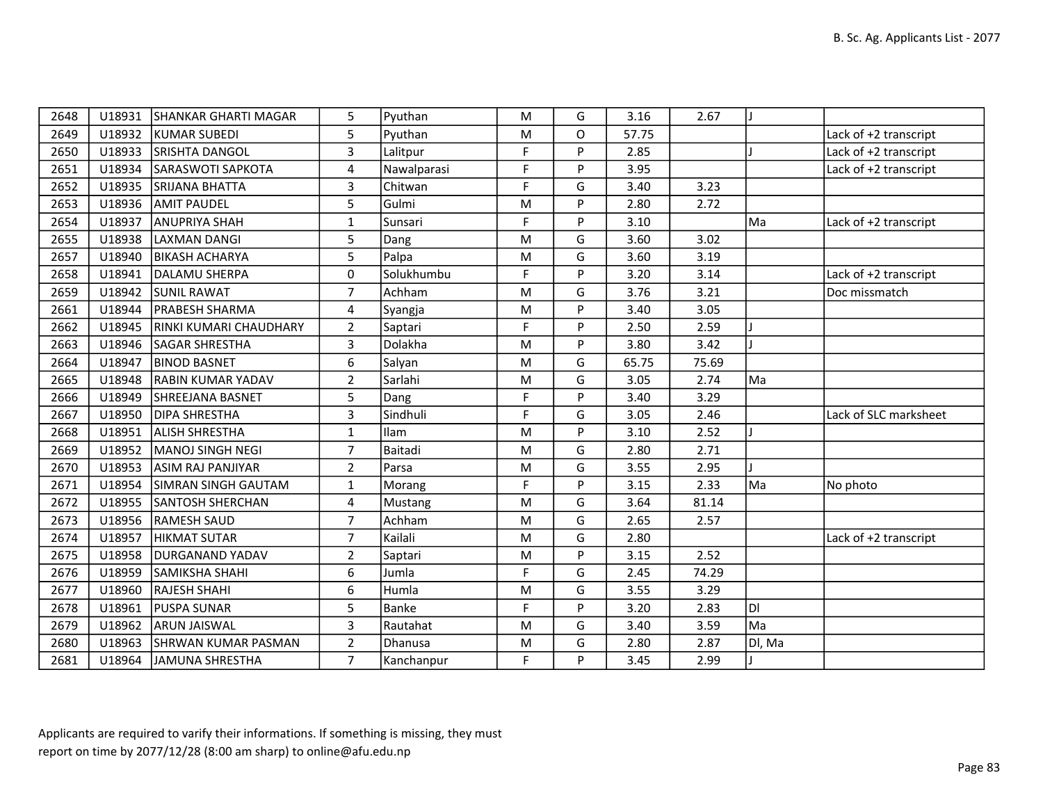| 2648 | U18931 | ISHANKAR GHARTI MAGAR      | 5                | Pyuthan      | M           | G        | 3.16  | 2.67  |        |                       |
|------|--------|----------------------------|------------------|--------------|-------------|----------|-------|-------|--------|-----------------------|
| 2649 | U18932 | KUMAR SUBEDI               | 5                | Pyuthan      | M           | $\Omega$ | 57.75 |       |        | Lack of +2 transcript |
| 2650 | U18933 | <b>ISRISHTA DANGOL</b>     | 3                | Lalitpur     | F           | P        | 2.85  |       |        | Lack of +2 transcript |
| 2651 | U18934 | SARASWOTI SAPKOTA          | 4                | Nawalparasi  | F           | P        | 3.95  |       |        | Lack of +2 transcript |
| 2652 | U18935 | ISRIJANA BHATTA            | 3                | Chitwan      | F           | G        | 3.40  | 3.23  |        |                       |
| 2653 | U18936 | <b>AMIT PAUDEL</b>         | 5                | Gulmi        | M           | P        | 2.80  | 2.72  |        |                       |
| 2654 | U18937 | ANUPRIYA SHAH              | $\mathbf{1}$     | Sunsari      | F           | P        | 3.10  |       | Ma     | Lack of +2 transcript |
| 2655 | U18938 | LAXMAN DANGI               | 5                | Dang         | M           | G        | 3.60  | 3.02  |        |                       |
| 2657 | U18940 | <b>BIKASH ACHARYA</b>      | 5                | Palpa        | M           | G        | 3.60  | 3.19  |        |                       |
| 2658 | U18941 | DALAMU SHERPA              | 0                | Solukhumbu   | F           | P        | 3.20  | 3.14  |        | Lack of +2 transcript |
| 2659 | U18942 | <b>SUNIL RAWAT</b>         | $\overline{7}$   | Achham       | M           | G        | 3.76  | 3.21  |        | Doc missmatch         |
| 2661 | U18944 | <b>PRABESH SHARMA</b>      | $\overline{4}$   | Syangja      | M           | P        | 3.40  | 3.05  |        |                       |
| 2662 | U18945 | RINKI KUMARI CHAUDHARY     | $\overline{2}$   | Saptari      | F           | P        | 2.50  | 2.59  |        |                       |
| 2663 | U18946 | <b>SAGAR SHRESTHA</b>      | 3                | Dolakha      | M           | P        | 3.80  | 3.42  |        |                       |
| 2664 | U18947 | <b>BINOD BASNET</b>        | $\boldsymbol{6}$ | Salyan       | M           | G        | 65.75 | 75.69 |        |                       |
| 2665 | U18948 | <b>RABIN KUMAR YADAV</b>   | $\overline{2}$   | Sarlahi      | M           | G        | 3.05  | 2.74  | Ma     |                       |
| 2666 | U18949 | SHREEJANA BASNET           | 5                | Dang         | F           | P        | 3.40  | 3.29  |        |                       |
| 2667 | U18950 | <b>DIPA SHRESTHA</b>       | $\overline{3}$   | Sindhuli     | F           | G        | 3.05  | 2.46  |        | Lack of SLC marksheet |
| 2668 | U18951 | <b>ALISH SHRESTHA</b>      | $\mathbf{1}$     | Ilam         | M           | P        | 3.10  | 2.52  |        |                       |
| 2669 | U18952 | MANOJ SINGH NEGI           | $\overline{7}$   | Baitadi      | M           | G        | 2.80  | 2.71  |        |                       |
| 2670 | U18953 | ASIM RAJ PANJIYAR          | $\overline{2}$   | Parsa        | M           | G        | 3.55  | 2.95  |        |                       |
| 2671 | U18954 | SIMRAN SINGH GAUTAM        | 1                | Morang       | F           | P        | 3.15  | 2.33  | Ma     | No photo              |
| 2672 | U18955 | <b>SANTOSH SHERCHAN</b>    | $\overline{4}$   | Mustang      | M           | G        | 3.64  | 81.14 |        |                       |
| 2673 | U18956 | <b>RAMESH SAUD</b>         | $\overline{7}$   | Achham       | M           | G        | 2.65  | 2.57  |        |                       |
| 2674 | U18957 | HIKMAT SUTAR               | $\overline{7}$   | Kailali      | M           | G        | 2.80  |       |        | Lack of +2 transcript |
| 2675 | U18958 | DURGANAND YADAV            | $\overline{2}$   | Saptari      | M           | P        | 3.15  | 2.52  |        |                       |
| 2676 | U18959 | SAMIKSHA SHAHI             | $\boldsymbol{6}$ | Jumla        | $\mathsf F$ | G        | 2.45  | 74.29 |        |                       |
| 2677 | U18960 | <b>RAJESH SHAHI</b>        | 6                | Humla        | M           | G        | 3.55  | 3.29  |        |                       |
| 2678 | U18961 | <b>IPUSPA SUNAR</b>        | 5                | <b>Banke</b> | F           | P        | 3.20  | 2.83  | DI     |                       |
| 2679 | U18962 | <b>ARUN JAISWAL</b>        | $\overline{3}$   | Rautahat     | M           | G        | 3.40  | 3.59  | Ma     |                       |
| 2680 | U18963 | <b>SHRWAN KUMAR PASMAN</b> | $\overline{2}$   | Dhanusa      | M           | G        | 2.80  | 2.87  | Dl, Ma |                       |
| 2681 | U18964 | JAMUNA SHRESTHA            | $\overline{7}$   | Kanchanpur   | F           | P        | 3.45  | 2.99  |        |                       |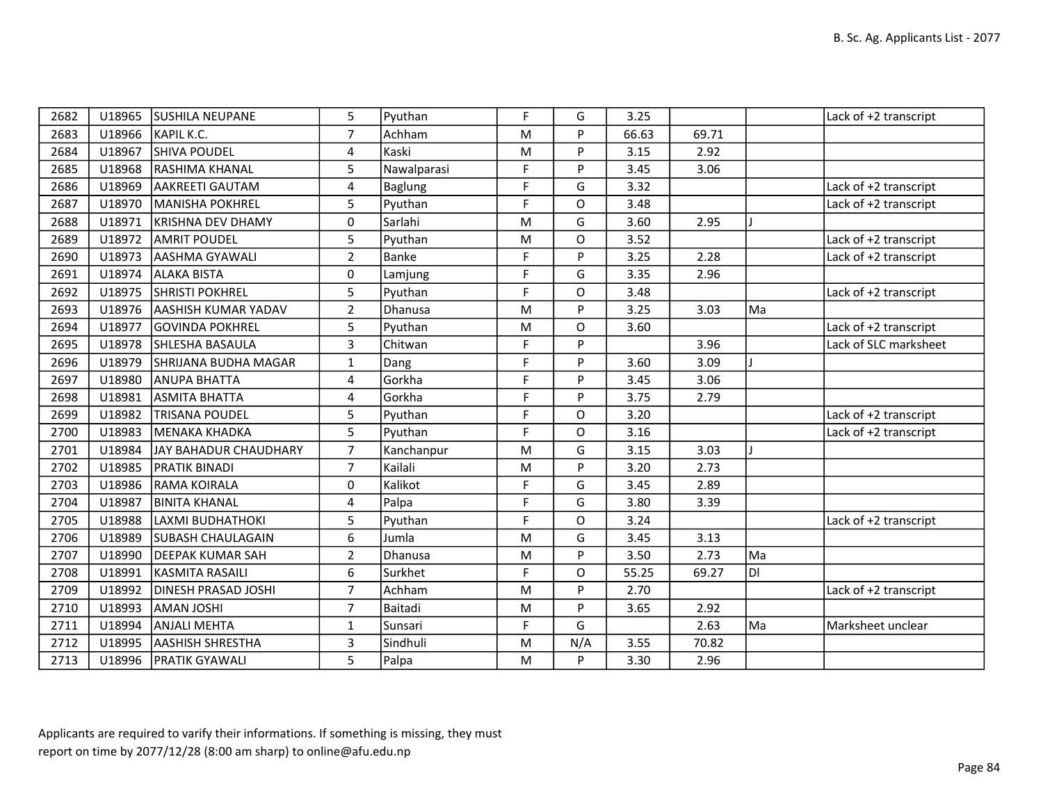| 2682 | U18965 | <b>SUSHILA NEUPANE</b>     | 5              | Pyuthan     | F         | G   | 3.25  |       |     | Lack of +2 transcript |
|------|--------|----------------------------|----------------|-------------|-----------|-----|-------|-------|-----|-----------------------|
| 2683 | U18966 | KAPIL K.C.                 | $\overline{7}$ | Achham      | M         | P   | 66.63 | 69.71 |     |                       |
| 2684 | U18967 | <b>SHIVA POUDEL</b>        | 4              | Kaski       | M         | D   | 3.15  | 2.92  |     |                       |
| 2685 | U18968 | RASHIMA KHANAL             | 5              | Nawalparasi | F         | P   | 3.45  | 3.06  |     |                       |
| 2686 | U18969 | AAKREETI GAUTAM            | 4              | Baglung     | F         | G   | 3.32  |       |     | Lack of +2 transcript |
| 2687 | U18970 | MANISHA POKHREL            | 5              | Pyuthan     | F         | O   | 3.48  |       |     | Lack of +2 transcript |
| 2688 | U18971 | <b>KRISHNA DEV DHAMY</b>   | 0              | Sarlahi     | M         | G   | 3.60  | 2.95  |     |                       |
| 2689 | U18972 | IAMRIT POUDEL              | 5              | Pyuthan     | M         | O   | 3.52  |       |     | Lack of +2 transcript |
| 2690 | U18973 | AASHMA GYAWALI             | $\overline{2}$ | Banke       | F         | Þ   | 3.25  | 2.28  |     | Lack of +2 transcript |
| 2691 | U18974 | <b>ALAKA BISTA</b>         | 0              | Lamjung     | F         | G   | 3.35  | 2.96  |     |                       |
| 2692 | U18975 | <b>SHRISTI POKHREL</b>     | 5              | Pyuthan     | F         | O   | 3.48  |       |     | Lack of +2 transcript |
| 2693 | U18976 | <b>AASHISH KUMAR YADAV</b> | $\overline{2}$ | Dhanusa     | M         | D   | 3.25  | 3.03  | Ma  |                       |
| 2694 | U18977 | <b>GOVINDA POKHREL</b>     | 5              | Pyuthan     | M         | O   | 3.60  |       |     | Lack of +2 transcript |
| 2695 | U18978 | SHLESHA BASAULA            | 3              | Chitwan     | F         | P   |       | 3.96  |     | Lack of SLC marksheet |
| 2696 | U18979 | SHRIJANA BUDHA MAGAR       | $\mathbf{1}$   | Dang        | F         | D   | 3.60  | 3.09  |     |                       |
| 2697 | U18980 | ANUPA BHATTA               | 4              | Gorkha      | F         | Þ   | 3.45  | 3.06  |     |                       |
| 2698 | U18981 | ASMITA BHATTA              | 4              | Gorkha      | F         | P   | 3.75  | 2.79  |     |                       |
| 2699 | U18982 | <b>TRISANA POUDEL</b>      | 5              | Pyuthan     | F         | O   | 3.20  |       |     | Lack of +2 transcript |
| 2700 | U18983 | MENAKA KHADKA              | 5              | Pyuthan     | F         | O   | 3.16  |       |     | Lack of +2 transcript |
| 2701 | U18984 | JAY BAHADUR CHAUDHARY      | $\overline{7}$ | Kanchanpur  | ${\sf M}$ | G   | 3.15  | 3.03  |     |                       |
| 2702 | U18985 | <b>PRATIK BINADI</b>       | $\overline{7}$ | Kailali     | M         | D   | 3.20  | 2.73  |     |                       |
| 2703 | U18986 | <b>RAMA KOIRALA</b>        | 0              | Kalikot     | F         | G   | 3.45  | 2.89  |     |                       |
| 2704 | U18987 | <b>BINITA KHANAL</b>       | 4              | Palpa       | F         | G   | 3.80  | 3.39  |     |                       |
| 2705 | U18988 | LAXMI BUDHATHOKI           | 5              | Pyuthan     | F         | O   | 3.24  |       |     | Lack of +2 transcript |
| 2706 | U18989 | <b>SUBASH CHAULAGAIN</b>   | 6              | Jumla       | ${\sf M}$ | G   | 3.45  | 3.13  |     |                       |
| 2707 | U18990 | <b>DEEPAK KUMAR SAH</b>    | $\overline{2}$ | Dhanusa     | ${\sf M}$ | P   | 3.50  | 2.73  | Ma  |                       |
| 2708 | U18991 | KASMITA RASAILI            | 6              | Surkhet     | F         | O   | 55.25 | 69.27 | ldl |                       |
| 2709 | U18992 | DINESH PRASAD JOSHI        | $\overline{7}$ | Achham      | M         | P   | 2.70  |       |     | Lack of +2 transcript |
| 2710 | U18993 | AMAN JOSHI                 | $\overline{7}$ | Baitadi     | M         | P   | 3.65  | 2.92  |     |                       |
| 2711 | U18994 | <b>ANJALI MEHTA</b>        | 1              | Sunsari     | F         | G   |       | 2.63  | Ma  | Marksheet unclear     |
| 2712 | U18995 | <b>AASHISH SHRESTHA</b>    | 3              | Sindhuli    | ${\sf M}$ | N/A | 3.55  | 70.82 |     |                       |
| 2713 | U18996 | <b>PRATIK GYAWALI</b>      | 5              | Palpa       | M         | P   | 3.30  | 2.96  |     |                       |